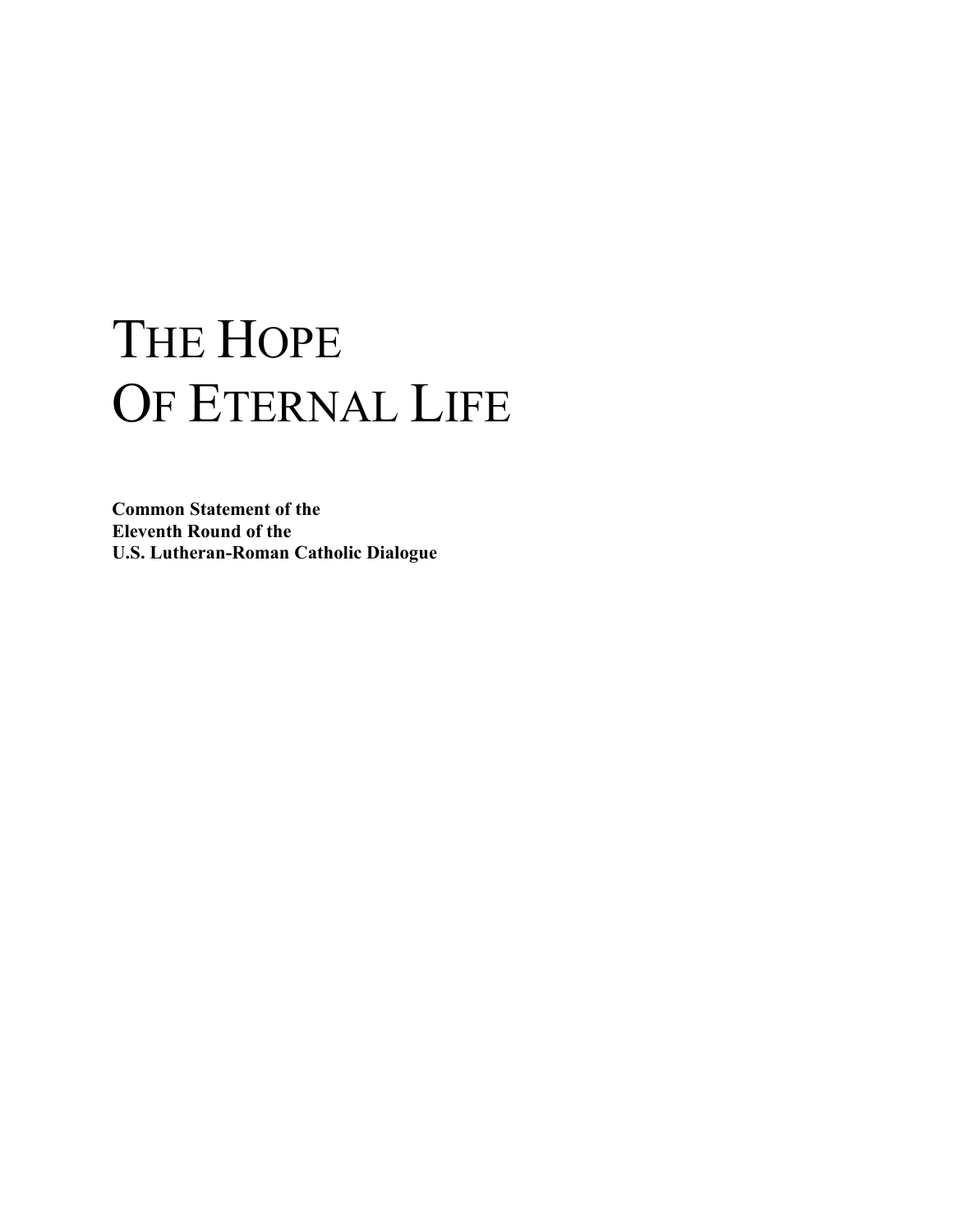# THE HOPE OF ETERNAL LIFE

Common Statement of the Eleventh Round of the U.S. Lutheran-Roman Catholic Dialogue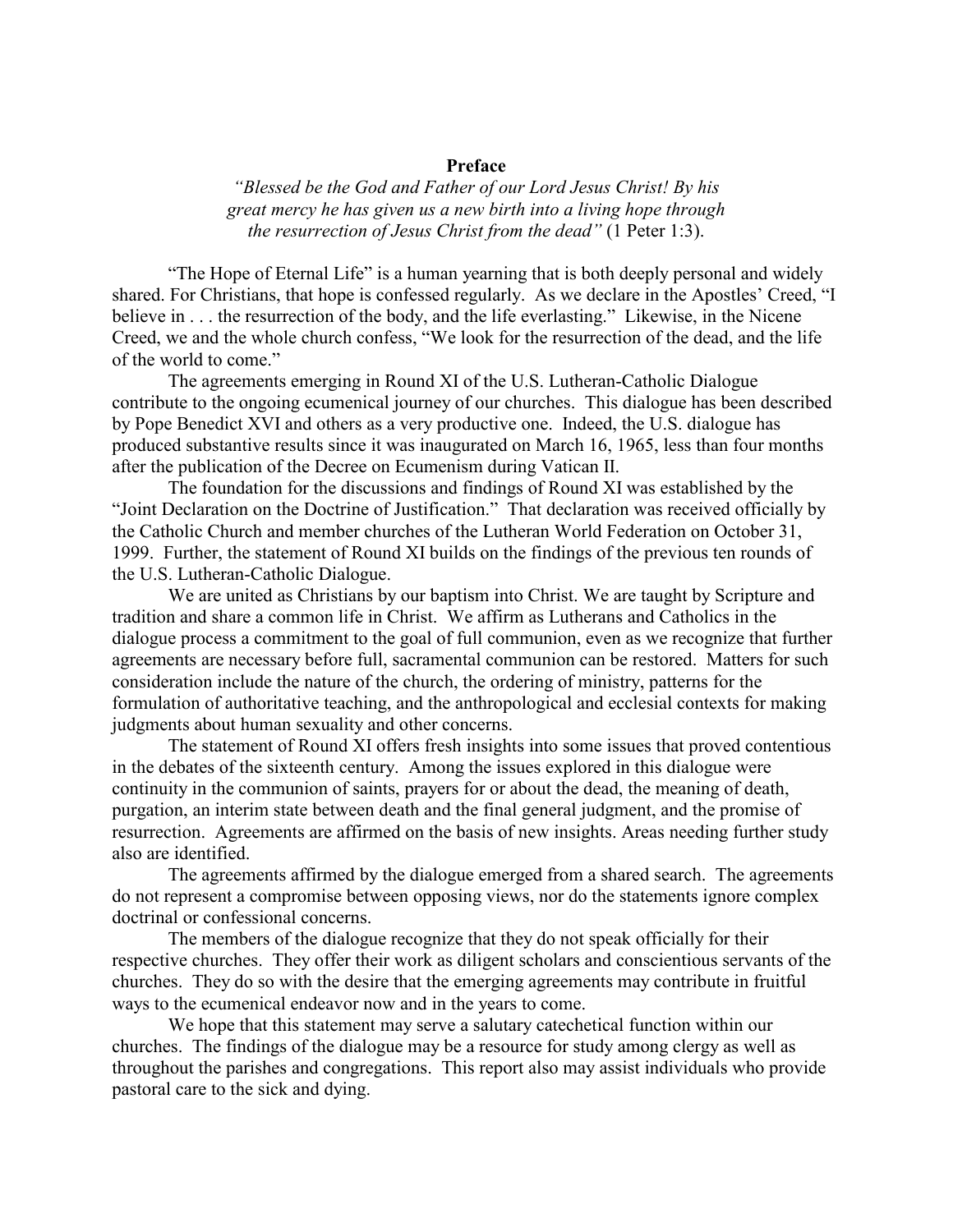#### Preface

"Blessed be the God and Father of our Lord Jesus Christ! By his great mercy he has given us a new birth into a living hope through the resurrection of Jesus Christ from the dead" (1 Peter 1:3).

"The Hope of Eternal Life" is a human yearning that is both deeply personal and widely shared. For Christians, that hope is confessed regularly. As we declare in the Apostles' Creed, "I believe in . . . the resurrection of the body, and the life everlasting." Likewise, in the Nicene Creed, we and the whole church confess, "We look for the resurrection of the dead, and the life of the world to come."

The agreements emerging in Round XI of the U.S. Lutheran-Catholic Dialogue contribute to the ongoing ecumenical journey of our churches. This dialogue has been described by Pope Benedict XVI and others as a very productive one. Indeed, the U.S. dialogue has produced substantive results since it was inaugurated on March 16, 1965, less than four months after the publication of the Decree on Ecumenism during Vatican II.

The foundation for the discussions and findings of Round XI was established by the "Joint Declaration on the Doctrine of Justification." That declaration was received officially by the Catholic Church and member churches of the Lutheran World Federation on October 31, 1999. Further, the statement of Round XI builds on the findings of the previous ten rounds of the U.S. Lutheran-Catholic Dialogue.

We are united as Christians by our baptism into Christ. We are taught by Scripture and tradition and share a common life in Christ. We affirm as Lutherans and Catholics in the dialogue process a commitment to the goal of full communion, even as we recognize that further agreements are necessary before full, sacramental communion can be restored. Matters for such consideration include the nature of the church, the ordering of ministry, patterns for the formulation of authoritative teaching, and the anthropological and ecclesial contexts for making judgments about human sexuality and other concerns.

The statement of Round XI offers fresh insights into some issues that proved contentious in the debates of the sixteenth century. Among the issues explored in this dialogue were continuity in the communion of saints, prayers for or about the dead, the meaning of death, purgation, an interim state between death and the final general judgment, and the promise of resurrection. Agreements are affirmed on the basis of new insights. Areas needing further study also are identified.

The agreements affirmed by the dialogue emerged from a shared search. The agreements do not represent a compromise between opposing views, nor do the statements ignore complex doctrinal or confessional concerns.

The members of the dialogue recognize that they do not speak officially for their respective churches. They offer their work as diligent scholars and conscientious servants of the churches. They do so with the desire that the emerging agreements may contribute in fruitful ways to the ecumenical endeavor now and in the years to come.

We hope that this statement may serve a salutary catechetical function within our churches. The findings of the dialogue may be a resource for study among clergy as well as throughout the parishes and congregations. This report also may assist individuals who provide pastoral care to the sick and dying.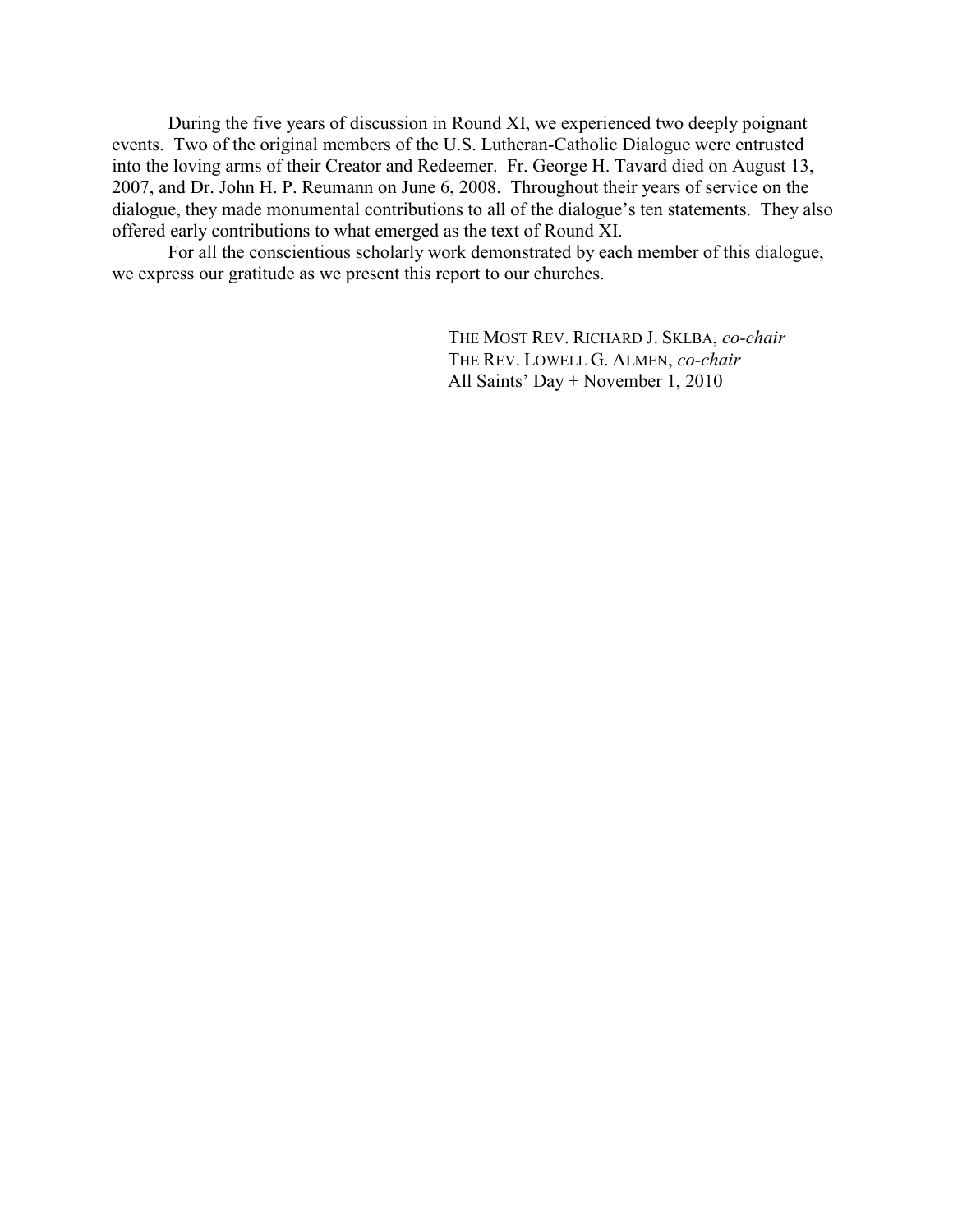During the five years of discussion in Round XI, we experienced two deeply poignant events. Two of the original members of the U.S. Lutheran-Catholic Dialogue were entrusted into the loving arms of their Creator and Redeemer. Fr. George H. Tavard died on August 13, 2007, and Dr. John H. P. Reumann on June 6, 2008. Throughout their years of service on the dialogue, they made monumental contributions to all of the dialogue's ten statements. They also offered early contributions to what emerged as the text of Round XI.

For all the conscientious scholarly work demonstrated by each member of this dialogue, we express our gratitude as we present this report to our churches.

> THE MOST REV. RICHARD J. SKLBA, co-chair THE REV. LOWELL G. ALMEN, co-chair All Saints' Day + November 1, 2010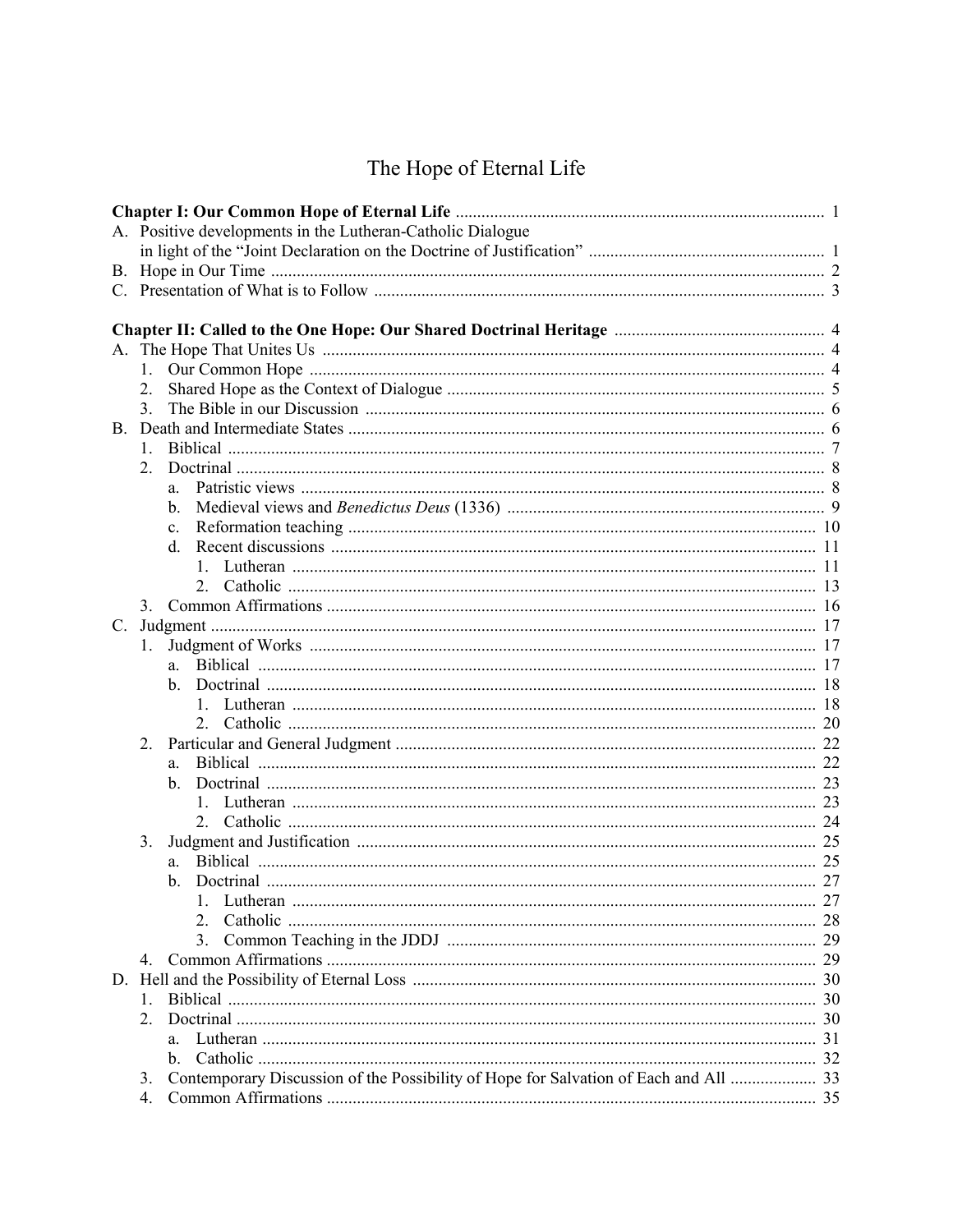# The Hope of Eternal Life

|                |                | A. Positive developments in the Lutheran-Catholic Dialogue |  |  |
|----------------|----------------|------------------------------------------------------------|--|--|
|                |                |                                                            |  |  |
|                |                |                                                            |  |  |
|                |                |                                                            |  |  |
|                |                |                                                            |  |  |
|                |                |                                                            |  |  |
|                |                |                                                            |  |  |
|                |                |                                                            |  |  |
|                |                |                                                            |  |  |
|                | 3 <sub>1</sub> |                                                            |  |  |
|                |                |                                                            |  |  |
|                | $\mathbf{1}$   |                                                            |  |  |
|                | $\overline{2}$ |                                                            |  |  |
|                |                |                                                            |  |  |
|                |                | b.                                                         |  |  |
|                |                |                                                            |  |  |
|                |                | $c_{\cdot}$<br>d –                                         |  |  |
|                |                |                                                            |  |  |
|                |                |                                                            |  |  |
|                |                |                                                            |  |  |
|                |                |                                                            |  |  |
| $\mathbb{C}$ . |                |                                                            |  |  |
|                | 1.             |                                                            |  |  |
|                |                |                                                            |  |  |
|                |                | b.                                                         |  |  |
|                |                |                                                            |  |  |
|                |                |                                                            |  |  |
|                | $2_{-}$        |                                                            |  |  |
|                |                | a.                                                         |  |  |
|                |                | b.                                                         |  |  |
|                |                |                                                            |  |  |
|                |                |                                                            |  |  |
|                | 3.             |                                                            |  |  |
|                |                | a                                                          |  |  |
|                |                | b.                                                         |  |  |
|                |                | 1.                                                         |  |  |
|                |                | 2.                                                         |  |  |
|                |                | 3.                                                         |  |  |
|                | 4.             |                                                            |  |  |
|                |                |                                                            |  |  |
|                |                |                                                            |  |  |
|                | 1.             |                                                            |  |  |
|                | $\overline{2}$ |                                                            |  |  |
|                |                |                                                            |  |  |
|                |                | $\mathbf{b}$ .                                             |  |  |
|                | 3.             |                                                            |  |  |
|                | 4.             |                                                            |  |  |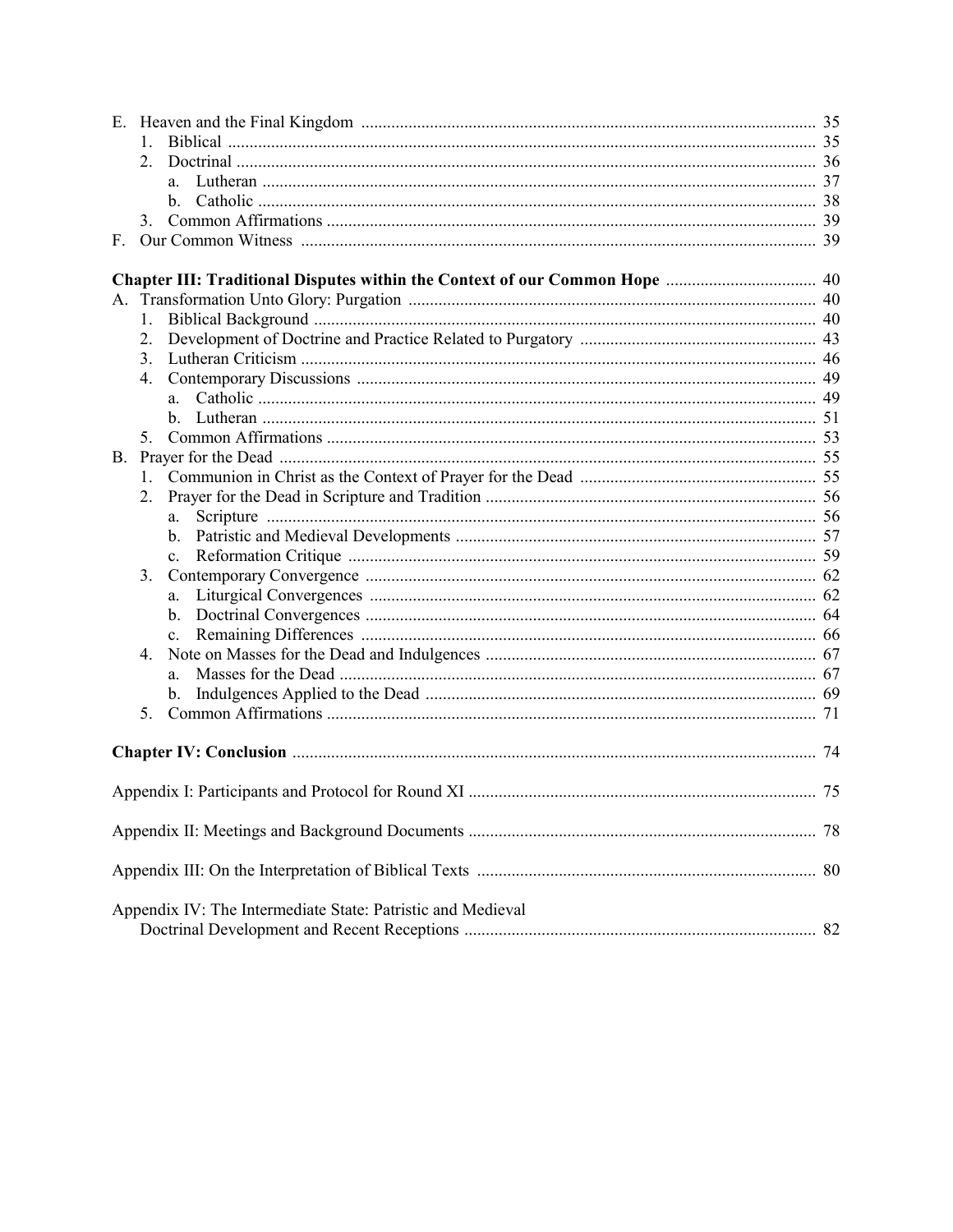|           | $\mathbf{1}$                                                |  |  |  |
|-----------|-------------------------------------------------------------|--|--|--|
|           | $\overline{2}$                                              |  |  |  |
|           | a.                                                          |  |  |  |
|           |                                                             |  |  |  |
|           | 3 <sub>1</sub>                                              |  |  |  |
| F.        |                                                             |  |  |  |
|           |                                                             |  |  |  |
|           |                                                             |  |  |  |
| A.        |                                                             |  |  |  |
|           | $\mathbf{1}$                                                |  |  |  |
|           | 2.                                                          |  |  |  |
|           | 3 <sub>1</sub>                                              |  |  |  |
|           | 4.                                                          |  |  |  |
|           | a.                                                          |  |  |  |
|           |                                                             |  |  |  |
|           | $5_{-}$                                                     |  |  |  |
| <b>B.</b> |                                                             |  |  |  |
|           |                                                             |  |  |  |
|           | 2.                                                          |  |  |  |
|           |                                                             |  |  |  |
|           |                                                             |  |  |  |
|           |                                                             |  |  |  |
|           | 3.                                                          |  |  |  |
|           | a.                                                          |  |  |  |
|           |                                                             |  |  |  |
|           |                                                             |  |  |  |
|           |                                                             |  |  |  |
|           | 4.                                                          |  |  |  |
|           | a.                                                          |  |  |  |
|           | $b_{-}$                                                     |  |  |  |
|           | 5.                                                          |  |  |  |
|           |                                                             |  |  |  |
|           |                                                             |  |  |  |
|           |                                                             |  |  |  |
|           |                                                             |  |  |  |
|           |                                                             |  |  |  |
|           |                                                             |  |  |  |
|           | Appendix IV: The Intermediate State: Patristic and Medieval |  |  |  |
|           |                                                             |  |  |  |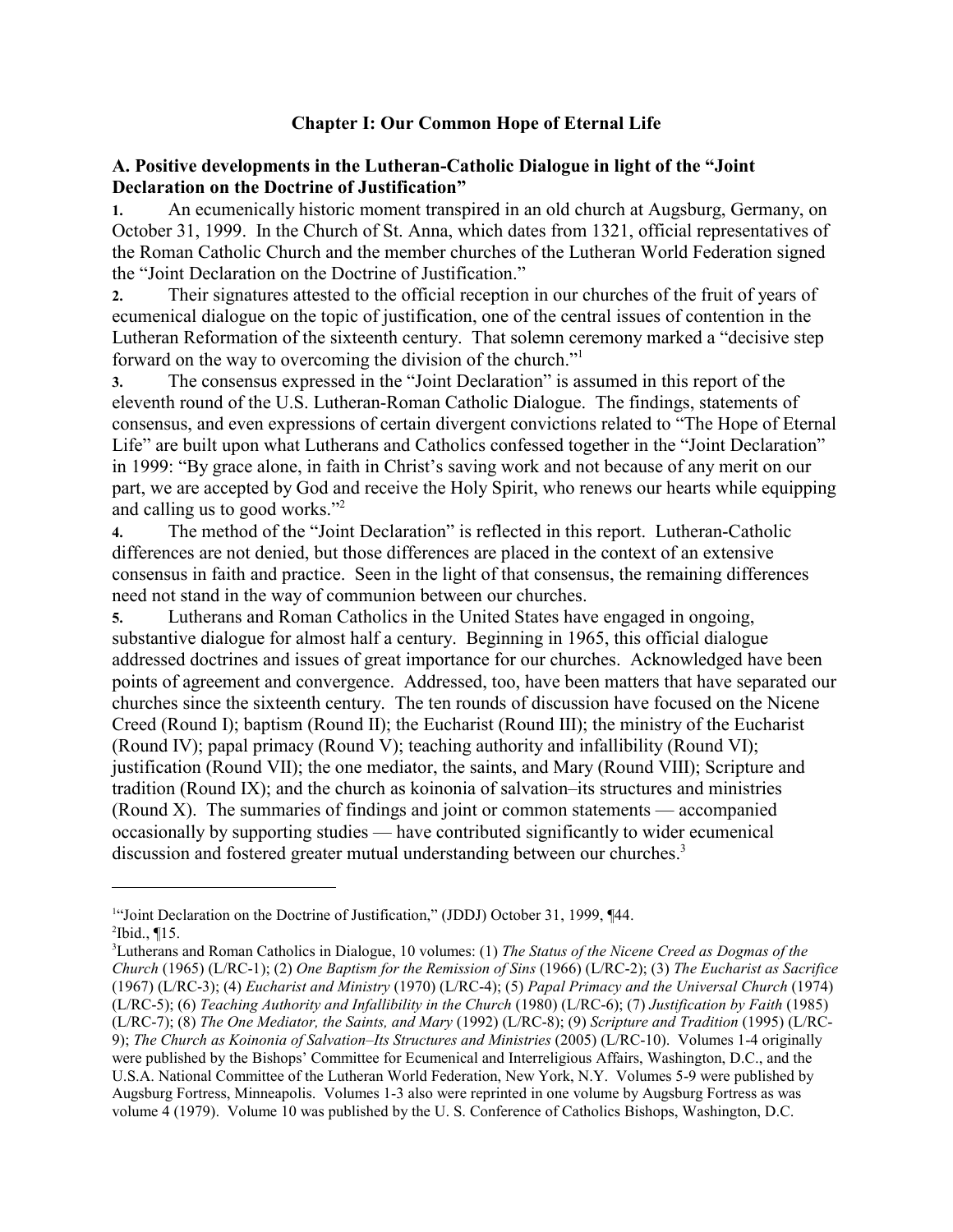#### Chapter I: Our Common Hope of Eternal Life

#### A. Positive developments in the Lutheran-Catholic Dialogue in light of the "Joint Declaration on the Doctrine of Justification"

1. An ecumenically historic moment transpired in an old church at Augsburg, Germany, on October 31, 1999. In the Church of St. Anna, which dates from 1321, official representatives of the Roman Catholic Church and the member churches of the Lutheran World Federation signed the "Joint Declaration on the Doctrine of Justification."

2. Their signatures attested to the official reception in our churches of the fruit of years of ecumenical dialogue on the topic of justification, one of the central issues of contention in the Lutheran Reformation of the sixteenth century. That solemn ceremony marked a "decisive step forward on the way to overcoming the division of the church."<sup>1</sup>

3. The consensus expressed in the "Joint Declaration" is assumed in this report of the eleventh round of the U.S. Lutheran-Roman Catholic Dialogue. The findings, statements of consensus, and even expressions of certain divergent convictions related to "The Hope of Eternal Life" are built upon what Lutherans and Catholics confessed together in the "Joint Declaration" in 1999: "By grace alone, in faith in Christ's saving work and not because of any merit on our part, we are accepted by God and receive the Holy Spirit, who renews our hearts while equipping and calling us to good works."<sup>2</sup>

4. The method of the "Joint Declaration" is reflected in this report. Lutheran-Catholic differences are not denied, but those differences are placed in the context of an extensive consensus in faith and practice. Seen in the light of that consensus, the remaining differences need not stand in the way of communion between our churches.

5. Lutherans and Roman Catholics in the United States have engaged in ongoing, substantive dialogue for almost half a century. Beginning in 1965, this official dialogue addressed doctrines and issues of great importance for our churches. Acknowledged have been points of agreement and convergence. Addressed, too, have been matters that have separated our churches since the sixteenth century. The ten rounds of discussion have focused on the Nicene Creed (Round I); baptism (Round II); the Eucharist (Round III); the ministry of the Eucharist (Round IV); papal primacy (Round V); teaching authority and infallibility (Round VI); justification (Round VII); the one mediator, the saints, and Mary (Round VIII); Scripture and tradition (Round IX); and the church as koinonia of salvation–its structures and ministries (Round X). The summaries of findings and joint or common statements — accompanied occasionally by supporting studies — have contributed significantly to wider ecumenical discussion and fostered greater mutual understanding between our churches.<sup>3</sup>

<sup>&</sup>lt;sup>1</sup>"Joint Declaration on the Doctrine of Justification," (JDDJ) October 31, 1999, ¶44.  $\mathrm{^2Ibid.}, \P15.$ 

 $3$ Lutherans and Roman Catholics in Dialogue, 10 volumes: (1) The Status of the Nicene Creed as Dogmas of the Church (1965) (L/RC-1); (2) One Baptism for the Remission of Sins (1966) (L/RC-2); (3) The Eucharist as Sacrifice (1967) (L/RC-3); (4) Eucharist and Ministry (1970) (L/RC-4); (5) Papal Primacy and the Universal Church (1974) (L/RC-5); (6) Teaching Authority and Infallibility in the Church (1980) (L/RC-6); (7) Justification by Faith (1985) (L/RC-7); (8) The One Mediator, the Saints, and Mary (1992) (L/RC-8); (9) Scripture and Tradition (1995) (L/RC-9); The Church as Koinonia of Salvation–Its Structures and Ministries (2005) (L/RC-10). Volumes 1-4 originally were published by the Bishops' Committee for Ecumenical and Interreligious Affairs, Washington, D.C., and the U.S.A. National Committee of the Lutheran World Federation, New York, N.Y. Volumes 5-9 were published by Augsburg Fortress, Minneapolis. Volumes 1-3 also were reprinted in one volume by Augsburg Fortress as was volume 4 (1979). Volume 10 was published by the U. S. Conference of Catholics Bishops, Washington, D.C.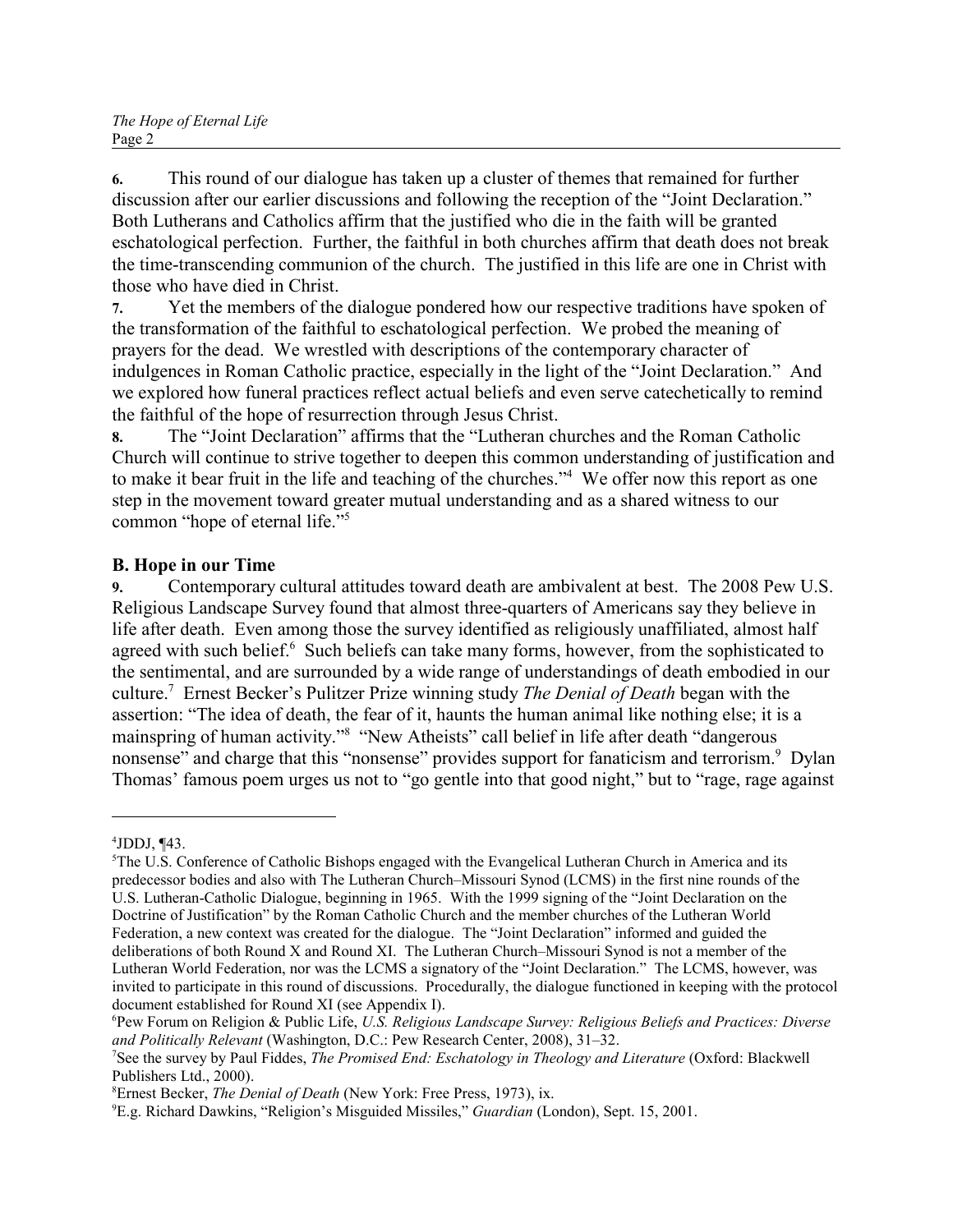6. This round of our dialogue has taken up a cluster of themes that remained for further discussion after our earlier discussions and following the reception of the "Joint Declaration." Both Lutherans and Catholics affirm that the justified who die in the faith will be granted eschatological perfection. Further, the faithful in both churches affirm that death does not break the time-transcending communion of the church. The justified in this life are one in Christ with those who have died in Christ.

7. Yet the members of the dialogue pondered how our respective traditions have spoken of the transformation of the faithful to eschatological perfection. We probed the meaning of prayers for the dead. We wrestled with descriptions of the contemporary character of indulgences in Roman Catholic practice, especially in the light of the "Joint Declaration." And we explored how funeral practices reflect actual beliefs and even serve catechetically to remind the faithful of the hope of resurrection through Jesus Christ.

8. The "Joint Declaration" affirms that the "Lutheran churches and the Roman Catholic Church will continue to strive together to deepen this common understanding of justification and to make it bear fruit in the life and teaching of the churches."<sup>4</sup> We offer now this report as one step in the movement toward greater mutual understanding and as a shared witness to our common "hope of eternal life."<sup>5</sup>

# B. Hope in our Time

9. Contemporary cultural attitudes toward death are ambivalent at best. The 2008 Pew U.S. Religious Landscape Survey found that almost three-quarters of Americans say they believe in life after death. Even among those the survey identified as religiously unaffiliated, almost half agreed with such belief.<sup>6</sup> Such beliefs can take many forms, however, from the sophisticated to the sentimental, and are surrounded by a wide range of understandings of death embodied in our culture.<sup>7</sup> Ernest Becker's Pulitzer Prize winning study The Denial of Death began with the assertion: "The idea of death, the fear of it, haunts the human animal like nothing else; it is a mainspring of human activity."<sup>8</sup> "New Atheists" call belief in life after death "dangerous nonsense" and charge that this "nonsense" provides support for fanaticism and terrorism.<sup>9</sup> Dylan Thomas' famous poem urges us not to "go gentle into that good night," but to "rage, rage against

 $4$ JDDJ, ¶43.

<sup>&</sup>lt;sup>5</sup>The U.S. Conference of Catholic Bishops engaged with the Evangelical Lutheran Church in America and its predecessor bodies and also with The Lutheran Church–Missouri Synod (LCMS) in the first nine rounds of the U.S. Lutheran-Catholic Dialogue, beginning in 1965. With the 1999 signing of the "Joint Declaration on the Doctrine of Justification" by the Roman Catholic Church and the member churches of the Lutheran World Federation, a new context was created for the dialogue. The "Joint Declaration" informed and guided the deliberations of both Round X and Round XI. The Lutheran Church–Missouri Synod is not a member of the Lutheran World Federation, nor was the LCMS a signatory of the "Joint Declaration." The LCMS, however, was invited to participate in this round of discussions. Procedurally, the dialogue functioned in keeping with the protocol document established for Round XI (see Appendix I).

<sup>6</sup>Pew Forum on Religion & Public Life, U.S. Religious Landscape Survey: Religious Beliefs and Practices: Diverse and Politically Relevant (Washington, D.C.: Pew Research Center, 2008), 31–32.

<sup>&</sup>lt;sup>7</sup>See the survey by Paul Fiddes, *The Promised End: Eschatology in Theology and Literature* (Oxford: Blackwell Publishers Ltd., 2000).

<sup>&</sup>lt;sup>8</sup>Ernest Becker, *The Denial of Death* (New York: Free Press, 1973), ix.

<sup>9</sup>E.g. Richard Dawkins, "Religion's Misguided Missiles," Guardian (London), Sept. 15, 2001.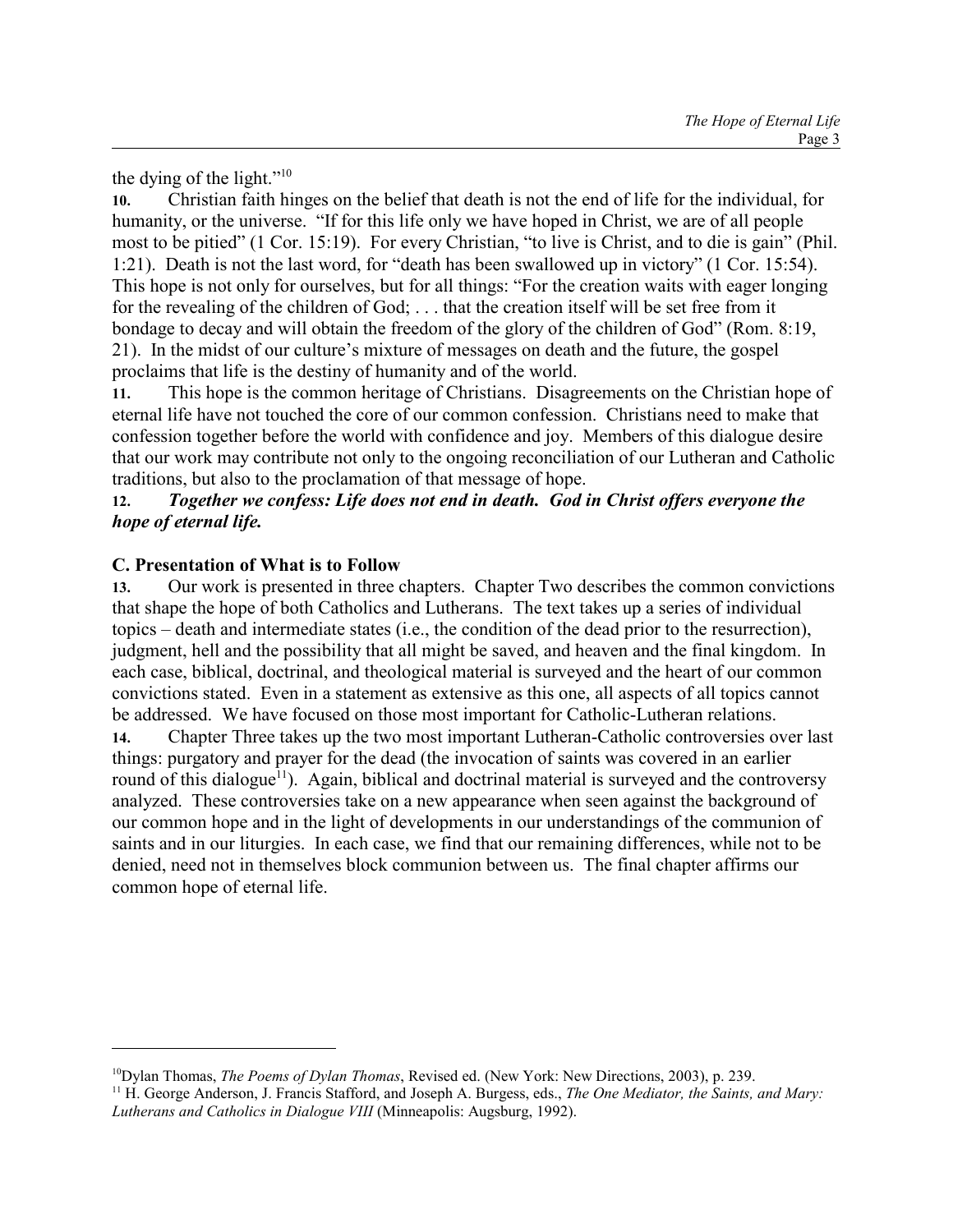the dying of the light."<sup>10</sup>

10. Christian faith hinges on the belief that death is not the end of life for the individual, for humanity, or the universe. "If for this life only we have hoped in Christ, we are of all people most to be pitied" (1 Cor. 15:19). For every Christian, "to live is Christ, and to die is gain" (Phil. 1:21). Death is not the last word, for "death has been swallowed up in victory" (1 Cor. 15:54). This hope is not only for ourselves, but for all things: "For the creation waits with eager longing for the revealing of the children of God; . . . that the creation itself will be set free from it bondage to decay and will obtain the freedom of the glory of the children of God" (Rom. 8:19, 21). In the midst of our culture's mixture of messages on death and the future, the gospel proclaims that life is the destiny of humanity and of the world.

11. This hope is the common heritage of Christians. Disagreements on the Christian hope of eternal life have not touched the core of our common confession. Christians need to make that confession together before the world with confidence and joy. Members of this dialogue desire that our work may contribute not only to the ongoing reconciliation of our Lutheran and Catholic traditions, but also to the proclamation of that message of hope.

#### 12. Together we confess: Life does not end in death. God in Christ offers everyone the hope of eternal life.

#### C. Presentation of What is to Follow

13. Our work is presented in three chapters. Chapter Two describes the common convictions that shape the hope of both Catholics and Lutherans. The text takes up a series of individual topics – death and intermediate states (i.e., the condition of the dead prior to the resurrection), judgment, hell and the possibility that all might be saved, and heaven and the final kingdom. In each case, biblical, doctrinal, and theological material is surveyed and the heart of our common convictions stated. Even in a statement as extensive as this one, all aspects of all topics cannot be addressed. We have focused on those most important for Catholic-Lutheran relations.

14. Chapter Three takes up the two most important Lutheran-Catholic controversies over last things: purgatory and prayer for the dead (the invocation of saints was covered in an earlier round of this dialogue<sup>11</sup>). Again, biblical and doctrinal material is surveyed and the controversy analyzed. These controversies take on a new appearance when seen against the background of our common hope and in the light of developments in our understandings of the communion of saints and in our liturgies. In each case, we find that our remaining differences, while not to be denied, need not in themselves block communion between us. The final chapter affirms our common hope of eternal life.

<sup>&</sup>lt;sup>10</sup>Dylan Thomas, *The Poems of Dylan Thomas*, Revised ed. (New York: New Directions, 2003), p. 239.

 $11$  H. George Anderson, J. Francis Stafford, and Joseph A. Burgess, eds., The One Mediator, the Saints, and Mary: Lutherans and Catholics in Dialogue VIII (Minneapolis: Augsburg, 1992).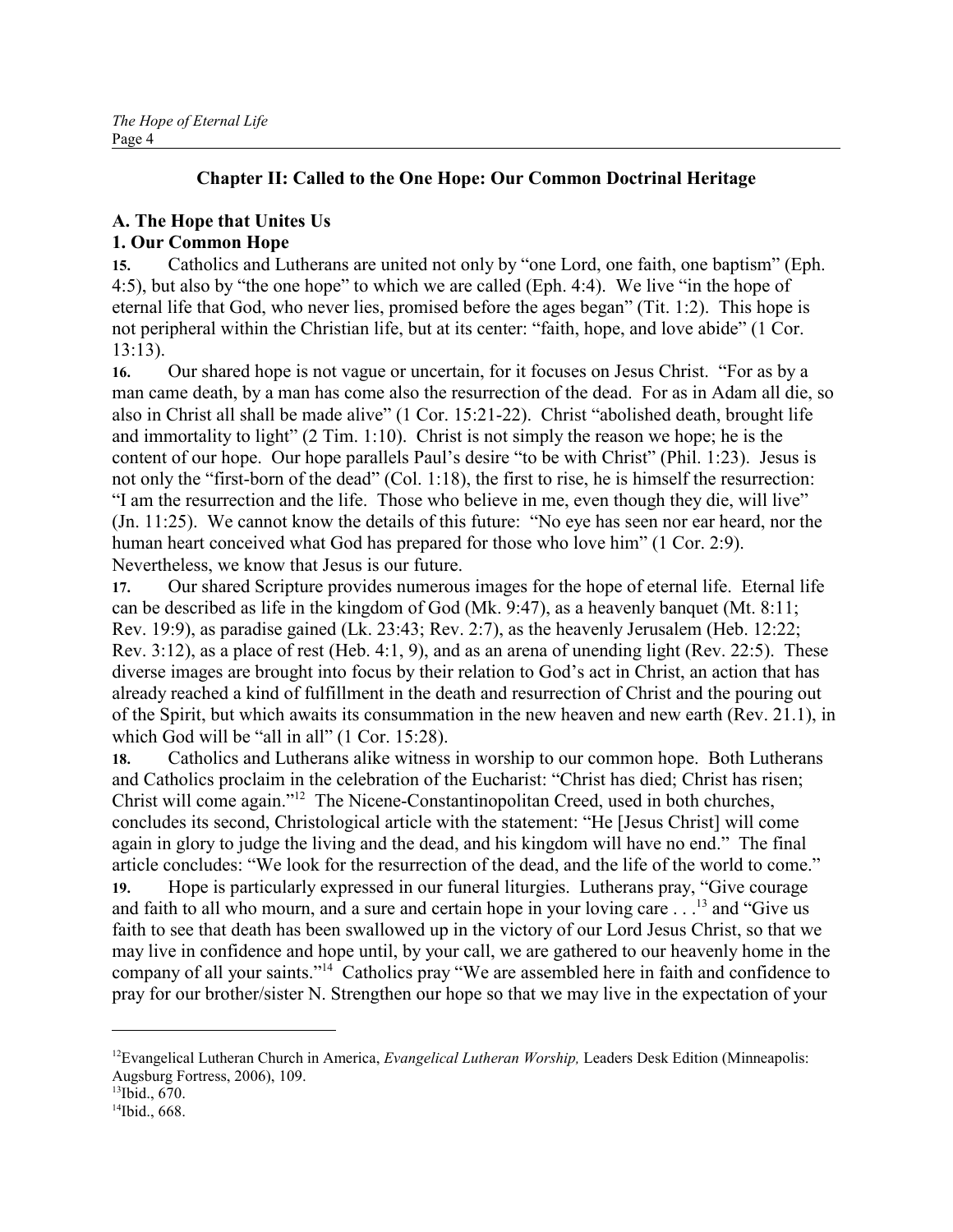#### Chapter II: Called to the One Hope: Our Common Doctrinal Heritage

#### A. The Hope that Unites Us

#### 1. Our Common Hope

15. Catholics and Lutherans are united not only by "one Lord, one faith, one baptism" (Eph. 4:5), but also by "the one hope" to which we are called (Eph. 4:4). We live "in the hope of eternal life that God, who never lies, promised before the ages began" (Tit. 1:2). This hope is not peripheral within the Christian life, but at its center: "faith, hope, and love abide" (1 Cor. 13:13).

16. Our shared hope is not vague or uncertain, for it focuses on Jesus Christ. "For as by a man came death, by a man has come also the resurrection of the dead. For as in Adam all die, so also in Christ all shall be made alive" (1 Cor. 15:21-22). Christ "abolished death, brought life and immortality to light" (2 Tim. 1:10). Christ is not simply the reason we hope; he is the content of our hope. Our hope parallels Paul's desire "to be with Christ" (Phil. 1:23). Jesus is not only the "first-born of the dead" (Col. 1:18), the first to rise, he is himself the resurrection: "I am the resurrection and the life. Those who believe in me, even though they die, will live" (Jn. 11:25). We cannot know the details of this future: "No eye has seen nor ear heard, nor the human heart conceived what God has prepared for those who love him" (1 Cor. 2:9). Nevertheless, we know that Jesus is our future.

17. Our shared Scripture provides numerous images for the hope of eternal life. Eternal life can be described as life in the kingdom of God (Mk. 9:47), as a heavenly banquet (Mt. 8:11; Rev. 19:9), as paradise gained (Lk. 23:43; Rev. 2:7), as the heavenly Jerusalem (Heb. 12:22; Rev. 3:12), as a place of rest (Heb. 4:1, 9), and as an arena of unending light (Rev. 22:5). These diverse images are brought into focus by their relation to God's act in Christ, an action that has already reached a kind of fulfillment in the death and resurrection of Christ and the pouring out of the Spirit, but which awaits its consummation in the new heaven and new earth (Rev. 21.1), in which God will be "all in all" (1 Cor. 15:28).

18. Catholics and Lutherans alike witness in worship to our common hope. Both Lutherans and Catholics proclaim in the celebration of the Eucharist: "Christ has died; Christ has risen; Christ will come again."<sup>12</sup> The Nicene-Constantinopolitan Creed, used in both churches, concludes its second, Christological article with the statement: "He [Jesus Christ] will come again in glory to judge the living and the dead, and his kingdom will have no end." The final article concludes: "We look for the resurrection of the dead, and the life of the world to come." 19. Hope is particularly expressed in our funeral liturgies. Lutherans pray, "Give courage and faith to all who mourn, and a sure and certain hope in your loving care  $\dots$ <sup>13</sup> and "Give us faith to see that death has been swallowed up in the victory of our Lord Jesus Christ, so that we may live in confidence and hope until, by your call, we are gathered to our heavenly home in the company of all your saints."<sup>14</sup> Catholics pray "We are assembled here in faith and confidence to pray for our brother/sister N. Strengthen our hope so that we may live in the expectation of your

<sup>&</sup>lt;sup>12</sup>Evangelical Lutheran Church in America, *Evangelical Lutheran Worship*, Leaders Desk Edition (Minneapolis: Augsburg Fortress, 2006), 109.

<sup>13</sup>Ibid., 670.

<sup>&</sup>lt;sup>14</sup>Ibid., 668.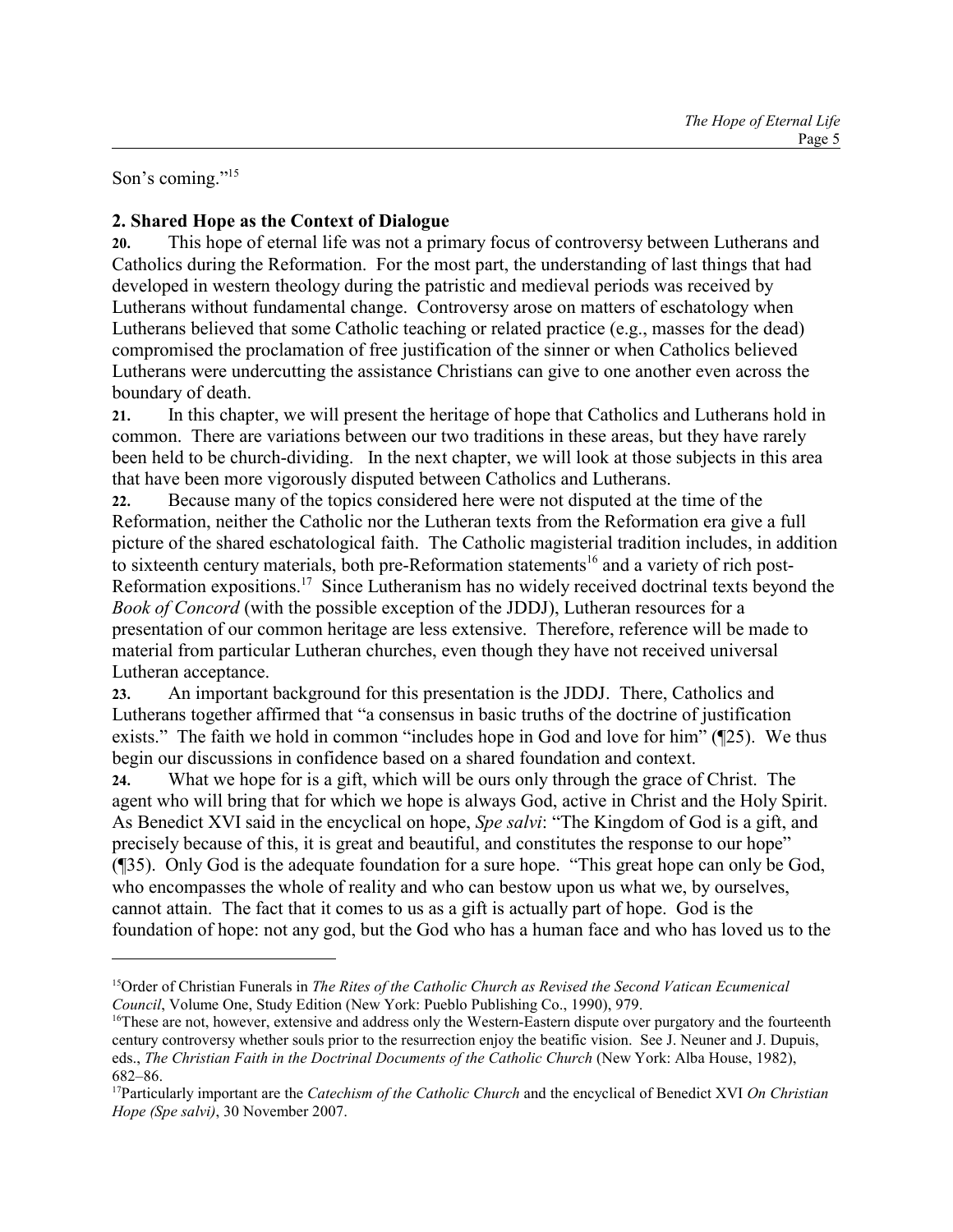Son's coming."<sup>15</sup>

#### 2. Shared Hope as the Context of Dialogue

20. This hope of eternal life was not a primary focus of controversy between Lutherans and Catholics during the Reformation. For the most part, the understanding of last things that had developed in western theology during the patristic and medieval periods was received by Lutherans without fundamental change. Controversy arose on matters of eschatology when Lutherans believed that some Catholic teaching or related practice (e.g., masses for the dead) compromised the proclamation of free justification of the sinner or when Catholics believed Lutherans were undercutting the assistance Christians can give to one another even across the boundary of death.

21. In this chapter, we will present the heritage of hope that Catholics and Lutherans hold in common. There are variations between our two traditions in these areas, but they have rarely been held to be church-dividing. In the next chapter, we will look at those subjects in this area that have been more vigorously disputed between Catholics and Lutherans.

22. Because many of the topics considered here were not disputed at the time of the Reformation, neither the Catholic nor the Lutheran texts from the Reformation era give a full picture of the shared eschatological faith. The Catholic magisterial tradition includes, in addition to sixteenth century materials, both pre-Reformation statements<sup>16</sup> and a variety of rich post-Reformation expositions.<sup>17</sup> Since Lutheranism has no widely received doctrinal texts beyond the Book of Concord (with the possible exception of the JDDJ), Lutheran resources for a presentation of our common heritage are less extensive. Therefore, reference will be made to material from particular Lutheran churches, even though they have not received universal Lutheran acceptance.

23. An important background for this presentation is the JDDJ. There, Catholics and Lutherans together affirmed that "a consensus in basic truths of the doctrine of justification exists." The faith we hold in common "includes hope in God and love for him" (¶25). We thus begin our discussions in confidence based on a shared foundation and context.

24. What we hope for is a gift, which will be ours only through the grace of Christ. The agent who will bring that for which we hope is always God, active in Christ and the Holy Spirit. As Benedict XVI said in the encyclical on hope, Spe salvi: "The Kingdom of God is a gift, and precisely because of this, it is great and beautiful, and constitutes the response to our hope" (¶35). Only God is the adequate foundation for a sure hope. "This great hope can only be God, who encompasses the whole of reality and who can bestow upon us what we, by ourselves, cannot attain. The fact that it comes to us as a gift is actually part of hope. God is the foundation of hope: not any god, but the God who has a human face and who has loved us to the

<sup>&</sup>lt;sup>15</sup>Order of Christian Funerals in *The Rites of the Catholic Church as Revised the Second Vatican Ecumenical* Council, Volume One, Study Edition (New York: Pueblo Publishing Co., 1990), 979.

<sup>&</sup>lt;sup>16</sup>These are not, however, extensive and address only the Western-Eastern dispute over purgatory and the fourteenth century controversy whether souls prior to the resurrection enjoy the beatific vision. See J. Neuner and J. Dupuis, eds., The Christian Faith in the Doctrinal Documents of the Catholic Church (New York: Alba House, 1982), 682–86.

<sup>&</sup>lt;sup>17</sup>Particularly important are the *Catechism of the Catholic Church* and the encyclical of Benedict XVI On Christian Hope (Spe salvi), 30 November 2007.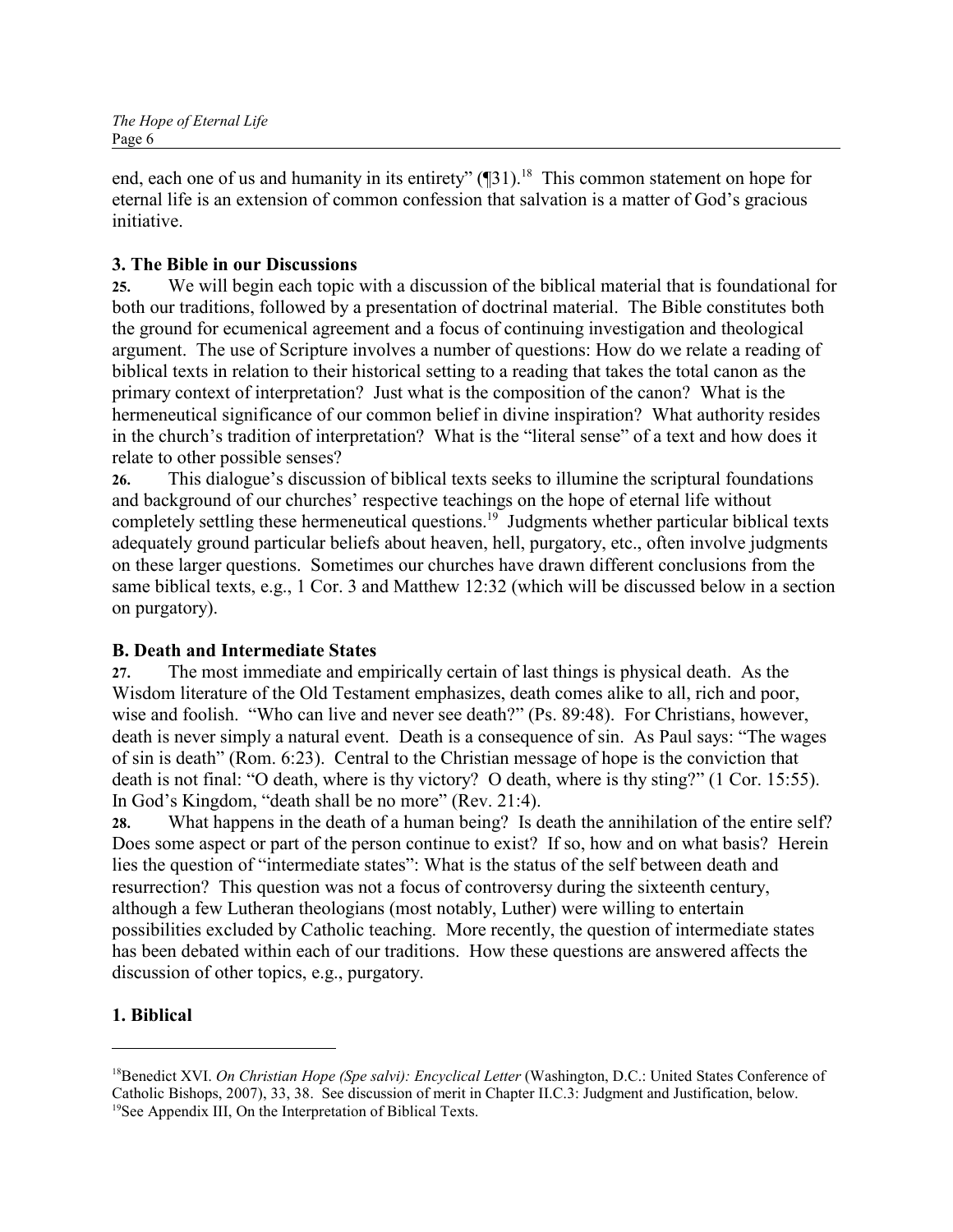end, each one of us and humanity in its entirety"  $(\P{31})$ .<sup>18</sup> This common statement on hope for eternal life is an extension of common confession that salvation is a matter of God's gracious initiative.

# 3. The Bible in our Discussions

25. We will begin each topic with a discussion of the biblical material that is foundational for both our traditions, followed by a presentation of doctrinal material. The Bible constitutes both the ground for ecumenical agreement and a focus of continuing investigation and theological argument. The use of Scripture involves a number of questions: How do we relate a reading of biblical texts in relation to their historical setting to a reading that takes the total canon as the primary context of interpretation? Just what is the composition of the canon? What is the hermeneutical significance of our common belief in divine inspiration? What authority resides in the church's tradition of interpretation? What is the "literal sense" of a text and how does it relate to other possible senses?

26. This dialogue's discussion of biblical texts seeks to illumine the scriptural foundations and background of our churches' respective teachings on the hope of eternal life without completely settling these hermeneutical questions.<sup>19</sup> Judgments whether particular biblical texts adequately ground particular beliefs about heaven, hell, purgatory, etc., often involve judgments on these larger questions. Sometimes our churches have drawn different conclusions from the same biblical texts, e.g., 1 Cor. 3 and Matthew 12:32 (which will be discussed below in a section on purgatory).

# B. Death and Intermediate States

27. The most immediate and empirically certain of last things is physical death. As the Wisdom literature of the Old Testament emphasizes, death comes alike to all, rich and poor, wise and foolish. "Who can live and never see death?" (Ps. 89:48). For Christians, however, death is never simply a natural event. Death is a consequence of sin. As Paul says: "The wages of sin is death" (Rom. 6:23). Central to the Christian message of hope is the conviction that death is not final: "O death, where is thy victory? O death, where is thy sting?" (1 Cor. 15:55). In God's Kingdom, "death shall be no more" (Rev. 21:4).

28. What happens in the death of a human being? Is death the annihilation of the entire self? Does some aspect or part of the person continue to exist? If so, how and on what basis? Herein lies the question of "intermediate states": What is the status of the self between death and resurrection? This question was not a focus of controversy during the sixteenth century, although a few Lutheran theologians (most notably, Luther) were willing to entertain possibilities excluded by Catholic teaching. More recently, the question of intermediate states has been debated within each of our traditions. How these questions are answered affects the discussion of other topics, e.g., purgatory.

# 1. Biblical

<sup>&</sup>lt;sup>18</sup>Benedict XVI. On Christian Hope (Spe salvi): Encyclical Letter (Washington, D.C.: United States Conference of Catholic Bishops, 2007), 33, 38. See discussion of merit in Chapter II.C.3: Judgment and Justification, below. <sup>19</sup>See Appendix III, On the Interpretation of Biblical Texts.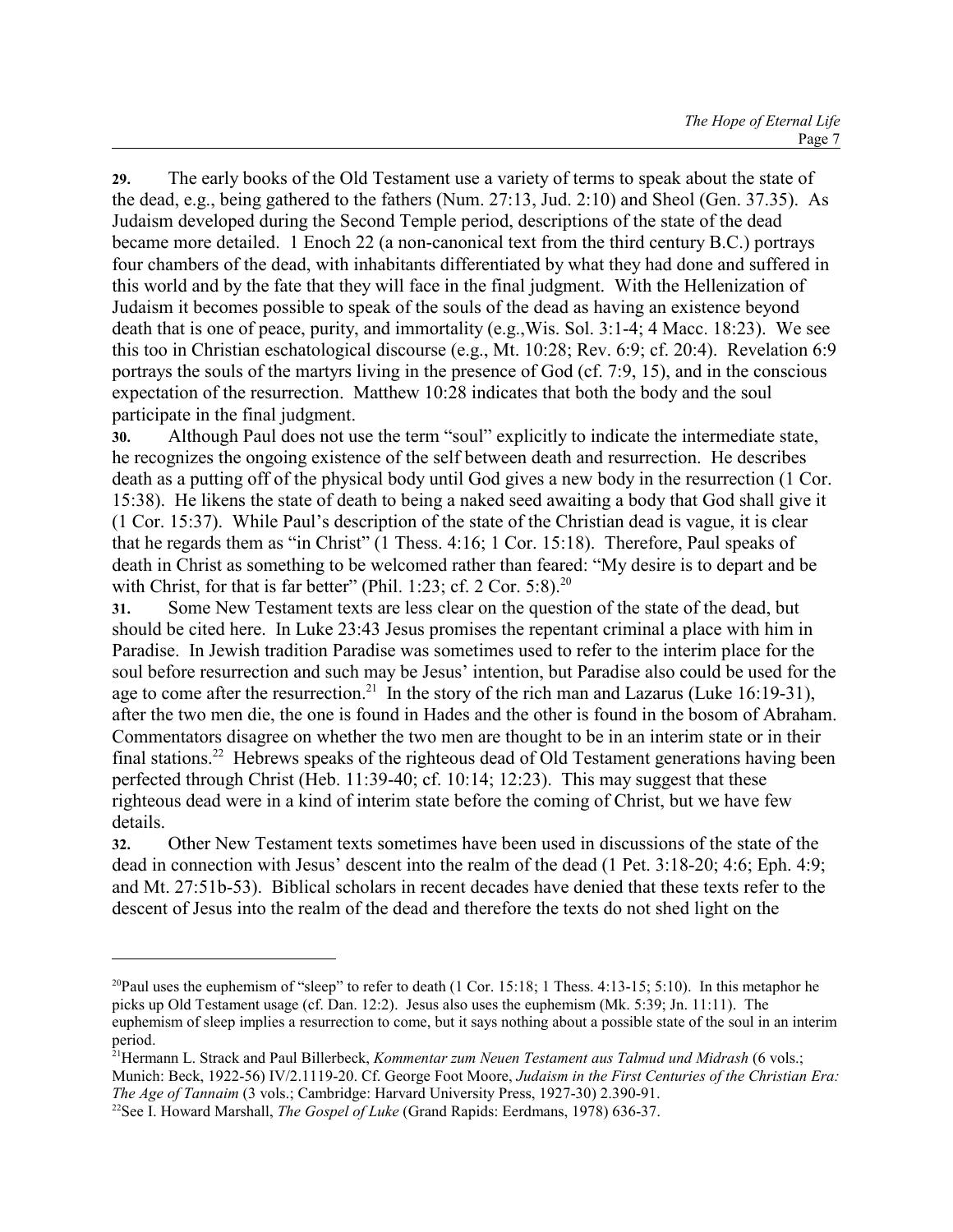29. The early books of the Old Testament use a variety of terms to speak about the state of the dead, e.g., being gathered to the fathers (Num. 27:13, Jud. 2:10) and Sheol (Gen. 37.35). As Judaism developed during the Second Temple period, descriptions of the state of the dead became more detailed. 1 Enoch 22 (a non-canonical text from the third century B.C.) portrays four chambers of the dead, with inhabitants differentiated by what they had done and suffered in this world and by the fate that they will face in the final judgment. With the Hellenization of Judaism it becomes possible to speak of the souls of the dead as having an existence beyond death that is one of peace, purity, and immortality (e.g.,Wis. Sol. 3:1-4; 4 Macc. 18:23). We see this too in Christian eschatological discourse (e.g., Mt. 10:28; Rev. 6:9; cf. 20:4). Revelation 6:9 portrays the souls of the martyrs living in the presence of God (cf. 7:9, 15), and in the conscious expectation of the resurrection. Matthew 10:28 indicates that both the body and the soul participate in the final judgment.

30. Although Paul does not use the term "soul" explicitly to indicate the intermediate state, he recognizes the ongoing existence of the self between death and resurrection. He describes death as a putting off of the physical body until God gives a new body in the resurrection (1 Cor. 15:38). He likens the state of death to being a naked seed awaiting a body that God shall give it (1 Cor. 15:37). While Paul's description of the state of the Christian dead is vague, it is clear that he regards them as "in Christ" (1 Thess. 4:16; 1 Cor. 15:18). Therefore, Paul speaks of death in Christ as something to be welcomed rather than feared: "My desire is to depart and be with Christ, for that is far better" (Phil. 1:23; cf. 2 Cor. 5:8).<sup>20</sup>

31. Some New Testament texts are less clear on the question of the state of the dead, but should be cited here. In Luke 23:43 Jesus promises the repentant criminal a place with him in Paradise. In Jewish tradition Paradise was sometimes used to refer to the interim place for the soul before resurrection and such may be Jesus' intention, but Paradise also could be used for the age to come after the resurrection.<sup>21</sup> In the story of the rich man and Lazarus (Luke 16:19-31), after the two men die, the one is found in Hades and the other is found in the bosom of Abraham. Commentators disagree on whether the two men are thought to be in an interim state or in their final stations.<sup>22</sup> Hebrews speaks of the righteous dead of Old Testament generations having been perfected through Christ (Heb. 11:39-40; cf. 10:14; 12:23). This may suggest that these righteous dead were in a kind of interim state before the coming of Christ, but we have few details.

32. Other New Testament texts sometimes have been used in discussions of the state of the dead in connection with Jesus' descent into the realm of the dead (1 Pet. 3:18-20; 4:6; Eph. 4:9; and Mt. 27:51b-53). Biblical scholars in recent decades have denied that these texts refer to the descent of Jesus into the realm of the dead and therefore the texts do not shed light on the

<sup>&</sup>lt;sup>20</sup>Paul uses the euphemism of "sleep" to refer to death (1 Cor. 15:18; 1 Thess. 4:13-15; 5:10). In this metaphor he picks up Old Testament usage (cf. Dan. 12:2). Jesus also uses the euphemism (Mk. 5:39; Jn. 11:11). The euphemism of sleep implies a resurrection to come, but it says nothing about a possible state of the soul in an interim period.

<sup>&</sup>lt;sup>21</sup>Hermann L. Strack and Paul Billerbeck, Kommentar zum Neuen Testament aus Talmud und Midrash (6 vols.; Munich: Beck, 1922-56) IV/2.1119-20. Cf. George Foot Moore, Judaism in the First Centuries of the Christian Era: The Age of Tannaim (3 vols.; Cambridge: Harvard University Press, 1927-30) 2.390-91.

<sup>&</sup>lt;sup>22</sup>See I. Howard Marshall, *The Gospel of Luke* (Grand Rapids: Eerdmans, 1978) 636-37.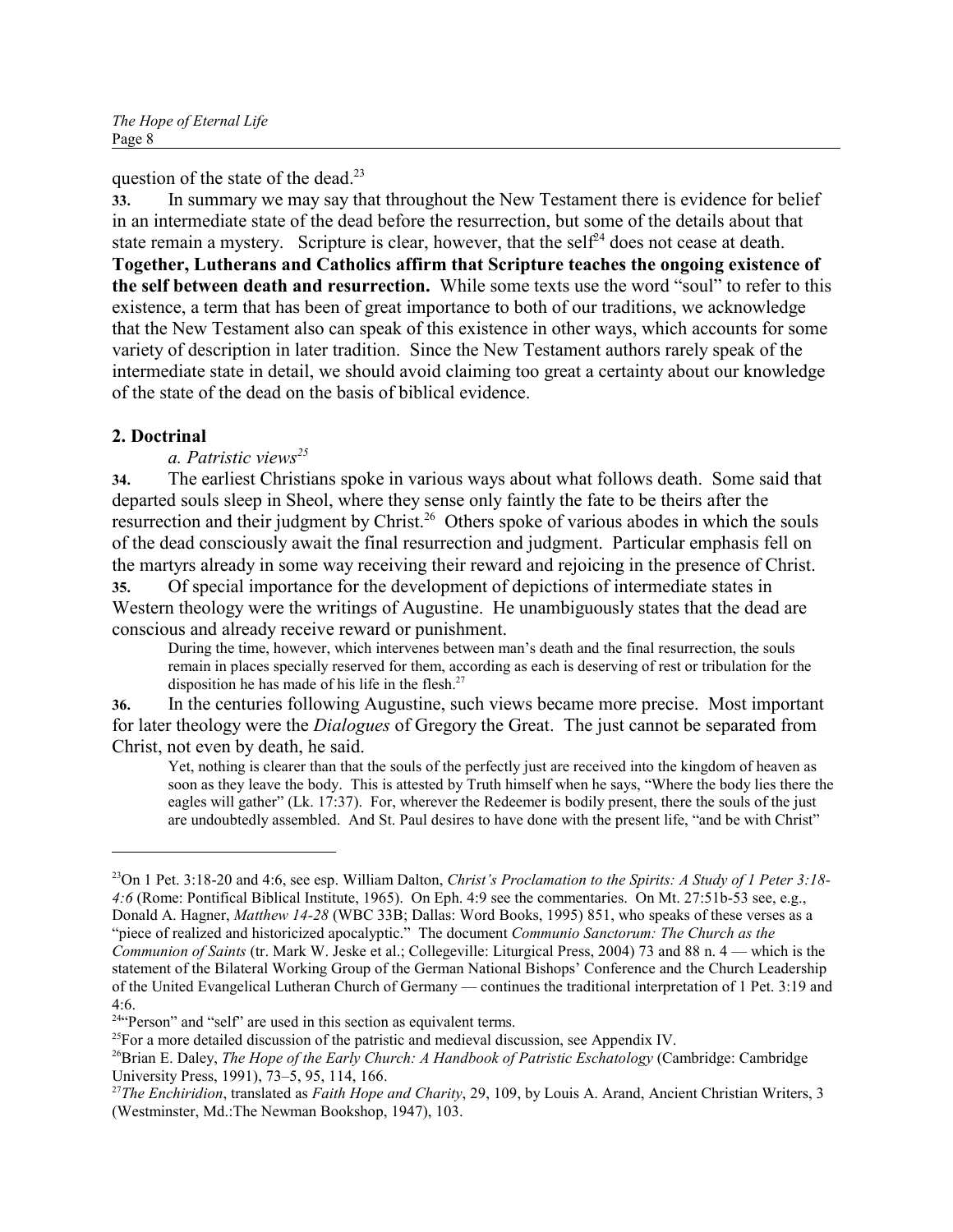question of the state of the dead.<sup>23</sup>

33. In summary we may say that throughout the New Testament there is evidence for belief in an intermediate state of the dead before the resurrection, but some of the details about that state remain a mystery. Scripture is clear, however, that the self<sup>24</sup> does not cease at death. Together, Lutherans and Catholics affirm that Scripture teaches the ongoing existence of the self between death and resurrection. While some texts use the word "soul" to refer to this existence, a term that has been of great importance to both of our traditions, we acknowledge that the New Testament also can speak of this existence in other ways, which accounts for some variety of description in later tradition. Since the New Testament authors rarely speak of the intermediate state in detail, we should avoid claiming too great a certainty about our knowledge of the state of the dead on the basis of biblical evidence.

#### 2. Doctrinal

a. Patristic views $^{25}$ 

34. The earliest Christians spoke in various ways about what follows death. Some said that departed souls sleep in Sheol, where they sense only faintly the fate to be theirs after the resurrection and their judgment by Christ.<sup>26</sup> Others spoke of various abodes in which the souls of the dead consciously await the final resurrection and judgment. Particular emphasis fell on the martyrs already in some way receiving their reward and rejoicing in the presence of Christ.

35. Of special importance for the development of depictions of intermediate states in Western theology were the writings of Augustine. He unambiguously states that the dead are conscious and already receive reward or punishment.

During the time, however, which intervenes between man's death and the final resurrection, the souls remain in places specially reserved for them, according as each is deserving of rest or tribulation for the disposition he has made of his life in the flesh.<sup>27</sup>

36. In the centuries following Augustine, such views became more precise. Most important for later theology were the Dialogues of Gregory the Great. The just cannot be separated from Christ, not even by death, he said.

Yet, nothing is clearer than that the souls of the perfectly just are received into the kingdom of heaven as soon as they leave the body. This is attested by Truth himself when he says, "Where the body lies there the eagles will gather" (Lk. 17:37). For, wherever the Redeemer is bodily present, there the souls of the just are undoubtedly assembled. And St. Paul desires to have done with the present life, "and be with Christ"

<sup>&</sup>lt;sup>23</sup>On 1 Pet. 3:18-20 and 4:6, see esp. William Dalton, *Christ's Proclamation to the Spirits: A Study of 1 Peter 3:18*-4:6 (Rome: Pontifical Biblical Institute, 1965). On Eph. 4:9 see the commentaries. On Mt. 27:51b-53 see, e.g., Donald A. Hagner, Matthew 14-28 (WBC 33B; Dallas: Word Books, 1995) 851, who speaks of these verses as a "piece of realized and historicized apocalyptic." The document Communio Sanctorum: The Church as the Communion of Saints (tr. Mark W. Jeske et al.; Collegeville: Liturgical Press, 2004) 73 and 88 n. 4 — which is the

statement of the Bilateral Working Group of the German National Bishops' Conference and the Church Leadership of the United Evangelical Lutheran Church of Germany — continues the traditional interpretation of 1 Pet. 3:19 and 4:6.

<sup>24</sup>"Person" and "self" are used in this section as equivalent terms.

<sup>&</sup>lt;sup>25</sup>For a more detailed discussion of the patristic and medieval discussion, see Appendix IV.

<sup>&</sup>lt;sup>26</sup>Brian E. Daley, The Hope of the Early Church: A Handbook of Patristic Eschatology (Cambridge: Cambridge University Press, 1991), 73–5, 95, 114, 166.

<sup>&</sup>lt;sup>27</sup>The Enchiridion, translated as Faith Hope and Charity, 29, 109, by Louis A. Arand, Ancient Christian Writers, 3 (Westminster, Md.:The Newman Bookshop, 1947), 103.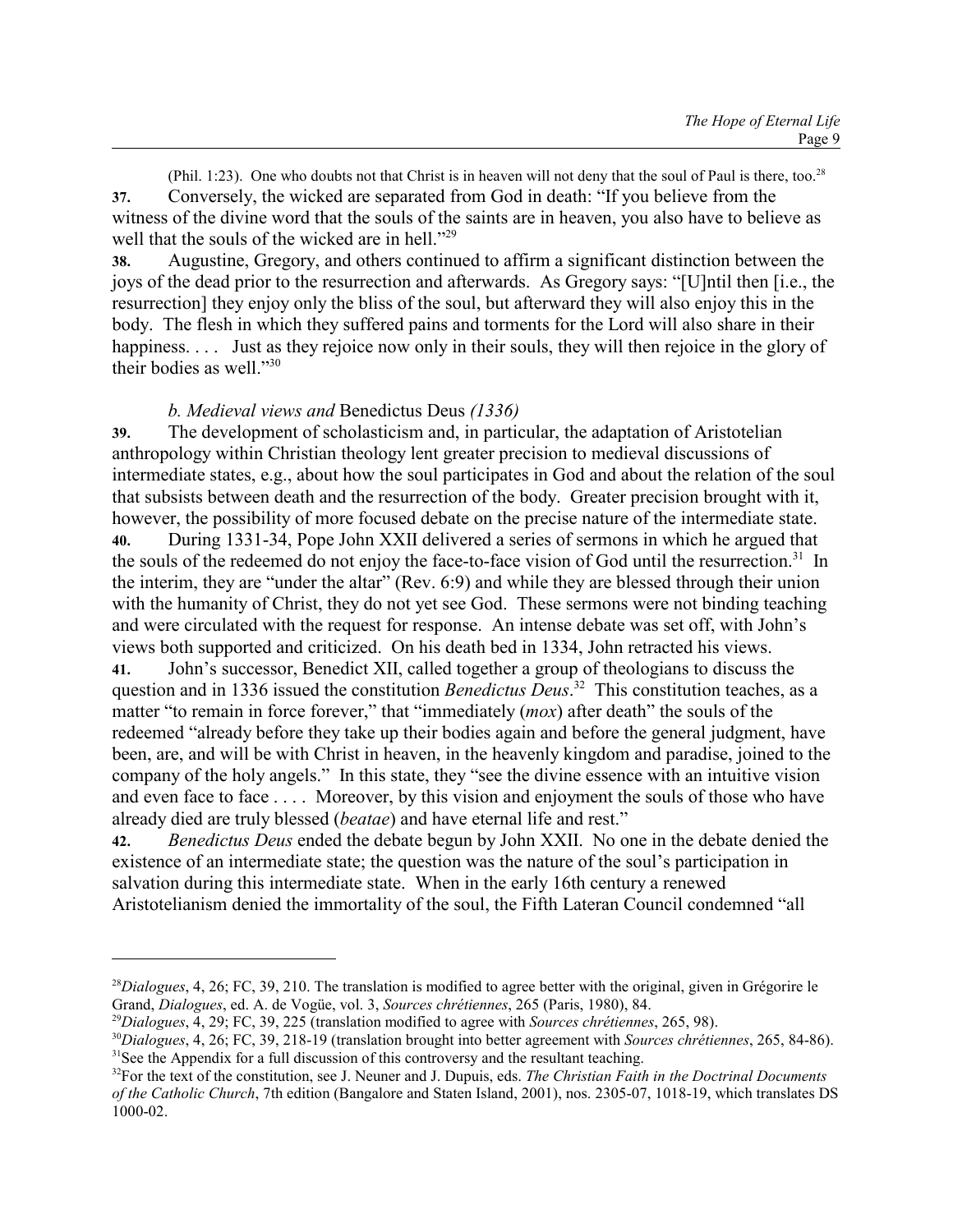(Phil. 1:23). One who doubts not that Christ is in heaven will not deny that the soul of Paul is there, too.<sup>28</sup> 37. Conversely, the wicked are separated from God in death: "If you believe from the witness of the divine word that the souls of the saints are in heaven, you also have to believe as well that the souls of the wicked are in hell."<sup>29</sup>

38. Augustine, Gregory, and others continued to affirm a significant distinction between the joys of the dead prior to the resurrection and afterwards. As Gregory says: "[U]ntil then [i.e., the resurrection] they enjoy only the bliss of the soul, but afterward they will also enjoy this in the body. The flesh in which they suffered pains and torments for the Lord will also share in their happiness. . . . Just as they rejoice now only in their souls, they will then rejoice in the glory of their bodies as well."30

#### b. Medieval views and Benedictus Deus (1336)

39. The development of scholasticism and, in particular, the adaptation of Aristotelian anthropology within Christian theology lent greater precision to medieval discussions of intermediate states, e.g., about how the soul participates in God and about the relation of the soul that subsists between death and the resurrection of the body. Greater precision brought with it, however, the possibility of more focused debate on the precise nature of the intermediate state. 40. During 1331-34, Pope John XXII delivered a series of sermons in which he argued that the souls of the redeemed do not enjoy the face-to-face vision of God until the resurrection.<sup>31</sup> In the interim, they are "under the altar" (Rev. 6:9) and while they are blessed through their union with the humanity of Christ, they do not yet see God. These sermons were not binding teaching and were circulated with the request for response. An intense debate was set off, with John's views both supported and criticized. On his death bed in 1334, John retracted his views. 41. John's successor, Benedict XII, called together a group of theologians to discuss the question and in 1336 issued the constitution *Benedictus Deus*.<sup>32</sup> This constitution teaches, as a matter "to remain in force forever," that "immediately  $(mox)$  after death" the souls of the redeemed "already before they take up their bodies again and before the general judgment, have been, are, and will be with Christ in heaven, in the heavenly kingdom and paradise, joined to the company of the holy angels." In this state, they "see the divine essence with an intuitive vision and even face to face . . . . Moreover, by this vision and enjoyment the souls of those who have already died are truly blessed (beatae) and have eternal life and rest."

42. Benedictus Deus ended the debate begun by John XXII. No one in the debate denied the existence of an intermediate state; the question was the nature of the soul's participation in salvation during this intermediate state. When in the early 16th century a renewed Aristotelianism denied the immortality of the soul, the Fifth Lateran Council condemned "all

 $^{28}Dialogues$ , 4, 26; FC, 39, 210. The translation is modified to agree better with the original, given in Grégorire le Grand, Dialogues, ed. A. de Vogüe, vol. 3, Sources chrétiennes, 265 (Paris, 1980), 84.

 $^{29}$ Dialogues,  $\overline{4}$ , 29; FC, 39, 225 (translation modified to agree with Sources chrétiennes, 265, 98).

 $30$ Dialogues, 4, 26; FC, 39, 218-19 (translation brought into better agreement with Sources chrétiennes, 265, 84-86). <sup>31</sup>See the Appendix for a full discussion of this controversy and the resultant teaching.

 $32$ For the text of the constitution, see J. Neuner and J. Dupuis, eds. The Christian Faith in the Doctrinal Documents of the Catholic Church, 7th edition (Bangalore and Staten Island, 2001), nos. 2305-07, 1018-19, which translates DS 1000-02.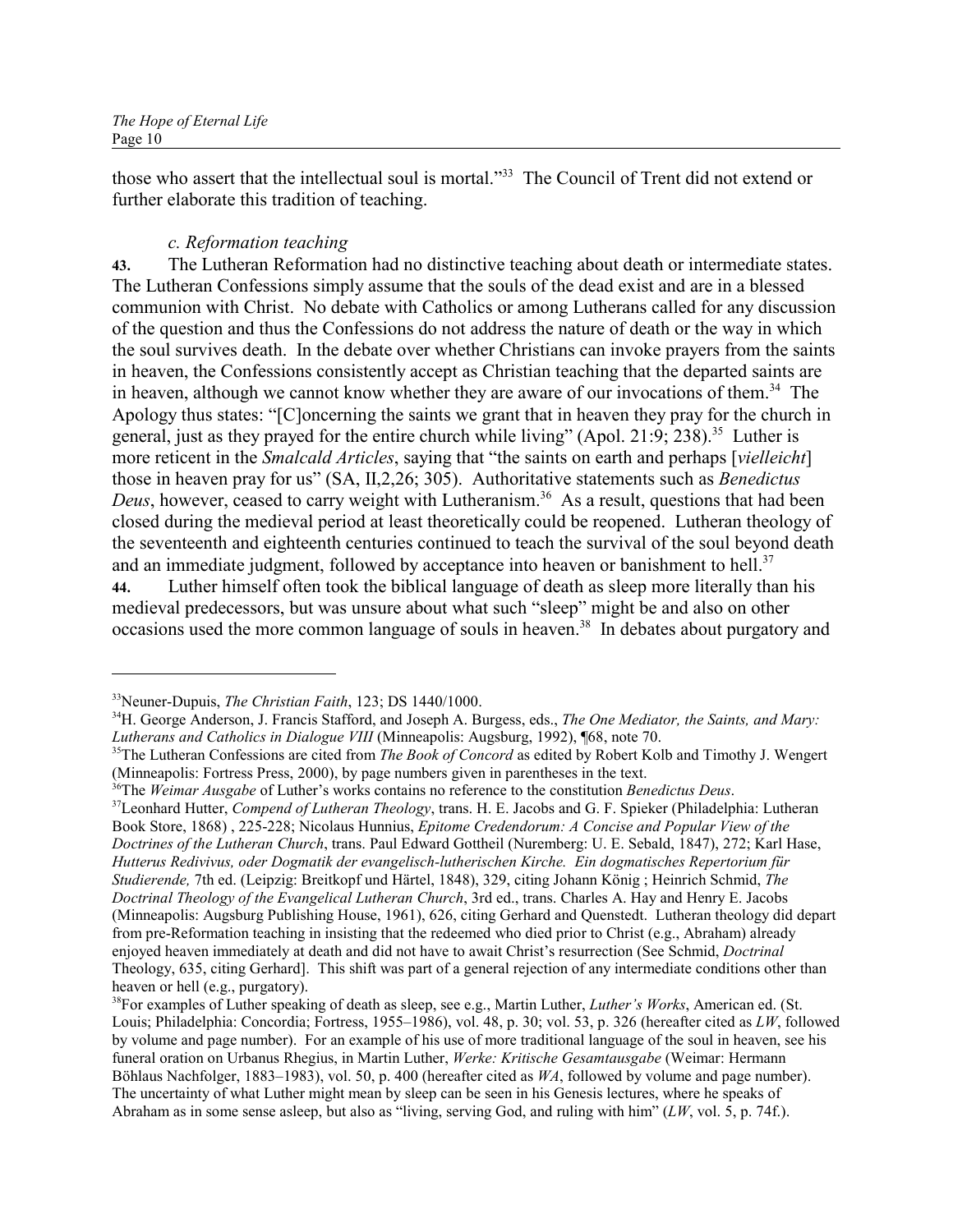those who assert that the intellectual soul is mortal."<sup>33</sup> The Council of Trent did not extend or further elaborate this tradition of teaching.

#### c. Reformation teaching

43. The Lutheran Reformation had no distinctive teaching about death or intermediate states. The Lutheran Confessions simply assume that the souls of the dead exist and are in a blessed communion with Christ. No debate with Catholics or among Lutherans called for any discussion of the question and thus the Confessions do not address the nature of death or the way in which the soul survives death. In the debate over whether Christians can invoke prayers from the saints in heaven, the Confessions consistently accept as Christian teaching that the departed saints are in heaven, although we cannot know whether they are aware of our invocations of them.<sup>34</sup> The Apology thus states: "[C]oncerning the saints we grant that in heaven they pray for the church in general, just as they prayed for the entire church while living" (Apol. 21:9; 238).<sup>35</sup> Luther is more reticent in the *Smalcald Articles*, saying that "the saints on earth and perhaps [vielleicht] those in heaven pray for us" (SA, II,2,26; 305). Authoritative statements such as Benedictus Deus, however, ceased to carry weight with Lutheranism.<sup>36</sup> As a result, questions that had been closed during the medieval period at least theoretically could be reopened. Lutheran theology of the seventeenth and eighteenth centuries continued to teach the survival of the soul beyond death and an immediate judgment, followed by acceptance into heaven or banishment to hell.<sup>37</sup>

44. Luther himself often took the biblical language of death as sleep more literally than his medieval predecessors, but was unsure about what such "sleep" might be and also on other occasions used the more common language of souls in heaven.<sup>38</sup> In debates about purgatory and

<sup>&</sup>lt;sup>33</sup>Neuner-Dupuis, *The Christian Faith*, 123; DS 1440/1000.

<sup>&</sup>lt;sup>34</sup>H. George Anderson, J. Francis Stafford, and Joseph A. Burgess, eds., *The One Mediator, the Saints, and Mary:* Lutherans and Catholics in Dialogue VIII (Minneapolis: Augsburg, 1992), ¶68, note 70.

<sup>&</sup>lt;sup>35</sup>The Lutheran Confessions are cited from *The Book of Concord* as edited by Robert Kolb and Timothy J. Wengert (Minneapolis: Fortress Press, 2000), by page numbers given in parentheses in the text.

<sup>&</sup>lt;sup>36</sup>The *Weimar Ausgabe* of Luther's works contains no reference to the constitution *Benedictus Deus*.

 $37$ Leonhard Hutter, Compend of Lutheran Theology, trans. H. E. Jacobs and G. F. Spieker (Philadelphia: Lutheran Book Store, 1868) , 225-228; Nicolaus Hunnius, Epitome Credendorum: A Concise and Popular View of the Doctrines of the Lutheran Church, trans. Paul Edward Gottheil (Nuremberg: U. E. Sebald, 1847), 272; Karl Hase, Hutterus Redivivus, oder Dogmatik der evangelisch-lutherischen Kirche. Ein dogmatisches Repertorium für Studierende, 7th ed. (Leipzig: Breitkopf und Härtel, 1848), 329, citing Johann König ; Heinrich Schmid, The Doctrinal Theology of the Evangelical Lutheran Church, 3rd ed., trans. Charles A. Hay and Henry E. Jacobs (Minneapolis: Augsburg Publishing House, 1961), 626, citing Gerhard and Quenstedt. Lutheran theology did depart from pre-Reformation teaching in insisting that the redeemed who died prior to Christ (e.g., Abraham) already enjoyed heaven immediately at death and did not have to await Christ's resurrection (See Schmid, *Doctrinal* Theology, 635, citing Gerhard]. This shift was part of a general rejection of any intermediate conditions other than heaven or hell (e.g., purgatory).

<sup>&</sup>lt;sup>38</sup>For examples of Luther speaking of death as sleep, see e.g., Martin Luther, *Luther's Works*, American ed. (St. Louis; Philadelphia: Concordia; Fortress, 1955–1986), vol. 48, p. 30; vol. 53, p. 326 (hereafter cited as LW, followed by volume and page number). For an example of his use of more traditional language of the soul in heaven, see his funeral oration on Urbanus Rhegius, in Martin Luther, Werke: Kritische Gesamtausgabe (Weimar: Hermann Böhlaus Nachfolger, 1883–1983), vol. 50, p. 400 (hereafter cited as WA, followed by volume and page number). The uncertainty of what Luther might mean by sleep can be seen in his Genesis lectures, where he speaks of Abraham as in some sense asleep, but also as "living, serving God, and ruling with him" (LW, vol. 5, p. 74f.).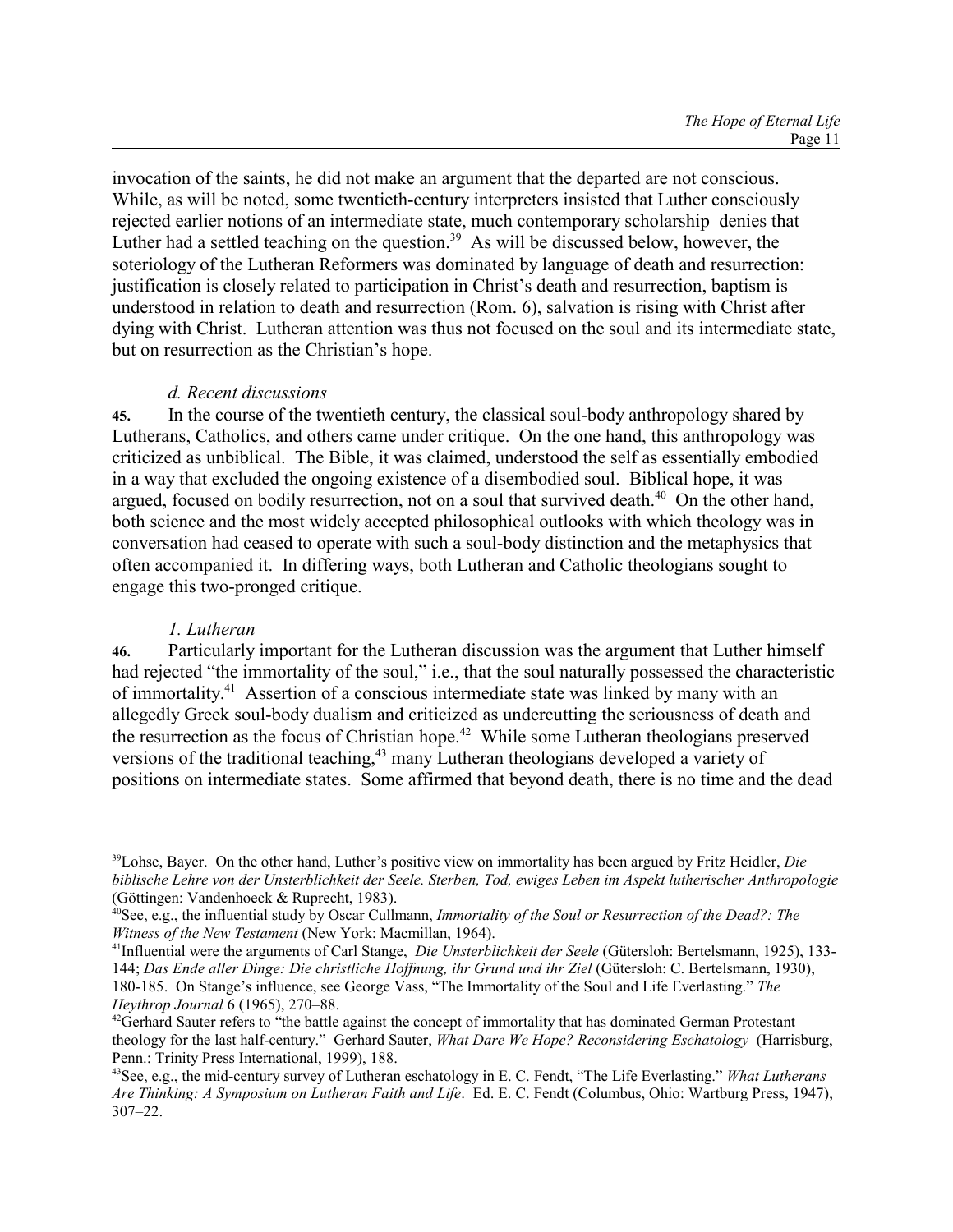invocation of the saints, he did not make an argument that the departed are not conscious. While, as will be noted, some twentieth-century interpreters insisted that Luther consciously rejected earlier notions of an intermediate state, much contemporary scholarship denies that Luther had a settled teaching on the question.<sup>39</sup> As will be discussed below, however, the soteriology of the Lutheran Reformers was dominated by language of death and resurrection: justification is closely related to participation in Christ's death and resurrection, baptism is understood in relation to death and resurrection (Rom. 6), salvation is rising with Christ after dying with Christ. Lutheran attention was thus not focused on the soul and its intermediate state, but on resurrection as the Christian's hope.

#### d. Recent discussions

45. In the course of the twentieth century, the classical soul-body anthropology shared by Lutherans, Catholics, and others came under critique. On the one hand, this anthropology was criticized as unbiblical. The Bible, it was claimed, understood the self as essentially embodied in a way that excluded the ongoing existence of a disembodied soul. Biblical hope, it was argued, focused on bodily resurrection, not on a soul that survived death.<sup>40</sup> On the other hand, both science and the most widely accepted philosophical outlooks with which theology was in conversation had ceased to operate with such a soul-body distinction and the metaphysics that often accompanied it. In differing ways, both Lutheran and Catholic theologians sought to engage this two-pronged critique.

# 1. Lutheran

46. Particularly important for the Lutheran discussion was the argument that Luther himself had rejected "the immortality of the soul," i.e., that the soul naturally possessed the characteristic of immortality.<sup>41</sup> Assertion of a conscious intermediate state was linked by many with an allegedly Greek soul-body dualism and criticized as undercutting the seriousness of death and the resurrection as the focus of Christian hope.<sup>42</sup> While some Lutheran theologians preserved versions of the traditional teaching,<sup>43</sup> many Lutheran theologians developed a variety of positions on intermediate states. Some affirmed that beyond death, there is no time and the dead

 $39$ Lohse, Bayer. On the other hand, Luther's positive view on immortality has been argued by Fritz Heidler, *Die* biblische Lehre von der Unsterblichkeit der Seele. Sterben, Tod, ewiges Leben im Aspekt lutherischer Anthropologie (Göttingen: Vandenhoeck & Ruprecht, 1983).

 $40$ See, e.g., the influential study by Oscar Cullmann, Immortality of the Soul or Resurrection of the Dead?: The Witness of the New Testament (New York: Macmillan, 1964).

<sup>&</sup>lt;sup>41</sup>Influential were the arguments of Carl Stange, *Die Unsterblichkeit der Seele* (Gütersloh: Bertelsmann, 1925), 133-144; Das Ende aller Dinge: Die christliche Hoffnung, ihr Grund und ihr Ziel (Gütersloh: C. Bertelsmann, 1930), 180-185. On Stange's influence, see George Vass, "The Immortality of the Soul and Life Everlasting." The Heythrop Journal 6 (1965), 270–88.

<sup>&</sup>lt;sup>42</sup>Gerhard Sauter refers to "the battle against the concept of immortality that has dominated German Protestant theology for the last half-century." Gerhard Sauter, What Dare We Hope? Reconsidering Eschatology (Harrisburg, Penn.: Trinity Press International, 1999), 188.

<sup>&</sup>lt;sup>43</sup>See, e.g., the mid-century survey of Lutheran eschatology in E. C. Fendt, "The Life Everlasting." What Lutherans Are Thinking: A Symposium on Lutheran Faith and Life. Ed. E. C. Fendt (Columbus, Ohio: Wartburg Press, 1947), 307–22.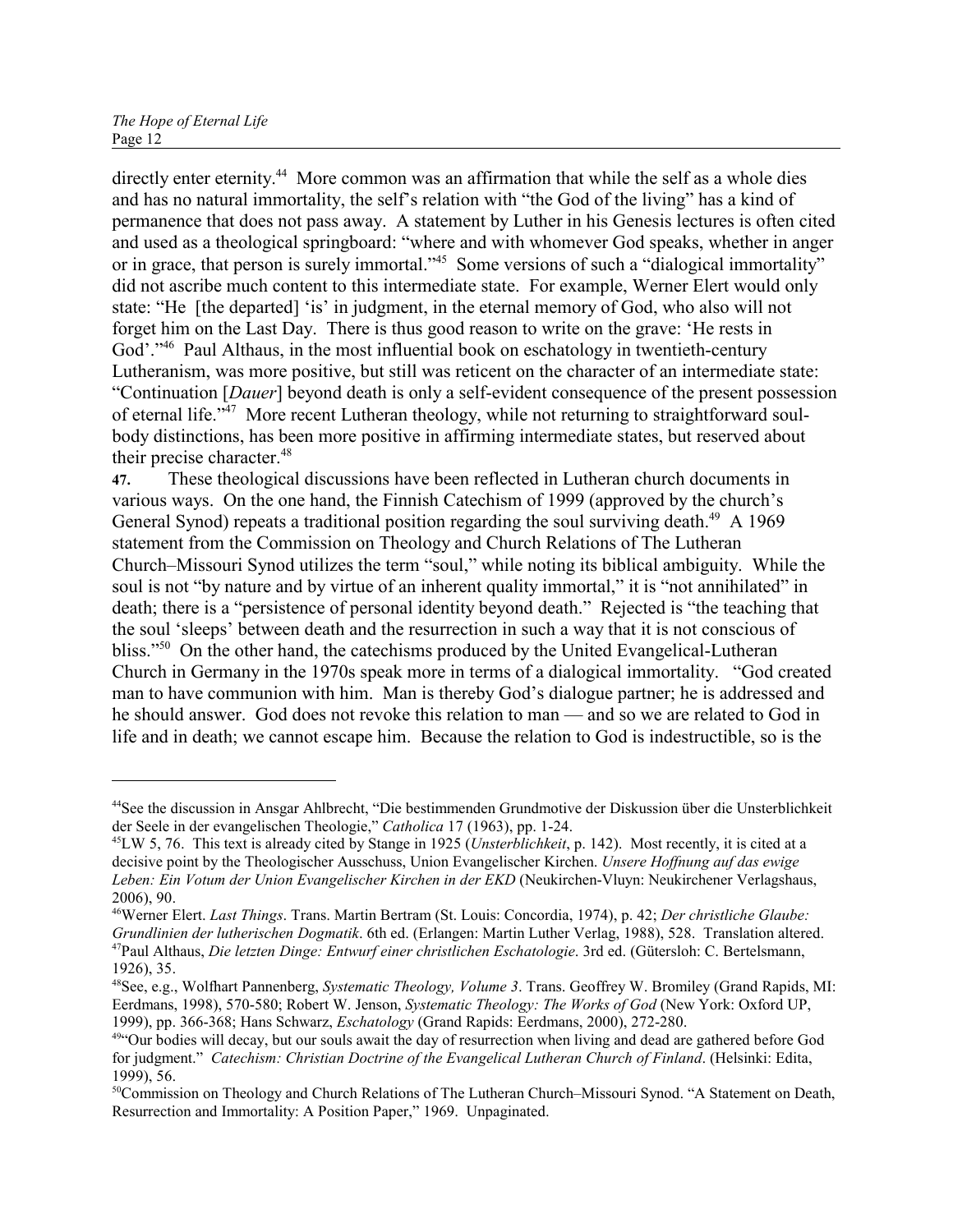directly enter eternity.<sup>44</sup> More common was an affirmation that while the self as a whole dies and has no natural immortality, the self's relation with "the God of the living" has a kind of permanence that does not pass away. A statement by Luther in his Genesis lectures is often cited and used as a theological springboard: "where and with whomever God speaks, whether in anger or in grace, that person is surely immortal."<sup>45</sup> Some versions of such a "dialogical immortality" did not ascribe much content to this intermediate state. For example, Werner Elert would only state: "He [the departed] 'is' in judgment, in the eternal memory of God, who also will not forget him on the Last Day. There is thus good reason to write on the grave: 'He rests in God'."<sup>46</sup> Paul Althaus, in the most influential book on eschatology in twentieth-century Lutheranism, was more positive, but still was reticent on the character of an intermediate state: "Continuation [Dauer] beyond death is only a self-evident consequence of the present possession of eternal life."<sup>47</sup> More recent Lutheran theology, while not returning to straightforward soulbody distinctions, has been more positive in affirming intermediate states, but reserved about their precise character.<sup>48</sup>

47. These theological discussions have been reflected in Lutheran church documents in various ways. On the one hand, the Finnish Catechism of 1999 (approved by the church's General Synod) repeats a traditional position regarding the soul surviving death.<sup>49</sup> A 1969 statement from the Commission on Theology and Church Relations of The Lutheran Church–Missouri Synod utilizes the term "soul," while noting its biblical ambiguity. While the soul is not "by nature and by virtue of an inherent quality immortal," it is "not annihilated" in death; there is a "persistence of personal identity beyond death." Rejected is "the teaching that the soul 'sleeps' between death and the resurrection in such a way that it is not conscious of bliss."<sup>50</sup> On the other hand, the catechisms produced by the United Evangelical-Lutheran Church in Germany in the 1970s speak more in terms of a dialogical immortality. "God created man to have communion with him. Man is thereby God's dialogue partner; he is addressed and he should answer. God does not revoke this relation to man — and so we are related to God in life and in death; we cannot escape him. Because the relation to God is indestructible, so is the

<sup>44</sup>See the discussion in Ansgar Ahlbrecht, "Die bestimmenden Grundmotive der Diskussion über die Unsterblichkeit der Seele in der evangelischen Theologie," Catholica 17 (1963), pp. 1-24.

 $^{45}$ LW 5, 76. This text is already cited by Stange in 1925 (Unsterblichkeit, p. 142). Most recently, it is cited at a decisive point by the Theologischer Ausschuss, Union Evangelischer Kirchen. Unsere Hoffnung auf das ewige Leben: Ein Votum der Union Evangelischer Kirchen in der EKD (Neukirchen-Vluyn: Neukirchener Verlagshaus, 2006), 90.

<sup>&</sup>lt;sup>46</sup>Werner Elert. Last Things. Trans. Martin Bertram (St. Louis: Concordia, 1974), p. 42; Der christliche Glaube: Grundlinien der lutherischen Dogmatik. 6th ed. (Erlangen: Martin Luther Verlag, 1988), 528. Translation altered. <sup>47</sup>Paul Althaus, Die letzten Dinge: Entwurf einer christlichen Eschatologie. 3rd ed. (Gütersloh: C. Bertelsmann, 1926), 35.

 $^{48}$ See, e.g., Wolfhart Pannenberg, Systematic Theology, Volume 3. Trans. Geoffrey W. Bromiley (Grand Rapids, MI: Eerdmans, 1998), 570-580; Robert W. Jenson, Systematic Theology: The Works of God (New York: Oxford UP, 1999), pp. 366-368; Hans Schwarz, Eschatology (Grand Rapids: Eerdmans, 2000), 272-280.

<sup>&</sup>lt;sup>49</sup>"Our bodies will decay, but our souls await the day of resurrection when living and dead are gathered before God for judgment." Catechism: Christian Doctrine of the Evangelical Lutheran Church of Finland. (Helsinki: Edita, 1999), 56.

<sup>&</sup>lt;sup>50</sup>Commission on Theology and Church Relations of The Lutheran Church–Missouri Synod. "A Statement on Death, Resurrection and Immortality: A Position Paper," 1969. Unpaginated.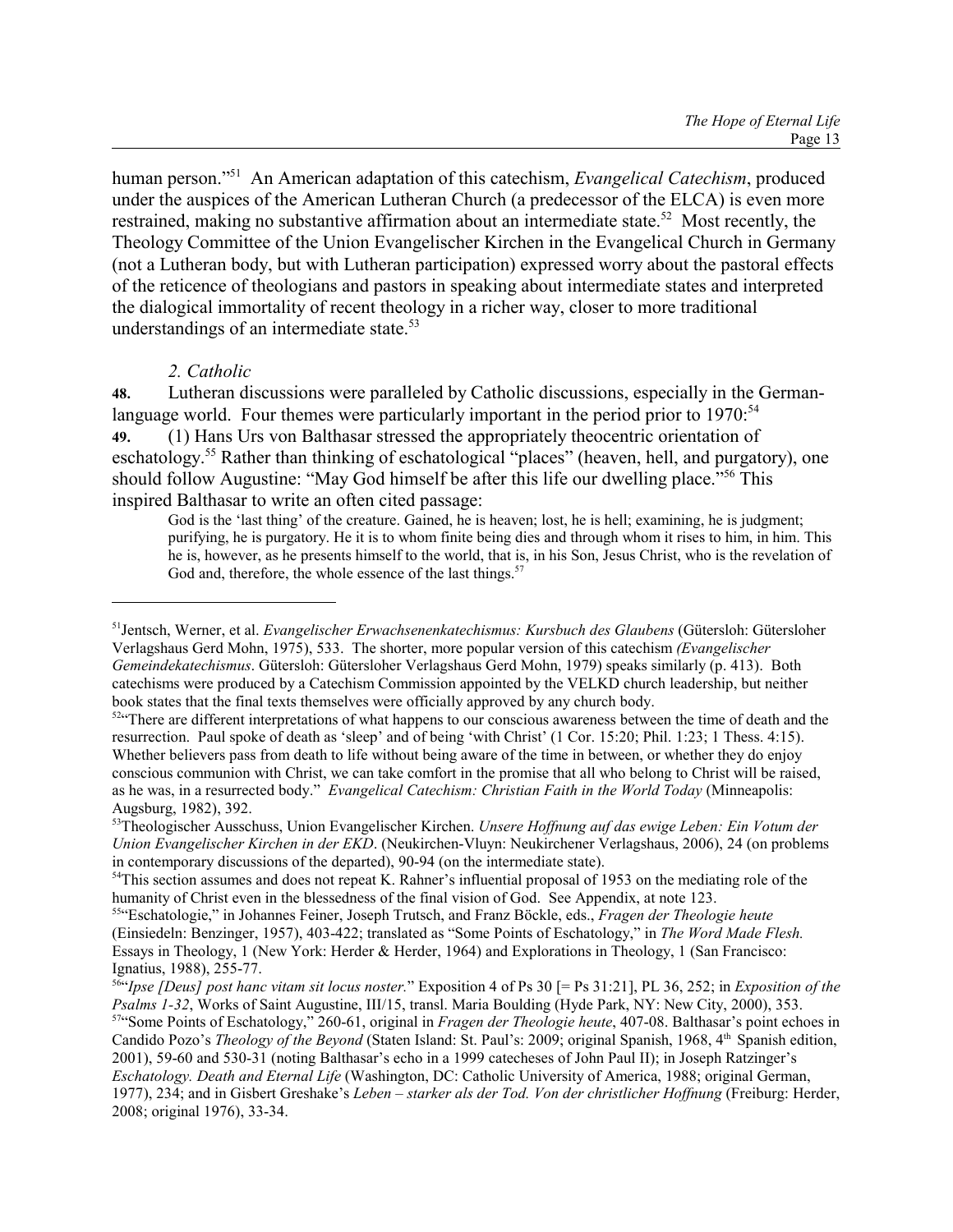human person."<sup>51</sup> An American adaptation of this catechism, *Evangelical Catechism*, produced under the auspices of the American Lutheran Church (a predecessor of the ELCA) is even more restrained, making no substantive affirmation about an intermediate state.<sup>52</sup> Most recently, the Theology Committee of the Union Evangelischer Kirchen in the Evangelical Church in Germany (not a Lutheran body, but with Lutheran participation) expressed worry about the pastoral effects of the reticence of theologians and pastors in speaking about intermediate states and interpreted the dialogical immortality of recent theology in a richer way, closer to more traditional understandings of an intermediate state.<sup>53</sup>

#### 2. Catholic

48. Lutheran discussions were paralleled by Catholic discussions, especially in the Germanlanguage world. Four themes were particularly important in the period prior to  $1970$ :<sup>54</sup> 49. (1) Hans Urs von Balthasar stressed the appropriately theocentric orientation of eschatology.<sup>55</sup> Rather than thinking of eschatological "places" (heaven, hell, and purgatory), one should follow Augustine: "May God himself be after this life our dwelling place."<sup>56</sup> This inspired Balthasar to write an often cited passage:

God is the 'last thing' of the creature. Gained, he is heaven; lost, he is hell; examining, he is judgment; purifying, he is purgatory. He it is to whom finite being dies and through whom it rises to him, in him. This he is, however, as he presents himself to the world, that is, in his Son, Jesus Christ, who is the revelation of God and, therefore, the whole essence of the last things.<sup>57</sup>

<sup>&</sup>lt;sup>51</sup>Jentsch, Werner, et al. Evangelischer Erwachsenenkatechismus: Kursbuch des Glaubens (Gütersloh: Gütersloher Verlagshaus Gerd Mohn, 1975), 533. The shorter, more popular version of this catechism (Evangelischer Gemeindekatechismus. Gütersloh: Gütersloher Verlagshaus Gerd Mohn, 1979) speaks similarly (p. 413). Both catechisms were produced by a Catechism Commission appointed by the VELKD church leadership, but neither book states that the final texts themselves were officially approved by any church body.

 $52$ <sup>424</sup>There are different interpretations of what happens to our conscious awareness between the time of death and the resurrection. Paul spoke of death as 'sleep' and of being 'with Christ' (1 Cor. 15:20; Phil. 1:23; 1 Thess. 4:15). Whether believers pass from death to life without being aware of the time in between, or whether they do enjoy conscious communion with Christ, we can take comfort in the promise that all who belong to Christ will be raised, as he was, in a resurrected body." Evangelical Catechism: Christian Faith in the World Today (Minneapolis: Augsburg, 1982), 392.

<sup>53</sup>Theologischer Ausschuss, Union Evangelischer Kirchen. Unsere Hoffnung auf das ewige Leben: Ein Votum der Union Evangelischer Kirchen in der EKD. (Neukirchen-Vluyn: Neukirchener Verlagshaus, 2006), 24 (on problems in contemporary discussions of the departed), 90-94 (on the intermediate state).

<sup>&</sup>lt;sup>54</sup>This section assumes and does not repeat K. Rahner's influential proposal of 1953 on the mediating role of the humanity of Christ even in the blessedness of the final vision of God. See Appendix, at note 123.

<sup>55&</sup>quot;Eschatologie," in Johannes Feiner, Joseph Trutsch, and Franz Böckle, eds., Fragen der Theologie heute (Einsiedeln: Benzinger, 1957), 403-422; translated as "Some Points of Eschatology," in The Word Made Flesh. Essays in Theology, 1 (New York: Herder & Herder, 1964) and Explorations in Theology, 1 (San Francisco: Ignatius, 1988), 255-77.

<sup>56</sup> "Ipse [Deus] post hanc vitam sit locus noster." Exposition 4 of Ps 30 [= Ps 31:21], PL 36, 252; in Exposition of the Psalms 1-32, Works of Saint Augustine, III/15, transl. Maria Boulding (Hyde Park, NY: New City, 2000), 353. 57"Some Points of Eschatology," 260-61, original in Fragen der Theologie heute, 407-08. Balthasar's point echoes in Candido Pozo's Theology of the Beyond (Staten Island: St. Paul's: 2009; original Spanish, 1968, 4<sup>th</sup> Spanish edition, 2001), 59-60 and 530-31 (noting Balthasar's echo in a 1999 catecheses of John Paul II); in Joseph Ratzinger's Eschatology. Death and Eternal Life (Washington, DC: Catholic University of America, 1988; original German, 1977), 234; and in Gisbert Greshake's Leben – starker als der Tod. Von der christlicher Hoffnung (Freiburg: Herder, 2008; original 1976), 33-34.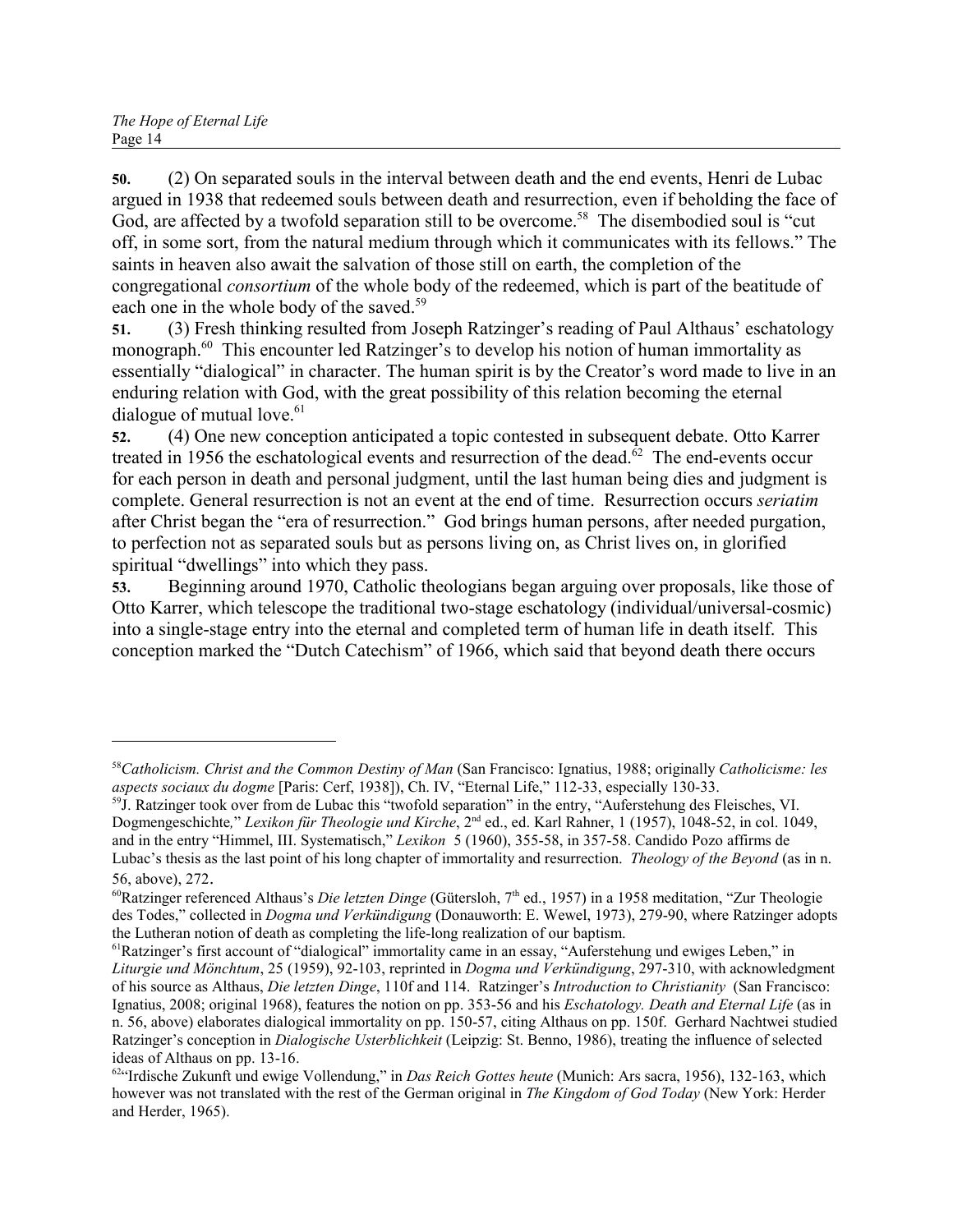50. (2) On separated souls in the interval between death and the end events, Henri de Lubac argued in 1938 that redeemed souls between death and resurrection, even if beholding the face of God, are affected by a twofold separation still to be overcome.<sup>58</sup> The disembodied soul is "cut off, in some sort, from the natural medium through which it communicates with its fellows." The saints in heaven also await the salvation of those still on earth, the completion of the congregational consortium of the whole body of the redeemed, which is part of the beatitude of each one in the whole body of the saved.<sup>59</sup>

51. (3) Fresh thinking resulted from Joseph Ratzinger's reading of Paul Althaus' eschatology monograph.<sup>60</sup> This encounter led Ratzinger's to develop his notion of human immortality as essentially "dialogical" in character. The human spirit is by the Creator's word made to live in an enduring relation with God, with the great possibility of this relation becoming the eternal dialogue of mutual love. $61$ 

52. (4) One new conception anticipated a topic contested in subsequent debate. Otto Karrer treated in 1956 the eschatological events and resurrection of the dead.<sup>62</sup> The end-events occur for each person in death and personal judgment, until the last human being dies and judgment is complete. General resurrection is not an event at the end of time. Resurrection occurs seriatim after Christ began the "era of resurrection." God brings human persons, after needed purgation, to perfection not as separated souls but as persons living on, as Christ lives on, in glorified spiritual "dwellings" into which they pass.

53. Beginning around 1970, Catholic theologians began arguing over proposals, like those of Otto Karrer, which telescope the traditional two-stage eschatology (individual/universal-cosmic) into a single-stage entry into the eternal and completed term of human life in death itself. This conception marked the "Dutch Catechism" of 1966, which said that beyond death there occurs

<sup>58</sup> Catholicism. Christ and the Common Destiny of Man (San Francisco: Ignatius, 1988; originally Catholicisme: les aspects sociaux du dogme [Paris: Cerf, 1938]), Ch. IV, "Eternal Life," 112-33, especially 130-33.

<sup>&</sup>lt;sup>59</sup>J. Ratzinger took over from de Lubac this "twofold separation" in the entry, "Auferstehung des Fleisches, VI. Dogmengeschichte," Lexikon für Theologie und Kirche, 2<sup>nd</sup> ed., ed. Karl Rahner, 1 (1957), 1048-52, in col. 1049, and in the entry "Himmel, III. Systematisch," Lexikon 5 (1960), 355-58, in 357-58. Candido Pozo affirms de Lubac's thesis as the last point of his long chapter of immortality and resurrection. Theology of the Beyond (as in n. 56, above), 272.

<sup>&</sup>lt;sup>60</sup>Ratzinger referenced Althaus's Die letzten Dinge (Gütersloh, 7<sup>th</sup> ed., 1957) in a 1958 meditation, "Zur Theologie des Todes," collected in *Dogma und Verkündigung* (Donauworth: E. Wewel, 1973), 279-90, where Ratzinger adopts the Lutheran notion of death as completing the life-long realization of our baptism.

<sup>&</sup>lt;sup>61</sup>Ratzinger's first account of "dialogical" immortality came in an essay, "Auferstehung und ewiges Leben," in Liturgie und Mönchtum, 25 (1959), 92-103, reprinted in *Dogma und Verkündigung*, 297-310, with acknowledgment of his source as Althaus, Die letzten Dinge, 110f and 114. Ratzinger's Introduction to Christianity (San Francisco: Ignatius, 2008; original 1968), features the notion on pp. 353-56 and his *Eschatology. Death and Eternal Life* (as in n. 56, above) elaborates dialogical immortality on pp. 150-57, citing Althaus on pp. 150f. Gerhard Nachtwei studied Ratzinger's conception in Dialogische Usterblichkeit (Leipzig: St. Benno, 1986), treating the influence of selected ideas of Althaus on pp. 13-16.

 $62$ "Irdische Zukunft und ewige Vollendung," in Das Reich Gottes heute (Munich: Ars sacra, 1956), 132-163, which however was not translated with the rest of the German original in The Kingdom of God Today (New York: Herder and Herder, 1965).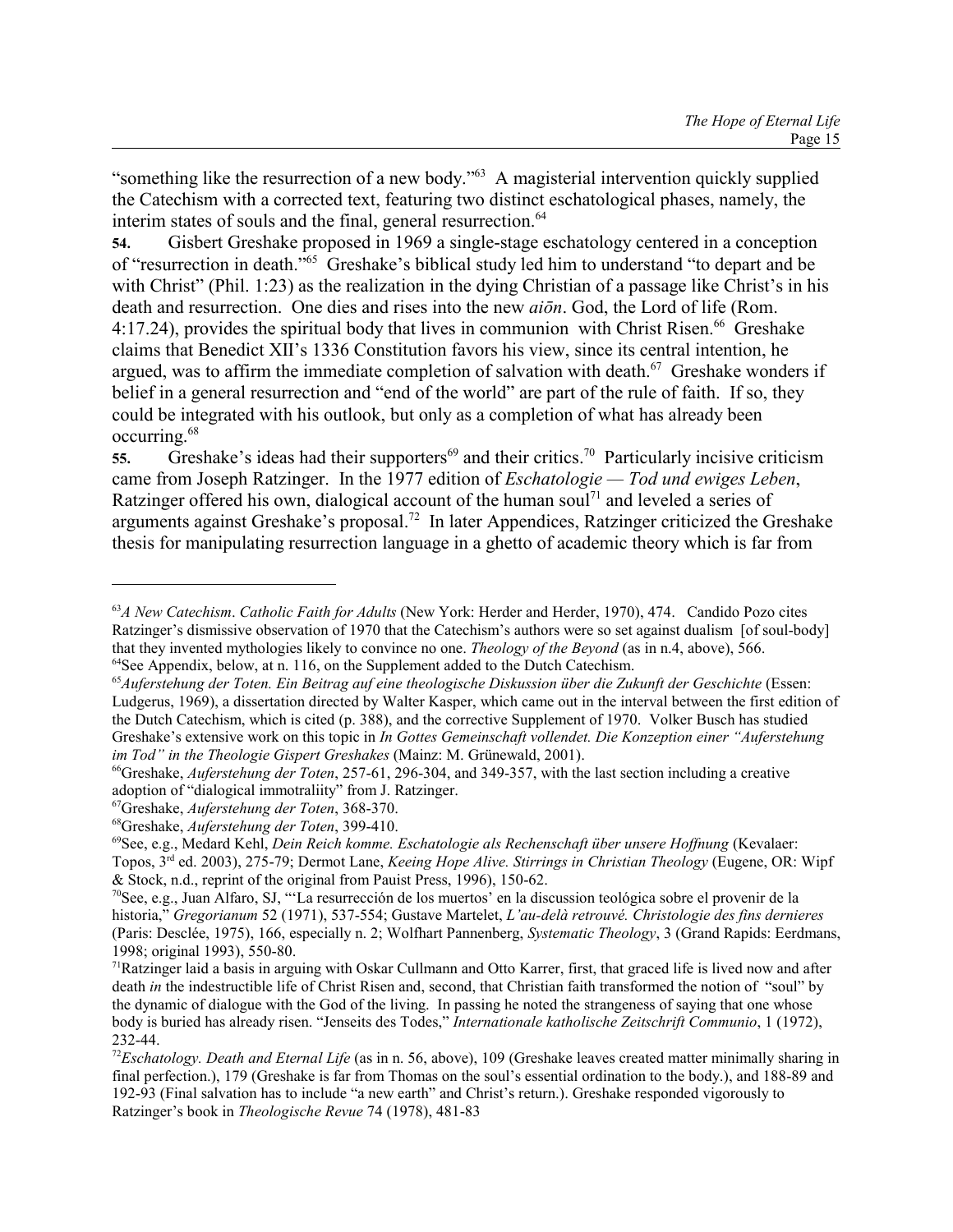"something like the resurrection of a new body."<sup>63</sup> A magisterial intervention quickly supplied the Catechism with a corrected text, featuring two distinct eschatological phases, namely, the interim states of souls and the final, general resurrection.<sup>64</sup>

54. Gisbert Greshake proposed in 1969 a single-stage eschatology centered in a conception of "resurrection in death."<sup>65</sup> Greshake's biblical study led him to understand "to depart and be with Christ" (Phil. 1:23) as the realization in the dying Christian of a passage like Christ's in his death and resurrection. One dies and rises into the new *aion*. God, the Lord of life (Rom. 4:17.24), provides the spiritual body that lives in communion with Christ Risen.<sup>66</sup> Greshake claims that Benedict XII's 1336 Constitution favors his view, since its central intention, he argued, was to affirm the immediate completion of salvation with death.<sup>67</sup> Greshake wonders if belief in a general resurrection and "end of the world" are part of the rule of faith. If so, they could be integrated with his outlook, but only as a completion of what has already been occurring.<sup>68</sup>

55. Greshake's ideas had their supporters<sup>69</sup> and their critics.<sup>70</sup> Particularly incisive criticism came from Joseph Ratzinger. In the 1977 edition of *Eschatologie* — Tod und ewiges Leben, Ratzinger offered his own, dialogical account of the human soul<sup> $71$ </sup> and leveled a series of arguments against Greshake's proposal.<sup>72</sup> In later Appendices, Ratzinger criticized the Greshake thesis for manipulating resurrection language in a ghetto of academic theory which is far from

 $^{63}$ A New Catechism. Catholic Faith for Adults (New York: Herder and Herder, 1970), 474. Candido Pozo cites Ratzinger's dismissive observation of 1970 that the Catechism's authors were so set against dualism [of soul-body] that they invented mythologies likely to convince no one. Theology of the Beyond (as in n.4, above), 566. <sup>64</sup>See Appendix, below, at n. 116, on the Supplement added to the Dutch Catechism.

 $65$ Auferstehung der Toten. Ein Beitrag auf eine theologische Diskussion über die Zukunft der Geschichte (Essen: Ludgerus, 1969), a dissertation directed by Walter Kasper, which came out in the interval between the first edition of the Dutch Catechism, which is cited (p. 388), and the corrective Supplement of 1970. Volker Busch has studied Greshake's extensive work on this topic in In Gottes Gemeinschaft vollendet. Die Konzeption einer "Auferstehung im Tod" in the Theologie Gispert Greshakes (Mainz: M. Grünewald, 2001).

<sup>&</sup>lt;sup>66</sup>Greshake, *Auferstehung der Toten*, 257-61, 296-304, and 349-357, with the last section including a creative adoption of "dialogical immotraliity" from J. Ratzinger.

 $^{67}$ Greshake, Auferstehung der Toten, 368-370.

<sup>68</sup>Greshake, Auferstehung der Toten, 399-410.

 $^{69}$ See, e.g., Medard Kehl, Dein Reich komme. Eschatologie als Rechenschaft über unsere Hoffnung (Kevalaer: Topos, 3<sup>rd</sup> ed. 2003), 275-79; Dermot Lane, *Keeing Hope Alive. Stirrings in Christian Theology* (Eugene, OR: Wipf & Stock, n.d., reprint of the original from Pauist Press, 1996), 150-62.

<sup>70</sup>See, e.g., Juan Alfaro, SJ, "'La resurrección de los muertos' en la discussion teológica sobre el provenir de la historia," Gregorianum 52 (1971), 537-554; Gustave Martelet, L'au-delà retrouvé. Christologie des fins dernieres (Paris: Desclée, 1975), 166, especially n. 2; Wolfhart Pannenberg, Systematic Theology, 3 (Grand Rapids: Eerdmans, 1998; original 1993), 550-80.

<sup>&</sup>lt;sup>71</sup>Ratzinger laid a basis in arguing with Oskar Cullmann and Otto Karrer, first, that graced life is lived now and after death in the indestructible life of Christ Risen and, second, that Christian faith transformed the notion of "soul" by the dynamic of dialogue with the God of the living. In passing he noted the strangeness of saying that one whose body is buried has already risen. "Jenseits des Todes," Internationale katholische Zeitschrift Communio, 1 (1972), 232-44.

 $^{72}E$ schatology. Death and Eternal Life (as in n. 56, above), 109 (Greshake leaves created matter minimally sharing in final perfection.), 179 (Greshake is far from Thomas on the soul's essential ordination to the body.), and 188-89 and 192-93 (Final salvation has to include "a new earth" and Christ's return.). Greshake responded vigorously to Ratzinger's book in Theologische Revue 74 (1978), 481-83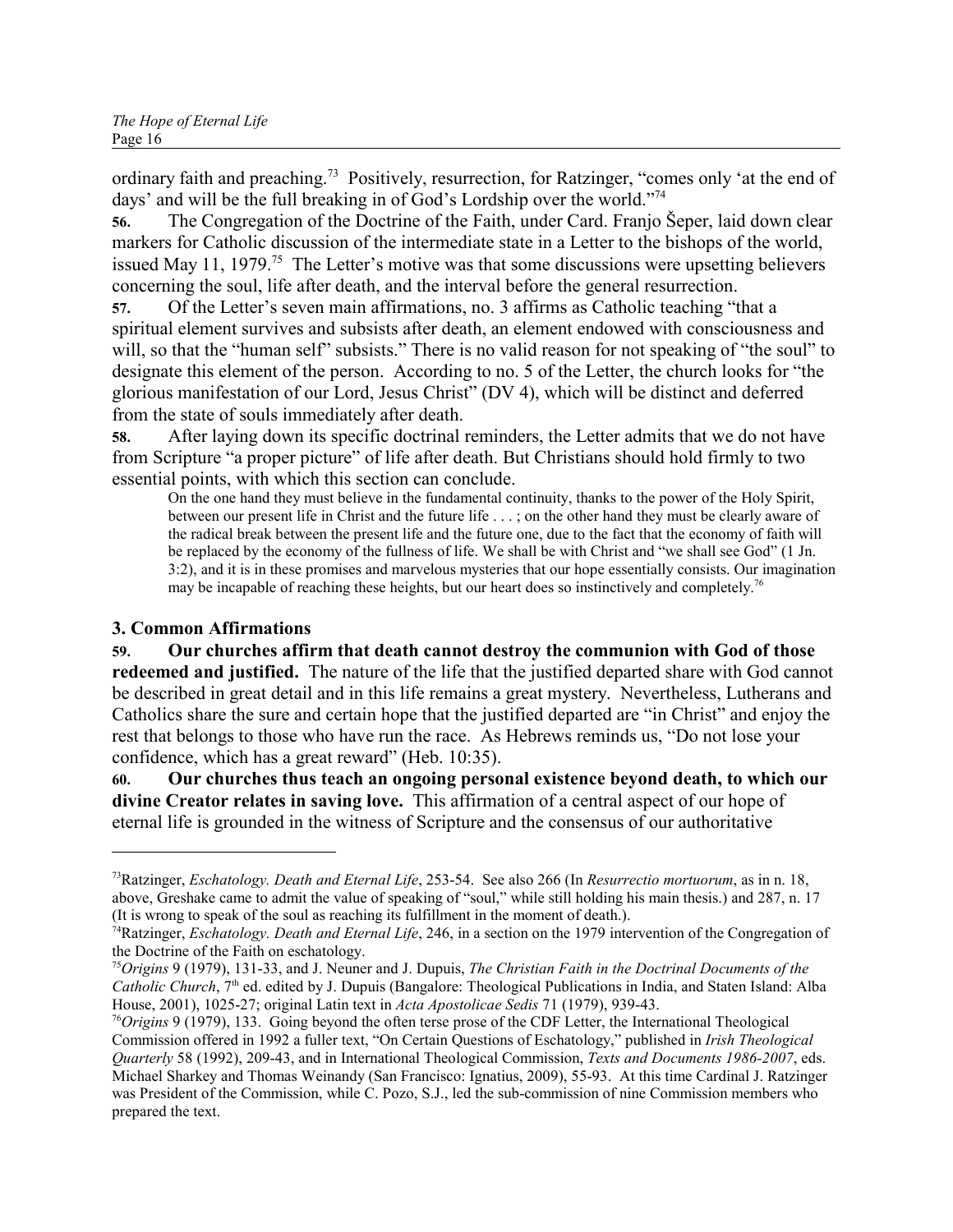ordinary faith and preaching.<sup>73</sup> Positively, resurrection, for Ratzinger, "comes only 'at the end of days' and will be the full breaking in of God's Lordship over the world."<sup>74</sup>

56. The Congregation of the Doctrine of the Faith, under Card. Franjo Šeper, laid down clear markers for Catholic discussion of the intermediate state in a Letter to the bishops of the world, issued May 11, 1979.<sup>75</sup> The Letter's motive was that some discussions were upsetting believers concerning the soul, life after death, and the interval before the general resurrection.

57. Of the Letter's seven main affirmations, no. 3 affirms as Catholic teaching "that a spiritual element survives and subsists after death, an element endowed with consciousness and will, so that the "human self" subsists." There is no valid reason for not speaking of "the soul" to designate this element of the person. According to no. 5 of the Letter, the church looks for "the glorious manifestation of our Lord, Jesus Christ" (DV 4), which will be distinct and deferred from the state of souls immediately after death.

58. After laying down its specific doctrinal reminders, the Letter admits that we do not have from Scripture "a proper picture" of life after death. But Christians should hold firmly to two essential points, with which this section can conclude.

On the one hand they must believe in the fundamental continuity, thanks to the power of the Holy Spirit, between our present life in Christ and the future life . . . ; on the other hand they must be clearly aware of the radical break between the present life and the future one, due to the fact that the economy of faith will be replaced by the economy of the fullness of life. We shall be with Christ and "we shall see God" (1 Jn. 3:2), and it is in these promises and marvelous mysteries that our hope essentially consists. Our imagination may be incapable of reaching these heights, but our heart does so instinctively and completely.<sup>76</sup>

# 3. Common Affirmations

59. Our churches affirm that death cannot destroy the communion with God of those redeemed and justified. The nature of the life that the justified departed share with God cannot be described in great detail and in this life remains a great mystery. Nevertheless, Lutherans and Catholics share the sure and certain hope that the justified departed are "in Christ" and enjoy the rest that belongs to those who have run the race. As Hebrews reminds us, "Do not lose your confidence, which has a great reward" (Heb. 10:35).

60. Our churches thus teach an ongoing personal existence beyond death, to which our divine Creator relates in saving love. This affirmation of a central aspect of our hope of eternal life is grounded in the witness of Scripture and the consensus of our authoritative

<sup>&</sup>lt;sup>73</sup>Ratzinger, *Eschatology. Death and Eternal Life*, 253-54. See also 266 (In *Resurrectio mortuorum*, as in n. 18, above, Greshake came to admit the value of speaking of "soul," while still holding his main thesis.) and 287, n. 17 (It is wrong to speak of the soul as reaching its fulfillment in the moment of death.).

<sup>&</sup>lt;sup>74</sup>Ratzinger, *Eschatology. Death and Eternal Life*, 246, in a section on the 1979 intervention of the Congregation of the Doctrine of the Faith on eschatology.

<sup>&</sup>lt;sup>75</sup>Origins 9 (1979), 131-33, and J. Neuner and J. Dupuis, *The Christian Faith in the Doctrinal Documents of the* Catholic Church, 7<sup>th</sup> ed. edited by J. Dupuis (Bangalore: Theological Publications in India, and Staten Island: Alba House, 2001), 1025-27; original Latin text in Acta Apostolicae Sedis 71 (1979), 939-43.

<sup>&</sup>lt;sup>76</sup>Origins 9 (1979), 133. Going beyond the often terse prose of the CDF Letter, the International Theological Commission offered in 1992 a fuller text, "On Certain Questions of Eschatology," published in Irish Theological Quarterly 58 (1992), 209-43, and in International Theological Commission, Texts and Documents 1986-2007, eds. Michael Sharkey and Thomas Weinandy (San Francisco: Ignatius, 2009), 55-93. At this time Cardinal J. Ratzinger was President of the Commission, while C. Pozo, S.J., led the sub-commission of nine Commission members who prepared the text.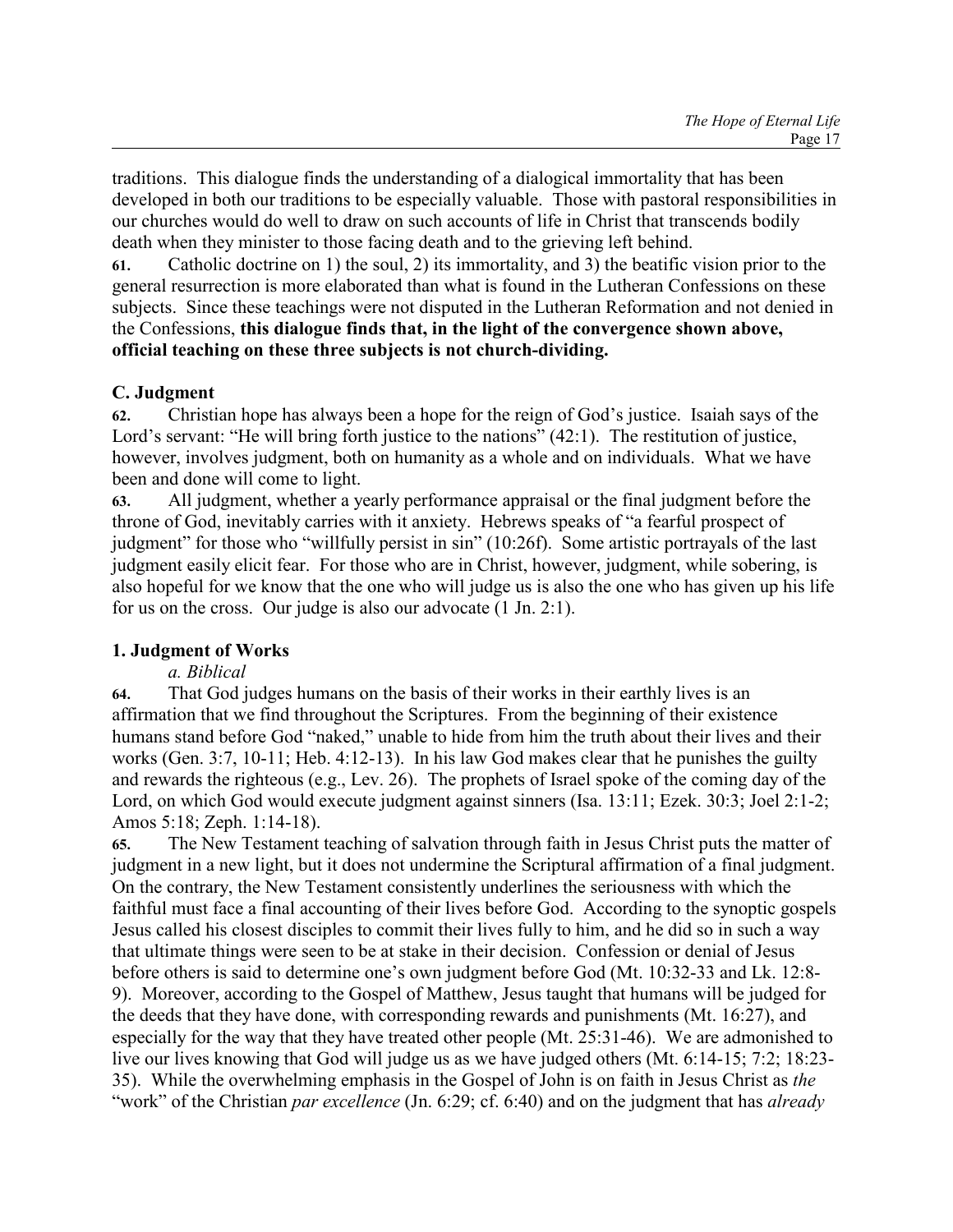traditions. This dialogue finds the understanding of a dialogical immortality that has been developed in both our traditions to be especially valuable. Those with pastoral responsibilities in our churches would do well to draw on such accounts of life in Christ that transcends bodily death when they minister to those facing death and to the grieving left behind.

61. Catholic doctrine on 1) the soul, 2) its immortality, and 3) the beatific vision prior to the general resurrection is more elaborated than what is found in the Lutheran Confessions on these subjects. Since these teachings were not disputed in the Lutheran Reformation and not denied in the Confessions, this dialogue finds that, in the light of the convergence shown above, official teaching on these three subjects is not church-dividing.

# C. Judgment

62. Christian hope has always been a hope for the reign of God's justice. Isaiah says of the Lord's servant: "He will bring forth justice to the nations" (42:1). The restitution of justice, however, involves judgment, both on humanity as a whole and on individuals. What we have been and done will come to light.

63. All judgment, whether a yearly performance appraisal or the final judgment before the throne of God, inevitably carries with it anxiety. Hebrews speaks of "a fearful prospect of judgment" for those who "willfully persist in sin" (10:26f). Some artistic portrayals of the last judgment easily elicit fear. For those who are in Christ, however, judgment, while sobering, is also hopeful for we know that the one who will judge us is also the one who has given up his life for us on the cross. Our judge is also our advocate (1 Jn. 2:1).

# 1. Judgment of Works

# a. Biblical

64. That God judges humans on the basis of their works in their earthly lives is an affirmation that we find throughout the Scriptures. From the beginning of their existence humans stand before God "naked," unable to hide from him the truth about their lives and their works (Gen. 3:7, 10-11; Heb. 4:12-13). In his law God makes clear that he punishes the guilty and rewards the righteous (e.g., Lev. 26). The prophets of Israel spoke of the coming day of the Lord, on which God would execute judgment against sinners (Isa. 13:11; Ezek. 30:3; Joel 2:1-2; Amos 5:18; Zeph. 1:14-18).

65. The New Testament teaching of salvation through faith in Jesus Christ puts the matter of judgment in a new light, but it does not undermine the Scriptural affirmation of a final judgment. On the contrary, the New Testament consistently underlines the seriousness with which the faithful must face a final accounting of their lives before God. According to the synoptic gospels Jesus called his closest disciples to commit their lives fully to him, and he did so in such a way that ultimate things were seen to be at stake in their decision. Confession or denial of Jesus before others is said to determine one's own judgment before God (Mt. 10:32-33 and Lk. 12:8- 9). Moreover, according to the Gospel of Matthew, Jesus taught that humans will be judged for the deeds that they have done, with corresponding rewards and punishments (Mt. 16:27), and especially for the way that they have treated other people (Mt. 25:31-46). We are admonished to live our lives knowing that God will judge us as we have judged others (Mt. 6:14-15; 7:2; 18:23- 35). While the overwhelming emphasis in the Gospel of John is on faith in Jesus Christ as the "work" of the Christian par excellence (Jn. 6:29; cf. 6:40) and on the judgment that has already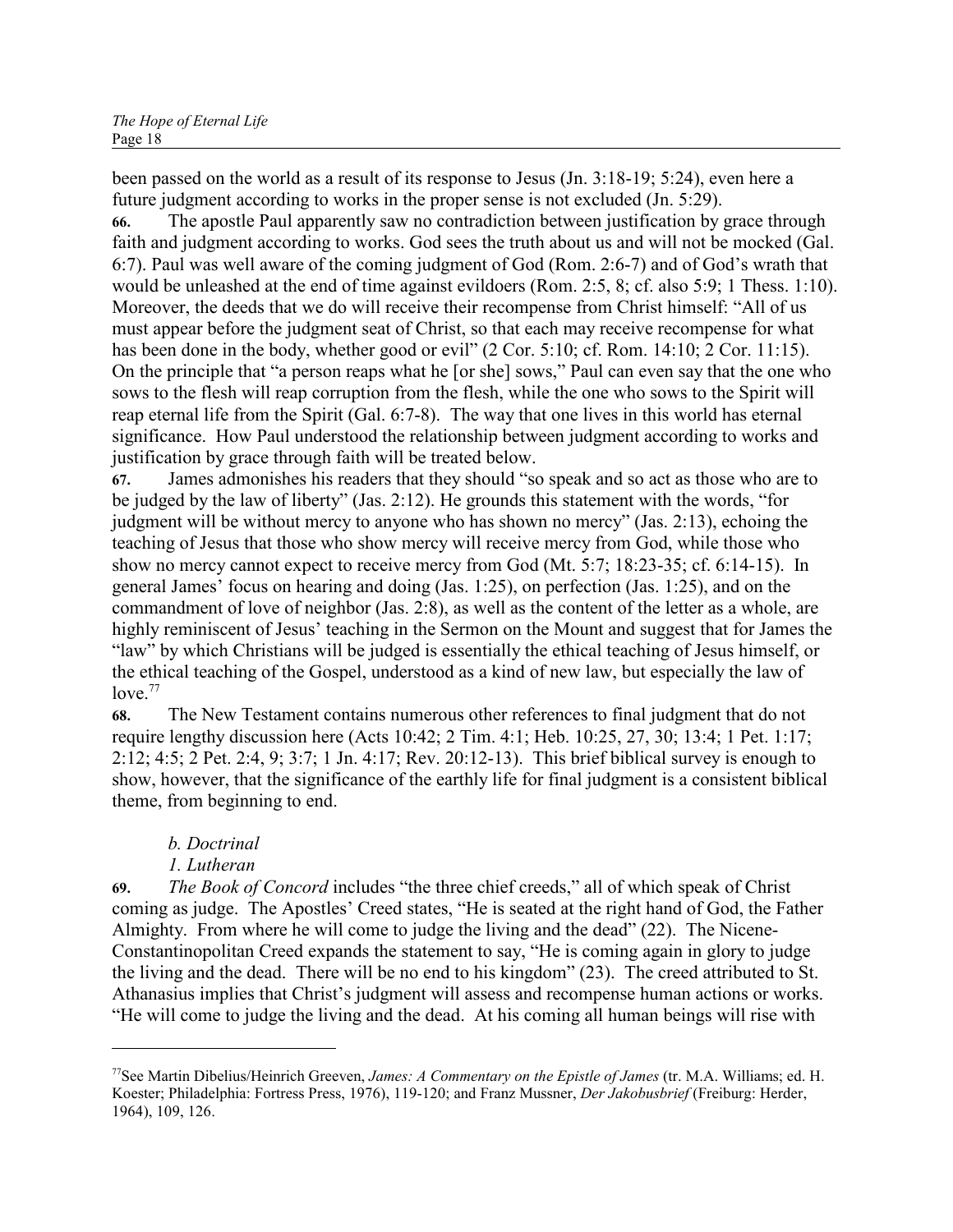been passed on the world as a result of its response to Jesus (Jn. 3:18-19; 5:24), even here a future judgment according to works in the proper sense is not excluded (Jn. 5:29).

66. The apostle Paul apparently saw no contradiction between justification by grace through faith and judgment according to works. God sees the truth about us and will not be mocked (Gal. 6:7). Paul was well aware of the coming judgment of God (Rom. 2:6-7) and of God's wrath that would be unleashed at the end of time against evildoers (Rom. 2:5, 8; cf. also 5:9; 1 Thess. 1:10). Moreover, the deeds that we do will receive their recompense from Christ himself: "All of us must appear before the judgment seat of Christ, so that each may receive recompense for what has been done in the body, whether good or evil" (2 Cor. 5:10; cf. Rom. 14:10; 2 Cor. 11:15). On the principle that "a person reaps what he [or she] sows," Paul can even say that the one who sows to the flesh will reap corruption from the flesh, while the one who sows to the Spirit will reap eternal life from the Spirit (Gal. 6:7-8). The way that one lives in this world has eternal significance. How Paul understood the relationship between judgment according to works and justification by grace through faith will be treated below.

67. James admonishes his readers that they should "so speak and so act as those who are to be judged by the law of liberty" (Jas. 2:12). He grounds this statement with the words, "for judgment will be without mercy to anyone who has shown no mercy" (Jas. 2:13), echoing the teaching of Jesus that those who show mercy will receive mercy from God, while those who show no mercy cannot expect to receive mercy from God (Mt. 5:7; 18:23-35; cf. 6:14-15). In general James' focus on hearing and doing (Jas. 1:25), on perfection (Jas. 1:25), and on the commandment of love of neighbor (Jas. 2:8), as well as the content of the letter as a whole, are highly reminiscent of Jesus' teaching in the Sermon on the Mount and suggest that for James the "law" by which Christians will be judged is essentially the ethical teaching of Jesus himself, or the ethical teaching of the Gospel, understood as a kind of new law, but especially the law of  $love.77$ 

68. The New Testament contains numerous other references to final judgment that do not require lengthy discussion here (Acts 10:42; 2 Tim. 4:1; Heb. 10:25, 27, 30; 13:4; 1 Pet. 1:17; 2:12; 4:5; 2 Pet. 2:4, 9; 3:7; 1 Jn. 4:17; Rev. 20:12-13). This brief biblical survey is enough to show, however, that the significance of the earthly life for final judgment is a consistent biblical theme, from beginning to end.

- b. Doctrinal
- 1. Lutheran

69. The Book of Concord includes "the three chief creeds," all of which speak of Christ coming as judge. The Apostles' Creed states, "He is seated at the right hand of God, the Father Almighty. From where he will come to judge the living and the dead" (22). The Nicene-Constantinopolitan Creed expands the statement to say, "He is coming again in glory to judge the living and the dead. There will be no end to his kingdom" (23). The creed attributed to St. Athanasius implies that Christ's judgment will assess and recompense human actions or works. "He will come to judge the living and the dead. At his coming all human beings will rise with

<sup>&</sup>lt;sup>77</sup>See Martin Dibelius/Heinrich Greeven, *James: A Commentary on the Epistle of James* (tr. M.A. Williams; ed. H. Koester; Philadelphia: Fortress Press, 1976), 119-120; and Franz Mussner, Der Jakobusbrief (Freiburg: Herder, 1964), 109, 126.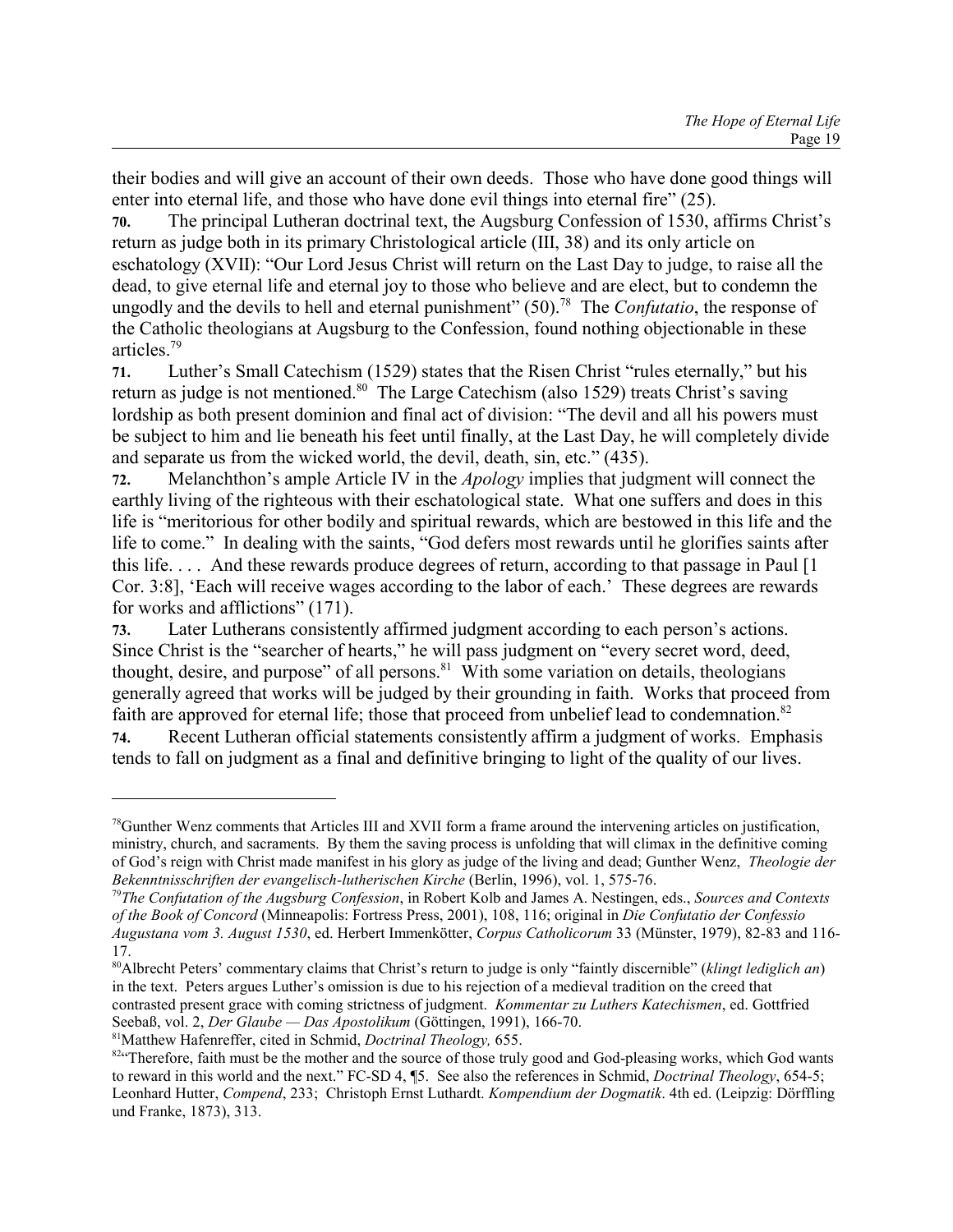their bodies and will give an account of their own deeds. Those who have done good things will enter into eternal life, and those who have done evil things into eternal fire" (25).

70. The principal Lutheran doctrinal text, the Augsburg Confession of 1530, affirms Christ's return as judge both in its primary Christological article (III, 38) and its only article on eschatology (XVII): "Our Lord Jesus Christ will return on the Last Day to judge, to raise all the dead, to give eternal life and eternal joy to those who believe and are elect, but to condemn the ungodly and the devils to hell and eternal punishment"  $(50)^{78}$ . The *Confutatio*, the response of the Catholic theologians at Augsburg to the Confession, found nothing objectionable in these articles.<sup>79</sup>

71. Luther's Small Catechism (1529) states that the Risen Christ "rules eternally," but his return as judge is not mentioned.<sup>80</sup> The Large Catechism (also 1529) treats Christ's saving lordship as both present dominion and final act of division: "The devil and all his powers must be subject to him and lie beneath his feet until finally, at the Last Day, he will completely divide and separate us from the wicked world, the devil, death, sin, etc." (435).

72. Melanchthon's ample Article IV in the Apology implies that judgment will connect the earthly living of the righteous with their eschatological state. What one suffers and does in this life is "meritorious for other bodily and spiritual rewards, which are bestowed in this life and the life to come." In dealing with the saints, "God defers most rewards until he glorifies saints after this life. . . . And these rewards produce degrees of return, according to that passage in Paul [1 Cor. 3:8], 'Each will receive wages according to the labor of each.' These degrees are rewards for works and afflictions" (171).

73. Later Lutherans consistently affirmed judgment according to each person's actions. Since Christ is the "searcher of hearts," he will pass judgment on "every secret word, deed, thought, desire, and purpose" of all persons.<sup>81</sup> With some variation on details, theologians generally agreed that works will be judged by their grounding in faith. Works that proceed from faith are approved for eternal life; those that proceed from unbelief lead to condemnation.<sup>82</sup>

74. Recent Lutheran official statements consistently affirm a judgment of works. Emphasis tends to fall on judgment as a final and definitive bringing to light of the quality of our lives.

 $80$ Albrecht Peters' commentary claims that Christ's return to judge is only "faintly discernible" (klingt lediglich an) in the text. Peters argues Luther's omission is due to his rejection of a medieval tradition on the creed that contrasted present grace with coming strictness of judgment. Kommentar zu Luthers Katechismen, ed. Gottfried Seebaß, vol. 2, Der Glaube — Das Apostolikum (Göttingen, 1991), 166-70.

 $81$ Matthew Hafenreffer, cited in Schmid, *Doctrinal Theology*, 655.

<sup>78</sup>Gunther Wenz comments that Articles III and XVII form a frame around the intervening articles on justification, ministry, church, and sacraments. By them the saving process is unfolding that will climax in the definitive coming of God's reign with Christ made manifest in his glory as judge of the living and dead; Gunther Wenz, Theologie der Bekenntnisschriften der evangelisch-lutherischen Kirche (Berlin, 1996), vol. 1, 575-76.

 $79$ The Confutation of the Augsburg Confession, in Robert Kolb and James A. Nestingen, eds., Sources and Contexts of the Book of Concord (Minneapolis: Fortress Press, 2001), 108, 116; original in Die Confutatio der Confessio Augustana vom 3. August 1530, ed. Herbert Immenkötter, Corpus Catholicorum 33 (Münster, 1979), 82-83 and 116- 17.

<sup>82&</sup>quot;Therefore, faith must be the mother and the source of those truly good and God-pleasing works, which God wants to reward in this world and the next." FC-SD 4, ¶5. See also the references in Schmid, *Doctrinal Theology*, 654-5; Leonhard Hutter, Compend, 233; Christoph Ernst Luthardt. Kompendium der Dogmatik. 4th ed. (Leipzig: Dörffling und Franke, 1873), 313.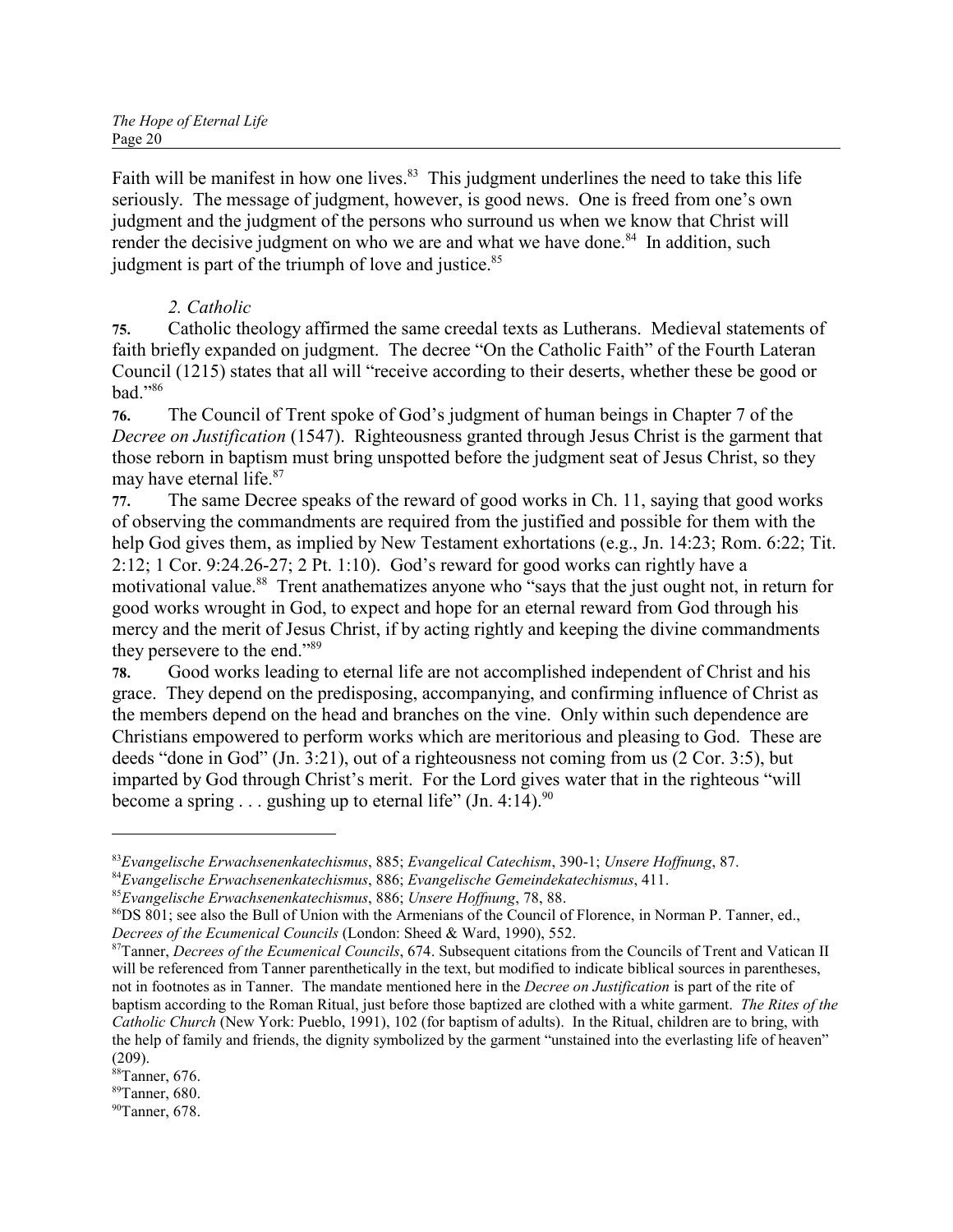Faith will be manifest in how one lives.<sup>83</sup> This judgment underlines the need to take this life seriously. The message of judgment, however, is good news. One is freed from one's own judgment and the judgment of the persons who surround us when we know that Christ will render the decisive judgment on who we are and what we have done.<sup>84</sup> In addition, such judgment is part of the triumph of love and justice.<sup>85</sup>

# 2. Catholic

75. Catholic theology affirmed the same creedal texts as Lutherans. Medieval statements of faith briefly expanded on judgment. The decree "On the Catholic Faith" of the Fourth Lateran Council (1215) states that all will "receive according to their deserts, whether these be good or bad."<sup>86</sup>

76. The Council of Trent spoke of God's judgment of human beings in Chapter 7 of the Decree on Justification (1547). Righteousness granted through Jesus Christ is the garment that those reborn in baptism must bring unspotted before the judgment seat of Jesus Christ, so they may have eternal life.<sup>87</sup>

77. The same Decree speaks of the reward of good works in Ch. 11, saying that good works of observing the commandments are required from the justified and possible for them with the help God gives them, as implied by New Testament exhortations (e.g., Jn. 14:23; Rom. 6:22; Tit. 2:12; 1 Cor. 9:24.26-27; 2 Pt. 1:10). God's reward for good works can rightly have a motivational value.<sup>88</sup> Trent anathematizes anyone who "says that the just ought not, in return for good works wrought in God, to expect and hope for an eternal reward from God through his mercy and the merit of Jesus Christ, if by acting rightly and keeping the divine commandments they persevere to the end."<sup>89</sup>

78. Good works leading to eternal life are not accomplished independent of Christ and his grace. They depend on the predisposing, accompanying, and confirming influence of Christ as the members depend on the head and branches on the vine. Only within such dependence are Christians empowered to perform works which are meritorious and pleasing to God. These are deeds "done in God" (Jn. 3:21), out of a righteousness not coming from us (2 Cor. 3:5), but imparted by God through Christ's merit. For the Lord gives water that in the righteous "will become a spring  $\ldots$  gushing up to eternal life" (Jn. 4:14).<sup>90</sup>

 $83$ Evangelische Erwachsenenkatechismus, 885; Evangelical Catechism, 390-1; Unsere Hoffnung, 87.

<sup>84</sup>Evangelische Erwachsenenkatechismus, 886; Evangelische Gemeindekatechismus, 411.

<sup>85</sup>Evangelische Erwachsenenkatechismus, 886; Unsere Hoffnung, 78, 88.

<sup>86</sup>DS 801; see also the Bull of Union with the Armenians of the Council of Florence, in Norman P. Tanner, ed., Decrees of the Ecumenical Councils (London: Sheed & Ward, 1990), 552.

<sup>&</sup>lt;sup>87</sup>Tanner, *Decrees of the Ecumenical Councils*, 674. Subsequent citations from the Councils of Trent and Vatican II will be referenced from Tanner parenthetically in the text, but modified to indicate biblical sources in parentheses, not in footnotes as in Tanner. The mandate mentioned here in the *Decree on Justification* is part of the rite of baptism according to the Roman Ritual, just before those baptized are clothed with a white garment. The Rites of the Catholic Church (New York: Pueblo, 1991), 102 (for baptism of adults). In the Ritual, children are to bring, with the help of family and friends, the dignity symbolized by the garment "unstained into the everlasting life of heaven" (209).

<sup>88</sup>Tanner, 676.

<sup>89</sup>Tanner, 680.

<sup>&</sup>lt;sup>90</sup>Tanner, 678.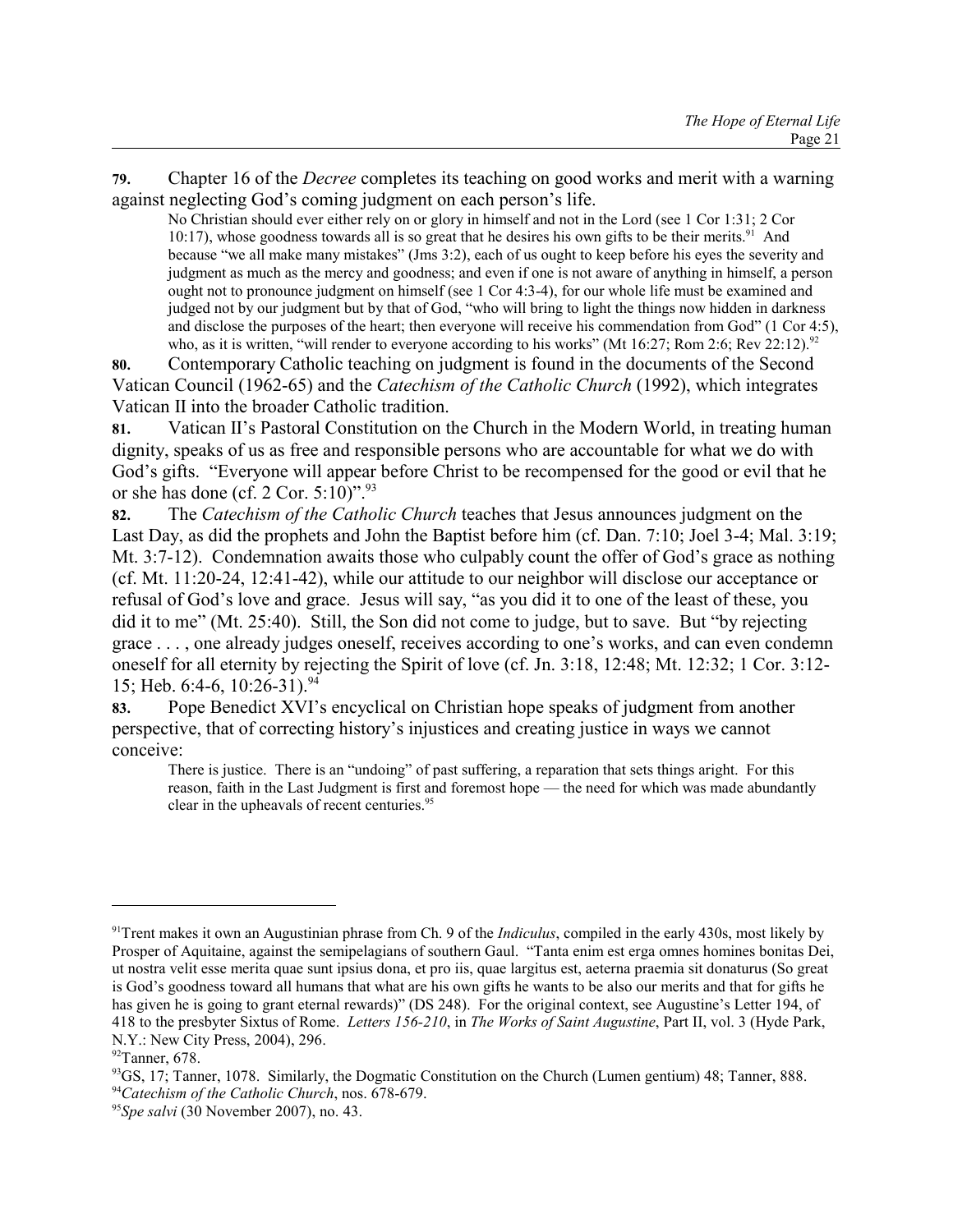79. Chapter 16 of the Decree completes its teaching on good works and merit with a warning against neglecting God's coming judgment on each person's life.

No Christian should ever either rely on or glory in himself and not in the Lord (see 1 Cor 1:31; 2 Cor  $10:17$ ), whose goodness towards all is so great that he desires his own gifts to be their merits.<sup>91</sup> And because "we all make many mistakes" (Jms 3:2), each of us ought to keep before his eyes the severity and judgment as much as the mercy and goodness; and even if one is not aware of anything in himself, a person ought not to pronounce judgment on himself (see 1 Cor 4:3-4), for our whole life must be examined and judged not by our judgment but by that of God, "who will bring to light the things now hidden in darkness and disclose the purposes of the heart; then everyone will receive his commendation from God" (1 Cor 4:5), who, as it is written, "will render to everyone according to his works" (Mt 16:27; Rom 2:6; Rev 22:12).<sup>92</sup>

80. Contemporary Catholic teaching on judgment is found in the documents of the Second Vatican Council (1962-65) and the Catechism of the Catholic Church (1992), which integrates Vatican II into the broader Catholic tradition.

81. Vatican II's Pastoral Constitution on the Church in the Modern World, in treating human dignity, speaks of us as free and responsible persons who are accountable for what we do with God's gifts. "Everyone will appear before Christ to be recompensed for the good or evil that he or she has done (cf. 2 Cor. 5:10)".<sup>93</sup>

82. The Catechism of the Catholic Church teaches that Jesus announces judgment on the Last Day, as did the prophets and John the Baptist before him (cf. Dan. 7:10; Joel 3-4; Mal. 3:19; Mt. 3:7-12). Condemnation awaits those who culpably count the offer of God's grace as nothing (cf. Mt. 11:20-24, 12:41-42), while our attitude to our neighbor will disclose our acceptance or refusal of God's love and grace. Jesus will say, "as you did it to one of the least of these, you did it to me" (Mt. 25:40). Still, the Son did not come to judge, but to save. But "by rejecting grace . . . , one already judges oneself, receives according to one's works, and can even condemn oneself for all eternity by rejecting the Spirit of love (cf. Jn. 3:18, 12:48; Mt. 12:32; 1 Cor. 3:12- 15; Heb. 6:4-6,  $10:26-31$ .<sup>94</sup>

83. Pope Benedict XVI's encyclical on Christian hope speaks of judgment from another perspective, that of correcting history's injustices and creating justice in ways we cannot conceive:

There is justice. There is an "undoing" of past suffering, a reparation that sets things aright. For this reason, faith in the Last Judgment is first and foremost hope — the need for which was made abundantly clear in the upheavals of recent centuries.<sup>95</sup>

 $91$ Trent makes it own an Augustinian phrase from Ch. 9 of the *Indiculus*, compiled in the early 430s, most likely by Prosper of Aquitaine, against the semipelagians of southern Gaul. "Tanta enim est erga omnes homines bonitas Dei, ut nostra velit esse merita quae sunt ipsius dona, et pro iis, quae largitus est, aeterna praemia sit donaturus (So great is God's goodness toward all humans that what are his own gifts he wants to be also our merits and that for gifts he has given he is going to grant eternal rewards)" (DS 248). For the original context, see Augustine's Letter 194, of 418 to the presbyter Sixtus of Rome. Letters 156-210, in The Works of Saint Augustine, Part II, vol. 3 (Hyde Park, N.Y.: New City Press, 2004), 296.

 $92$ Tanner, 678.

<sup>93</sup>GS, 17; Tanner, 1078. Similarly, the Dogmatic Constitution on the Church (Lumen gentium) 48; Tanner, 888.  $94$ Catechism of the Catholic Church, nos. 678-679.

 $95$ Spe salvi (30 November 2007), no. 43.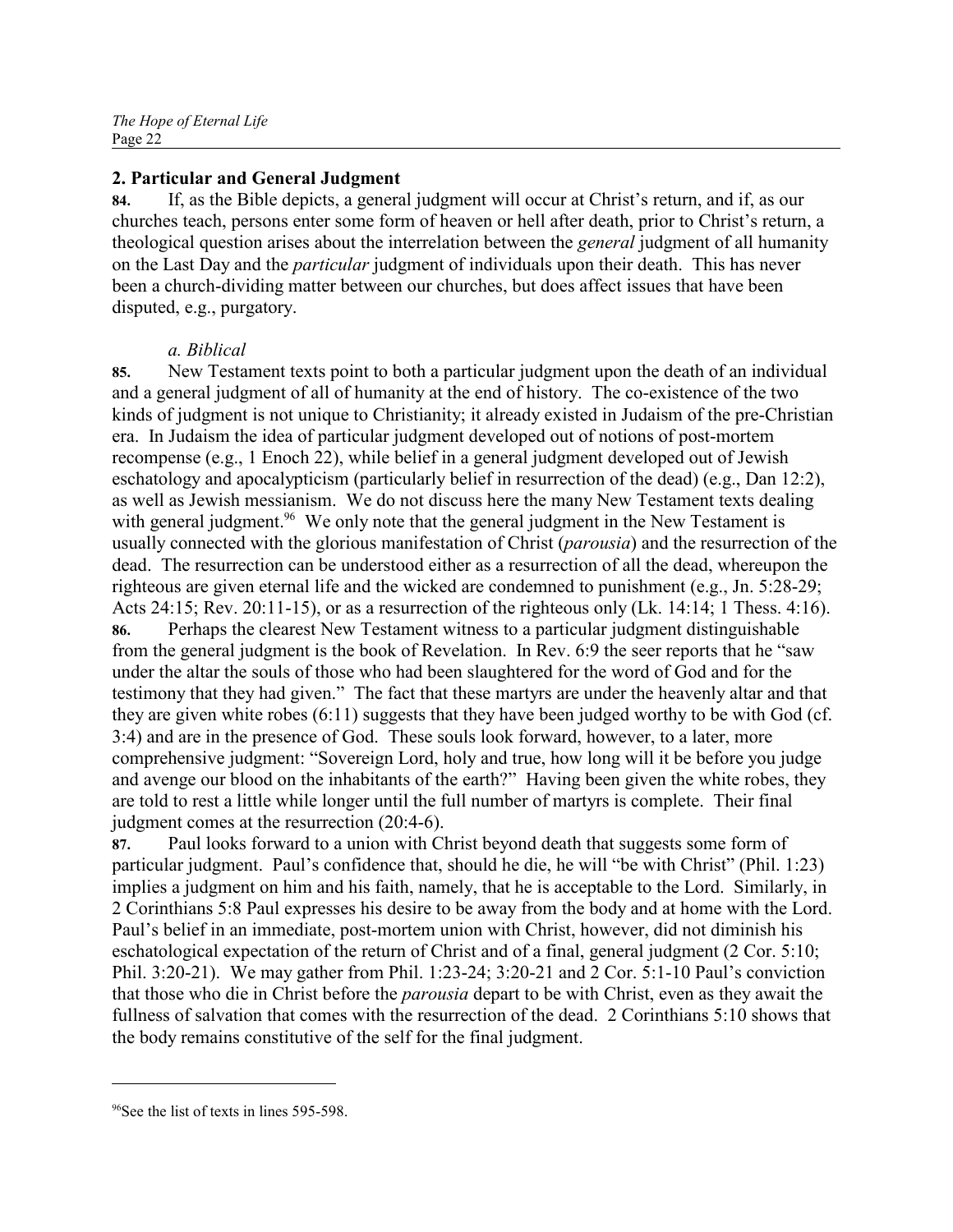#### 2. Particular and General Judgment

84. If, as the Bible depicts, a general judgment will occur at Christ's return, and if, as our churches teach, persons enter some form of heaven or hell after death, prior to Christ's return, a theological question arises about the interrelation between the general judgment of all humanity on the Last Day and the particular judgment of individuals upon their death. This has never been a church-dividing matter between our churches, but does affect issues that have been disputed, e.g., purgatory.

#### a. Biblical

85. New Testament texts point to both a particular judgment upon the death of an individual and a general judgment of all of humanity at the end of history. The co-existence of the two kinds of judgment is not unique to Christianity; it already existed in Judaism of the pre-Christian era. In Judaism the idea of particular judgment developed out of notions of post-mortem recompense (e.g., 1 Enoch 22), while belief in a general judgment developed out of Jewish eschatology and apocalypticism (particularly belief in resurrection of the dead) (e.g., Dan 12:2), as well as Jewish messianism. We do not discuss here the many New Testament texts dealing with general judgment.<sup>96</sup> We only note that the general judgment in the New Testament is usually connected with the glorious manifestation of Christ (parousia) and the resurrection of the dead. The resurrection can be understood either as a resurrection of all the dead, whereupon the righteous are given eternal life and the wicked are condemned to punishment (e.g., Jn. 5:28-29; Acts 24:15; Rev. 20:11-15), or as a resurrection of the righteous only (Lk. 14:14; 1 Thess. 4:16). 86. Perhaps the clearest New Testament witness to a particular judgment distinguishable from the general judgment is the book of Revelation. In Rev. 6:9 the seer reports that he "saw under the altar the souls of those who had been slaughtered for the word of God and for the testimony that they had given." The fact that these martyrs are under the heavenly altar and that they are given white robes (6:11) suggests that they have been judged worthy to be with God (cf. 3:4) and are in the presence of God. These souls look forward, however, to a later, more comprehensive judgment: "Sovereign Lord, holy and true, how long will it be before you judge and avenge our blood on the inhabitants of the earth?" Having been given the white robes, they are told to rest a little while longer until the full number of martyrs is complete. Their final judgment comes at the resurrection (20:4-6).

87. Paul looks forward to a union with Christ beyond death that suggests some form of particular judgment. Paul's confidence that, should he die, he will "be with Christ" (Phil. 1:23) implies a judgment on him and his faith, namely, that he is acceptable to the Lord. Similarly, in 2 Corinthians 5:8 Paul expresses his desire to be away from the body and at home with the Lord. Paul's belief in an immediate, post-mortem union with Christ, however, did not diminish his eschatological expectation of the return of Christ and of a final, general judgment (2 Cor. 5:10; Phil. 3:20-21). We may gather from Phil. 1:23-24; 3:20-21 and 2 Cor. 5:1-10 Paul's conviction that those who die in Christ before the parousia depart to be with Christ, even as they await the fullness of salvation that comes with the resurrection of the dead. 2 Corinthians 5:10 shows that the body remains constitutive of the self for the final judgment.

<sup>96</sup>See the list of texts in lines 595-598.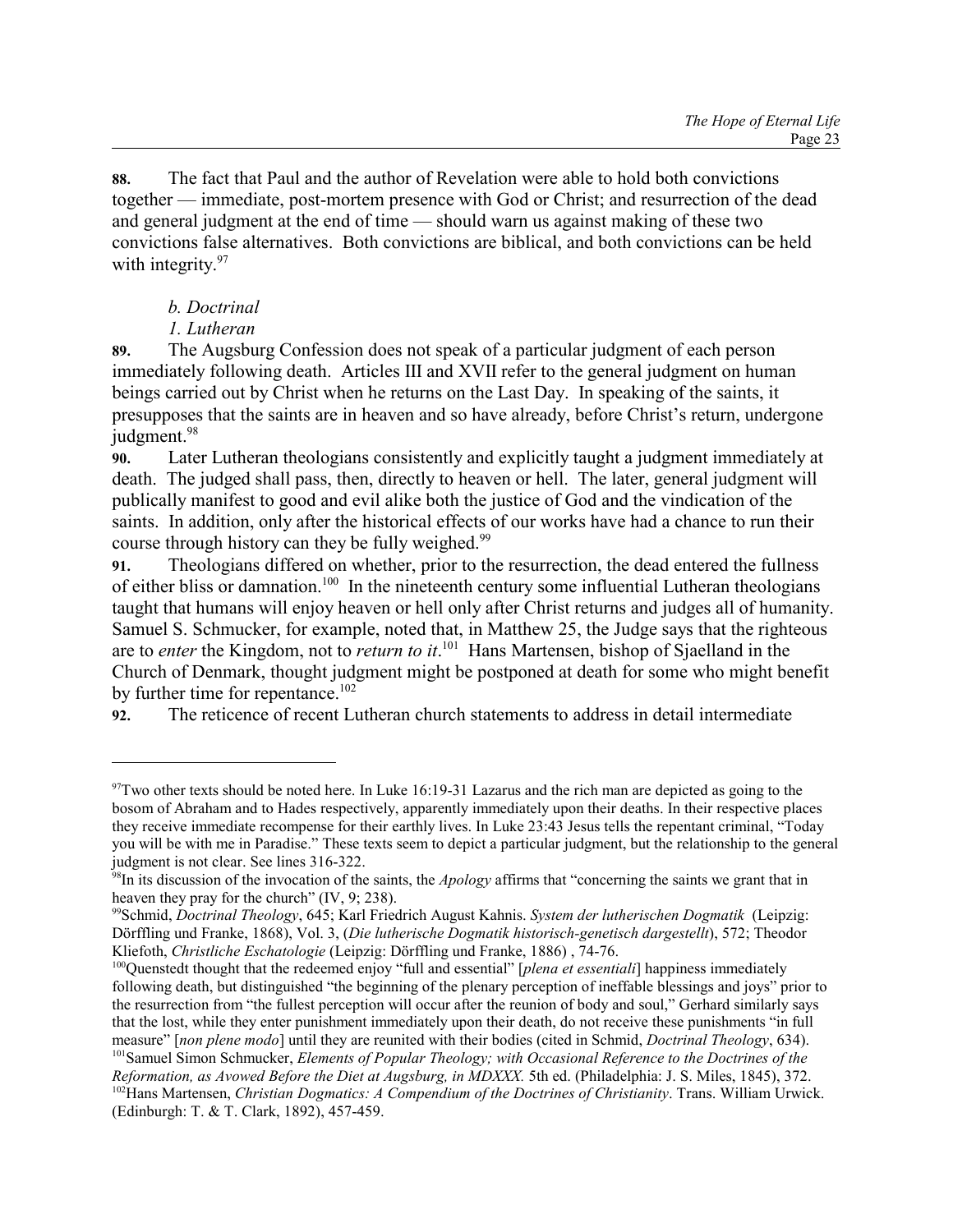88. The fact that Paul and the author of Revelation were able to hold both convictions together — immediate, post-mortem presence with God or Christ; and resurrection of the dead and general judgment at the end of time — should warn us against making of these two convictions false alternatives. Both convictions are biblical, and both convictions can be held with integrity.<sup>97</sup>

#### b. Doctrinal

# 1. Lutheran

89. The Augsburg Confession does not speak of a particular judgment of each person immediately following death. Articles III and XVII refer to the general judgment on human beings carried out by Christ when he returns on the Last Day. In speaking of the saints, it presupposes that the saints are in heaven and so have already, before Christ's return, undergone judgment.<sup>98</sup>

90. Later Lutheran theologians consistently and explicitly taught a judgment immediately at death. The judged shall pass, then, directly to heaven or hell. The later, general judgment will publically manifest to good and evil alike both the justice of God and the vindication of the saints. In addition, only after the historical effects of our works have had a chance to run their course through history can they be fully weighed.<sup>99</sup>

91. Theologians differed on whether, prior to the resurrection, the dead entered the fullness of either bliss or damnation.<sup>100</sup> In the nineteenth century some influential Lutheran theologians taught that humans will enjoy heaven or hell only after Christ returns and judges all of humanity. Samuel S. Schmucker, for example, noted that, in Matthew 25, the Judge says that the righteous are to *enter* the Kingdom, not to *return to it*.<sup>101</sup> Hans Martensen, bishop of Sjaelland in the Church of Denmark, thought judgment might be postponed at death for some who might benefit by further time for repentance.<sup>102</sup>

92. The reticence of recent Lutheran church statements to address in detail intermediate

 $97$ Two other texts should be noted here. In Luke 16:19-31 Lazarus and the rich man are depicted as going to the bosom of Abraham and to Hades respectively, apparently immediately upon their deaths. In their respective places they receive immediate recompense for their earthly lives. In Luke 23:43 Jesus tells the repentant criminal, "Today you will be with me in Paradise." These texts seem to depict a particular judgment, but the relationship to the general judgment is not clear. See lines 316-322.

 $\frac{98}{2}$ In its discussion of the invocation of the saints, the *Apology* affirms that "concerning the saints we grant that in heaven they pray for the church" (IV, 9; 238).

<sup>99</sup>Schmid, Doctrinal Theology, 645; Karl Friedrich August Kahnis. System der lutherischen Dogmatik (Leipzig: Dörffling und Franke, 1868), Vol. 3, (Die lutherische Dogmatik historisch-genetisch dargestellt), 572; Theodor Kliefoth, Christliche Eschatologie (Leipzig: Dörffling und Franke, 1886) , 74-76.

<sup>&</sup>lt;sup>100</sup>Quenstedt thought that the redeemed enjoy "full and essential" [plena et essentiali] happiness immediately following death, but distinguished "the beginning of the plenary perception of ineffable blessings and joys" prior to the resurrection from "the fullest perception will occur after the reunion of body and soul," Gerhard similarly says that the lost, while they enter punishment immediately upon their death, do not receive these punishments "in full measure" [non plene modo] until they are reunited with their bodies (cited in Schmid, Doctrinal Theology, 634). <sup>101</sup>Samuel Simon Schmucker, Elements of Popular Theology; with Occasional Reference to the Doctrines of the

Reformation, as Avowed Before the Diet at Augsburg, in MDXXX. 5th ed. (Philadelphia: J. S. Miles, 1845), 372.  $102$ Hans Martensen, Christian Dogmatics: A Compendium of the Doctrines of Christianity. Trans. William Urwick. (Edinburgh: T. & T. Clark, 1892), 457-459.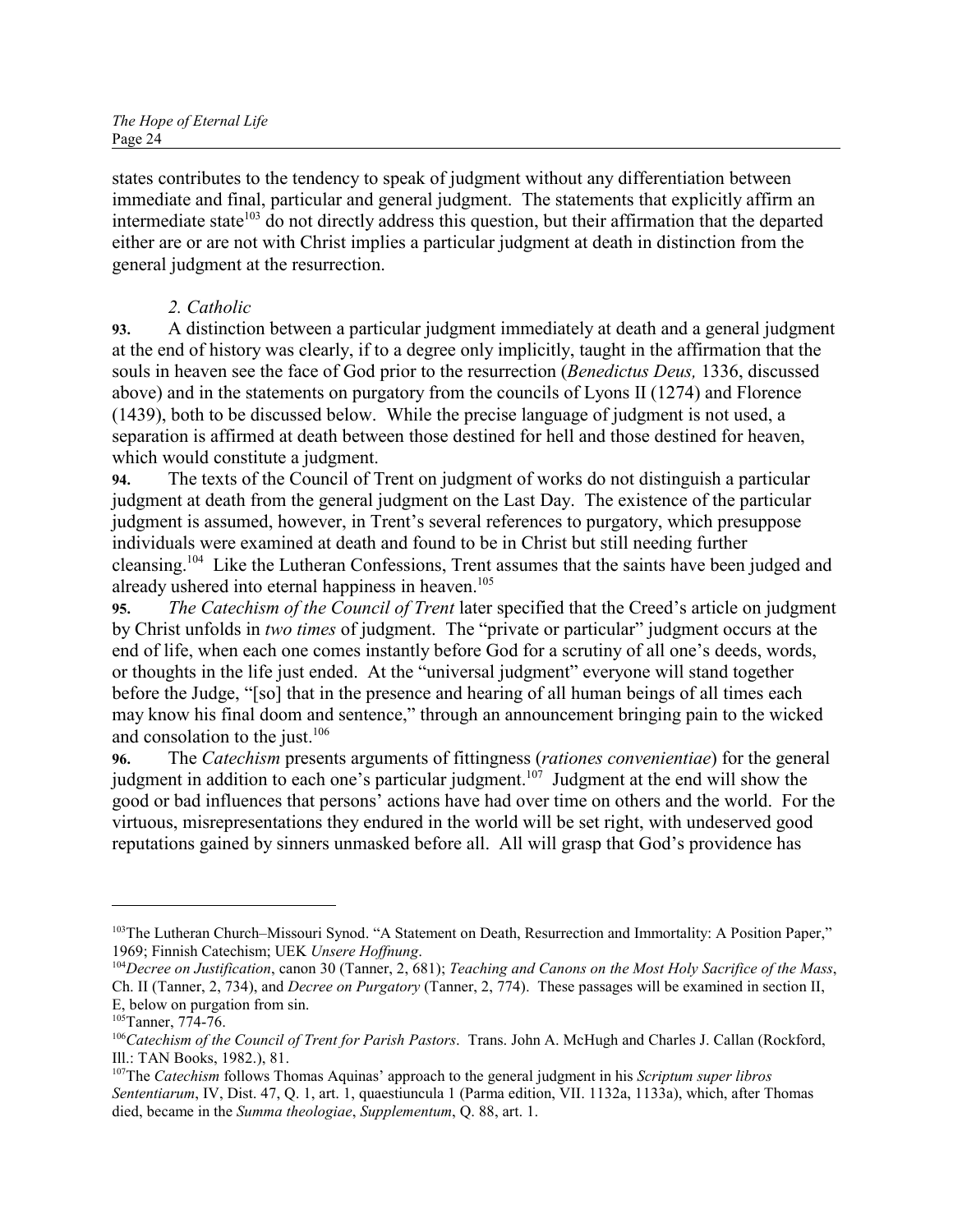states contributes to the tendency to speak of judgment without any differentiation between immediate and final, particular and general judgment. The statements that explicitly affirm an intermediate state<sup>103</sup> do not directly address this question, but their affirmation that the departed either are or are not with Christ implies a particular judgment at death in distinction from the general judgment at the resurrection.

# 2. Catholic

93. A distinction between a particular judgment immediately at death and a general judgment at the end of history was clearly, if to a degree only implicitly, taught in the affirmation that the souls in heaven see the face of God prior to the resurrection (Benedictus Deus, 1336, discussed above) and in the statements on purgatory from the councils of Lyons II (1274) and Florence (1439), both to be discussed below. While the precise language of judgment is not used, a separation is affirmed at death between those destined for hell and those destined for heaven, which would constitute a judgment.

94. The texts of the Council of Trent on judgment of works do not distinguish a particular judgment at death from the general judgment on the Last Day. The existence of the particular judgment is assumed, however, in Trent's several references to purgatory, which presuppose individuals were examined at death and found to be in Christ but still needing further cleansing.<sup>104</sup> Like the Lutheran Confessions, Trent assumes that the saints have been judged and already ushered into eternal happiness in heaven.<sup>105</sup>

95. The Catechism of the Council of Trent later specified that the Creed's article on judgment by Christ unfolds in two times of judgment. The "private or particular" judgment occurs at the end of life, when each one comes instantly before God for a scrutiny of all one's deeds, words, or thoughts in the life just ended. At the "universal judgment" everyone will stand together before the Judge, "[so] that in the presence and hearing of all human beings of all times each may know his final doom and sentence," through an announcement bringing pain to the wicked and consolation to the just.<sup>106</sup>

96. The Catechism presents arguments of fittingness (rationes convenientiae) for the general judgment in addition to each one's particular judgment.<sup>107</sup> Judgment at the end will show the good or bad influences that persons' actions have had over time on others and the world. For the virtuous, misrepresentations they endured in the world will be set right, with undeserved good reputations gained by sinners unmasked before all. All will grasp that God's providence has

<sup>&</sup>lt;sup>103</sup>The Lutheran Church–Missouri Synod. "A Statement on Death, Resurrection and Immortality: A Position Paper." 1969; Finnish Catechism; UEK Unsere Hoffnung.

 $104$  Decree on Justification, canon 30 (Tanner, 2, 681); Teaching and Canons on the Most Holy Sacrifice of the Mass, Ch. II (Tanner, 2, 734), and Decree on Purgatory (Tanner, 2, 774). These passages will be examined in section II, E, below on purgation from sin.

 $105$ Tanner, 774-76.

 $106$ Catechism of the Council of Trent for Parish Pastors. Trans. John A. McHugh and Charles J. Callan (Rockford, Ill.: TAN Books, 1982.), 81.

<sup>&</sup>lt;sup>107</sup>The Catechism follows Thomas Aquinas' approach to the general judgment in his Scriptum super libros Sententiarum, IV, Dist. 47, Q. 1, art. 1, quaestiuncula 1 (Parma edition, VII. 1132a, 1133a), which, after Thomas died, became in the Summa theologiae, Supplementum, Q. 88, art. 1.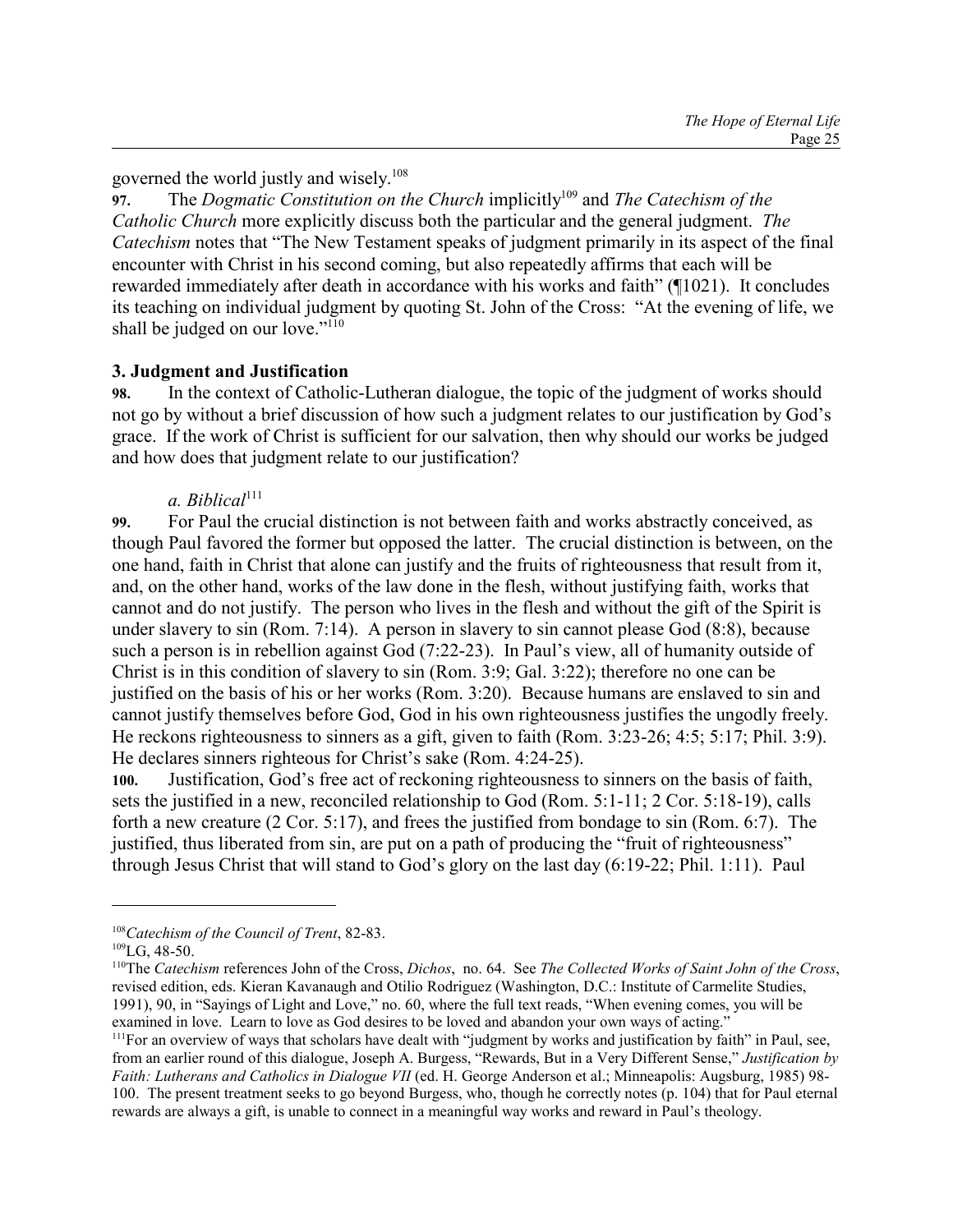governed the world justly and wisely.<sup>108</sup>

97. The Dogmatic Constitution on the Church implicitly<sup>109</sup> and The Catechism of the Catholic Church more explicitly discuss both the particular and the general judgment. The Catechism notes that "The New Testament speaks of judgment primarily in its aspect of the final encounter with Christ in his second coming, but also repeatedly affirms that each will be rewarded immediately after death in accordance with his works and faith" (¶1021). It concludes its teaching on individual judgment by quoting St. John of the Cross: "At the evening of life, we shall be judged on our love."<sup>110</sup>

#### 3. Judgment and Justification

98. In the context of Catholic-Lutheran dialogue, the topic of the judgment of works should not go by without a brief discussion of how such a judgment relates to our justification by God's grace. If the work of Christ is sufficient for our salvation, then why should our works be judged and how does that judgment relate to our justification?

 $a. Bhlical<sup>111</sup>$ 

99. For Paul the crucial distinction is not between faith and works abstractly conceived, as though Paul favored the former but opposed the latter. The crucial distinction is between, on the one hand, faith in Christ that alone can justify and the fruits of righteousness that result from it, and, on the other hand, works of the law done in the flesh, without justifying faith, works that cannot and do not justify. The person who lives in the flesh and without the gift of the Spirit is under slavery to sin (Rom. 7:14). A person in slavery to sin cannot please God (8:8), because such a person is in rebellion against God (7:22-23). In Paul's view, all of humanity outside of Christ is in this condition of slavery to sin (Rom. 3:9; Gal. 3:22); therefore no one can be justified on the basis of his or her works (Rom. 3:20). Because humans are enslaved to sin and cannot justify themselves before God, God in his own righteousness justifies the ungodly freely. He reckons righteousness to sinners as a gift, given to faith (Rom. 3:23-26; 4:5; 5:17; Phil. 3:9). He declares sinners righteous for Christ's sake (Rom. 4:24-25).

100. Justification, God's free act of reckoning righteousness to sinners on the basis of faith, sets the justified in a new, reconciled relationship to God (Rom. 5:1-11; 2 Cor. 5:18-19), calls forth a new creature (2 Cor. 5:17), and frees the justified from bondage to sin (Rom. 6:7). The justified, thus liberated from sin, are put on a path of producing the "fruit of righteousness" through Jesus Christ that will stand to God's glory on the last day (6:19-22; Phil. 1:11). Paul

 $108$ Catechism of the Council of Trent, 82-83.

 $109$ LG, 48-50.

 $110$ The Catechism references John of the Cross, Dichos, no. 64. See The Collected Works of Saint John of the Cross, revised edition, eds. Kieran Kavanaugh and Otilio Rodriguez (Washington, D.C.: Institute of Carmelite Studies, 1991), 90, in "Sayings of Light and Love," no. 60, where the full text reads, "When evening comes, you will be examined in love. Learn to love as God desires to be loved and abandon your own ways of acting."

 $111$  For an overview of ways that scholars have dealt with "judgment by works and justification by faith" in Paul, see, from an earlier round of this dialogue, Joseph A. Burgess, "Rewards, But in a Very Different Sense," Justification by Faith: Lutherans and Catholics in Dialogue VII (ed. H. George Anderson et al.; Minneapolis: Augsburg, 1985) 98- 100. The present treatment seeks to go beyond Burgess, who, though he correctly notes (p. 104) that for Paul eternal rewards are always a gift, is unable to connect in a meaningful way works and reward in Paul's theology.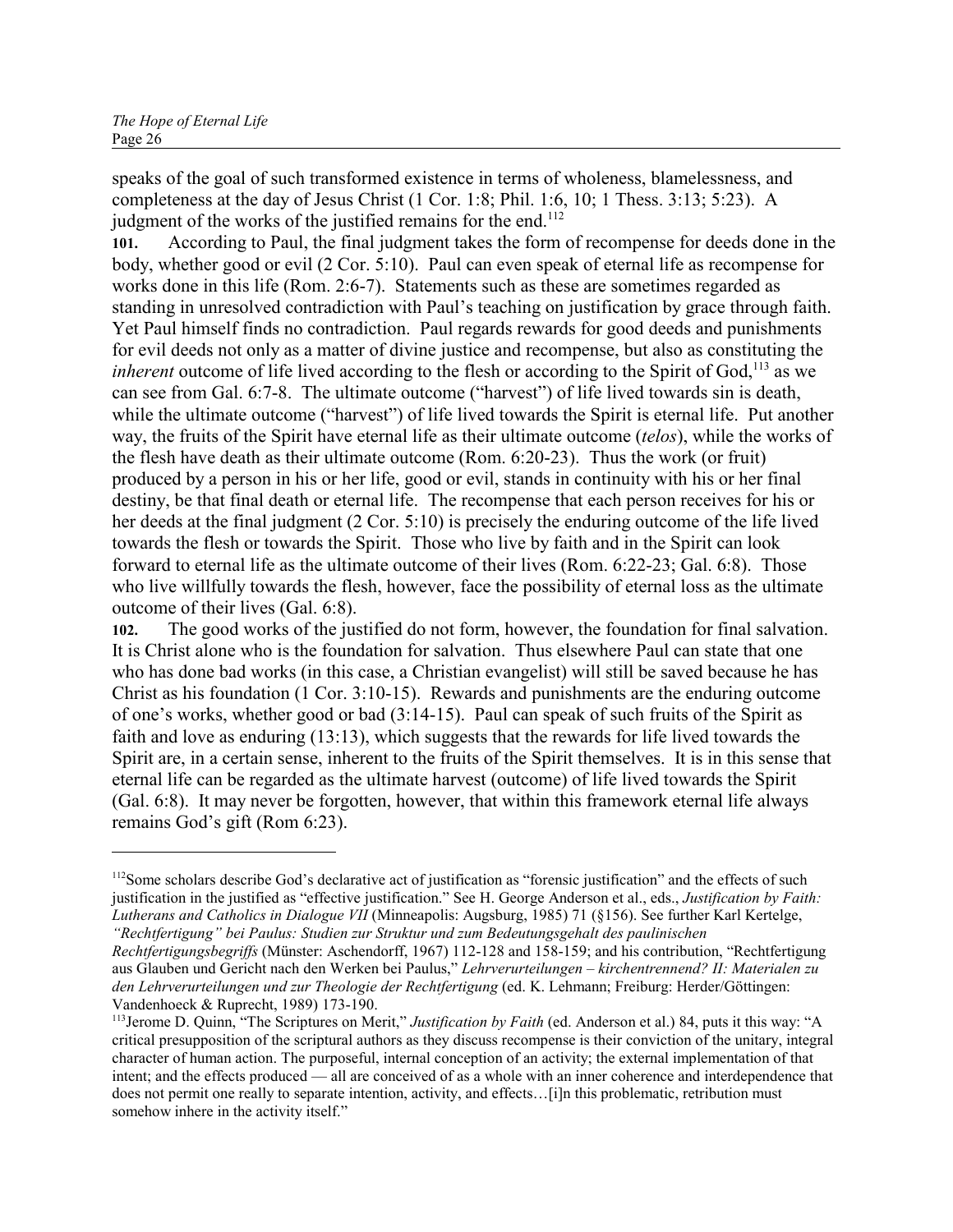speaks of the goal of such transformed existence in terms of wholeness, blamelessness, and completeness at the day of Jesus Christ (1 Cor. 1:8; Phil. 1:6, 10; 1 Thess. 3:13; 5:23). A judgment of the works of the justified remains for the end.<sup>112</sup>

101. According to Paul, the final judgment takes the form of recompense for deeds done in the body, whether good or evil (2 Cor. 5:10). Paul can even speak of eternal life as recompense for works done in this life (Rom. 2:6-7). Statements such as these are sometimes regarded as standing in unresolved contradiction with Paul's teaching on justification by grace through faith. Yet Paul himself finds no contradiction. Paul regards rewards for good deeds and punishments for evil deeds not only as a matter of divine justice and recompense, but also as constituting the inherent outcome of life lived according to the flesh or according to the Spirit of God,<sup>113</sup> as we can see from Gal. 6:7-8. The ultimate outcome ("harvest") of life lived towards sin is death, while the ultimate outcome ("harvest") of life lived towards the Spirit is eternal life. Put another way, the fruits of the Spirit have eternal life as their ultimate outcome (telos), while the works of the flesh have death as their ultimate outcome (Rom. 6:20-23). Thus the work (or fruit) produced by a person in his or her life, good or evil, stands in continuity with his or her final destiny, be that final death or eternal life. The recompense that each person receives for his or her deeds at the final judgment (2 Cor. 5:10) is precisely the enduring outcome of the life lived towards the flesh or towards the Spirit. Those who live by faith and in the Spirit can look forward to eternal life as the ultimate outcome of their lives (Rom. 6:22-23; Gal. 6:8). Those who live willfully towards the flesh, however, face the possibility of eternal loss as the ultimate outcome of their lives (Gal. 6:8).

102. The good works of the justified do not form, however, the foundation for final salvation. It is Christ alone who is the foundation for salvation. Thus elsewhere Paul can state that one who has done bad works (in this case, a Christian evangelist) will still be saved because he has Christ as his foundation (1 Cor. 3:10-15). Rewards and punishments are the enduring outcome of one's works, whether good or bad (3:14-15). Paul can speak of such fruits of the Spirit as faith and love as enduring (13:13), which suggests that the rewards for life lived towards the Spirit are, in a certain sense, inherent to the fruits of the Spirit themselves. It is in this sense that eternal life can be regarded as the ultimate harvest (outcome) of life lived towards the Spirit (Gal. 6:8). It may never be forgotten, however, that within this framework eternal life always remains God's gift (Rom 6:23).

<sup>&</sup>lt;sup>112</sup>Some scholars describe God's declarative act of justification as "forensic justification" and the effects of such justification in the justified as "effective justification." See H. George Anderson et al., eds., Justification by Faith: Lutherans and Catholics in Dialogue VII (Minneapolis: Augsburg, 1985) 71 (§156). See further Karl Kertelge, "Rechtfertigung" bei Paulus: Studien zur Struktur und zum Bedeutungsgehalt des paulinischen

Rechtfertigungsbegriffs (Münster: Aschendorff, 1967) 112-128 and 158-159; and his contribution, "Rechtfertigung aus Glauben und Gericht nach den Werken bei Paulus," Lehrverurteilungen – kirchentrennend? II: Materialen zu den Lehrverurteilungen und zur Theologie der Rechtfertigung (ed. K. Lehmann; Freiburg: Herder/Göttingen: Vandenhoeck & Ruprecht, 1989) 173-190.

<sup>&</sup>lt;sup>113</sup>Jerome D. Quinn, "The Scriptures on Merit," Justification by Faith (ed. Anderson et al.) 84, puts it this way: "A critical presupposition of the scriptural authors as they discuss recompense is their conviction of the unitary, integral character of human action. The purposeful, internal conception of an activity; the external implementation of that intent; and the effects produced — all are conceived of as a whole with an inner coherence and interdependence that does not permit one really to separate intention, activity, and effects…[i]n this problematic, retribution must somehow inhere in the activity itself."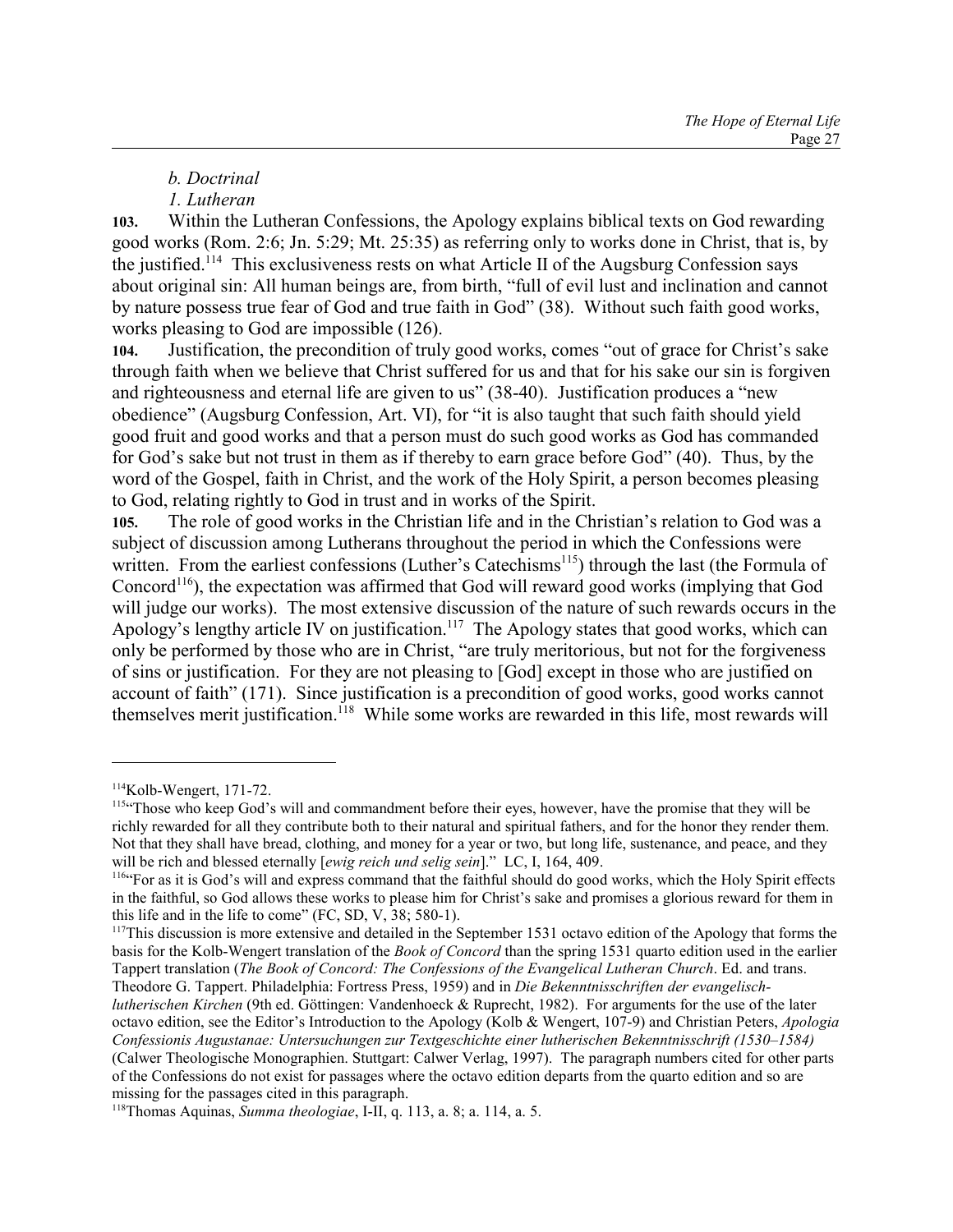# b. Doctrinal

1. Lutheran

103. Within the Lutheran Confessions, the Apology explains biblical texts on God rewarding good works (Rom. 2:6; Jn. 5:29; Mt. 25:35) as referring only to works done in Christ, that is, by the justified.<sup>114</sup> This exclusiveness rests on what Article II of the Augsburg Confession says about original sin: All human beings are, from birth, "full of evil lust and inclination and cannot by nature possess true fear of God and true faith in God" (38). Without such faith good works, works pleasing to God are impossible (126).

104. Justification, the precondition of truly good works, comes "out of grace for Christ's sake through faith when we believe that Christ suffered for us and that for his sake our sin is forgiven and righteousness and eternal life are given to us" (38-40). Justification produces a "new obedience" (Augsburg Confession, Art. VI), for "it is also taught that such faith should yield good fruit and good works and that a person must do such good works as God has commanded for God's sake but not trust in them as if thereby to earn grace before God" (40). Thus, by the word of the Gospel, faith in Christ, and the work of the Holy Spirit, a person becomes pleasing to God, relating rightly to God in trust and in works of the Spirit.

105. The role of good works in the Christian life and in the Christian's relation to God was a subject of discussion among Lutherans throughout the period in which the Confessions were written. From the earliest confessions (Luther's Catechisms<sup>115</sup>) through the last (the Formula of Concord<sup>116</sup>), the expectation was affirmed that God will reward good works (implying that God will judge our works). The most extensive discussion of the nature of such rewards occurs in the Apology's lengthy article IV on justification.<sup>117</sup> The Apology states that good works, which can only be performed by those who are in Christ, "are truly meritorious, but not for the forgiveness of sins or justification. For they are not pleasing to [God] except in those who are justified on account of faith" (171). Since justification is a precondition of good works, good works cannot themselves merit justification.<sup>118</sup> While some works are rewarded in this life, most rewards will

 $114$ Kolb-Wengert, 171-72.

<sup>115</sup>"Those who keep God's will and commandment before their eyes, however, have the promise that they will be richly rewarded for all they contribute both to their natural and spiritual fathers, and for the honor they render them. Not that they shall have bread, clothing, and money for a year or two, but long life, sustenance, and peace, and they will be rich and blessed eternally [ewig reich und selig sein]." LC, I, 164, 409.

<sup>116</sup>"For as it is God's will and express command that the faithful should do good works, which the Holy Spirit effects in the faithful, so God allows these works to please him for Christ's sake and promises a glorious reward for them in this life and in the life to come" (FC, SD, V, 38; 580-1).

 $117$ This discussion is more extensive and detailed in the September 1531 octavo edition of the Apology that forms the basis for the Kolb-Wengert translation of the Book of Concord than the spring 1531 quarto edition used in the earlier Tappert translation (The Book of Concord: The Confessions of the Evangelical Lutheran Church. Ed. and trans. Theodore G. Tappert. Philadelphia: Fortress Press, 1959) and in Die Bekenntnisschriften der evangelisch-

lutherischen Kirchen (9th ed. Göttingen: Vandenhoeck & Ruprecht, 1982). For arguments for the use of the later octavo edition, see the Editor's Introduction to the Apology (Kolb & Wengert, 107-9) and Christian Peters, Apologia Confessionis Augustanae: Untersuchungen zur Textgeschichte einer lutherischen Bekenntnisschrift (1530–1584) (Calwer Theologische Monographien. Stuttgart: Calwer Verlag, 1997). The paragraph numbers cited for other parts of the Confessions do not exist for passages where the octavo edition departs from the quarto edition and so are missing for the passages cited in this paragraph.

<sup>&</sup>lt;sup>118</sup>Thomas Aquinas, Summa theologiae, I-II, q. 113, a. 8; a. 114, a. 5.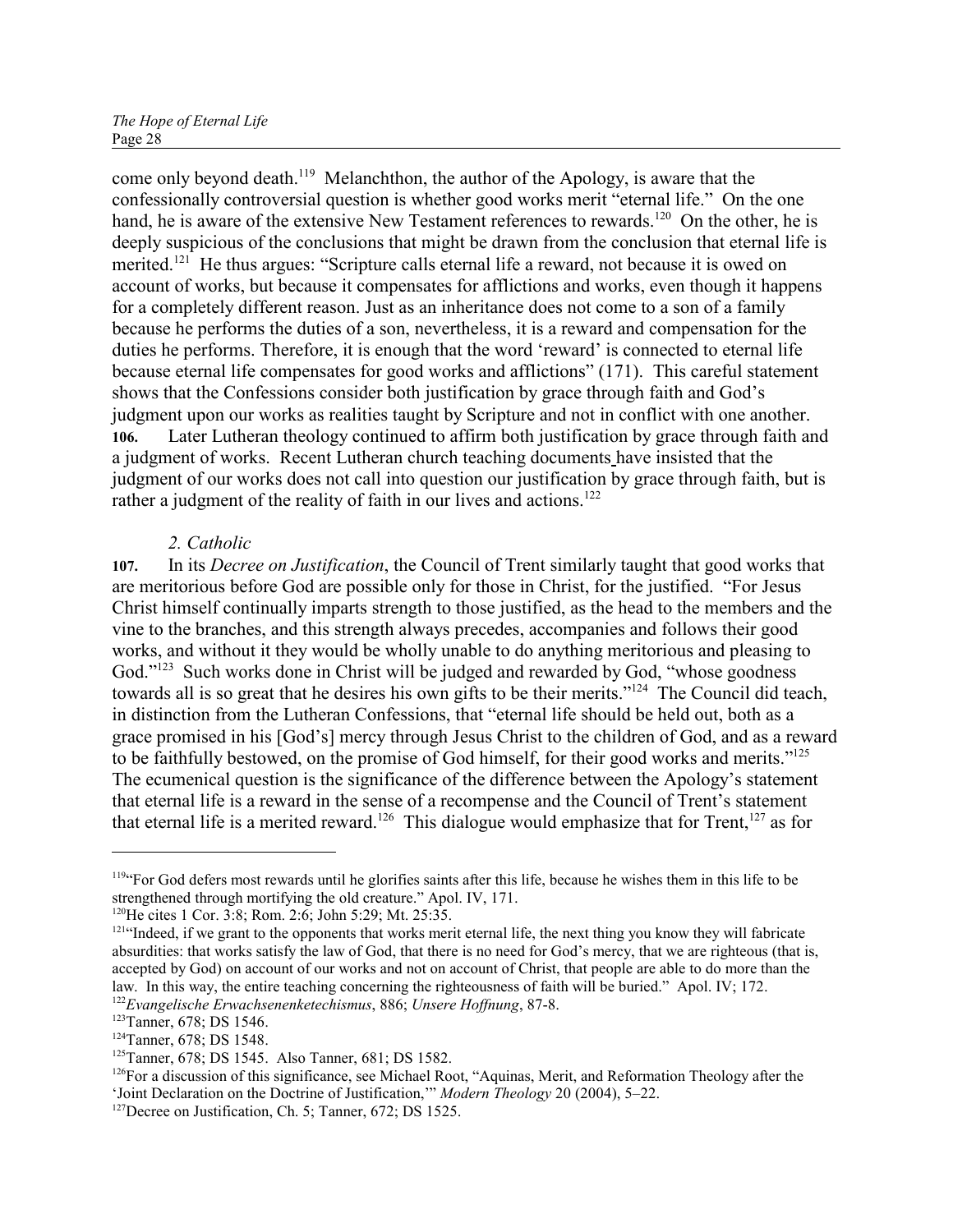come only beyond death.<sup>119</sup> Melanchthon, the author of the Apology, is aware that the confessionally controversial question is whether good works merit "eternal life." On the one hand, he is aware of the extensive New Testament references to rewards.<sup>120</sup> On the other, he is deeply suspicious of the conclusions that might be drawn from the conclusion that eternal life is merited.<sup>121</sup> He thus argues: "Scripture calls eternal life a reward, not because it is owed on account of works, but because it compensates for afflictions and works, even though it happens for a completely different reason. Just as an inheritance does not come to a son of a family because he performs the duties of a son, nevertheless, it is a reward and compensation for the duties he performs. Therefore, it is enough that the word 'reward' is connected to eternal life because eternal life compensates for good works and afflictions" (171). This careful statement shows that the Confessions consider both justification by grace through faith and God's judgment upon our works as realities taught by Scripture and not in conflict with one another. 106. Later Lutheran theology continued to affirm both justification by grace through faith and a judgment of works. Recent Lutheran church teaching documents have insisted that the judgment of our works does not call into question our justification by grace through faith, but is rather a judgment of the reality of faith in our lives and actions.<sup>122</sup>

#### 2. Catholic

107. In its *Decree on Justification*, the Council of Trent similarly taught that good works that are meritorious before God are possible only for those in Christ, for the justified. "For Jesus Christ himself continually imparts strength to those justified, as the head to the members and the vine to the branches, and this strength always precedes, accompanies and follows their good works, and without it they would be wholly unable to do anything meritorious and pleasing to God."<sup>123</sup> Such works done in Christ will be judged and rewarded by God, "whose goodness" towards all is so great that he desires his own gifts to be their merits."<sup>124</sup> The Council did teach, in distinction from the Lutheran Confessions, that "eternal life should be held out, both as a grace promised in his [God's] mercy through Jesus Christ to the children of God, and as a reward to be faithfully bestowed, on the promise of God himself, for their good works and merits."<sup>125</sup> The ecumenical question is the significance of the difference between the Apology's statement that eternal life is a reward in the sense of a recompense and the Council of Trent's statement that eternal life is a merited reward.<sup>126</sup> This dialogue would emphasize that for Trent,<sup>127</sup> as for

<sup>&</sup>lt;sup>119</sup> For God defers most rewards until he glorifies saints after this life, because he wishes them in this life to be strengthened through mortifying the old creature." Apol. IV, 171.

<sup>120</sup>He cites 1 Cor. 3:8; Rom. 2:6; John 5:29; Mt. 25:35.

<sup>&</sup>lt;sup>121"</sup>Indeed, if we grant to the opponents that works merit eternal life, the next thing you know they will fabricate absurdities: that works satisfy the law of God, that there is no need for God's mercy, that we are righteous (that is, accepted by God) on account of our works and not on account of Christ, that people are able to do more than the law. In this way, the entire teaching concerning the righteousness of faith will be buried." Apol. IV; 172.  $122$ Evangelische Erwachsenenketechismus, 886; Unsere Hoffnung, 87-8.

<sup>&</sup>lt;sup>123</sup>Tanner, 678; DS 1546.

<sup>&</sup>lt;sup>124</sup>Tanner, 678; DS 1548.

<sup>125</sup>Tanner, 678; DS 1545. Also Tanner, 681; DS 1582.

<sup>&</sup>lt;sup>126</sup>For a discussion of this significance, see Michael Root, "Aquinas, Merit, and Reformation Theology after the 'Joint Declaration on the Doctrine of Justification,'" Modern Theology 20 (2004), 5–22.

<sup>&</sup>lt;sup>127</sup>Decree on Justification, Ch. 5; Tanner, 672; DS 1525.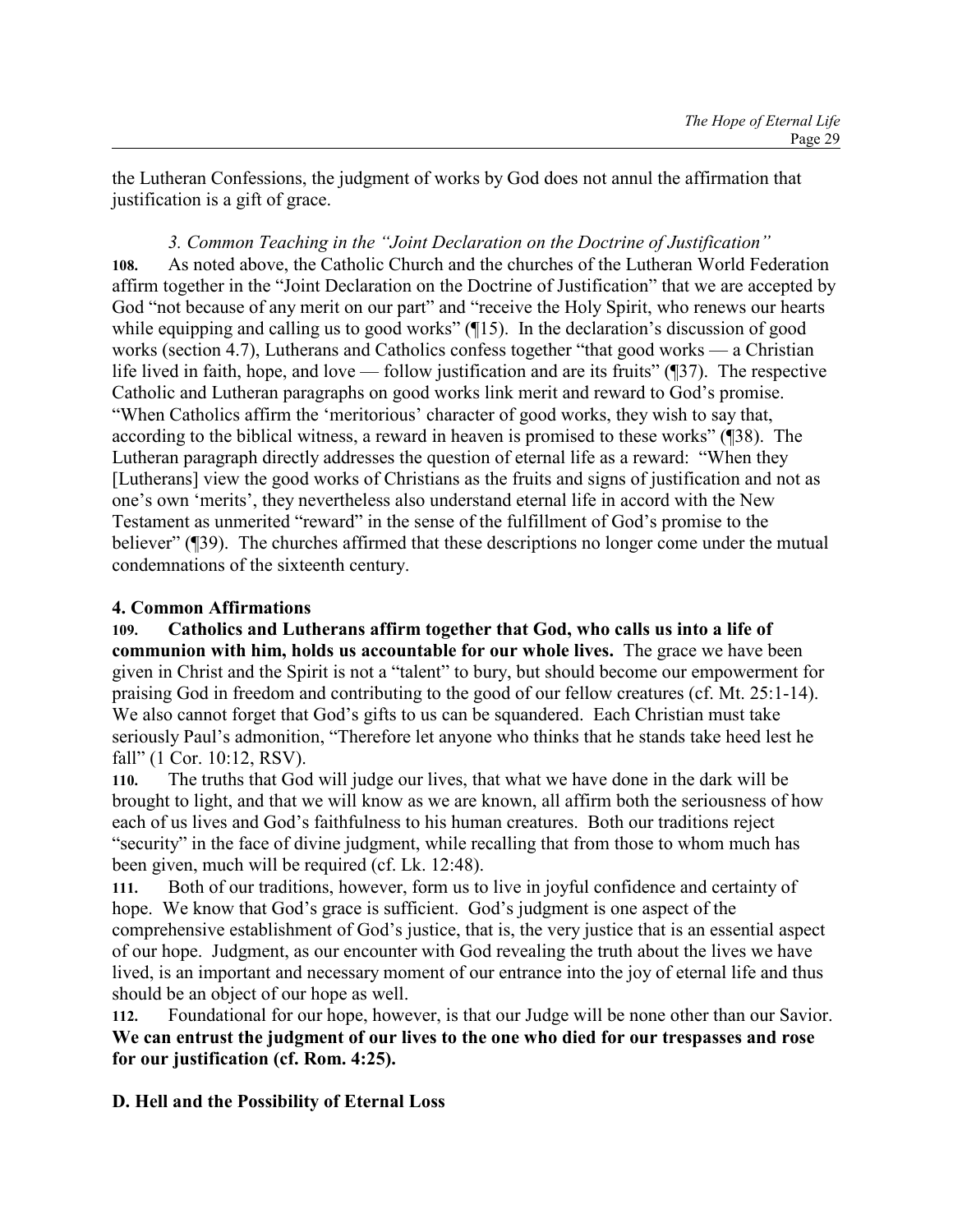the Lutheran Confessions, the judgment of works by God does not annul the affirmation that justification is a gift of grace.

3. Common Teaching in the "Joint Declaration on the Doctrine of Justification" 108. As noted above, the Catholic Church and the churches of the Lutheran World Federation affirm together in the "Joint Declaration on the Doctrine of Justification" that we are accepted by God "not because of any merit on our part" and "receive the Holy Spirit, who renews our hearts while equipping and calling us to good works" ( $\P$ 15). In the declaration's discussion of good works (section 4.7), Lutherans and Catholics confess together "that good works — a Christian life lived in faith, hope, and love — follow justification and are its fruits" (¶37). The respective Catholic and Lutheran paragraphs on good works link merit and reward to God's promise. "When Catholics affirm the 'meritorious' character of good works, they wish to say that, according to the biblical witness, a reward in heaven is promised to these works" (¶38). The Lutheran paragraph directly addresses the question of eternal life as a reward: "When they [Lutherans] view the good works of Christians as the fruits and signs of justification and not as one's own 'merits', they nevertheless also understand eternal life in accord with the New Testament as unmerited "reward" in the sense of the fulfillment of God's promise to the believer" (¶39). The churches affirmed that these descriptions no longer come under the mutual condemnations of the sixteenth century.

# 4. Common Affirmations

109. Catholics and Lutherans affirm together that God, who calls us into a life of communion with him, holds us accountable for our whole lives. The grace we have been given in Christ and the Spirit is not a "talent" to bury, but should become our empowerment for praising God in freedom and contributing to the good of our fellow creatures (cf. Mt. 25:1-14). We also cannot forget that God's gifts to us can be squandered. Each Christian must take seriously Paul's admonition, "Therefore let anyone who thinks that he stands take heed lest he fall" (1 Cor. 10:12, RSV).

110. The truths that God will judge our lives, that what we have done in the dark will be brought to light, and that we will know as we are known, all affirm both the seriousness of how each of us lives and God's faithfulness to his human creatures. Both our traditions reject "security" in the face of divine judgment, while recalling that from those to whom much has been given, much will be required (cf. Lk. 12:48).

111. Both of our traditions, however, form us to live in joyful confidence and certainty of hope. We know that God's grace is sufficient. God's judgment is one aspect of the comprehensive establishment of God's justice, that is, the very justice that is an essential aspect of our hope. Judgment, as our encounter with God revealing the truth about the lives we have lived, is an important and necessary moment of our entrance into the joy of eternal life and thus should be an object of our hope as well.

112. Foundational for our hope, however, is that our Judge will be none other than our Savior. We can entrust the judgment of our lives to the one who died for our trespasses and rose for our justification (cf. Rom. 4:25).

# D. Hell and the Possibility of Eternal Loss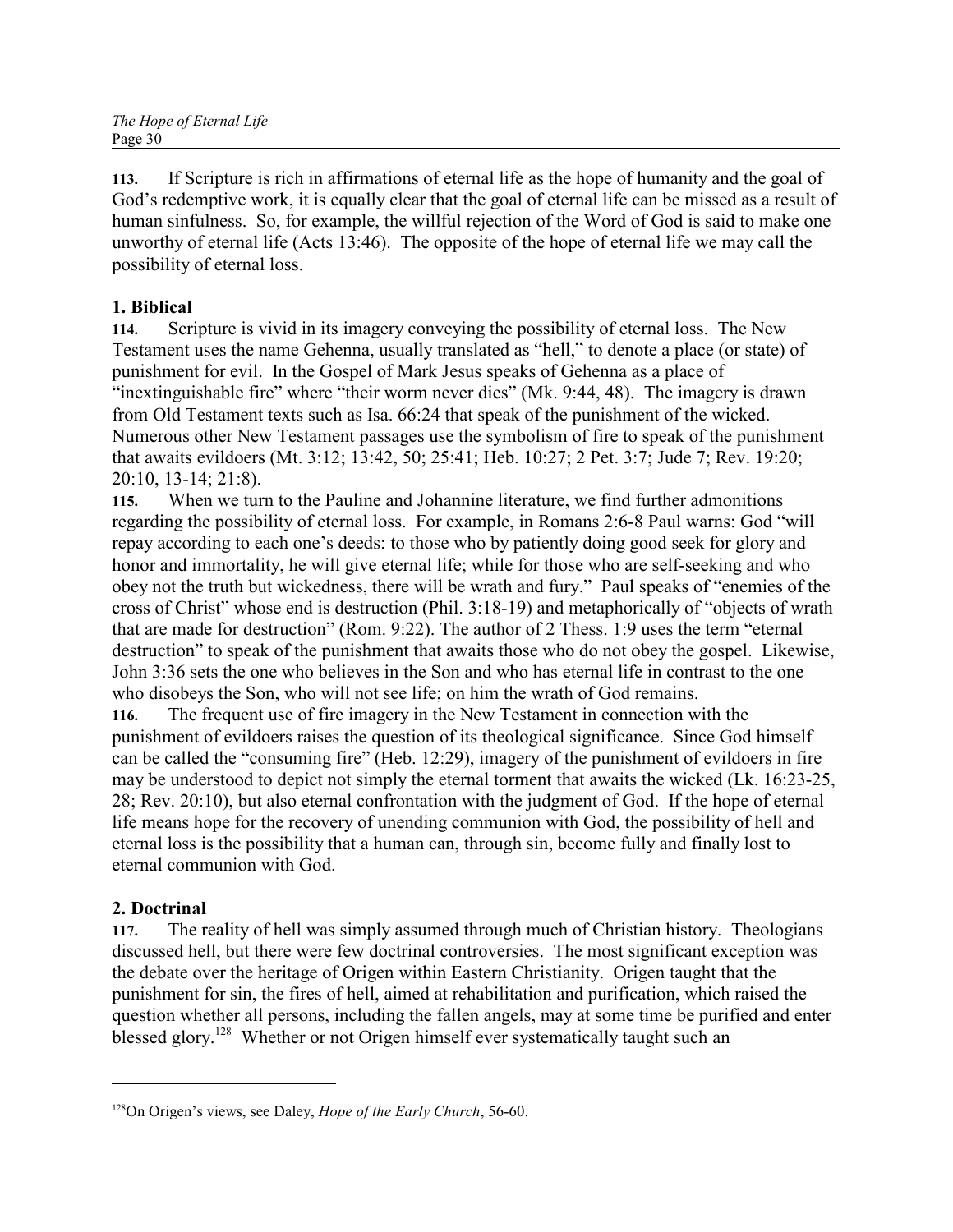113. If Scripture is rich in affirmations of eternal life as the hope of humanity and the goal of God's redemptive work, it is equally clear that the goal of eternal life can be missed as a result of human sinfulness. So, for example, the willful rejection of the Word of God is said to make one unworthy of eternal life (Acts 13:46). The opposite of the hope of eternal life we may call the possibility of eternal loss.

# 1. Biblical

114. Scripture is vivid in its imagery conveying the possibility of eternal loss. The New Testament uses the name Gehenna, usually translated as "hell," to denote a place (or state) of punishment for evil. In the Gospel of Mark Jesus speaks of Gehenna as a place of "inextinguishable fire" where "their worm never dies" (Mk. 9:44, 48). The imagery is drawn from Old Testament texts such as Isa. 66:24 that speak of the punishment of the wicked. Numerous other New Testament passages use the symbolism of fire to speak of the punishment that awaits evildoers (Mt. 3:12; 13:42, 50; 25:41; Heb. 10:27; 2 Pet. 3:7; Jude 7; Rev. 19:20; 20:10, 13-14; 21:8).

115. When we turn to the Pauline and Johannine literature, we find further admonitions regarding the possibility of eternal loss. For example, in Romans 2:6-8 Paul warns: God "will repay according to each one's deeds: to those who by patiently doing good seek for glory and honor and immortality, he will give eternal life; while for those who are self-seeking and who obey not the truth but wickedness, there will be wrath and fury." Paul speaks of "enemies of the cross of Christ" whose end is destruction (Phil. 3:18-19) and metaphorically of "objects of wrath that are made for destruction" (Rom. 9:22). The author of 2 Thess. 1:9 uses the term "eternal destruction" to speak of the punishment that awaits those who do not obey the gospel. Likewise, John 3:36 sets the one who believes in the Son and who has eternal life in contrast to the one who disobeys the Son, who will not see life; on him the wrath of God remains.

116. The frequent use of fire imagery in the New Testament in connection with the punishment of evildoers raises the question of its theological significance. Since God himself can be called the "consuming fire" (Heb. 12:29), imagery of the punishment of evildoers in fire may be understood to depict not simply the eternal torment that awaits the wicked (Lk. 16:23-25, 28; Rev. 20:10), but also eternal confrontation with the judgment of God. If the hope of eternal life means hope for the recovery of unending communion with God, the possibility of hell and eternal loss is the possibility that a human can, through sin, become fully and finally lost to eternal communion with God.

# 2. Doctrinal

117. The reality of hell was simply assumed through much of Christian history. Theologians discussed hell, but there were few doctrinal controversies. The most significant exception was the debate over the heritage of Origen within Eastern Christianity. Origen taught that the punishment for sin, the fires of hell, aimed at rehabilitation and purification, which raised the question whether all persons, including the fallen angels, may at some time be purified and enter blessed glory.128 Whether or not Origen himself ever systematically taught such an

 $128$ On Origen's views, see Daley, *Hope of the Early Church*, 56-60.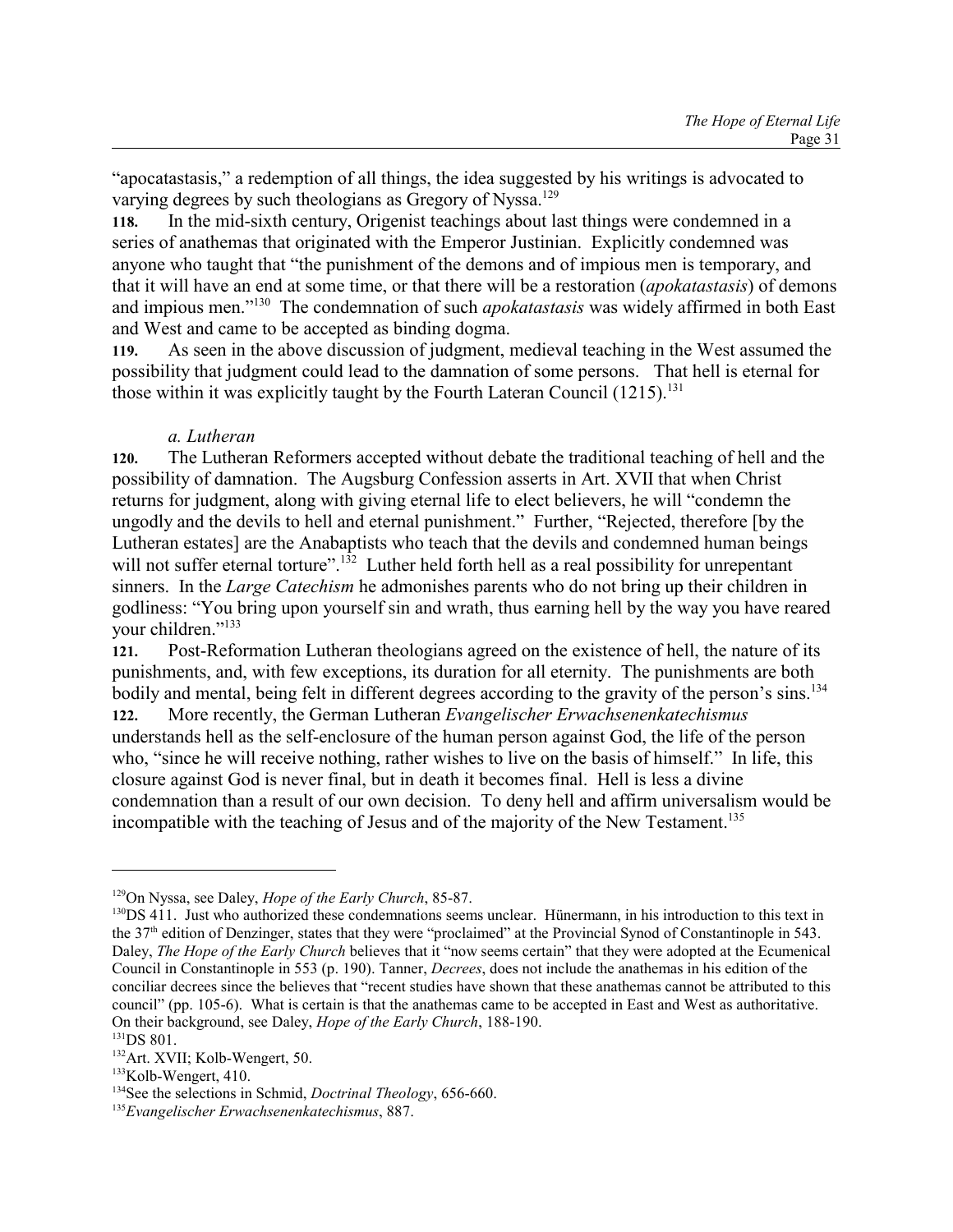"apocatastasis," a redemption of all things, the idea suggested by his writings is advocated to varying degrees by such theologians as Gregory of Nyssa.<sup>129</sup>

118. In the mid-sixth century, Origenist teachings about last things were condemned in a series of anathemas that originated with the Emperor Justinian. Explicitly condemned was anyone who taught that "the punishment of the demons and of impious men is temporary, and that it will have an end at some time, or that there will be a restoration (apokatastasis) of demons and impious men."<sup>130</sup> The condemnation of such *apokatastasis* was widely affirmed in both East and West and came to be accepted as binding dogma.

119. As seen in the above discussion of judgment, medieval teaching in the West assumed the possibility that judgment could lead to the damnation of some persons. That hell is eternal for those within it was explicitly taught by the Fourth Lateran Council  $(1215)^{131}$ 

#### a. Lutheran

120. The Lutheran Reformers accepted without debate the traditional teaching of hell and the possibility of damnation. The Augsburg Confession asserts in Art. XVII that when Christ returns for judgment, along with giving eternal life to elect believers, he will "condemn the ungodly and the devils to hell and eternal punishment." Further, "Rejected, therefore [by the Lutheran estates] are the Anabaptists who teach that the devils and condemned human beings will not suffer eternal torture".<sup>132</sup> Luther held forth hell as a real possibility for unrepentant sinners. In the *Large Catechism* he admonishes parents who do not bring up their children in godliness: "You bring upon yourself sin and wrath, thus earning hell by the way you have reared your children."<sup>133</sup>

121. Post-Reformation Lutheran theologians agreed on the existence of hell, the nature of its punishments, and, with few exceptions, its duration for all eternity. The punishments are both bodily and mental, being felt in different degrees according to the gravity of the person's sins.<sup>134</sup> 122. More recently, the German Lutheran Evangelischer Erwachsenenkatechismus understands hell as the self-enclosure of the human person against God, the life of the person who, "since he will receive nothing, rather wishes to live on the basis of himself." In life, this closure against God is never final, but in death it becomes final. Hell is less a divine condemnation than a result of our own decision. To deny hell and affirm universalism would be incompatible with the teaching of Jesus and of the majority of the New Testament.<sup>135</sup>

 $129$ On Nyssa, see Daley, *Hope of the Early Church*, 85-87.

<sup>&</sup>lt;sup>130</sup>DS 411. Just who authorized these condemnations seems unclear. Hünermann, in his introduction to this text in the 37th edition of Denzinger, states that they were "proclaimed" at the Provincial Synod of Constantinople in 543. Daley, The Hope of the Early Church believes that it "now seems certain" that they were adopted at the Ecumenical Council in Constantinople in 553 (p. 190). Tanner, Decrees, does not include the anathemas in his edition of the conciliar decrees since the believes that "recent studies have shown that these anathemas cannot be attributed to this council" (pp. 105-6). What is certain is that the anathemas came to be accepted in East and West as authoritative. On their background, see Daley, Hope of the Early Church, 188-190.

<sup>&</sup>lt;sup>131</sup>DS 801.

<sup>132</sup>Art. XVII; Kolb-Wengert, 50.

<sup>133</sup>Kolb-Wengert, 410.

<sup>&</sup>lt;sup>134</sup>See the selections in Schmid, *Doctrinal Theology*, 656-660.

<sup>135</sup>Evangelischer Erwachsenenkatechismus, 887.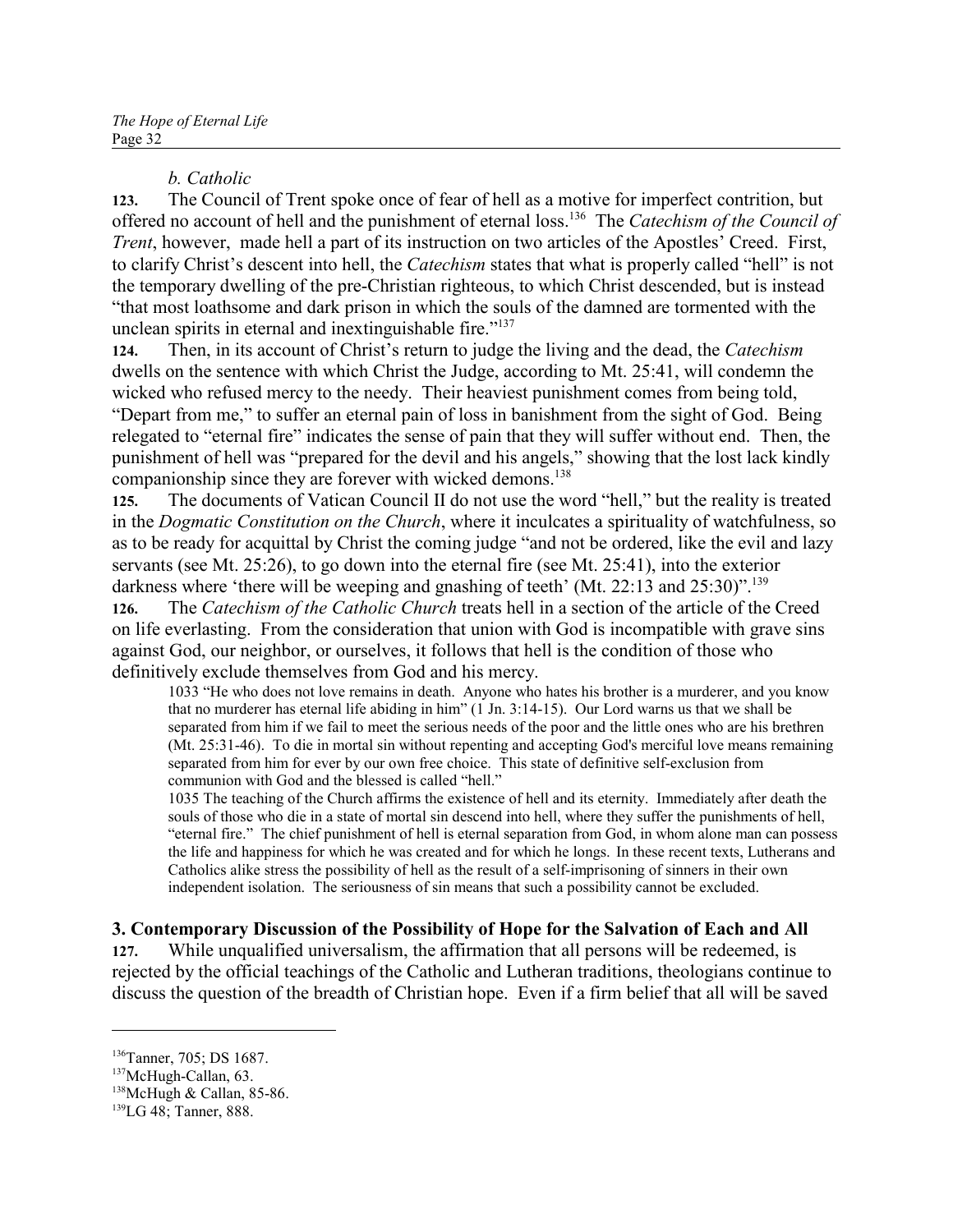#### b. Catholic

123. The Council of Trent spoke once of fear of hell as a motive for imperfect contrition, but offered no account of hell and the punishment of eternal loss.<sup>136</sup> The Catechism of the Council of Trent, however, made hell a part of its instruction on two articles of the Apostles' Creed. First, to clarify Christ's descent into hell, the Catechism states that what is properly called "hell" is not the temporary dwelling of the pre-Christian righteous, to which Christ descended, but is instead "that most loathsome and dark prison in which the souls of the damned are tormented with the unclean spirits in eternal and inextinguishable fire."<sup>137</sup>

124. Then, in its account of Christ's return to judge the living and the dead, the Catechism dwells on the sentence with which Christ the Judge, according to Mt. 25:41, will condemn the wicked who refused mercy to the needy. Their heaviest punishment comes from being told, "Depart from me," to suffer an eternal pain of loss in banishment from the sight of God. Being relegated to "eternal fire" indicates the sense of pain that they will suffer without end. Then, the punishment of hell was "prepared for the devil and his angels," showing that the lost lack kindly companionship since they are forever with wicked demons.<sup>138</sup>

125. The documents of Vatican Council II do not use the word "hell," but the reality is treated in the Dogmatic Constitution on the Church, where it inculcates a spirituality of watchfulness, so as to be ready for acquittal by Christ the coming judge "and not be ordered, like the evil and lazy servants (see Mt. 25:26), to go down into the eternal fire (see Mt. 25:41), into the exterior darkness where 'there will be weeping and gnashing of teeth' (Mt. 22:13 and 25:30)".<sup>139</sup>

126. The Catechism of the Catholic Church treats hell in a section of the article of the Creed on life everlasting. From the consideration that union with God is incompatible with grave sins against God, our neighbor, or ourselves, it follows that hell is the condition of those who definitively exclude themselves from God and his mercy.

1033 "He who does not love remains in death. Anyone who hates his brother is a murderer, and you know that no murderer has eternal life abiding in him" (1 Jn. 3:14-15). Our Lord warns us that we shall be separated from him if we fail to meet the serious needs of the poor and the little ones who are his brethren (Mt. 25:31-46). To die in mortal sin without repenting and accepting God's merciful love means remaining separated from him for ever by our own free choice. This state of definitive self-exclusion from communion with God and the blessed is called "hell."

1035 The teaching of the Church affirms the existence of hell and its eternity. Immediately after death the souls of those who die in a state of mortal sin descend into hell, where they suffer the punishments of hell, "eternal fire." The chief punishment of hell is eternal separation from God, in whom alone man can possess the life and happiness for which he was created and for which he longs. In these recent texts, Lutherans and Catholics alike stress the possibility of hell as the result of a self-imprisoning of sinners in their own independent isolation. The seriousness of sin means that such a possibility cannot be excluded.

#### 3. Contemporary Discussion of the Possibility of Hope for the Salvation of Each and All

127. While unqualified universalism, the affirmation that all persons will be redeemed, is rejected by the official teachings of the Catholic and Lutheran traditions, theologians continue to discuss the question of the breadth of Christian hope. Even if a firm belief that all will be saved

<sup>136</sup>Tanner, 705; DS 1687.

<sup>137</sup>McHugh-Callan, 63.

 $138$ McHugh & Callan, 85-86.

<sup>139</sup>LG 48; Tanner, 888.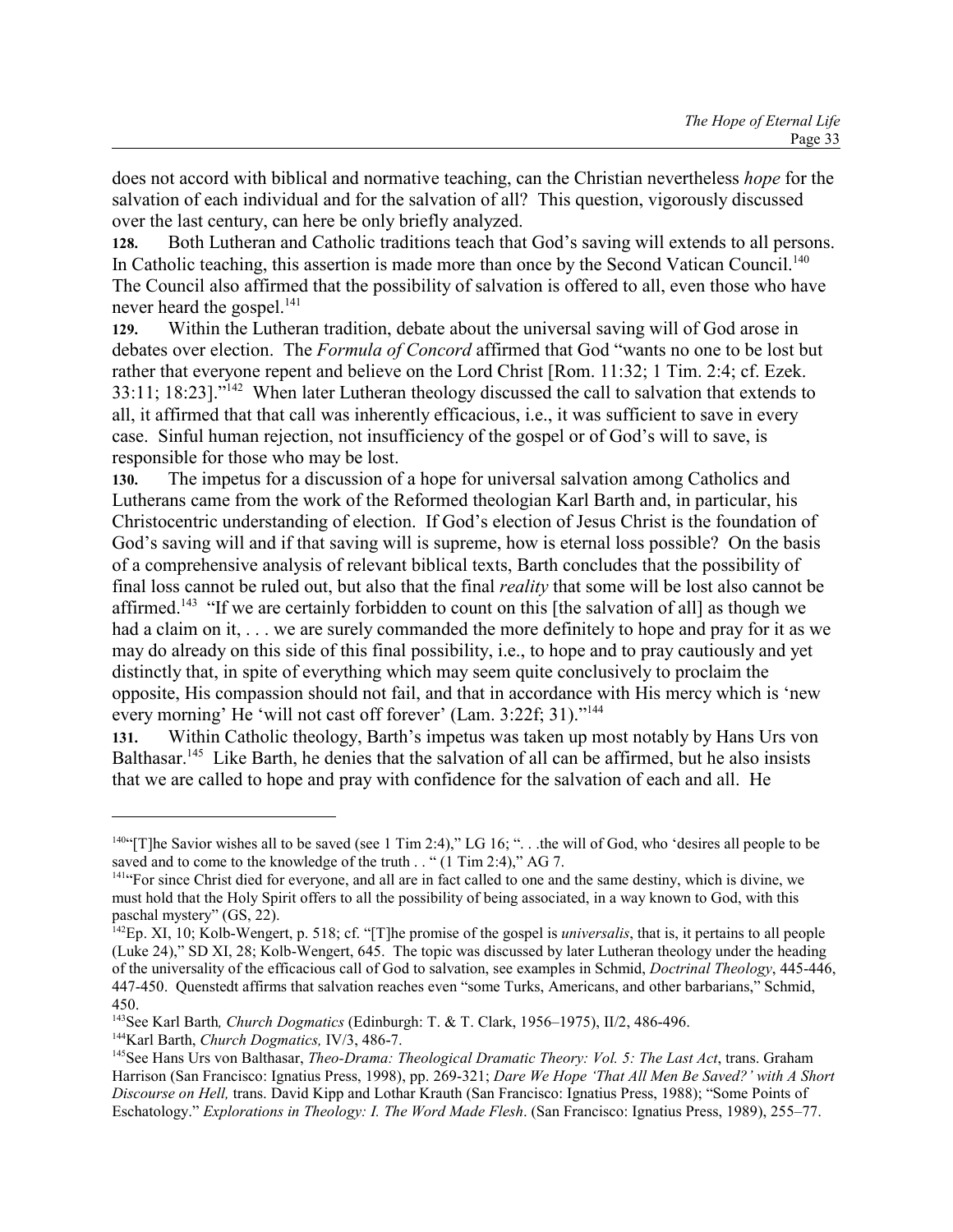does not accord with biblical and normative teaching, can the Christian nevertheless *hope* for the salvation of each individual and for the salvation of all? This question, vigorously discussed over the last century, can here be only briefly analyzed.

128. Both Lutheran and Catholic traditions teach that God's saving will extends to all persons. In Catholic teaching, this assertion is made more than once by the Second Vatican Council.<sup>140</sup> The Council also affirmed that the possibility of salvation is offered to all, even those who have never heard the gospel.<sup>141</sup>

129. Within the Lutheran tradition, debate about the universal saving will of God arose in debates over election. The Formula of Concord affirmed that God "wants no one to be lost but rather that everyone repent and believe on the Lord Christ [Rom. 11:32; 1 Tim. 2:4; cf. Ezek. 33:11; 18:23]."<sup>142</sup> When later Lutheran theology discussed the call to salvation that extends to all, it affirmed that that call was inherently efficacious, i.e., it was sufficient to save in every case. Sinful human rejection, not insufficiency of the gospel or of God's will to save, is responsible for those who may be lost.

130. The impetus for a discussion of a hope for universal salvation among Catholics and Lutherans came from the work of the Reformed theologian Karl Barth and, in particular, his Christocentric understanding of election. If God's election of Jesus Christ is the foundation of God's saving will and if that saving will is supreme, how is eternal loss possible? On the basis of a comprehensive analysis of relevant biblical texts, Barth concludes that the possibility of final loss cannot be ruled out, but also that the final *reality* that some will be lost also cannot be affirmed.<sup>143</sup> "If we are certainly forbidden to count on this [the salvation of all] as though we had a claim on it, ... we are surely commanded the more definitely to hope and pray for it as we may do already on this side of this final possibility, i.e., to hope and to pray cautiously and yet distinctly that, in spite of everything which may seem quite conclusively to proclaim the opposite, His compassion should not fail, and that in accordance with His mercy which is 'new every morning' He 'will not cast off forever' (Lam. 3:22f; 31)."<sup>144</sup>

131. Within Catholic theology, Barth's impetus was taken up most notably by Hans Urs von Balthasar.<sup>145</sup> Like Barth, he denies that the salvation of all can be affirmed, but he also insists that we are called to hope and pray with confidence for the salvation of each and all. He

<sup>&</sup>lt;sup>140"</sup>[T]he Savior wishes all to be saved (see 1 Tim 2:4)," LG 16; "... the will of God, who 'desires all people to be saved and to come to the knowledge of the truth . . " (1 Tim 2:4)," AG 7.

<sup>&</sup>lt;sup>141"</sup>For since Christ died for everyone, and all are in fact called to one and the same destiny, which is divine, we must hold that the Holy Spirit offers to all the possibility of being associated, in a way known to God, with this paschal mystery" (GS, 22).

 $142$ Ep. XI, 10; Kolb-Wengert, p. 518; cf. "[T]he promise of the gospel is *universalis*, that is, it pertains to all people (Luke 24)," SD XI, 28; Kolb-Wengert, 645. The topic was discussed by later Lutheran theology under the heading of the universality of the efficacious call of God to salvation, see examples in Schmid, Doctrinal Theology, 445-446, 447-450. Quenstedt affirms that salvation reaches even "some Turks, Americans, and other barbarians," Schmid, 450.

<sup>143</sup>See Karl Barth, Church Dogmatics (Edinburgh: T. & T. Clark, 1956–1975), II/2, 486-496.  $144$ Karl Barth, Church Dogmatics, IV/3, 486-7.

<sup>&</sup>lt;sup>145</sup>See Hans Urs von Balthasar, *Theo-Drama: Theological Dramatic Theory: Vol. 5: The Last Act*, trans. Graham Harrison (San Francisco: Ignatius Press, 1998), pp. 269-321; Dare We Hope 'That All Men Be Saved?' with A Short Discourse on Hell, trans. David Kipp and Lothar Krauth (San Francisco: Ignatius Press, 1988); "Some Points of Eschatology." Explorations in Theology: I. The Word Made Flesh. (San Francisco: Ignatius Press, 1989), 255–77.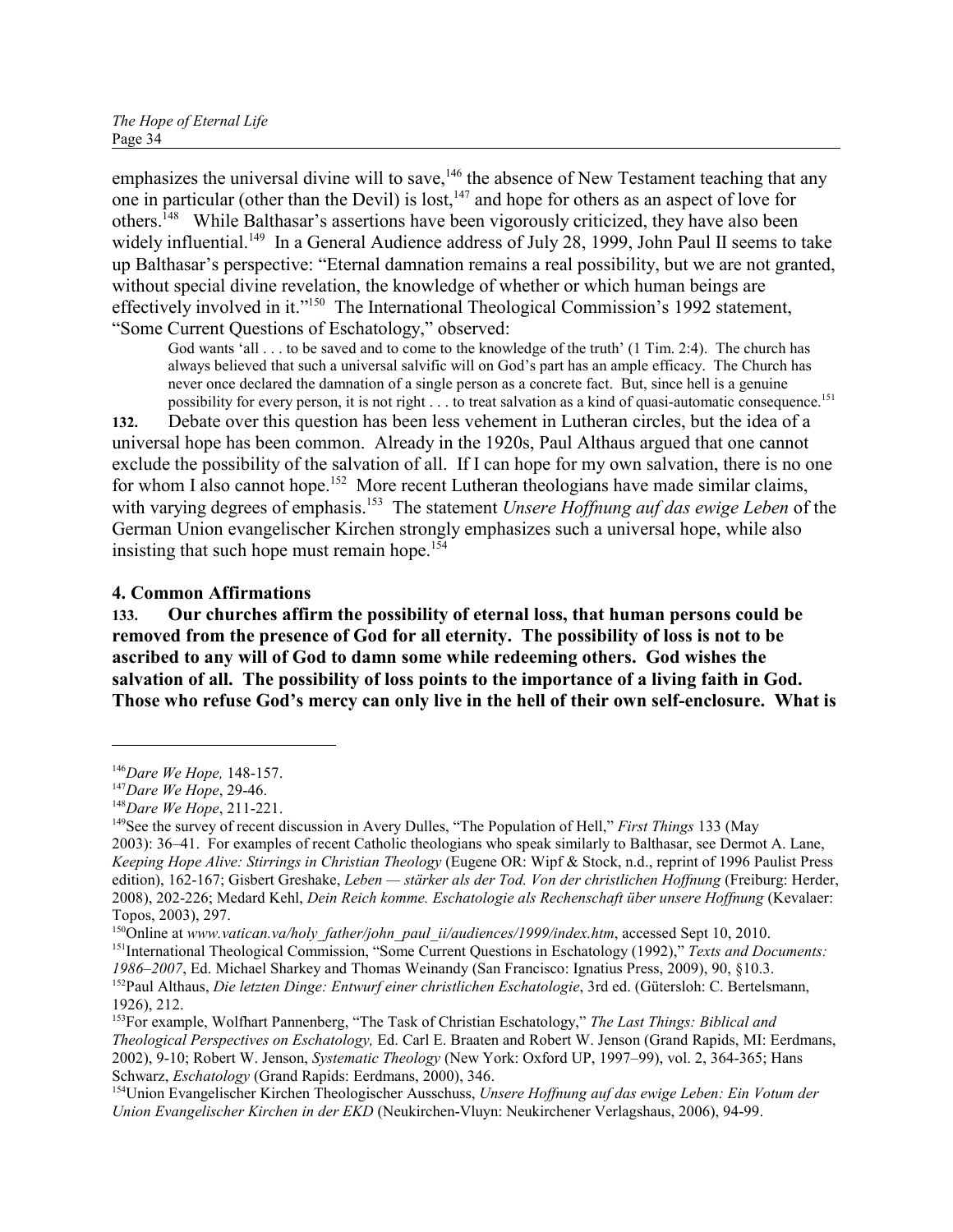emphasizes the universal divine will to save,  $146$  the absence of New Testament teaching that any one in particular (other than the Devil) is lost,<sup>147</sup> and hope for others as an aspect of love for others.<sup>148</sup> While Balthasar's assertions have been vigorously criticized, they have also been widely influential.<sup>149</sup> In a General Audience address of July 28, 1999, John Paul II seems to take up Balthasar's perspective: "Eternal damnation remains a real possibility, but we are not granted, without special divine revelation, the knowledge of whether or which human beings are effectively involved in it."<sup>150</sup> The International Theological Commission's 1992 statement, "Some Current Questions of Eschatology," observed:

God wants 'all . . . to be saved and to come to the knowledge of the truth' (1 Tim. 2:4). The church has always believed that such a universal salvific will on God's part has an ample efficacy. The Church has never once declared the damnation of a single person as a concrete fact. But, since hell is a genuine possibility for every person, it is not right . . . to treat salvation as a kind of quasi-automatic consequence.<sup>151</sup>

132. Debate over this question has been less vehement in Lutheran circles, but the idea of a universal hope has been common. Already in the 1920s, Paul Althaus argued that one cannot exclude the possibility of the salvation of all. If I can hope for my own salvation, there is no one for whom I also cannot hope.<sup>152</sup> More recent Lutheran theologians have made similar claims, with varying degrees of emphasis.<sup>153</sup> The statement Unsere Hoffnung auf das ewige Leben of the German Union evangelischer Kirchen strongly emphasizes such a universal hope, while also insisting that such hope must remain hope.<sup>154</sup>

#### 4. Common Affirmations

133. Our churches affirm the possibility of eternal loss, that human persons could be removed from the presence of God for all eternity. The possibility of loss is not to be ascribed to any will of God to damn some while redeeming others. God wishes the salvation of all. The possibility of loss points to the importance of a living faith in God. Those who refuse God's mercy can only live in the hell of their own self-enclosure. What is

 $146$ *Dare We Hope*, 148-157.

 $147$ Dare We Hope, 29-46.

 $148$ *Dare We Hope*, 211-221.

<sup>&</sup>lt;sup>149</sup>See the survey of recent discussion in Avery Dulles, "The Population of Hell," First Things 133 (May 2003): 36–41. For examples of recent Catholic theologians who speak similarly to Balthasar, see Dermot A. Lane, Keeping Hope Alive: Stirrings in Christian Theology (Eugene OR: Wipf & Stock, n.d., reprint of 1996 Paulist Press edition), 162-167; Gisbert Greshake, Leben — stärker als der Tod. Von der christlichen Hoffnung (Freiburg: Herder, 2008), 202-226; Medard Kehl, Dein Reich komme. Eschatologie als Rechenschaft über unsere Hoffnung (Kevalaer: Topos, 2003), 297.

<sup>&</sup>lt;sup>150</sup>Online at www.vatican.va/holy\_father/john\_paul\_ii/audiences/1999/index.htm, accessed Sept 10, 2010.

<sup>&</sup>lt;sup>151</sup>International Theological Commission, "Some Current Questions in Eschatology (1992)," Texts and Documents: 1986–2007, Ed. Michael Sharkey and Thomas Weinandy (San Francisco: Ignatius Press, 2009), 90, §10.3. <sup>152</sup>Paul Althaus, Die letzten Dinge: Entwurf einer christlichen Eschatologie, 3rd ed. (Gütersloh: C. Bertelsmann,

<sup>1926), 212.</sup>

<sup>&</sup>lt;sup>153</sup>For example, Wolfhart Pannenberg, "The Task of Christian Eschatology," The Last Things: Biblical and Theological Perspectives on Eschatology, Ed. Carl E. Braaten and Robert W. Jenson (Grand Rapids, MI: Eerdmans, 2002), 9-10; Robert W. Jenson, Systematic Theology (New York: Oxford UP, 1997–99), vol. 2, 364-365; Hans Schwarz, Eschatology (Grand Rapids: Eerdmans, 2000), 346.

<sup>&</sup>lt;sup>154</sup>Union Evangelischer Kirchen Theologischer Ausschuss, Unsere Hoffnung auf das ewige Leben: Ein Votum der Union Evangelischer Kirchen in der EKD (Neukirchen-Vluyn: Neukirchener Verlagshaus, 2006), 94-99.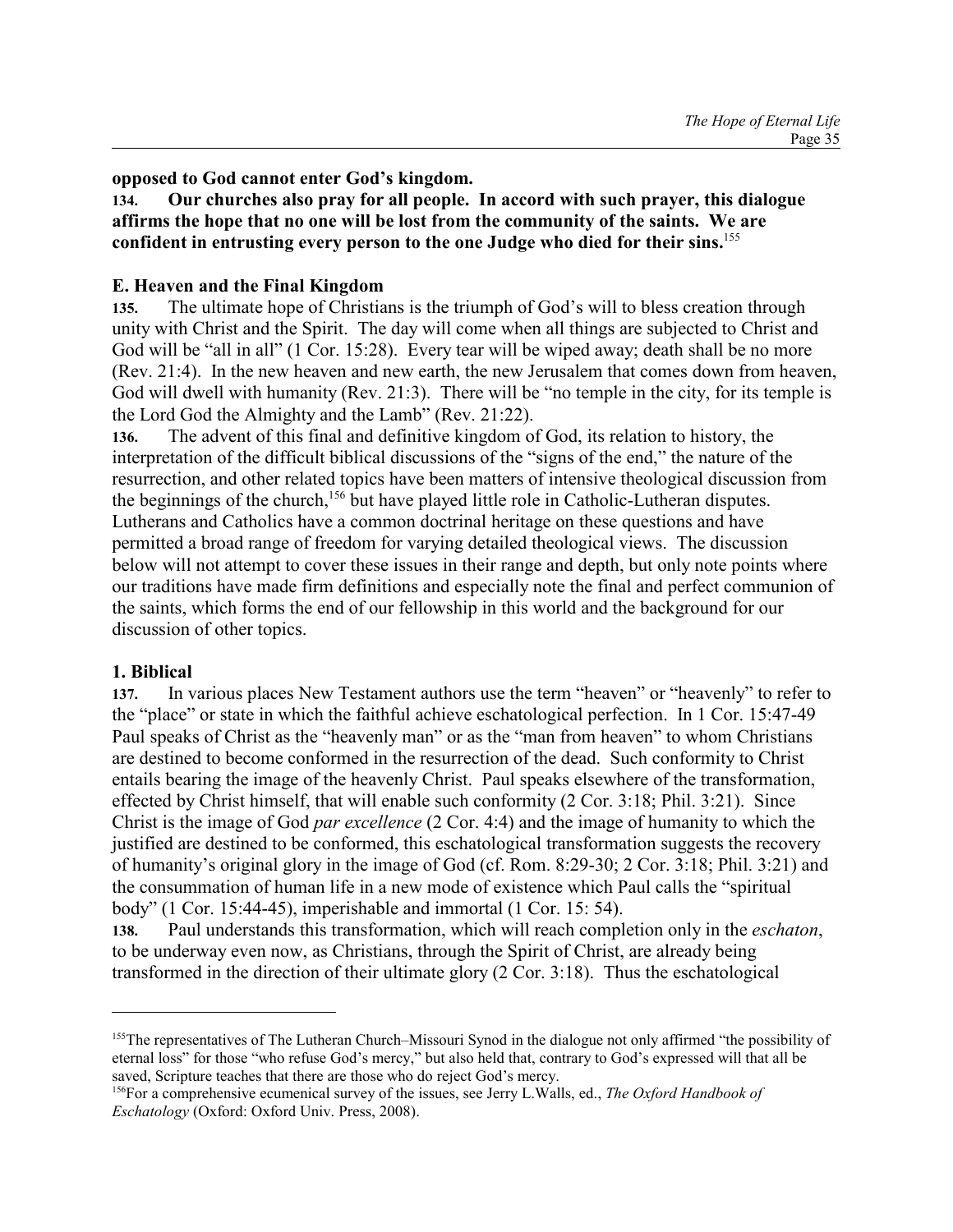opposed to God cannot enter God's kingdom.

#### 134. Our churches also pray for all people. In accord with such prayer, this dialogue affirms the hope that no one will be lost from the community of the saints. We are confident in entrusting every person to the one Judge who died for their sins.<sup>155</sup>

#### E. Heaven and the Final Kingdom

135. The ultimate hope of Christians is the triumph of God's will to bless creation through unity with Christ and the Spirit. The day will come when all things are subjected to Christ and God will be "all in all" (1 Cor. 15:28). Every tear will be wiped away; death shall be no more (Rev. 21:4). In the new heaven and new earth, the new Jerusalem that comes down from heaven, God will dwell with humanity (Rev. 21:3). There will be "no temple in the city, for its temple is the Lord God the Almighty and the Lamb" (Rev. 21:22).

136. The advent of this final and definitive kingdom of God, its relation to history, the interpretation of the difficult biblical discussions of the "signs of the end," the nature of the resurrection, and other related topics have been matters of intensive theological discussion from the beginnings of the church,<sup>156</sup> but have played little role in Catholic-Lutheran disputes. Lutherans and Catholics have a common doctrinal heritage on these questions and have permitted a broad range of freedom for varying detailed theological views. The discussion below will not attempt to cover these issues in their range and depth, but only note points where our traditions have made firm definitions and especially note the final and perfect communion of the saints, which forms the end of our fellowship in this world and the background for our discussion of other topics.

#### 1. Biblical

137. In various places New Testament authors use the term "heaven" or "heavenly" to refer to the "place" or state in which the faithful achieve eschatological perfection. In 1 Cor. 15:47-49 Paul speaks of Christ as the "heavenly man" or as the "man from heaven" to whom Christians are destined to become conformed in the resurrection of the dead. Such conformity to Christ entails bearing the image of the heavenly Christ. Paul speaks elsewhere of the transformation, effected by Christ himself, that will enable such conformity (2 Cor. 3:18; Phil. 3:21). Since Christ is the image of God par excellence (2 Cor. 4:4) and the image of humanity to which the justified are destined to be conformed, this eschatological transformation suggests the recovery of humanity's original glory in the image of God (cf. Rom. 8:29-30; 2 Cor. 3:18; Phil. 3:21) and the consummation of human life in a new mode of existence which Paul calls the "spiritual body" (1 Cor. 15:44-45), imperishable and immortal (1 Cor. 15: 54).

138. Paul understands this transformation, which will reach completion only in the *eschaton*, to be underway even now, as Christians, through the Spirit of Christ, are already being transformed in the direction of their ultimate glory (2 Cor. 3:18). Thus the eschatological

<sup>&</sup>lt;sup>155</sup>The representatives of The Lutheran Church–Missouri Synod in the dialogue not only affirmed "the possibility of eternal loss" for those "who refuse God's mercy," but also held that, contrary to God's expressed will that all be saved, Scripture teaches that there are those who do reject God's mercy.

<sup>&</sup>lt;sup>156</sup>For a comprehensive ecumenical survey of the issues, see Jerry L.Walls, ed., *The Oxford Handbook of* Eschatology (Oxford: Oxford Univ. Press, 2008).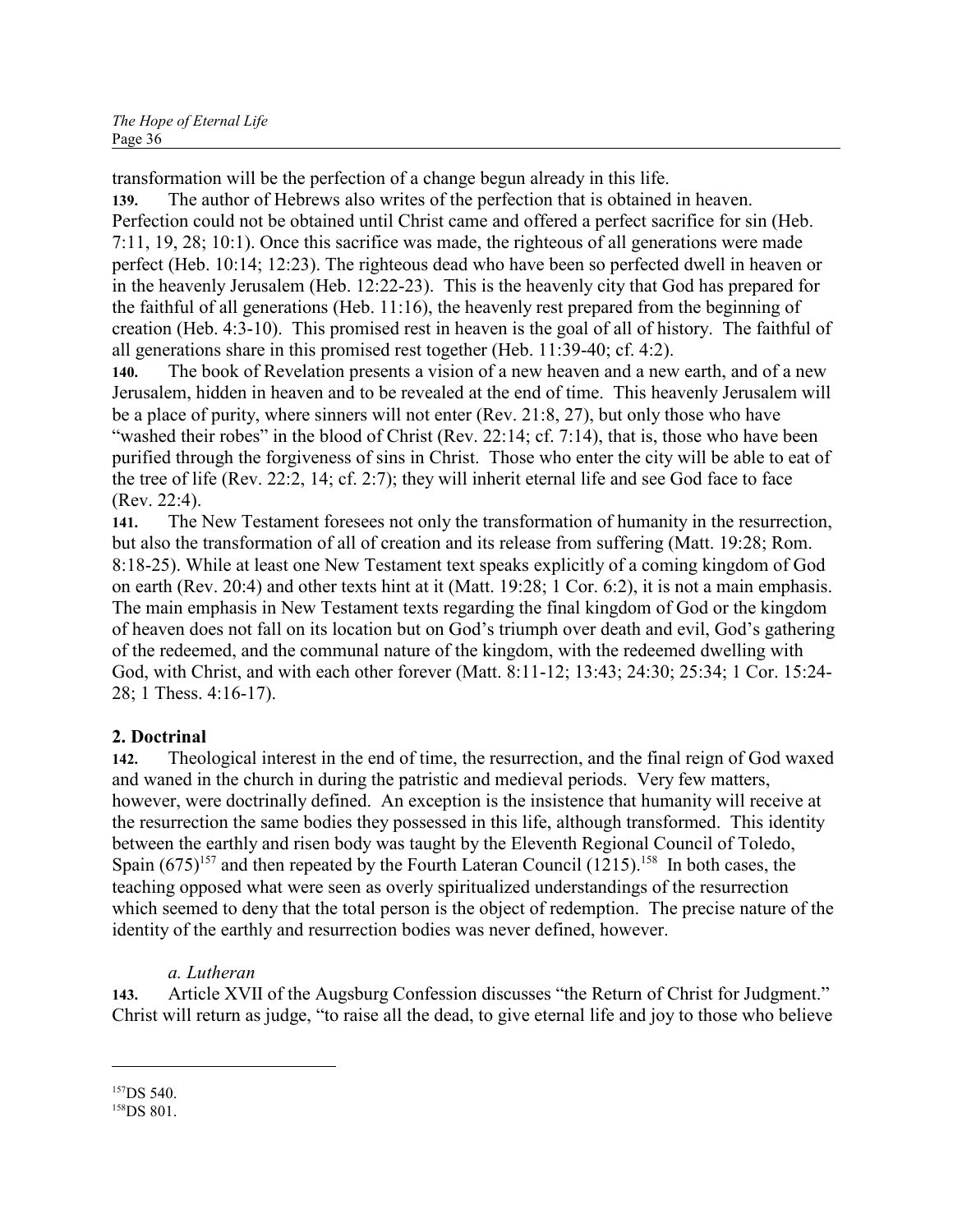transformation will be the perfection of a change begun already in this life.

139. The author of Hebrews also writes of the perfection that is obtained in heaven. Perfection could not be obtained until Christ came and offered a perfect sacrifice for sin (Heb. 7:11, 19, 28; 10:1). Once this sacrifice was made, the righteous of all generations were made perfect (Heb. 10:14; 12:23). The righteous dead who have been so perfected dwell in heaven or in the heavenly Jerusalem (Heb. 12:22-23). This is the heavenly city that God has prepared for the faithful of all generations (Heb. 11:16), the heavenly rest prepared from the beginning of creation (Heb. 4:3-10). This promised rest in heaven is the goal of all of history. The faithful of all generations share in this promised rest together (Heb. 11:39-40; cf. 4:2).

140. The book of Revelation presents a vision of a new heaven and a new earth, and of a new Jerusalem, hidden in heaven and to be revealed at the end of time. This heavenly Jerusalem will be a place of purity, where sinners will not enter (Rev. 21:8, 27), but only those who have "washed their robes" in the blood of Christ (Rev. 22:14; cf. 7:14), that is, those who have been purified through the forgiveness of sins in Christ. Those who enter the city will be able to eat of the tree of life (Rev. 22:2, 14; cf. 2:7); they will inherit eternal life and see God face to face (Rev. 22:4).

141. The New Testament foresees not only the transformation of humanity in the resurrection, but also the transformation of all of creation and its release from suffering (Matt. 19:28; Rom. 8:18-25). While at least one New Testament text speaks explicitly of a coming kingdom of God on earth (Rev. 20:4) and other texts hint at it (Matt. 19:28; 1 Cor. 6:2), it is not a main emphasis. The main emphasis in New Testament texts regarding the final kingdom of God or the kingdom of heaven does not fall on its location but on God's triumph over death and evil, God's gathering of the redeemed, and the communal nature of the kingdom, with the redeemed dwelling with God, with Christ, and with each other forever (Matt. 8:11-12; 13:43; 24:30; 25:34; 1 Cor. 15:24- 28; 1 Thess. 4:16-17).

# 2. Doctrinal

142. Theological interest in the end of time, the resurrection, and the final reign of God waxed and waned in the church in during the patristic and medieval periods. Very few matters, however, were doctrinally defined. An exception is the insistence that humanity will receive at the resurrection the same bodies they possessed in this life, although transformed. This identity between the earthly and risen body was taught by the Eleventh Regional Council of Toledo, Spain  $(675)^{157}$  and then repeated by the Fourth Lateran Council  $(1215)^{158}$  In both cases, the teaching opposed what were seen as overly spiritualized understandings of the resurrection which seemed to deny that the total person is the object of redemption. The precise nature of the identity of the earthly and resurrection bodies was never defined, however.

# a. Lutheran

143. Article XVII of the Augsburg Confession discusses "the Return of Christ for Judgment." Christ will return as judge, "to raise all the dead, to give eternal life and joy to those who believe

<sup>&</sup>lt;sup>157</sup>DS 540.

<sup>&</sup>lt;sup>158</sup>DS 801.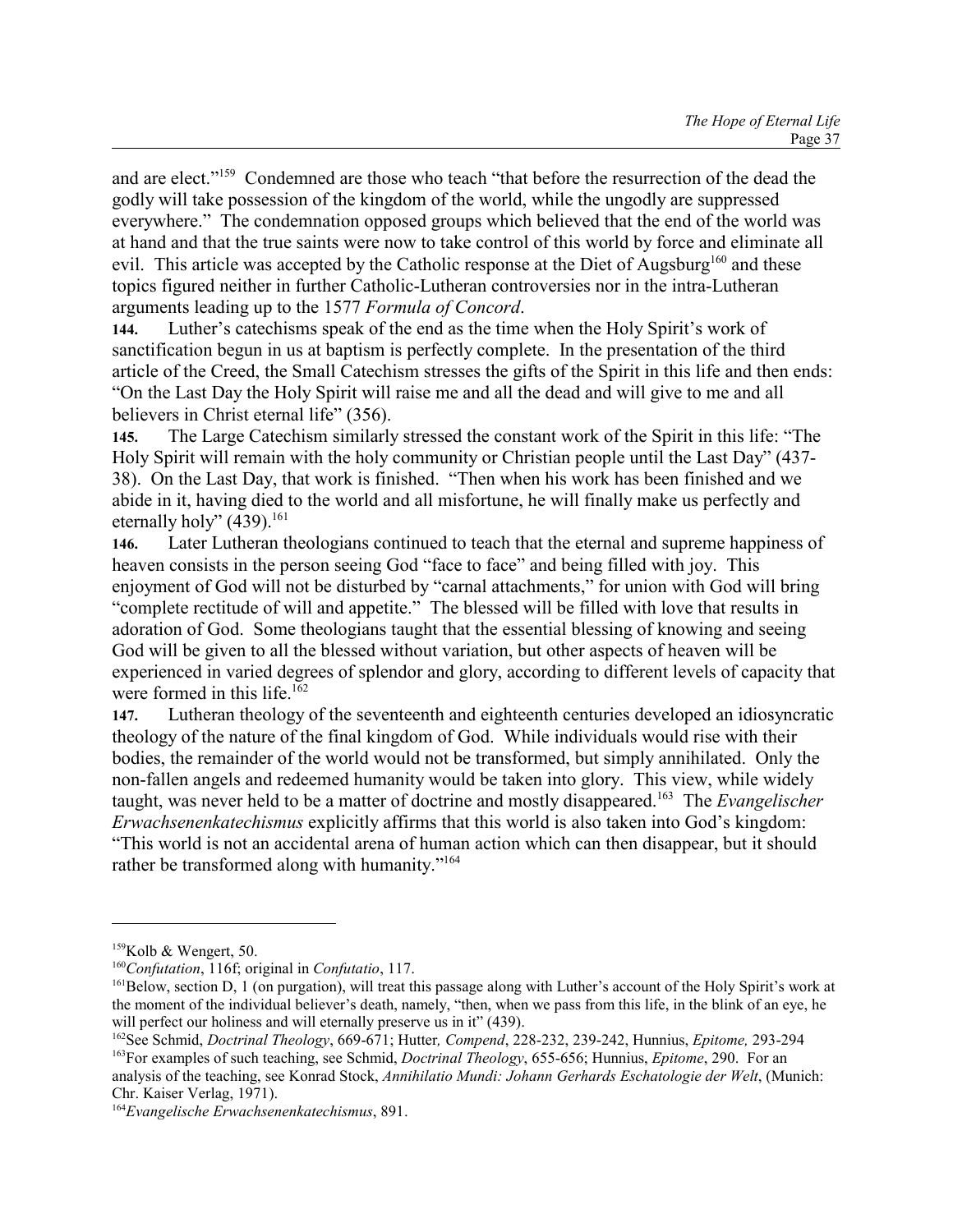and are elect."<sup>159</sup> Condemned are those who teach "that before the resurrection of the dead the godly will take possession of the kingdom of the world, while the ungodly are suppressed everywhere." The condemnation opposed groups which believed that the end of the world was at hand and that the true saints were now to take control of this world by force and eliminate all evil. This article was accepted by the Catholic response at the Diet of Augsburg<sup>160</sup> and these topics figured neither in further Catholic-Lutheran controversies nor in the intra-Lutheran arguments leading up to the 1577 Formula of Concord.

144. Luther's catechisms speak of the end as the time when the Holy Spirit's work of sanctification begun in us at baptism is perfectly complete. In the presentation of the third article of the Creed, the Small Catechism stresses the gifts of the Spirit in this life and then ends: "On the Last Day the Holy Spirit will raise me and all the dead and will give to me and all believers in Christ eternal life" (356).

145. The Large Catechism similarly stressed the constant work of the Spirit in this life: "The Holy Spirit will remain with the holy community or Christian people until the Last Day" (437- 38). On the Last Day, that work is finished. "Then when his work has been finished and we abide in it, having died to the world and all misfortune, he will finally make us perfectly and eternally holy" (439).<sup>161</sup>

146. Later Lutheran theologians continued to teach that the eternal and supreme happiness of heaven consists in the person seeing God "face to face" and being filled with joy. This enjoyment of God will not be disturbed by "carnal attachments," for union with God will bring "complete rectitude of will and appetite." The blessed will be filled with love that results in adoration of God. Some theologians taught that the essential blessing of knowing and seeing God will be given to all the blessed without variation, but other aspects of heaven will be experienced in varied degrees of splendor and glory, according to different levels of capacity that were formed in this life.<sup>162</sup>

147. Lutheran theology of the seventeenth and eighteenth centuries developed an idiosyncratic theology of the nature of the final kingdom of God. While individuals would rise with their bodies, the remainder of the world would not be transformed, but simply annihilated. Only the non-fallen angels and redeemed humanity would be taken into glory. This view, while widely taught, was never held to be a matter of doctrine and mostly disappeared.<sup>163</sup> The *Evangelischer* Erwachsenenkatechismus explicitly affirms that this world is also taken into God's kingdom: "This world is not an accidental arena of human action which can then disappear, but it should rather be transformed along with humanity."<sup>164</sup>

 $159$ Kolb & Wengert, 50.

 $160$ Confutation, 116f; original in Confutatio, 117.

<sup>&</sup>lt;sup>161</sup>Below, section D, 1 (on purgation), will treat this passage along with Luther's account of the Holy Spirit's work at the moment of the individual believer's death, namely, "then, when we pass from this life, in the blink of an eye, he will perfect our holiness and will eternally preserve us in it" (439).

<sup>&</sup>lt;sup>162</sup>See Schmid, *Doctrinal Theology*, 669-671; Hutter, *Compend*, 228-232, 239-242, Hunnius, *Epitome*, 293-294

<sup>&</sup>lt;sup>163</sup>For examples of such teaching, see Schmid, *Doctrinal Theology*, 655-656; Hunnius, *Epitome*, 290. For an analysis of the teaching, see Konrad Stock, Annihilatio Mundi: Johann Gerhards Eschatologie der Welt, (Munich: Chr. Kaiser Verlag, 1971).

<sup>164</sup>Evangelische Erwachsenenkatechismus, 891.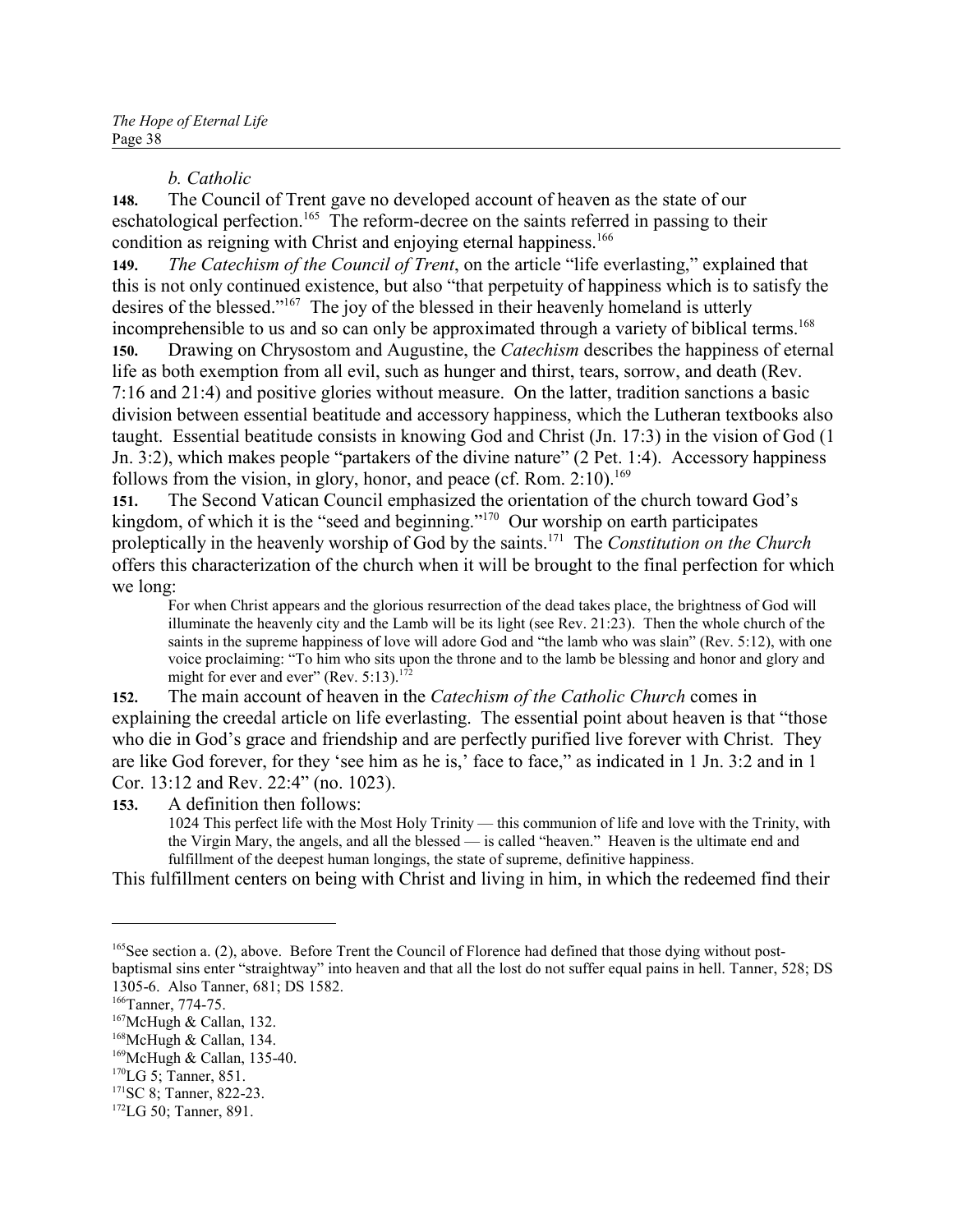b. Catholic

148. The Council of Trent gave no developed account of heaven as the state of our eschatological perfection.<sup>165</sup> The reform-decree on the saints referred in passing to their condition as reigning with Christ and enjoying eternal happiness.<sup>166</sup>

149. The Catechism of the Council of Trent, on the article "life everlasting," explained that this is not only continued existence, but also "that perpetuity of happiness which is to satisfy the desires of the blessed."<sup>167</sup> The joy of the blessed in their heavenly homeland is utterly

incomprehensible to us and so can only be approximated through a variety of biblical terms.<sup>168</sup> 150. Drawing on Chrysostom and Augustine, the Catechism describes the happiness of eternal life as both exemption from all evil, such as hunger and thirst, tears, sorrow, and death (Rev. 7:16 and 21:4) and positive glories without measure. On the latter, tradition sanctions a basic division between essential beatitude and accessory happiness, which the Lutheran textbooks also taught. Essential beatitude consists in knowing God and Christ (Jn. 17:3) in the vision of God (1 Jn. 3:2), which makes people "partakers of the divine nature" (2 Pet. 1:4). Accessory happiness follows from the vision, in glory, honor, and peace (cf. Rom.  $2:10$ ).<sup>169</sup>

151. The Second Vatican Council emphasized the orientation of the church toward God's kingdom, of which it is the "seed and beginning."<sup>170</sup> Our worship on earth participates proleptically in the heavenly worship of God by the saints.<sup>171</sup> The Constitution on the Church offers this characterization of the church when it will be brought to the final perfection for which we long:

For when Christ appears and the glorious resurrection of the dead takes place, the brightness of God will illuminate the heavenly city and the Lamb will be its light (see Rev. 21:23). Then the whole church of the saints in the supreme happiness of love will adore God and "the lamb who was slain" (Rev. 5:12), with one voice proclaiming: "To him who sits upon the throne and to the lamb be blessing and honor and glory and might for ever and ever" (Rev. 5:13).<sup>172</sup>

152. The main account of heaven in the *Catechism of the Catholic Church* comes in explaining the creedal article on life everlasting. The essential point about heaven is that "those who die in God's grace and friendship and are perfectly purified live forever with Christ. They are like God forever, for they 'see him as he is,' face to face," as indicated in 1 Jn. 3:2 and in 1 Cor. 13:12 and Rev. 22:4" (no. 1023).

153. A definition then follows:

1024 This perfect life with the Most Holy Trinity — this communion of life and love with the Trinity, with the Virgin Mary, the angels, and all the blessed — is called "heaven." Heaven is the ultimate end and fulfillment of the deepest human longings, the state of supreme, definitive happiness.

This fulfillment centers on being with Christ and living in him, in which the redeemed find their

<sup>&</sup>lt;sup>165</sup>See section a. (2), above. Before Trent the Council of Florence had defined that those dying without post-

baptismal sins enter "straightway" into heaven and that all the lost do not suffer equal pains in hell. Tanner, 528; DS 1305-6. Also Tanner, 681; DS 1582.

<sup>&</sup>lt;sup>166</sup>Tanner, 774-75.

<sup>167</sup>McHugh & Callan, 132.

 $168$ McHugh & Callan, 134.

<sup>169</sup>McHugh & Callan, 135-40.

<sup>170</sup>LG 5; Tanner, 851.

<sup>171</sup>SC 8; Tanner, 822-23.

<sup>172</sup>LG 50; Tanner, 891.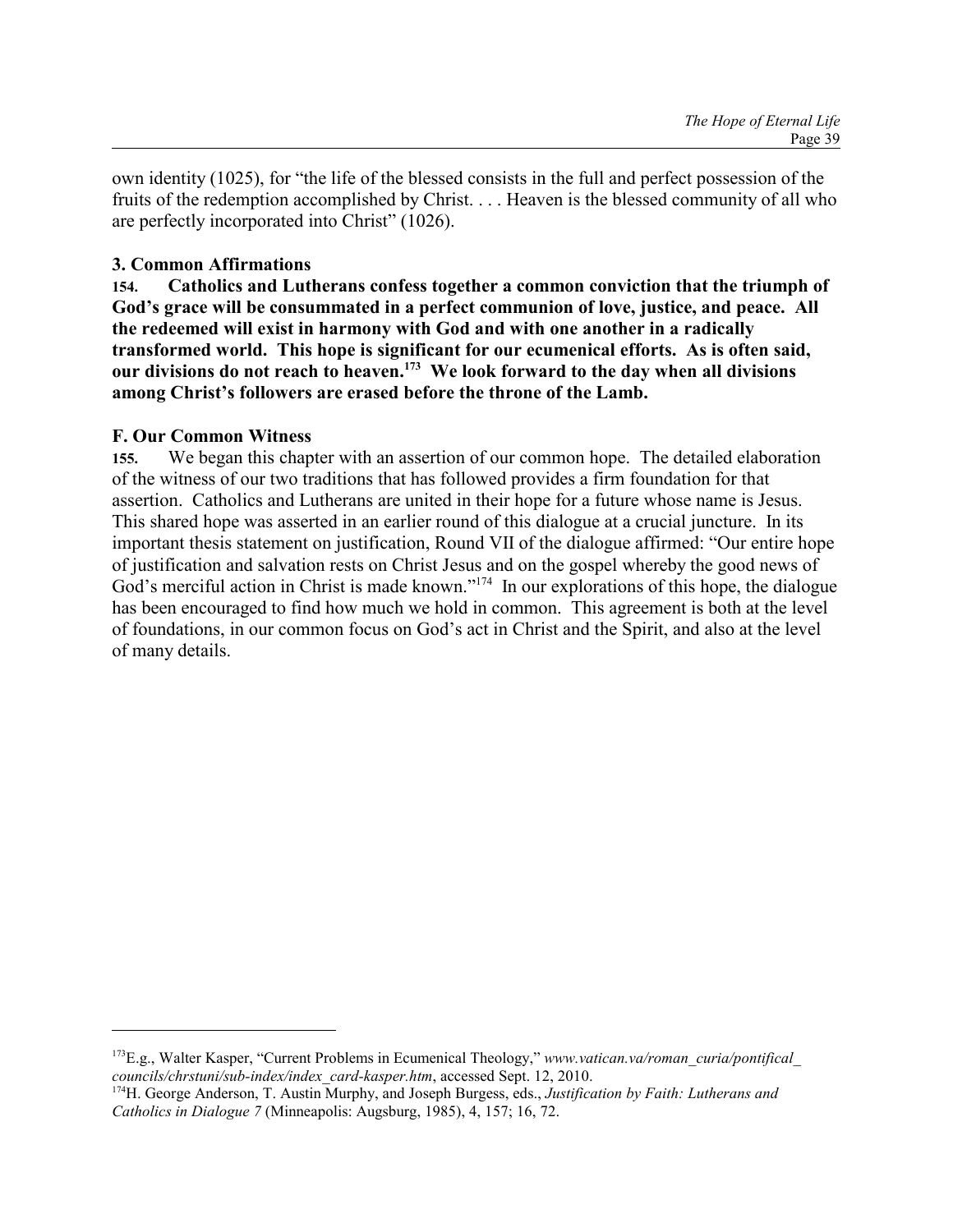own identity (1025), for "the life of the blessed consists in the full and perfect possession of the fruits of the redemption accomplished by Christ. . . . Heaven is the blessed community of all who are perfectly incorporated into Christ" (1026).

### 3. Common Affirmations

154. Catholics and Lutherans confess together a common conviction that the triumph of God's grace will be consummated in a perfect communion of love, justice, and peace. All the redeemed will exist in harmony with God and with one another in a radically transformed world. This hope is significant for our ecumenical efforts. As is often said, our divisions do not reach to heaven.<sup>173</sup> We look forward to the day when all divisions among Christ's followers are erased before the throne of the Lamb.

### F. Our Common Witness

155. We began this chapter with an assertion of our common hope. The detailed elaboration of the witness of our two traditions that has followed provides a firm foundation for that assertion. Catholics and Lutherans are united in their hope for a future whose name is Jesus. This shared hope was asserted in an earlier round of this dialogue at a crucial juncture. In its important thesis statement on justification, Round VII of the dialogue affirmed: "Our entire hope of justification and salvation rests on Christ Jesus and on the gospel whereby the good news of God's merciful action in Christ is made known."<sup>174</sup> In our explorations of this hope, the dialogue has been encouraged to find how much we hold in common. This agreement is both at the level of foundations, in our common focus on God's act in Christ and the Spirit, and also at the level of many details.

<sup>&</sup>lt;sup>173</sup>E.g., Walter Kasper, "Current Problems in Ecumenical Theology," www.vatican.va/roman\_curia/pontifical\_ councils/chrstuni/sub-index/index\_card-kasper.htm, accessed Sept. 12, 2010.

 $174$ H. George Anderson, T. Austin Murphy, and Joseph Burgess, eds., *Justification by Faith: Lutherans and* Catholics in Dialogue 7 (Minneapolis: Augsburg, 1985), 4, 157; 16, 72.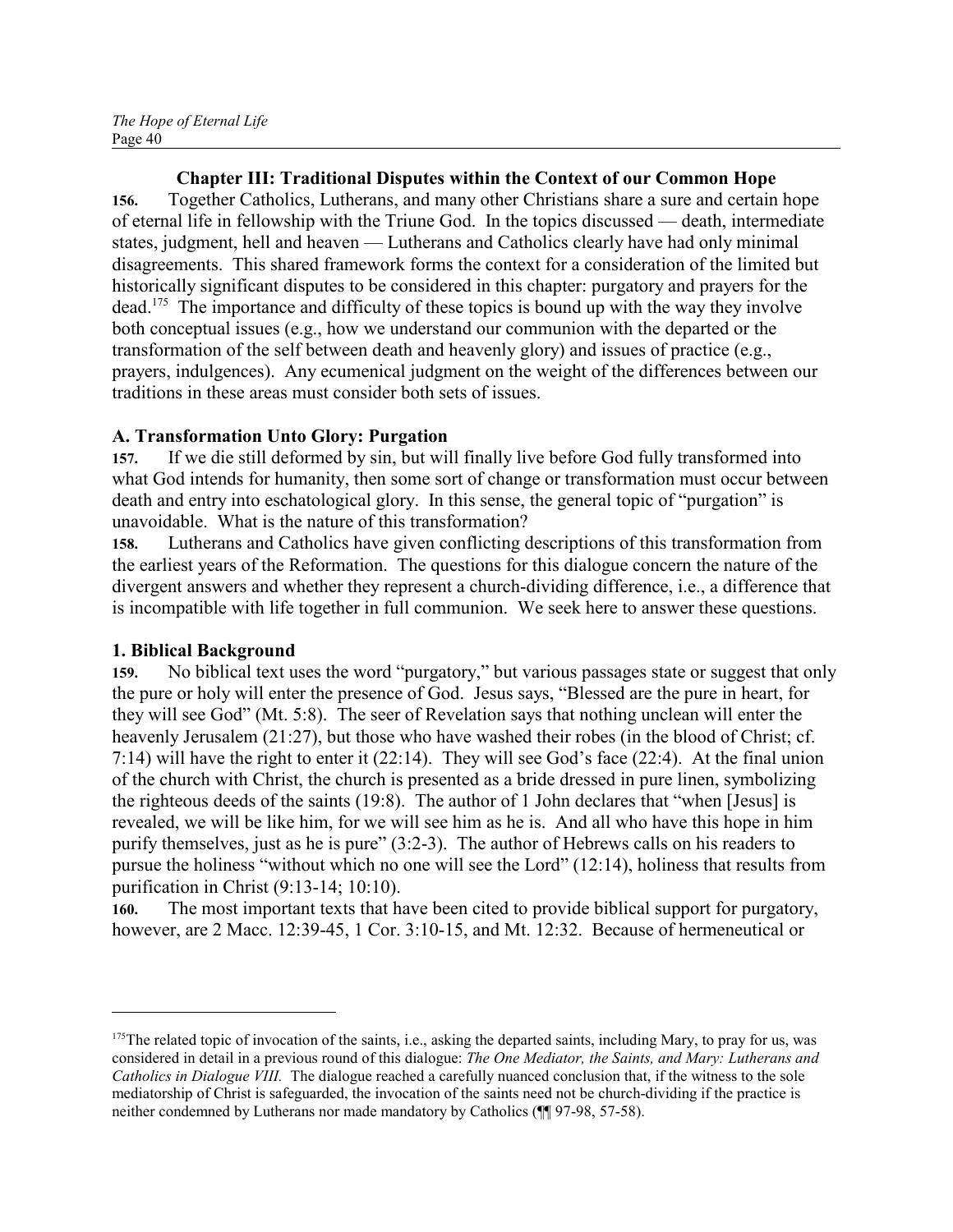### Chapter III: Traditional Disputes within the Context of our Common Hope

156. Together Catholics, Lutherans, and many other Christians share a sure and certain hope of eternal life in fellowship with the Triune God. In the topics discussed — death, intermediate states, judgment, hell and heaven — Lutherans and Catholics clearly have had only minimal disagreements. This shared framework forms the context for a consideration of the limited but historically significant disputes to be considered in this chapter: purgatory and prayers for the dead.<sup>175</sup> The importance and difficulty of these topics is bound up with the way they involve both conceptual issues (e.g., how we understand our communion with the departed or the transformation of the self between death and heavenly glory) and issues of practice (e.g., prayers, indulgences). Any ecumenical judgment on the weight of the differences between our traditions in these areas must consider both sets of issues.

### A. Transformation Unto Glory: Purgation

157. If we die still deformed by sin, but will finally live before God fully transformed into what God intends for humanity, then some sort of change or transformation must occur between death and entry into eschatological glory. In this sense, the general topic of "purgation" is unavoidable. What is the nature of this transformation?

158. Lutherans and Catholics have given conflicting descriptions of this transformation from the earliest years of the Reformation. The questions for this dialogue concern the nature of the divergent answers and whether they represent a church-dividing difference, i.e., a difference that is incompatible with life together in full communion. We seek here to answer these questions.

# 1. Biblical Background

159. No biblical text uses the word "purgatory," but various passages state or suggest that only the pure or holy will enter the presence of God. Jesus says, "Blessed are the pure in heart, for they will see God" (Mt. 5:8). The seer of Revelation says that nothing unclean will enter the heavenly Jerusalem (21:27), but those who have washed their robes (in the blood of Christ; cf. 7:14) will have the right to enter it (22:14). They will see God's face (22:4). At the final union of the church with Christ, the church is presented as a bride dressed in pure linen, symbolizing the righteous deeds of the saints (19:8). The author of 1 John declares that "when [Jesus] is revealed, we will be like him, for we will see him as he is. And all who have this hope in him purify themselves, just as he is pure" (3:2-3). The author of Hebrews calls on his readers to pursue the holiness "without which no one will see the Lord" (12:14), holiness that results from purification in Christ (9:13-14; 10:10).

160. The most important texts that have been cited to provide biblical support for purgatory, however, are 2 Macc. 12:39-45, 1 Cor. 3:10-15, and Mt. 12:32. Because of hermeneutical or

<sup>&</sup>lt;sup>175</sup>The related topic of invocation of the saints, i.e., asking the departed saints, including Mary, to pray for us, was considered in detail in a previous round of this dialogue: The One Mediator, the Saints, and Mary: Lutherans and Catholics in Dialogue VIII. The dialogue reached a carefully nuanced conclusion that, if the witness to the sole mediatorship of Christ is safeguarded, the invocation of the saints need not be church-dividing if the practice is neither condemned by Lutherans nor made mandatory by Catholics (¶¶ 97-98, 57-58).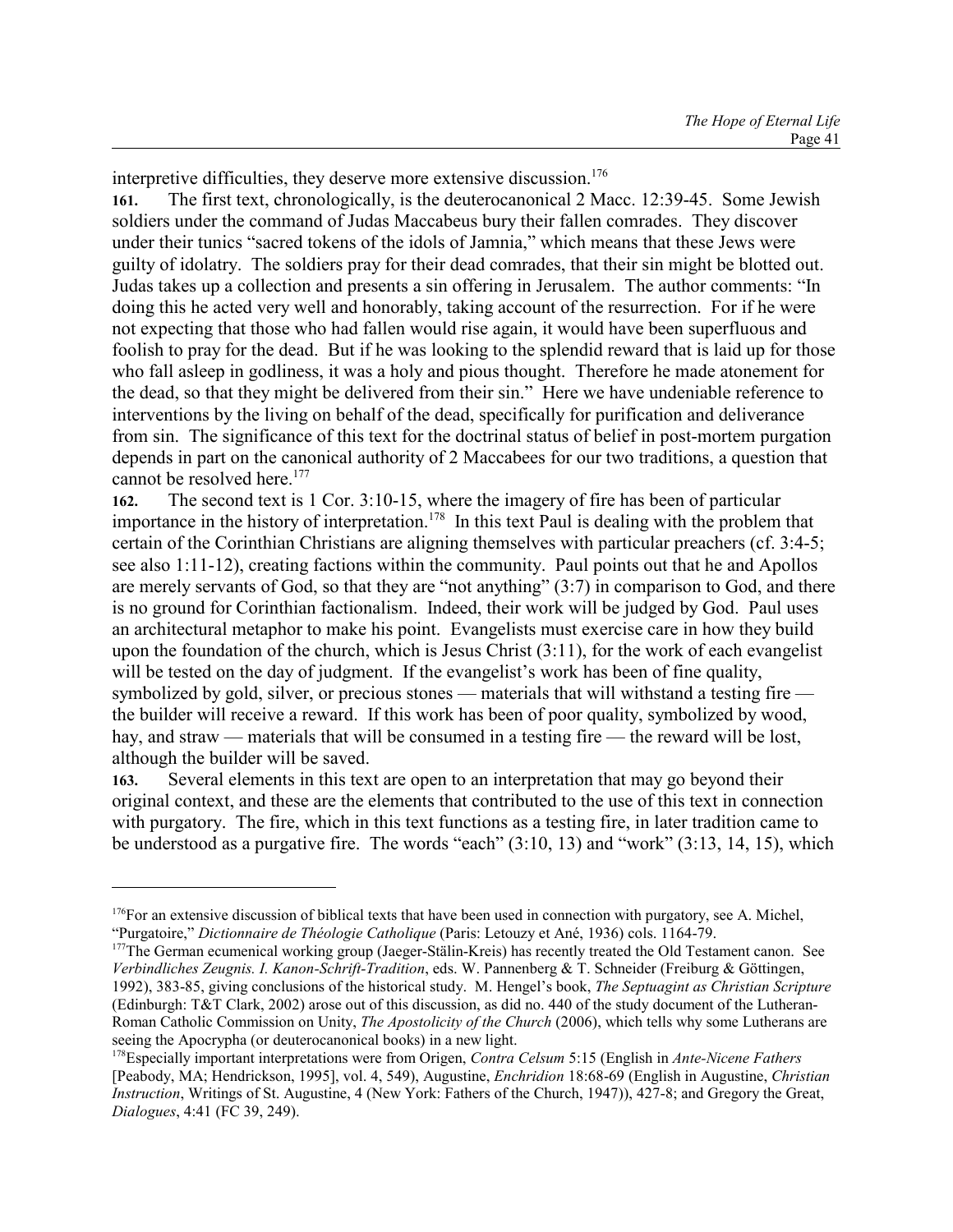interpretive difficulties, they deserve more extensive discussion.<sup>176</sup>

161. The first text, chronologically, is the deuterocanonical 2 Macc. 12:39-45. Some Jewish soldiers under the command of Judas Maccabeus bury their fallen comrades. They discover under their tunics "sacred tokens of the idols of Jamnia," which means that these Jews were guilty of idolatry. The soldiers pray for their dead comrades, that their sin might be blotted out. Judas takes up a collection and presents a sin offering in Jerusalem. The author comments: "In doing this he acted very well and honorably, taking account of the resurrection. For if he were not expecting that those who had fallen would rise again, it would have been superfluous and foolish to pray for the dead. But if he was looking to the splendid reward that is laid up for those who fall asleep in godliness, it was a holy and pious thought. Therefore he made atonement for the dead, so that they might be delivered from their sin." Here we have undeniable reference to interventions by the living on behalf of the dead, specifically for purification and deliverance from sin. The significance of this text for the doctrinal status of belief in post-mortem purgation depends in part on the canonical authority of 2 Maccabees for our two traditions, a question that cannot be resolved here.<sup>177</sup>

162. The second text is 1 Cor. 3:10-15, where the imagery of fire has been of particular importance in the history of interpretation.<sup>178</sup> In this text Paul is dealing with the problem that certain of the Corinthian Christians are aligning themselves with particular preachers (cf. 3:4-5; see also 1:11-12), creating factions within the community. Paul points out that he and Apollos are merely servants of God, so that they are "not anything" (3:7) in comparison to God, and there is no ground for Corinthian factionalism. Indeed, their work will be judged by God. Paul uses an architectural metaphor to make his point. Evangelists must exercise care in how they build upon the foundation of the church, which is Jesus Christ (3:11), for the work of each evangelist will be tested on the day of judgment. If the evangelist's work has been of fine quality, symbolized by gold, silver, or precious stones — materials that will withstand a testing fire the builder will receive a reward. If this work has been of poor quality, symbolized by wood, hay, and straw — materials that will be consumed in a testing fire — the reward will be lost, although the builder will be saved.

163. Several elements in this text are open to an interpretation that may go beyond their original context, and these are the elements that contributed to the use of this text in connection with purgatory. The fire, which in this text functions as a testing fire, in later tradition came to be understood as a purgative fire. The words "each" (3:10, 13) and "work" (3:13, 14, 15), which

 $176$  For an extensive discussion of biblical texts that have been used in connection with purgatory, see A. Michel, "Purgatoire," Dictionnaire de Théologie Catholique (Paris: Letouzy et Ané, 1936) cols. 1164-79.

<sup>&</sup>lt;sup>177</sup>The German ecumenical working group (Jaeger-Stälin-Kreis) has recently treated the Old Testament canon. See Verbindliches Zeugnis. I. Kanon-Schrift-Tradition, eds. W. Pannenberg & T. Schneider (Freiburg & Göttingen, 1992), 383-85, giving conclusions of the historical study. M. Hengel's book, The Septuagint as Christian Scripture (Edinburgh: T&T Clark, 2002) arose out of this discussion, as did no. 440 of the study document of the Lutheran-Roman Catholic Commission on Unity, The Apostolicity of the Church (2006), which tells why some Lutherans are seeing the Apocrypha (or deuterocanonical books) in a new light.

<sup>&</sup>lt;sup>178</sup>Especially important interpretations were from Origen, Contra Celsum 5:15 (English in Ante-Nicene Fathers [Peabody, MA; Hendrickson, 1995], vol. 4, 549), Augustine, Enchridion 18:68-69 (English in Augustine, Christian Instruction, Writings of St. Augustine, 4 (New York: Fathers of the Church, 1947)), 427-8; and Gregory the Great, Dialogues, 4:41 (FC 39, 249).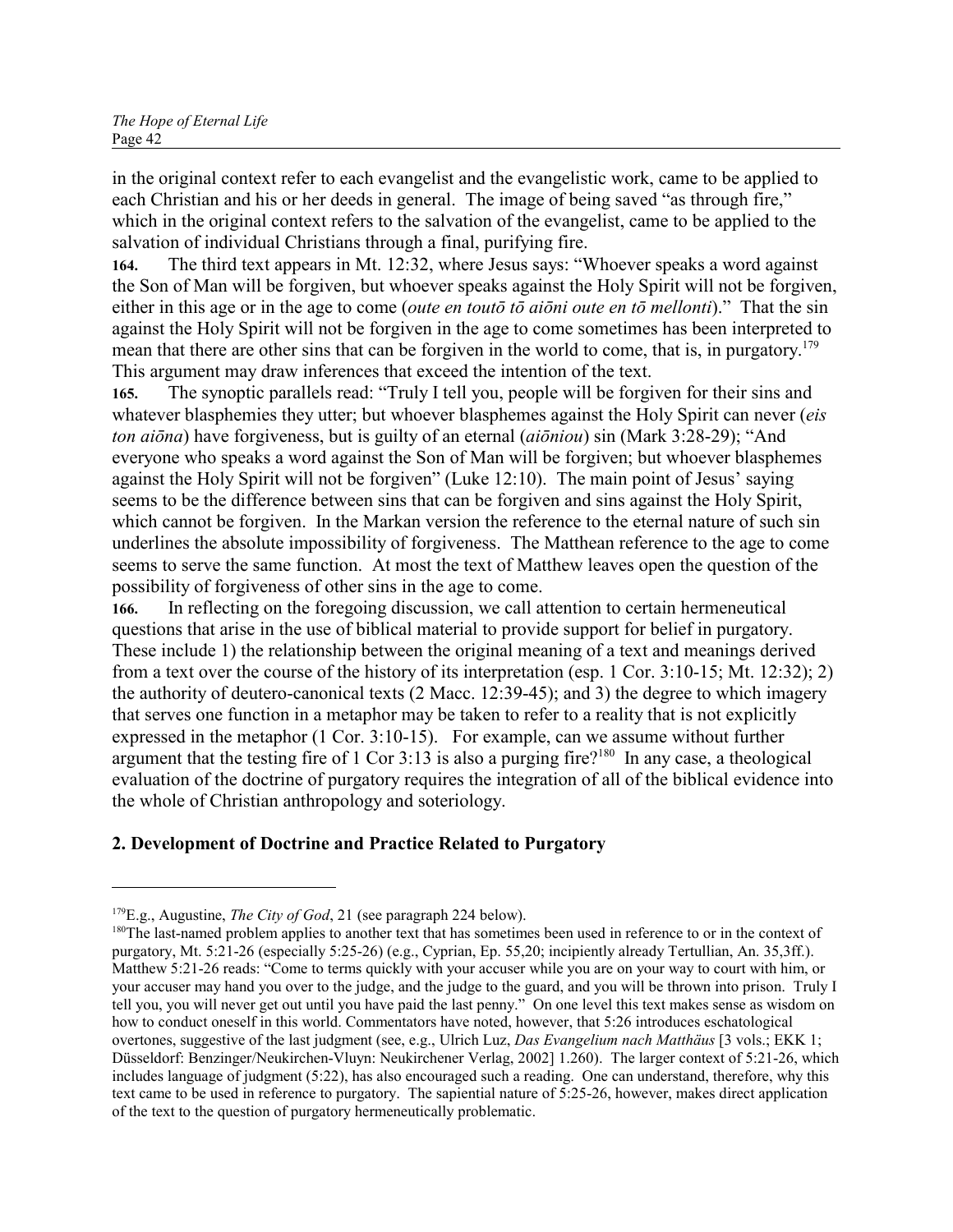in the original context refer to each evangelist and the evangelistic work, came to be applied to each Christian and his or her deeds in general. The image of being saved "as through fire," which in the original context refers to the salvation of the evangelist, came to be applied to the salvation of individual Christians through a final, purifying fire.

164. The third text appears in Mt. 12:32, where Jesus says: "Whoever speaks a word against the Son of Man will be forgiven, but whoever speaks against the Holy Spirit will not be forgiven, either in this age or in the age to come (*oute en toutō tō aiōni oute en tō mellonti*)." That the sin against the Holy Spirit will not be forgiven in the age to come sometimes has been interpreted to mean that there are other sins that can be forgiven in the world to come, that is, in purgatory.<sup>179</sup> This argument may draw inferences that exceed the intention of the text.

165. The synoptic parallels read: "Truly I tell you, people will be forgiven for their sins and whatever blasphemies they utter; but whoever blasphemes against the Holy Spirit can never (eis ton aiōna) have forgiveness, but is guilty of an eternal (aiōniou) sin (Mark 3:28-29); "And everyone who speaks a word against the Son of Man will be forgiven; but whoever blasphemes against the Holy Spirit will not be forgiven" (Luke 12:10). The main point of Jesus' saying seems to be the difference between sins that can be forgiven and sins against the Holy Spirit, which cannot be forgiven. In the Markan version the reference to the eternal nature of such sin underlines the absolute impossibility of forgiveness. The Matthean reference to the age to come seems to serve the same function. At most the text of Matthew leaves open the question of the possibility of forgiveness of other sins in the age to come.

166. In reflecting on the foregoing discussion, we call attention to certain hermeneutical questions that arise in the use of biblical material to provide support for belief in purgatory. These include 1) the relationship between the original meaning of a text and meanings derived from a text over the course of the history of its interpretation (esp. 1 Cor. 3:10-15; Mt. 12:32); 2) the authority of deutero-canonical texts (2 Macc. 12:39-45); and 3) the degree to which imagery that serves one function in a metaphor may be taken to refer to a reality that is not explicitly expressed in the metaphor (1 Cor. 3:10-15). For example, can we assume without further argument that the testing fire of 1 Cor 3:13 is also a purging fire?<sup>180</sup> In any case, a theological evaluation of the doctrine of purgatory requires the integration of all of the biblical evidence into the whole of Christian anthropology and soteriology.

#### 2. Development of Doctrine and Practice Related to Purgatory

<sup>&</sup>lt;sup>179</sup>E.g., Augustine, *The City of God*, 21 (see paragraph 224 below).

<sup>&</sup>lt;sup>180</sup>The last-named problem applies to another text that has sometimes been used in reference to or in the context of purgatory, Mt. 5:21-26 (especially 5:25-26) (e.g., Cyprian, Ep. 55,20; incipiently already Tertullian, An. 35,3ff.). Matthew 5:21-26 reads: "Come to terms quickly with your accuser while you are on your way to court with him, or your accuser may hand you over to the judge, and the judge to the guard, and you will be thrown into prison. Truly I tell you, you will never get out until you have paid the last penny." On one level this text makes sense as wisdom on how to conduct oneself in this world. Commentators have noted, however, that 5:26 introduces eschatological overtones, suggestive of the last judgment (see, e.g., Ulrich Luz, Das Evangelium nach Matthäus [3 vols.; EKK 1; Düsseldorf: Benzinger/Neukirchen-Vluyn: Neukirchener Verlag, 2002] 1.260). The larger context of 5:21-26, which includes language of judgment (5:22), has also encouraged such a reading. One can understand, therefore, why this text came to be used in reference to purgatory. The sapiential nature of 5:25-26, however, makes direct application of the text to the question of purgatory hermeneutically problematic.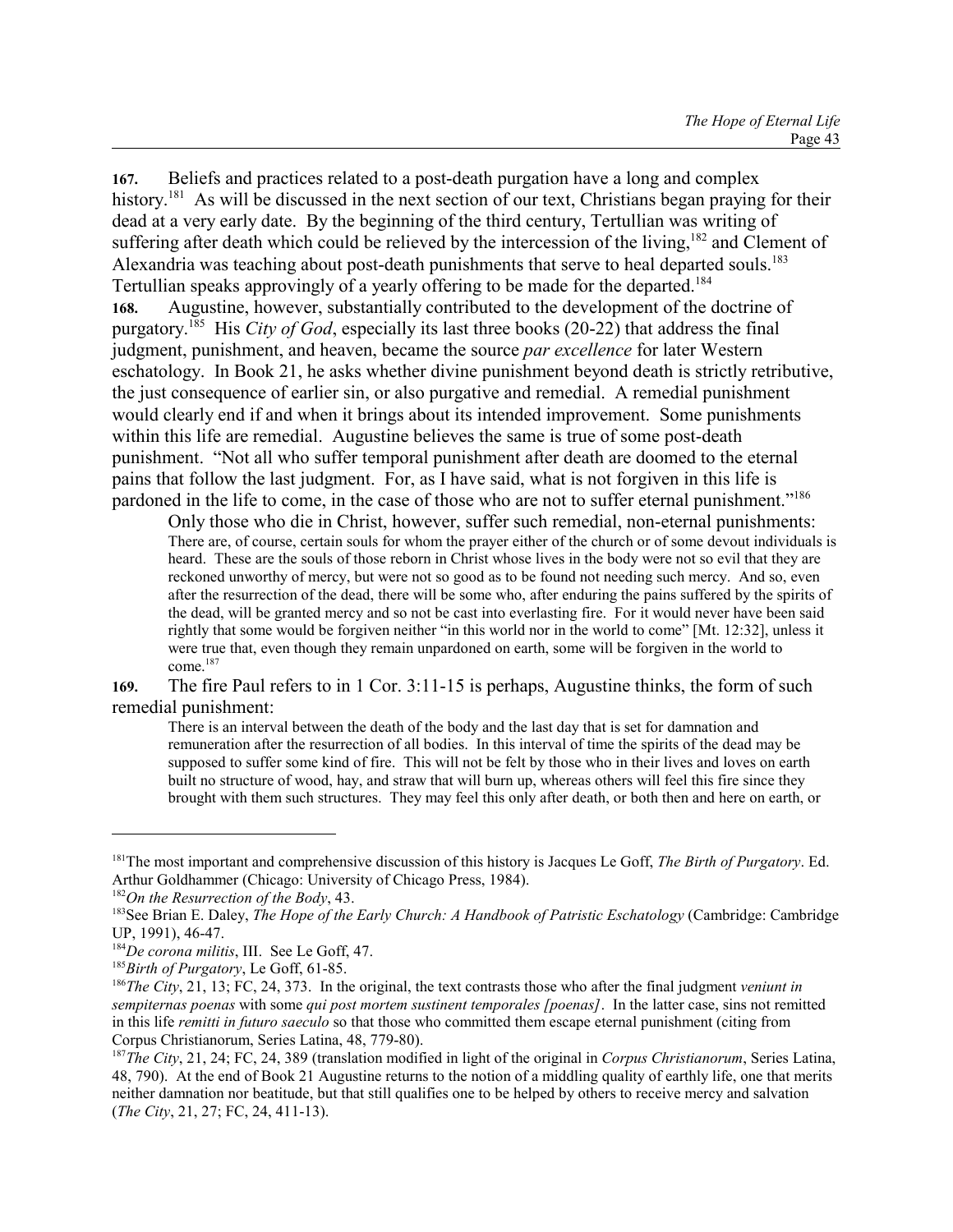167. Beliefs and practices related to a post-death purgation have a long and complex history.<sup>181</sup> As will be discussed in the next section of our text, Christians began praying for their dead at a very early date. By the beginning of the third century, Tertullian was writing of suffering after death which could be relieved by the intercession of the living,<sup>182</sup> and Clement of Alexandria was teaching about post-death punishments that serve to heal departed souls.<sup>183</sup> Tertullian speaks approvingly of a yearly offering to be made for the departed.<sup>184</sup>

168. Augustine, however, substantially contributed to the development of the doctrine of purgatory.<sup>185</sup> His City of God, especially its last three books (20-22) that address the final judgment, punishment, and heaven, became the source *par excellence* for later Western eschatology. In Book 21, he asks whether divine punishment beyond death is strictly retributive, the just consequence of earlier sin, or also purgative and remedial. A remedial punishment would clearly end if and when it brings about its intended improvement. Some punishments within this life are remedial. Augustine believes the same is true of some post-death punishment. "Not all who suffer temporal punishment after death are doomed to the eternal pains that follow the last judgment. For, as I have said, what is not forgiven in this life is pardoned in the life to come, in the case of those who are not to suffer eternal punishment."<sup>186</sup>

Only those who die in Christ, however, suffer such remedial, non-eternal punishments: There are, of course, certain souls for whom the prayer either of the church or of some devout individuals is heard. These are the souls of those reborn in Christ whose lives in the body were not so evil that they are reckoned unworthy of mercy, but were not so good as to be found not needing such mercy. And so, even after the resurrection of the dead, there will be some who, after enduring the pains suffered by the spirits of the dead, will be granted mercy and so not be cast into everlasting fire. For it would never have been said rightly that some would be forgiven neither "in this world nor in the world to come" [Mt. 12:32], unless it were true that, even though they remain unpardoned on earth, some will be forgiven in the world to come.<sup>187</sup>

169. The fire Paul refers to in 1 Cor. 3:11-15 is perhaps, Augustine thinks, the form of such remedial punishment:

There is an interval between the death of the body and the last day that is set for damnation and remuneration after the resurrection of all bodies. In this interval of time the spirits of the dead may be supposed to suffer some kind of fire. This will not be felt by those who in their lives and loves on earth built no structure of wood, hay, and straw that will burn up, whereas others will feel this fire since they brought with them such structures. They may feel this only after death, or both then and here on earth, or

<sup>&</sup>lt;sup>181</sup>The most important and comprehensive discussion of this history is Jacques Le Goff, *The Birth of Purgatory*. Ed. Arthur Goldhammer (Chicago: University of Chicago Press, 1984).

 $182$ On the Resurrection of the Body, 43.

<sup>&</sup>lt;sup>183</sup>See Brian E. Daley, *The Hope of the Early Church: A Handbook of Patristic Eschatology (Cambridge: Cambridge*) UP, 1991), 46-47.

 $184$ De corona militis, III. See Le Goff, 47.

<sup>&</sup>lt;sup>185</sup>Birth of Purgatory, Le Goff, 61-85.

 $186$  The City, 21, 13; FC, 24, 373. In the original, the text contrasts those who after the final judgment veniunt in sempiternas poenas with some qui post mortem sustinent temporales [poenas]. In the latter case, sins not remitted in this life *remitti in futuro saeculo* so that those who committed them escape eternal punishment (citing from Corpus Christianorum, Series Latina, 48, 779-80).

<sup>&</sup>lt;sup>187</sup>The City, 21, 24; FC, 24, 389 (translation modified in light of the original in Corpus Christianorum, Series Latina, 48, 790). At the end of Book 21 Augustine returns to the notion of a middling quality of earthly life, one that merits neither damnation nor beatitude, but that still qualifies one to be helped by others to receive mercy and salvation (The City, 21, 27; FC, 24, 411-13).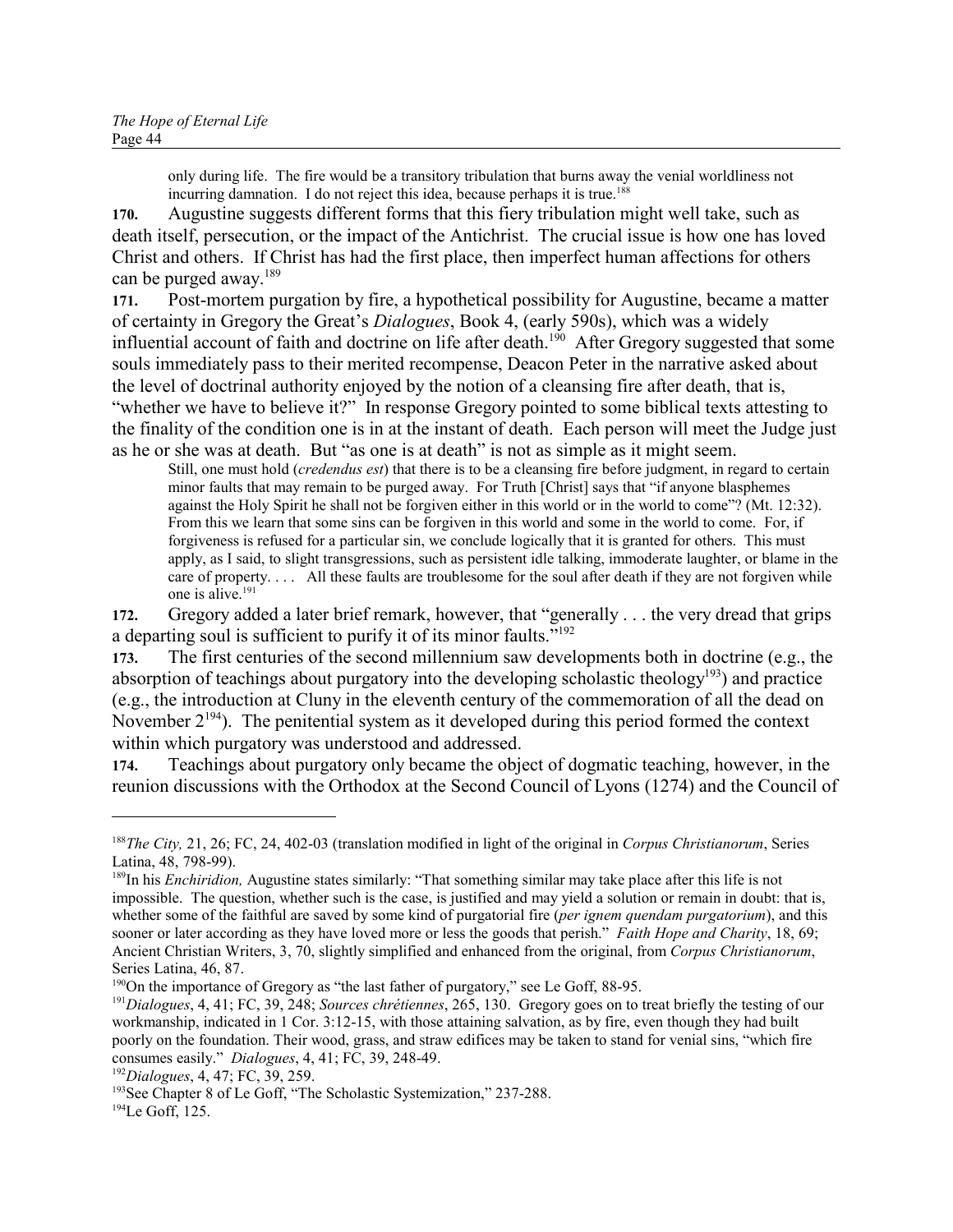only during life. The fire would be a transitory tribulation that burns away the venial worldliness not incurring damnation. I do not reject this idea, because perhaps it is true.<sup>188</sup>

170. Augustine suggests different forms that this fiery tribulation might well take, such as death itself, persecution, or the impact of the Antichrist. The crucial issue is how one has loved Christ and others. If Christ has had the first place, then imperfect human affections for others can be purged away.<sup>189</sup>

171. Post-mortem purgation by fire, a hypothetical possibility for Augustine, became a matter of certainty in Gregory the Great's Dialogues, Book 4, (early 590s), which was a widely influential account of faith and doctrine on life after death.<sup>190</sup> After Gregory suggested that some souls immediately pass to their merited recompense, Deacon Peter in the narrative asked about the level of doctrinal authority enjoyed by the notion of a cleansing fire after death, that is, "whether we have to believe it?" In response Gregory pointed to some biblical texts attesting to the finality of the condition one is in at the instant of death. Each person will meet the Judge just as he or she was at death. But "as one is at death" is not as simple as it might seem.

Still, one must hold *(credendus est)* that there is to be a cleansing fire before judgment, in regard to certain minor faults that may remain to be purged away. For Truth [Christ] says that "if anyone blasphemes against the Holy Spirit he shall not be forgiven either in this world or in the world to come"? (Mt. 12:32). From this we learn that some sins can be forgiven in this world and some in the world to come. For, if forgiveness is refused for a particular sin, we conclude logically that it is granted for others. This must apply, as I said, to slight transgressions, such as persistent idle talking, immoderate laughter, or blame in the care of property.... All these faults are troublesome for the soul after death if they are not forgiven while one is alive.<sup>191</sup>

172. Gregory added a later brief remark, however, that "generally . . . the very dread that grips a departing soul is sufficient to purify it of its minor faults."<sup>192</sup>

173. The first centuries of the second millennium saw developments both in doctrine (e.g., the absorption of teachings about purgatory into the developing scholastic theology<sup>193</sup>) and practice (e.g., the introduction at Cluny in the eleventh century of the commemoration of all the dead on November  $2^{194}$ ). The penitential system as it developed during this period formed the context within which purgatory was understood and addressed.

174. Teachings about purgatory only became the object of dogmatic teaching, however, in the reunion discussions with the Orthodox at the Second Council of Lyons (1274) and the Council of

<sup>&</sup>lt;sup>188</sup>The City, 21, 26; FC, 24, 402-03 (translation modified in light of the original in Corpus Christianorum, Series Latina, 48, 798-99).

 $189$ In his *Enchiridion*, Augustine states similarly: "That something similar may take place after this life is not impossible. The question, whether such is the case, is justified and may yield a solution or remain in doubt: that is, whether some of the faithful are saved by some kind of purgatorial fire (per ignem quendam purgatorium), and this sooner or later according as they have loved more or less the goods that perish." Faith Hope and Charity, 18, 69; Ancient Christian Writers, 3, 70, slightly simplified and enhanced from the original, from Corpus Christianorum, Series Latina, 46, 87.

<sup>&</sup>lt;sup>190</sup>On the importance of Gregory as "the last father of purgatory," see Le Goff, 88-95.

<sup>&</sup>lt;sup>191</sup>Dialogues, 4, 41; FC, 39, 248; Sources chrétiennes, 265, 130. Gregory goes on to treat briefly the testing of our workmanship, indicated in 1 Cor. 3:12-15, with those attaining salvation, as by fire, even though they had built poorly on the foundation. Their wood, grass, and straw edifices may be taken to stand for venial sins, "which fire consumes easily." Dialogues, 4, 41; FC, 39, 248-49.

<sup>&</sup>lt;sup>192</sup>Dialogues, 4, 47; FC, 39, 259.

<sup>&</sup>lt;sup>193</sup>See Chapter 8 of Le Goff, "The Scholastic Systemization," 237-288.

<sup>194</sup>Le Goff, 125.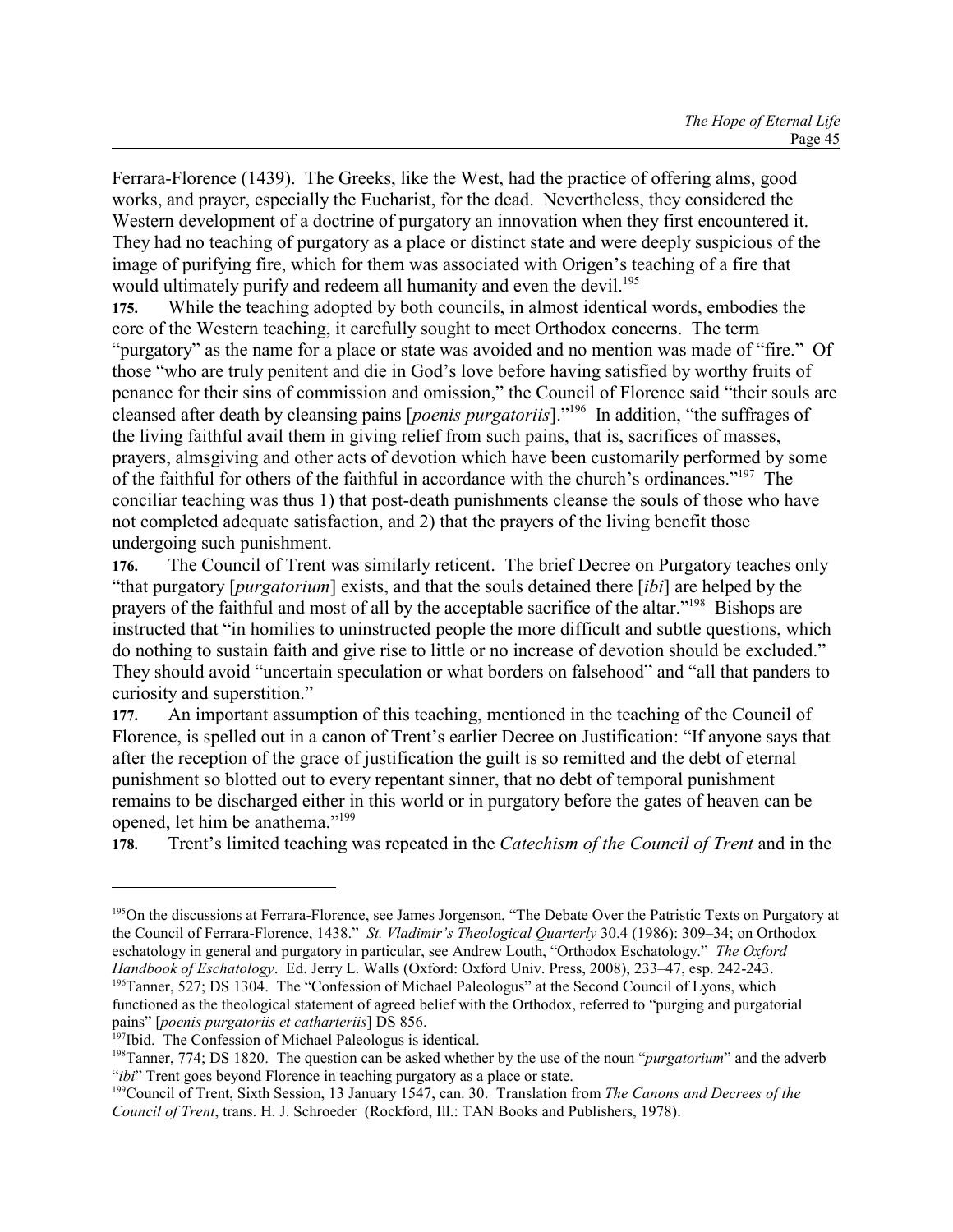Ferrara-Florence (1439). The Greeks, like the West, had the practice of offering alms, good works, and prayer, especially the Eucharist, for the dead. Nevertheless, they considered the Western development of a doctrine of purgatory an innovation when they first encountered it. They had no teaching of purgatory as a place or distinct state and were deeply suspicious of the image of purifying fire, which for them was associated with Origen's teaching of a fire that would ultimately purify and redeem all humanity and even the devil.<sup>195</sup>

175. While the teaching adopted by both councils, in almost identical words, embodies the core of the Western teaching, it carefully sought to meet Orthodox concerns. The term "purgatory" as the name for a place or state was avoided and no mention was made of "fire." Of those "who are truly penitent and die in God's love before having satisfied by worthy fruits of penance for their sins of commission and omission," the Council of Florence said "their souls are cleansed after death by cleansing pains [poenis purgatoriis]."<sup>196</sup> In addition, "the suffrages of the living faithful avail them in giving relief from such pains, that is, sacrifices of masses, prayers, almsgiving and other acts of devotion which have been customarily performed by some of the faithful for others of the faithful in accordance with the church's ordinances."<sup>197</sup> The conciliar teaching was thus 1) that post-death punishments cleanse the souls of those who have not completed adequate satisfaction, and 2) that the prayers of the living benefit those undergoing such punishment.

176. The Council of Trent was similarly reticent. The brief Decree on Purgatory teaches only "that purgatory [purgatorium] exists, and that the souls detained there [ibi] are helped by the prayers of the faithful and most of all by the acceptable sacrifice of the altar."<sup>198</sup> Bishops are instructed that "in homilies to uninstructed people the more difficult and subtle questions, which do nothing to sustain faith and give rise to little or no increase of devotion should be excluded." They should avoid "uncertain speculation or what borders on falsehood" and "all that panders to curiosity and superstition."

177. An important assumption of this teaching, mentioned in the teaching of the Council of Florence, is spelled out in a canon of Trent's earlier Decree on Justification: "If anyone says that after the reception of the grace of justification the guilt is so remitted and the debt of eternal punishment so blotted out to every repentant sinner, that no debt of temporal punishment remains to be discharged either in this world or in purgatory before the gates of heaven can be opened, let him be anathema."<sup>199</sup>

178. Trent's limited teaching was repeated in the Catechism of the Council of Trent and in the

<sup>&</sup>lt;sup>195</sup>On the discussions at Ferrara-Florence, see James Jorgenson, "The Debate Over the Patristic Texts on Purgatory at the Council of Ferrara-Florence, 1438." St. Vladimir's Theological Quarterly 30.4 (1986): 309–34; on Orthodox eschatology in general and purgatory in particular, see Andrew Louth, "Orthodox Eschatology." The Oxford Handbook of Eschatology. Ed. Jerry L. Walls (Oxford: Oxford Univ. Press, 2008), 233-47, esp. 242-243. <sup>196</sup>Tanner, 527; DS 1304. The "Confession of Michael Paleologus" at the Second Council of Lyons, which functioned as the theological statement of agreed belief with the Orthodox, referred to "purging and purgatorial pains" [poenis purgatoriis et catharteriis] DS 856.

<sup>&</sup>lt;sup>197</sup>Ibid. The Confession of Michael Paleologus is identical.

<sup>&</sup>lt;sup>198</sup>Tanner, 774; DS 1820. The question can be asked whether by the use of the noun "*purgatorium*" and the adverb "*ibi*" Trent goes beyond Florence in teaching purgatory as a place or state.

<sup>&</sup>lt;sup>199</sup>Council of Trent, Sixth Session, 13 January 1547, can. 30. Translation from *The Canons and Decrees of the* Council of Trent, trans. H. J. Schroeder (Rockford, Ill.: TAN Books and Publishers, 1978).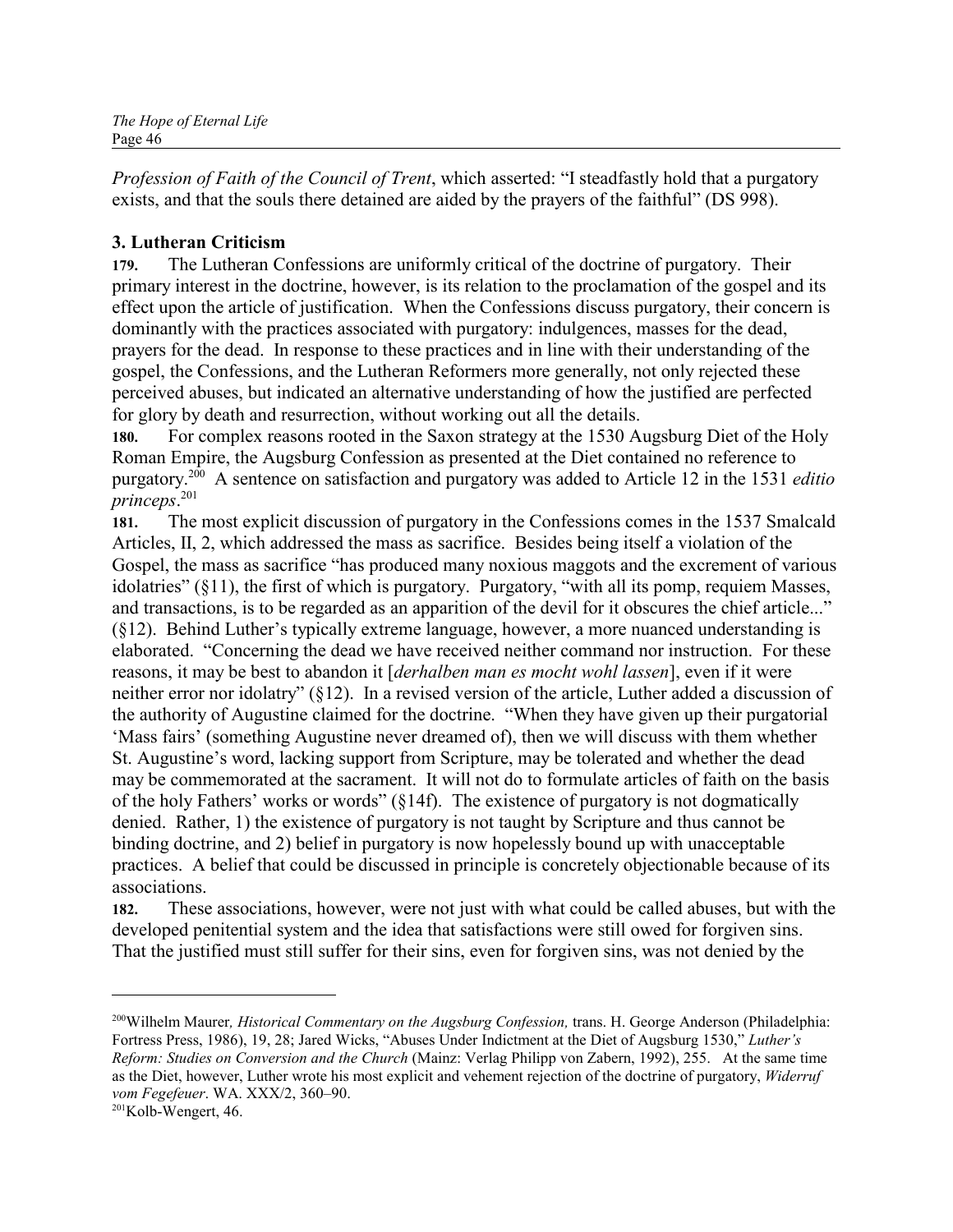Profession of Faith of the Council of Trent, which asserted: "I steadfastly hold that a purgatory exists, and that the souls there detained are aided by the prayers of the faithful" (DS 998).

# 3. Lutheran Criticism

179. The Lutheran Confessions are uniformly critical of the doctrine of purgatory. Their primary interest in the doctrine, however, is its relation to the proclamation of the gospel and its effect upon the article of justification. When the Confessions discuss purgatory, their concern is dominantly with the practices associated with purgatory: indulgences, masses for the dead, prayers for the dead. In response to these practices and in line with their understanding of the gospel, the Confessions, and the Lutheran Reformers more generally, not only rejected these perceived abuses, but indicated an alternative understanding of how the justified are perfected for glory by death and resurrection, without working out all the details.

180. For complex reasons rooted in the Saxon strategy at the 1530 Augsburg Diet of the Holy Roman Empire, the Augsburg Confession as presented at the Diet contained no reference to purgatory.<sup>200</sup> A sentence on satisfaction and purgatory was added to Article 12 in the 1531 *editio* princeps. 201

181. The most explicit discussion of purgatory in the Confessions comes in the 1537 Smalcald Articles, II, 2, which addressed the mass as sacrifice. Besides being itself a violation of the Gospel, the mass as sacrifice "has produced many noxious maggots and the excrement of various idolatries" (§11), the first of which is purgatory. Purgatory, "with all its pomp, requiem Masses, and transactions, is to be regarded as an apparition of the devil for it obscures the chief article..." (§12). Behind Luther's typically extreme language, however, a more nuanced understanding is elaborated. "Concerning the dead we have received neither command nor instruction. For these reasons, it may be best to abandon it *[derhalben man es mocht wohl lassen*], even if it were neither error nor idolatry" (§12). In a revised version of the article, Luther added a discussion of the authority of Augustine claimed for the doctrine. "When they have given up their purgatorial 'Mass fairs' (something Augustine never dreamed of), then we will discuss with them whether St. Augustine's word, lacking support from Scripture, may be tolerated and whether the dead may be commemorated at the sacrament. It will not do to formulate articles of faith on the basis of the holy Fathers' works or words" (§14f). The existence of purgatory is not dogmatically denied. Rather, 1) the existence of purgatory is not taught by Scripture and thus cannot be binding doctrine, and 2) belief in purgatory is now hopelessly bound up with unacceptable practices. A belief that could be discussed in principle is concretely objectionable because of its associations.

182. These associations, however, were not just with what could be called abuses, but with the developed penitential system and the idea that satisfactions were still owed for forgiven sins. That the justified must still suffer for their sins, even for forgiven sins, was not denied by the

<sup>&</sup>lt;sup>200</sup>Wilhelm Maurer, *Historical Commentary on the Augsburg Confession*, trans. H. George Anderson (Philadelphia: Fortress Press, 1986), 19, 28; Jared Wicks, "Abuses Under Indictment at the Diet of Augsburg 1530," Luther's Reform: Studies on Conversion and the Church (Mainz: Verlag Philipp von Zabern, 1992), 255. At the same time as the Diet, however, Luther wrote his most explicit and vehement rejection of the doctrine of purgatory, Widerruf vom Fegefeuer. WA. XXX/2, 360–90.

 $201$ Kolb-Wengert, 46.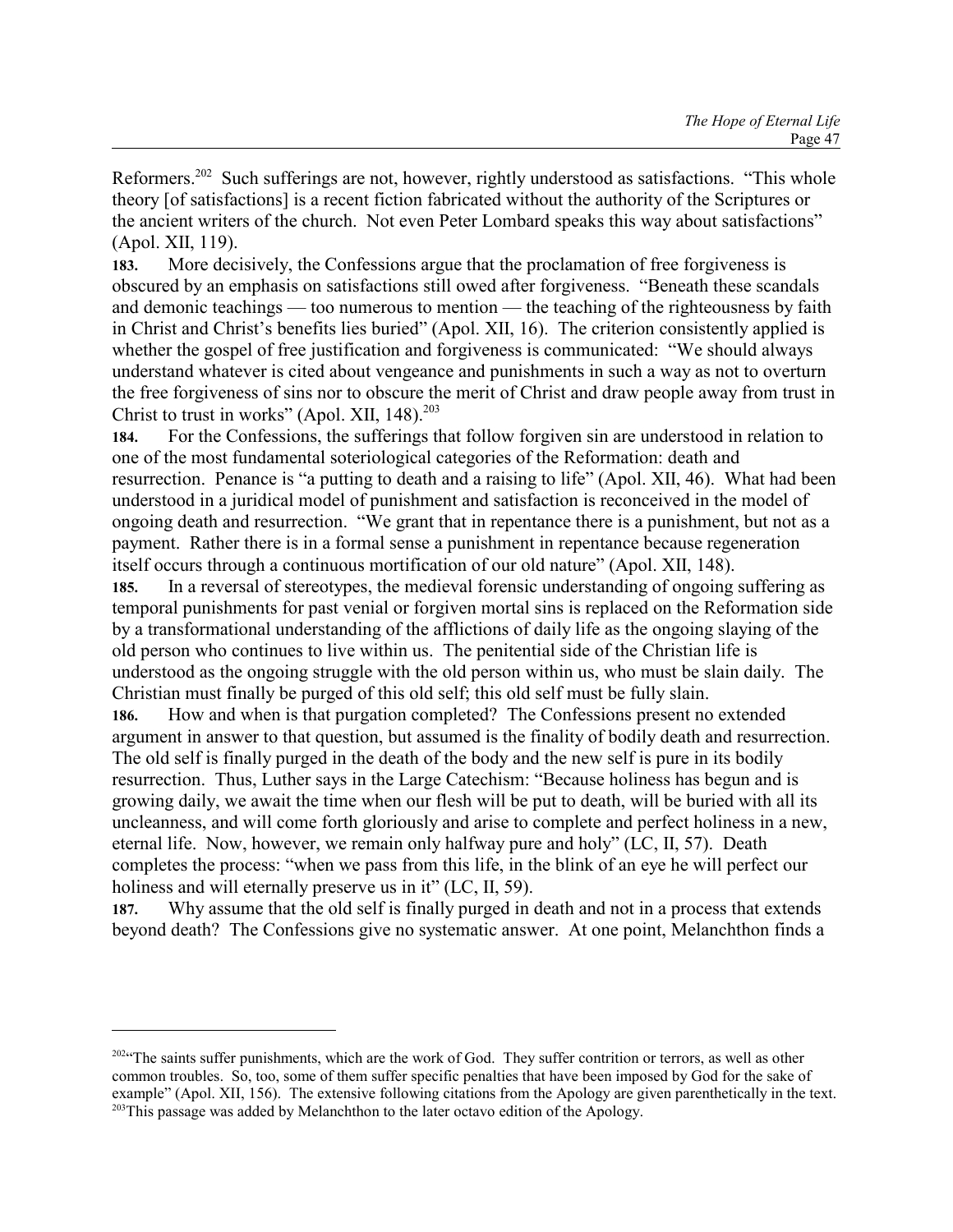Reformers.<sup>202</sup> Such sufferings are not, however, rightly understood as satisfactions. "This whole theory [of satisfactions] is a recent fiction fabricated without the authority of the Scriptures or the ancient writers of the church. Not even Peter Lombard speaks this way about satisfactions" (Apol. XII, 119).

183. More decisively, the Confessions argue that the proclamation of free forgiveness is obscured by an emphasis on satisfactions still owed after forgiveness. "Beneath these scandals and demonic teachings — too numerous to mention — the teaching of the righteousness by faith in Christ and Christ's benefits lies buried" (Apol. XII, 16). The criterion consistently applied is whether the gospel of free justification and forgiveness is communicated: "We should always understand whatever is cited about vengeance and punishments in such a way as not to overturn the free forgiveness of sins nor to obscure the merit of Christ and draw people away from trust in Christ to trust in works" (Apol. XII,  $148$ ).<sup>203</sup>

184. For the Confessions, the sufferings that follow forgiven sin are understood in relation to one of the most fundamental soteriological categories of the Reformation: death and resurrection. Penance is "a putting to death and a raising to life" (Apol. XII, 46). What had been understood in a juridical model of punishment and satisfaction is reconceived in the model of ongoing death and resurrection. "We grant that in repentance there is a punishment, but not as a payment. Rather there is in a formal sense a punishment in repentance because regeneration itself occurs through a continuous mortification of our old nature" (Apol. XII, 148).

185. In a reversal of stereotypes, the medieval forensic understanding of ongoing suffering as temporal punishments for past venial or forgiven mortal sins is replaced on the Reformation side by a transformational understanding of the afflictions of daily life as the ongoing slaying of the old person who continues to live within us. The penitential side of the Christian life is understood as the ongoing struggle with the old person within us, who must be slain daily. The Christian must finally be purged of this old self; this old self must be fully slain.

186. How and when is that purgation completed? The Confessions present no extended argument in answer to that question, but assumed is the finality of bodily death and resurrection. The old self is finally purged in the death of the body and the new self is pure in its bodily resurrection. Thus, Luther says in the Large Catechism: "Because holiness has begun and is growing daily, we await the time when our flesh will be put to death, will be buried with all its uncleanness, and will come forth gloriously and arise to complete and perfect holiness in a new, eternal life. Now, however, we remain only halfway pure and holy" (LC, II, 57). Death completes the process: "when we pass from this life, in the blink of an eye he will perfect our holiness and will eternally preserve us in it" (LC, II, 59).

187. Why assume that the old self is finally purged in death and not in a process that extends beyond death? The Confessions give no systematic answer. At one point, Melanchthon finds a

 $202$ <sup> $202$ </sup> The saints suffer punishments, which are the work of God. They suffer contrition or terrors, as well as other common troubles. So, too, some of them suffer specific penalties that have been imposed by God for the sake of example" (Apol. XII, 156). The extensive following citations from the Apology are given parenthetically in the text. <sup>203</sup>This passage was added by Melanchthon to the later octavo edition of the Apology.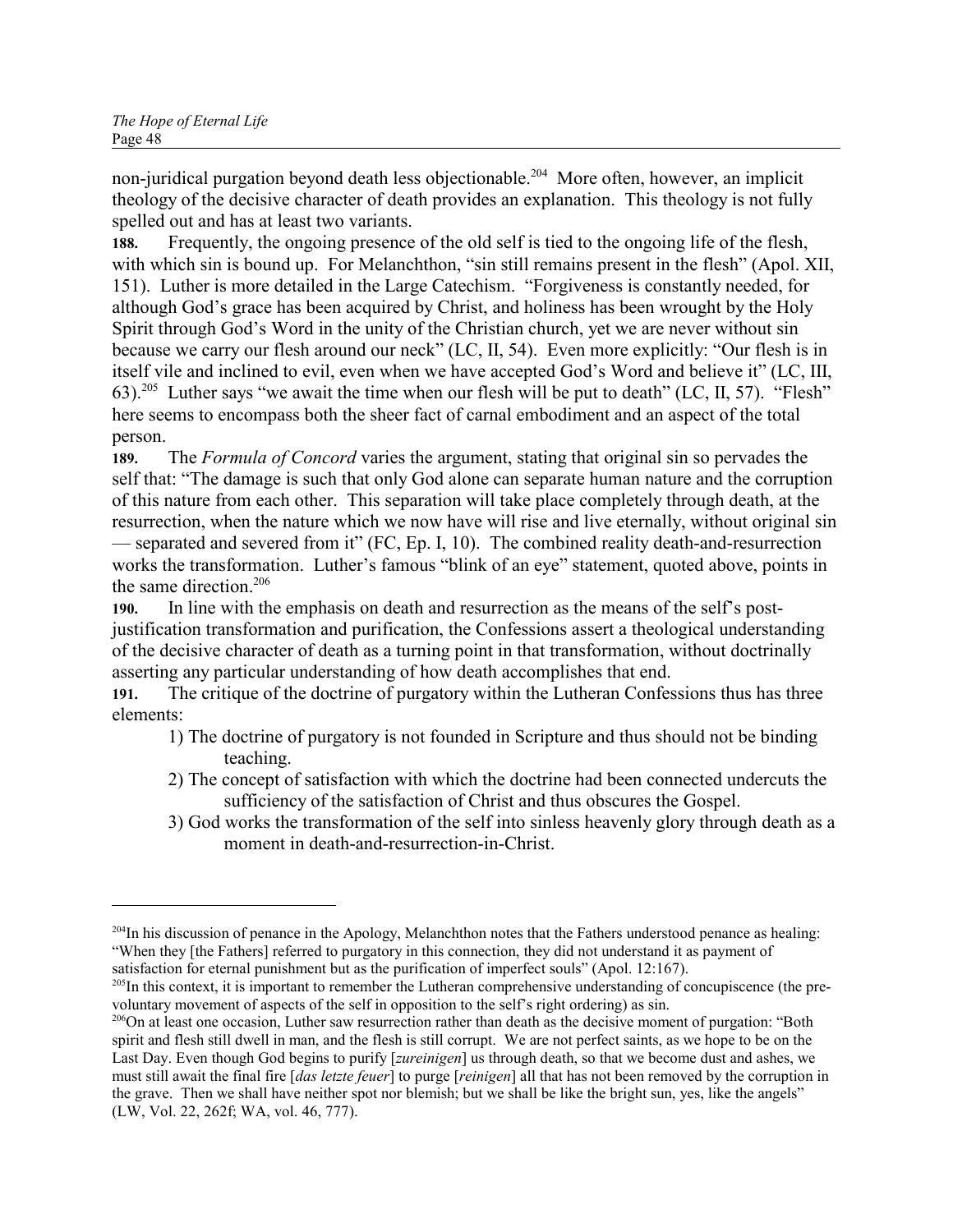non-juridical purgation beyond death less objectionable.<sup>204</sup> More often, however, an implicit theology of the decisive character of death provides an explanation. This theology is not fully spelled out and has at least two variants.

188. Frequently, the ongoing presence of the old self is tied to the ongoing life of the flesh, with which sin is bound up. For Melanchthon, "sin still remains present in the flesh" (Apol. XII, 151). Luther is more detailed in the Large Catechism. "Forgiveness is constantly needed, for although God's grace has been acquired by Christ, and holiness has been wrought by the Holy Spirit through God's Word in the unity of the Christian church, yet we are never without sin because we carry our flesh around our neck" (LC, II, 54). Even more explicitly: "Our flesh is in itself vile and inclined to evil, even when we have accepted God's Word and believe it" (LC, III, 63).<sup>205</sup> Luther says "we await the time when our flesh will be put to death" (LC, II, 57). "Flesh" here seems to encompass both the sheer fact of carnal embodiment and an aspect of the total person.

189. The Formula of Concord varies the argument, stating that original sin so pervades the self that: "The damage is such that only God alone can separate human nature and the corruption of this nature from each other. This separation will take place completely through death, at the resurrection, when the nature which we now have will rise and live eternally, without original sin — separated and severed from it" (FC, Ep. I, 10). The combined reality death-and-resurrection works the transformation. Luther's famous "blink of an eye" statement, quoted above, points in the same direction.<sup>206</sup>

190. In line with the emphasis on death and resurrection as the means of the self's postjustification transformation and purification, the Confessions assert a theological understanding of the decisive character of death as a turning point in that transformation, without doctrinally asserting any particular understanding of how death accomplishes that end.

191. The critique of the doctrine of purgatory within the Lutheran Confessions thus has three elements:

- 1) The doctrine of purgatory is not founded in Scripture and thus should not be binding teaching.
- 2) The concept of satisfaction with which the doctrine had been connected undercuts the sufficiency of the satisfaction of Christ and thus obscures the Gospel.
- 3) God works the transformation of the self into sinless heavenly glory through death as a moment in death-and-resurrection-in-Christ.

<sup>&</sup>lt;sup>204</sup>In his discussion of penance in the Apology, Melanchthon notes that the Fathers understood penance as healing: "When they [the Fathers] referred to purgatory in this connection, they did not understand it as payment of satisfaction for eternal punishment but as the purification of imperfect souls" (Apol. 12:167).

<sup>&</sup>lt;sup>205</sup>In this context, it is important to remember the Lutheran comprehensive understanding of concupiscence (the prevoluntary movement of aspects of the self in opposition to the self's right ordering) as sin.

<sup>&</sup>lt;sup>206</sup>On at least one occasion, Luther saw resurrection rather than death as the decisive moment of purgation: "Both spirit and flesh still dwell in man, and the flesh is still corrupt. We are not perfect saints, as we hope to be on the Last Day. Even though God begins to purify [*zureinigen*] us through death, so that we become dust and ashes, we must still await the final fire [*das letzte feuer*] to purge [*reinigen*] all that has not been removed by the corruption in the grave. Then we shall have neither spot nor blemish; but we shall be like the bright sun, yes, like the angels" (LW, Vol. 22, 262f; WA, vol. 46, 777).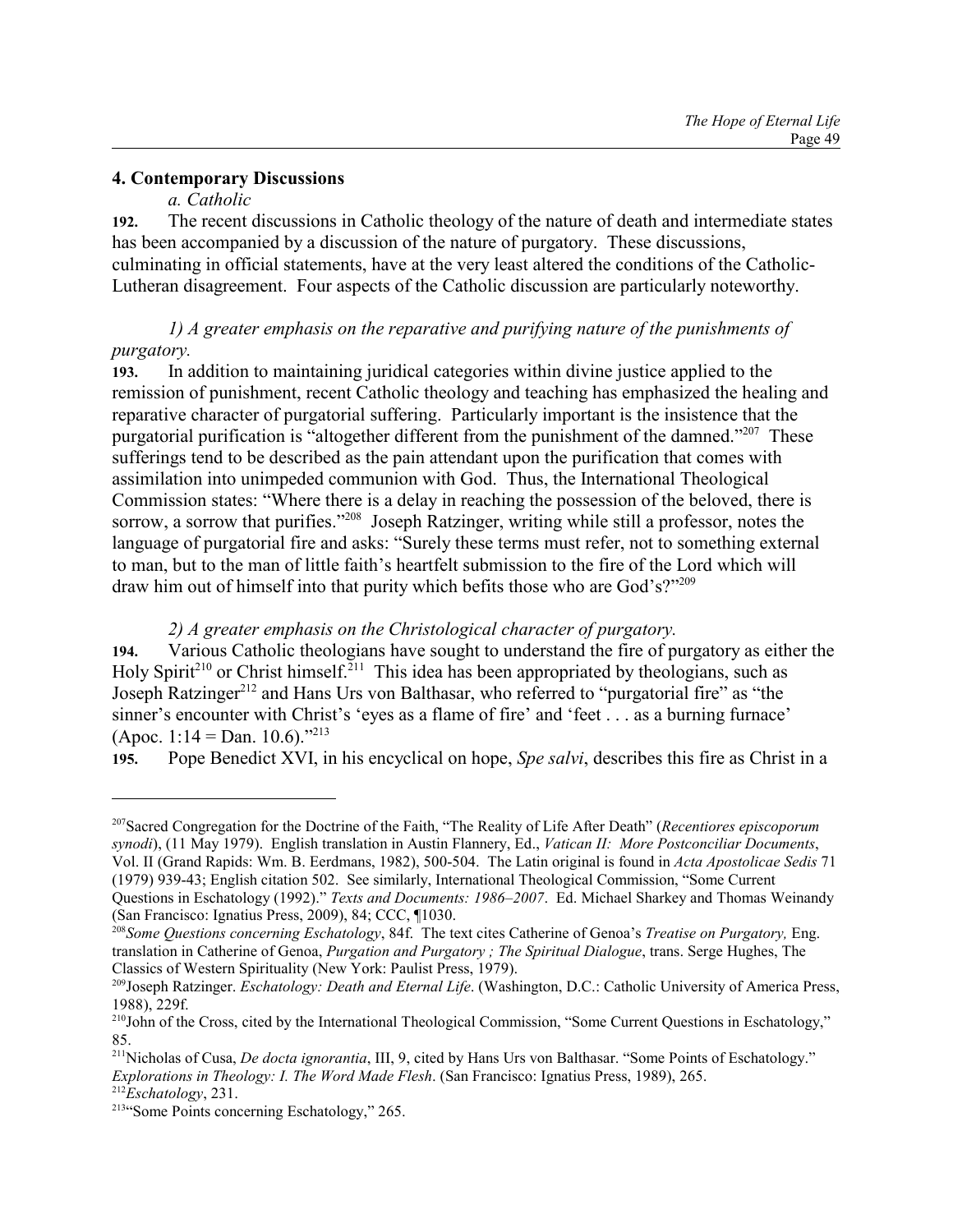#### 4. Contemporary Discussions

#### a. Catholic

192. The recent discussions in Catholic theology of the nature of death and intermediate states has been accompanied by a discussion of the nature of purgatory. These discussions, culminating in official statements, have at the very least altered the conditions of the Catholic-Lutheran disagreement. Four aspects of the Catholic discussion are particularly noteworthy.

#### 1) A greater emphasis on the reparative and purifying nature of the punishments of purgatory.

193. In addition to maintaining juridical categories within divine justice applied to the remission of punishment, recent Catholic theology and teaching has emphasized the healing and reparative character of purgatorial suffering. Particularly important is the insistence that the purgatorial purification is "altogether different from the punishment of the damned."<sup>207</sup> These sufferings tend to be described as the pain attendant upon the purification that comes with assimilation into unimpeded communion with God. Thus, the International Theological Commission states: "Where there is a delay in reaching the possession of the beloved, there is sorrow, a sorrow that purifies."<sup>208</sup> Joseph Ratzinger, writing while still a professor, notes the language of purgatorial fire and asks: "Surely these terms must refer, not to something external to man, but to the man of little faith's heartfelt submission to the fire of the Lord which will draw him out of himself into that purity which befits those who are God's?"<sup>209</sup>

#### 2) A greater emphasis on the Christological character of purgatory.

194. Various Catholic theologians have sought to understand the fire of purgatory as either the Holy Spirit<sup>210</sup> or Christ himself.<sup>211</sup> This idea has been appropriated by theologians, such as Joseph Ratzinger<sup>212</sup> and Hans Urs von Balthasar, who referred to "purgatorial fire" as "the sinner's encounter with Christ's 'eyes as a flame of fire' and 'feet . . . as a burning furnace' (Apoc. 1:14 = Dan. 10.6)."<sup>213</sup>

195. Pope Benedict XVI, in his encyclical on hope, Spe salvi, describes this fire as Christ in a

<sup>&</sup>lt;sup>207</sup>Sacred Congregation for the Doctrine of the Faith, "The Reality of Life After Death" (Recentiores episcoporum synodi), (11 May 1979). English translation in Austin Flannery, Ed., Vatican II: More Postconciliar Documents, Vol. II (Grand Rapids: Wm. B. Eerdmans, 1982), 500-504. The Latin original is found in Acta Apostolicae Sedis 71 (1979) 939-43; English citation 502. See similarly, International Theological Commission, "Some Current Questions in Eschatology (1992)." Texts and Documents: 1986–2007. Ed. Michael Sharkey and Thomas Weinandy (San Francisco: Ignatius Press, 2009), 84; CCC, ¶1030.

<sup>&</sup>lt;sup>208</sup>Some Questions concerning Eschatology, 84f. The text cites Catherine of Genoa's Treatise on Purgatory, Eng. translation in Catherine of Genoa, Purgation and Purgatory ; The Spiritual Dialogue, trans. Serge Hughes, The Classics of Western Spirituality (New York: Paulist Press, 1979).

<sup>&</sup>lt;sup>209</sup>Joseph Ratzinger. *Eschatology: Death and Eternal Life*. (Washington, D.C.: Catholic University of America Press, 1988), 229f.

<sup>&</sup>lt;sup>210</sup>John of the Cross, cited by the International Theological Commission, "Some Current Questions in Eschatology," 85.

<sup>&</sup>lt;sup>211</sup>Nicholas of Cusa, *De docta ignorantia*, III, 9, cited by Hans Urs von Balthasar. "Some Points of Eschatology." Explorations in Theology: I. The Word Made Flesh. (San Francisco: Ignatius Press, 1989), 265.

 $2^{12}E$ schatology, 231.

<sup>213</sup>"Some Points concerning Eschatology," 265.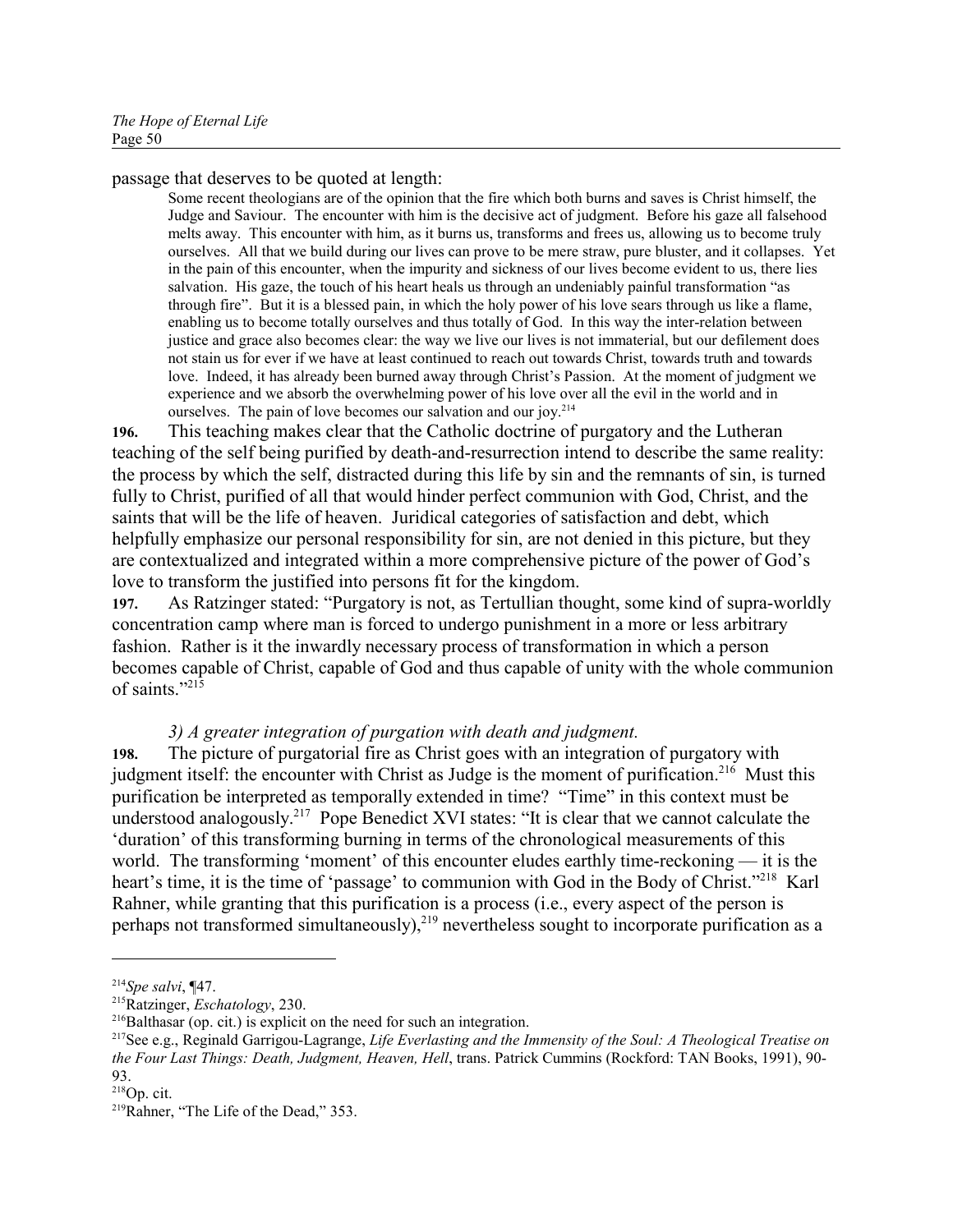passage that deserves to be quoted at length:

Some recent theologians are of the opinion that the fire which both burns and saves is Christ himself, the Judge and Saviour. The encounter with him is the decisive act of judgment. Before his gaze all falsehood melts away. This encounter with him, as it burns us, transforms and frees us, allowing us to become truly ourselves. All that we build during our lives can prove to be mere straw, pure bluster, and it collapses. Yet in the pain of this encounter, when the impurity and sickness of our lives become evident to us, there lies salvation. His gaze, the touch of his heart heals us through an undeniably painful transformation "as through fire". But it is a blessed pain, in which the holy power of his love sears through us like a flame, enabling us to become totally ourselves and thus totally of God. In this way the inter-relation between justice and grace also becomes clear: the way we live our lives is not immaterial, but our defilement does not stain us for ever if we have at least continued to reach out towards Christ, towards truth and towards love. Indeed, it has already been burned away through Christ's Passion. At the moment of judgment we experience and we absorb the overwhelming power of his love over all the evil in the world and in ourselves. The pain of love becomes our salvation and our joy.<sup>214</sup>

196. This teaching makes clear that the Catholic doctrine of purgatory and the Lutheran teaching of the self being purified by death-and-resurrection intend to describe the same reality: the process by which the self, distracted during this life by sin and the remnants of sin, is turned fully to Christ, purified of all that would hinder perfect communion with God, Christ, and the saints that will be the life of heaven. Juridical categories of satisfaction and debt, which helpfully emphasize our personal responsibility for sin, are not denied in this picture, but they are contextualized and integrated within a more comprehensive picture of the power of God's love to transform the justified into persons fit for the kingdom.

197. As Ratzinger stated: "Purgatory is not, as Tertullian thought, some kind of supra-worldly concentration camp where man is forced to undergo punishment in a more or less arbitrary fashion. Rather is it the inwardly necessary process of transformation in which a person becomes capable of Christ, capable of God and thus capable of unity with the whole communion of saints<sup>"215</sup>

#### 3) A greater integration of purgation with death and judgment.

198. The picture of purgatorial fire as Christ goes with an integration of purgatory with judgment itself: the encounter with Christ as Judge is the moment of purification.<sup>216</sup> Must this purification be interpreted as temporally extended in time? "Time" in this context must be understood analogously.<sup>217</sup> Pope Benedict XVI states: "It is clear that we cannot calculate the 'duration' of this transforming burning in terms of the chronological measurements of this world. The transforming 'moment' of this encounter eludes earthly time-reckoning — it is the heart's time, it is the time of 'passage' to communion with God in the Body of Christ."<sup>218</sup> Karl Rahner, while granting that this purification is a process (i.e., every aspect of the person is perhaps not transformed simultaneously),<sup>219</sup> nevertheless sought to incorporate purification as a

 $214$ Spe salvi, ¶47.

<sup>215</sup>Ratzinger, Eschatology, 230.

 $216$ Balthasar (op. cit.) is explicit on the need for such an integration.

<sup>&</sup>lt;sup>217</sup>See e.g., Reginald Garrigou-Lagrange, *Life Everlasting and the Immensity of the Soul: A Theological Treatise on* the Four Last Things: Death, Judgment, Heaven, Hell, trans. Patrick Cummins (Rockford: TAN Books, 1991), 90- 93.

 $218$ Op. cit.

<sup>219</sup>Rahner, "The Life of the Dead," 353.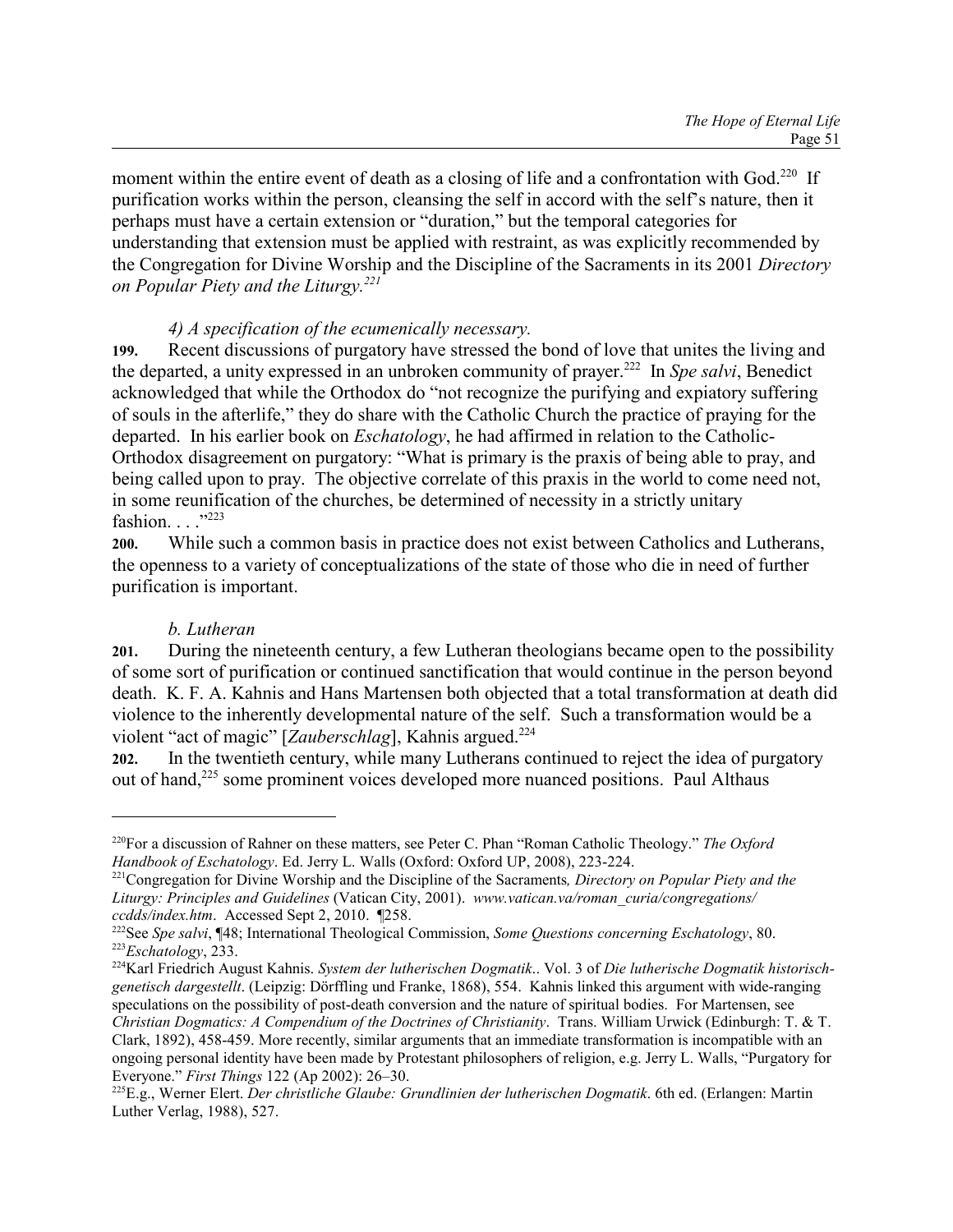moment within the entire event of death as a closing of life and a confrontation with God.<sup>220</sup> If purification works within the person, cleansing the self in accord with the self's nature, then it perhaps must have a certain extension or "duration," but the temporal categories for understanding that extension must be applied with restraint, as was explicitly recommended by the Congregation for Divine Worship and the Discipline of the Sacraments in its 2001 Directory on Popular Piety and the Liturgy.<sup>221</sup>

#### 4) A specification of the ecumenically necessary.

199. Recent discussions of purgatory have stressed the bond of love that unites the living and the departed, a unity expressed in an unbroken community of prayer.<sup>222</sup> In Spe salvi, Benedict acknowledged that while the Orthodox do "not recognize the purifying and expiatory suffering of souls in the afterlife," they do share with the Catholic Church the practice of praying for the departed. In his earlier book on *Eschatology*, he had affirmed in relation to the Catholic-Orthodox disagreement on purgatory: "What is primary is the praxis of being able to pray, and being called upon to pray. The objective correlate of this praxis in the world to come need not, in some reunification of the churches, be determined of necessity in a strictly unitary fashion. . . . "223

200. While such a common basis in practice does not exist between Catholics and Lutherans, the openness to a variety of conceptualizations of the state of those who die in need of further purification is important.

# b. Lutheran

201. During the nineteenth century, a few Lutheran theologians became open to the possibility of some sort of purification or continued sanctification that would continue in the person beyond death. K. F. A. Kahnis and Hans Martensen both objected that a total transformation at death did violence to the inherently developmental nature of the self. Such a transformation would be a violent "act of magic" [Zauberschlag], Kahnis argued.<sup>224</sup>

202. In the twentieth century, while many Lutherans continued to reject the idea of purgatory out of hand,225 some prominent voices developed more nuanced positions. Paul Althaus

<sup>&</sup>lt;sup>220</sup>For a discussion of Rahner on these matters, see Peter C. Phan "Roman Catholic Theology." The Oxford Handbook of Eschatology. Ed. Jerry L. Walls (Oxford: Oxford UP, 2008), 223-224.

<sup>&</sup>lt;sup>221</sup>Congregation for Divine Worship and the Discipline of the Sacraments, Directory on Popular Piety and the Liturgy: Principles and Guidelines (Vatican City, 2001). www.vatican.va/roman\_curia/congregations/ ccdds/index.htm. Accessed Sept 2, 2010. ¶258.

 $222$ See Spe salvi, ¶48; International Theological Commission, Some Questions concerning Eschatology, 80.  $223$ Eschatology, 233.

<sup>&</sup>lt;sup>224</sup>Karl Friedrich August Kahnis. System der lutherischen Dogmatik.. Vol. 3 of Die lutherische Dogmatik historischgenetisch dargestellt. (Leipzig: Dörffling und Franke, 1868), 554. Kahnis linked this argument with wide-ranging speculations on the possibility of post-death conversion and the nature of spiritual bodies. For Martensen, see Christian Dogmatics: A Compendium of the Doctrines of Christianity. Trans. William Urwick (Edinburgh: T. & T. Clark, 1892), 458-459. More recently, similar arguments that an immediate transformation is incompatible with an ongoing personal identity have been made by Protestant philosophers of religion, e.g. Jerry L. Walls, "Purgatory for Everyone." First Things 122 (Ap 2002): 26–30.

<sup>&</sup>lt;sup>225</sup>E.g., Werner Elert. Der christliche Glaube: Grundlinien der lutherischen Dogmatik. 6th ed. (Erlangen: Martin Luther Verlag, 1988), 527.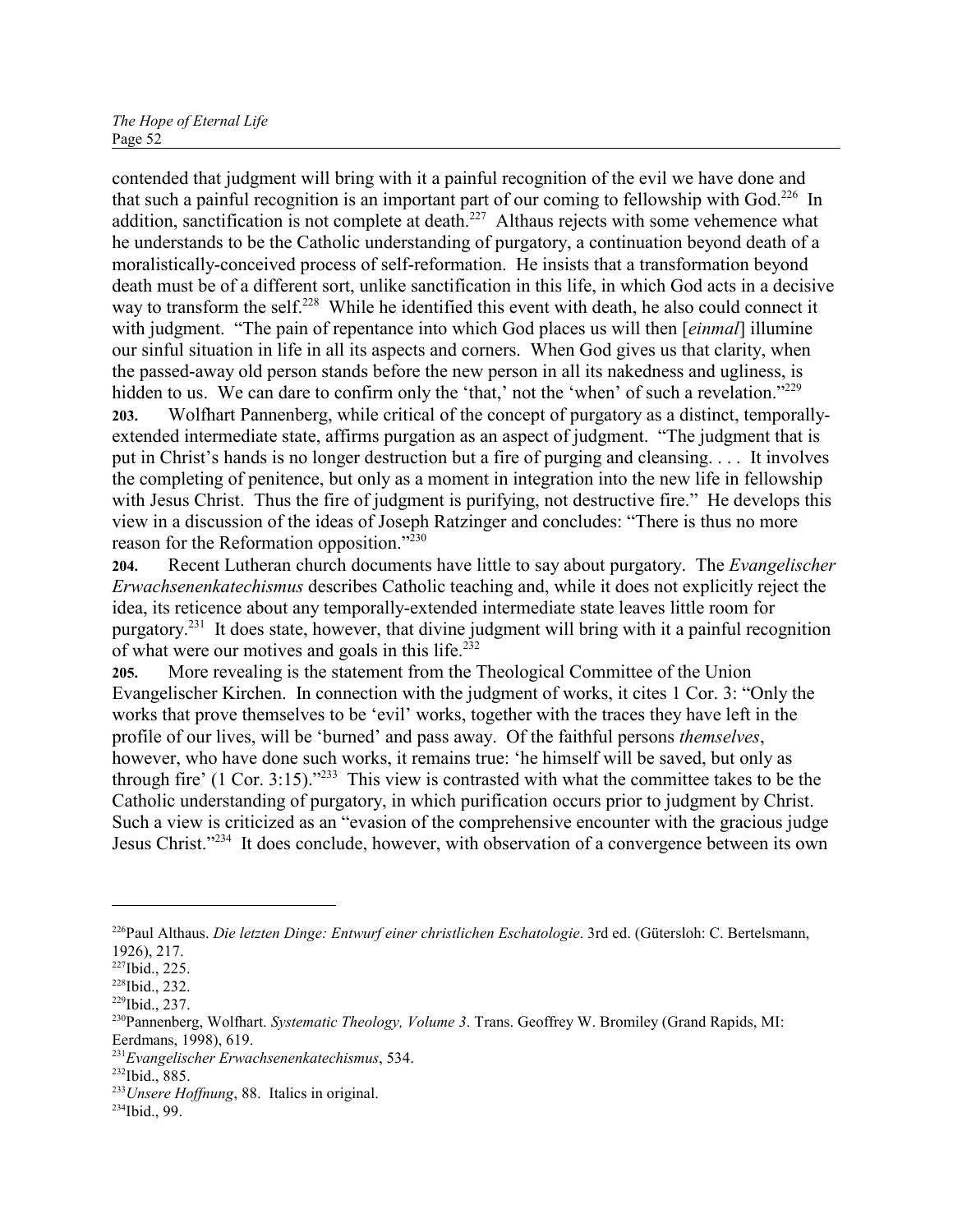contended that judgment will bring with it a painful recognition of the evil we have done and that such a painful recognition is an important part of our coming to fellowship with God.<sup>226</sup> In addition, sanctification is not complete at death.<sup>227</sup> Althaus rejects with some vehemence what he understands to be the Catholic understanding of purgatory, a continuation beyond death of a moralistically-conceived process of self-reformation. He insists that a transformation beyond death must be of a different sort, unlike sanctification in this life, in which God acts in a decisive way to transform the self.<sup>228</sup> While he identified this event with death, he also could connect it with judgment. "The pain of repentance into which God places us will then [einmal] illumine our sinful situation in life in all its aspects and corners. When God gives us that clarity, when the passed-away old person stands before the new person in all its nakedness and ugliness, is hidden to us. We can dare to confirm only the 'that,' not the 'when' of such a revelation."<sup>229</sup> 203. Wolfhart Pannenberg, while critical of the concept of purgatory as a distinct, temporallyextended intermediate state, affirms purgation as an aspect of judgment. "The judgment that is put in Christ's hands is no longer destruction but a fire of purging and cleansing. . . . It involves the completing of penitence, but only as a moment in integration into the new life in fellowship with Jesus Christ. Thus the fire of judgment is purifying, not destructive fire." He develops this view in a discussion of the ideas of Joseph Ratzinger and concludes: "There is thus no more reason for the Reformation opposition."<sup>230</sup>

204. Recent Lutheran church documents have little to say about purgatory. The *Evangelischer* Erwachsenenkatechismus describes Catholic teaching and, while it does not explicitly reject the idea, its reticence about any temporally-extended intermediate state leaves little room for purgatory.<sup>231</sup> It does state, however, that divine judgment will bring with it a painful recognition of what were our motives and goals in this life.<sup>232</sup>

205. More revealing is the statement from the Theological Committee of the Union Evangelischer Kirchen. In connection with the judgment of works, it cites 1 Cor. 3: "Only the works that prove themselves to be 'evil' works, together with the traces they have left in the profile of our lives, will be 'burned' and pass away. Of the faithful persons themselves, however, who have done such works, it remains true: 'he himself will be saved, but only as through fire' (1 Cor. 3:15)."<sup>233</sup> This view is contrasted with what the committee takes to be the Catholic understanding of purgatory, in which purification occurs prior to judgment by Christ. Such a view is criticized as an "evasion of the comprehensive encounter with the gracious judge Jesus Christ."234 It does conclude, however, with observation of a convergence between its own

<sup>&</sup>lt;sup>226</sup>Paul Althaus. Die letzten Dinge: Entwurf einer christlichen Eschatologie. 3rd ed. (Gütersloh: C. Bertelsmann, 1926), 217.

<sup>227</sup>Ibid., 225.

<sup>228</sup>Ibid., 232.

<sup>229</sup>Ibid., 237.

<sup>&</sup>lt;sup>230</sup>Pannenberg, Wolfhart. Systematic Theology, Volume 3. Trans. Geoffrey W. Bromiley (Grand Rapids, MI: Eerdmans, 1998), 619.

 $231$ Evangelischer Erwachsenenkatechismus, 534.

<sup>232</sup>Ibid., 885.

 $233$ Unsere Hoffnung, 88. Italics in original.

<sup>234</sup>Ibid., 99.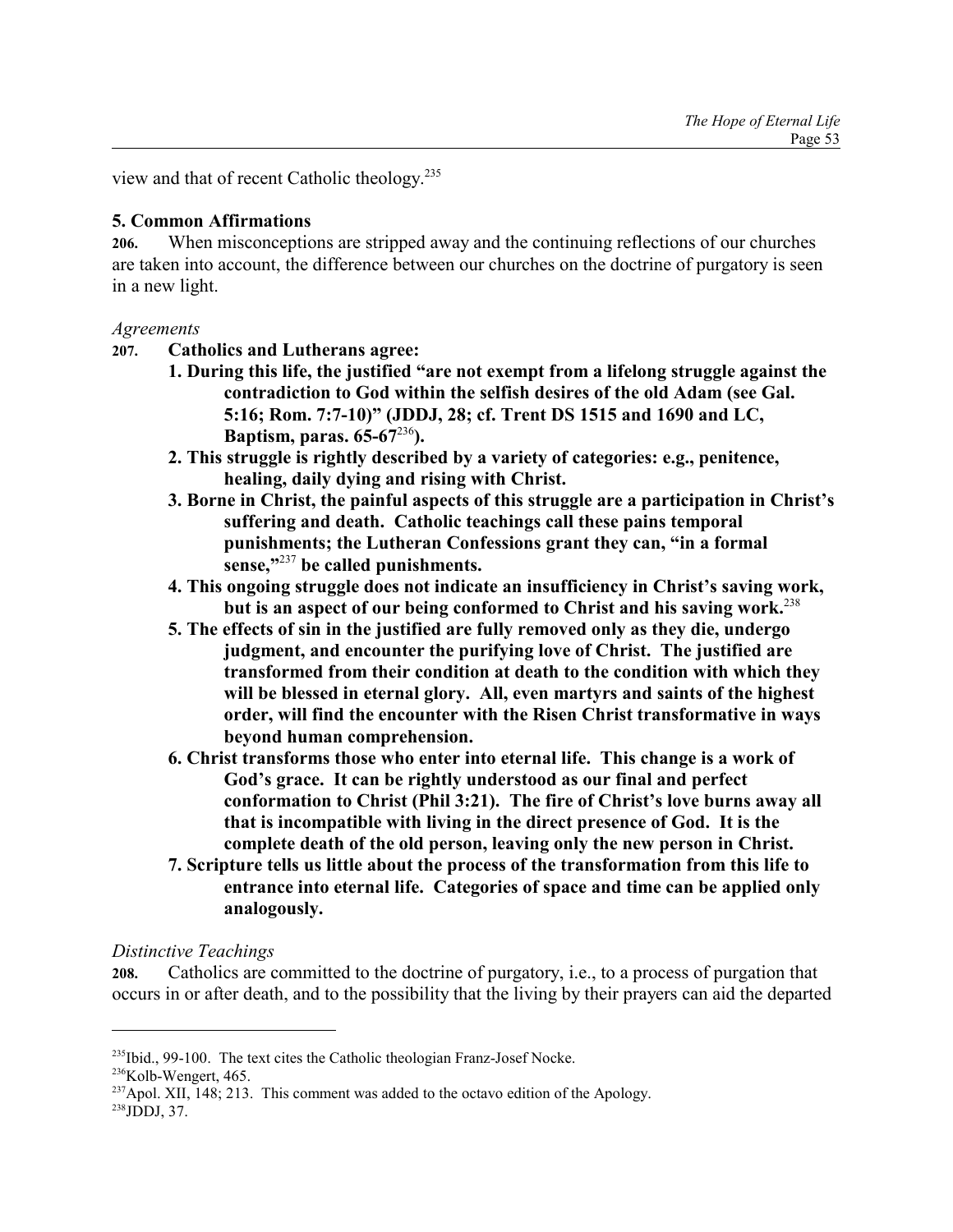view and that of recent Catholic theology.<sup>235</sup>

#### 5. Common Affirmations

206. When misconceptions are stripped away and the continuing reflections of our churches are taken into account, the difference between our churches on the doctrine of purgatory is seen in a new light.

#### Agreements

- 207. Catholics and Lutherans agree:
	- 1. During this life, the justified "are not exempt from a lifelong struggle against the contradiction to God within the selfish desires of the old Adam (see Gal. 5:16; Rom. 7:7-10)" (JDDJ, 28; cf. Trent DS 1515 and 1690 and LC, Baptism, paras.  $65-67^{236}$ ).
	- 2. This struggle is rightly described by a variety of categories: e.g., penitence, healing, daily dying and rising with Christ.
	- 3. Borne in Christ, the painful aspects of this struggle are a participation in Christ's suffering and death. Catholic teachings call these pains temporal punishments; the Lutheran Confessions grant they can, "in a formal sense,"<sup>237</sup> be called punishments.
	- 4. This ongoing struggle does not indicate an insufficiency in Christ's saving work, but is an aspect of our being conformed to Christ and his saving work.<sup>238</sup>
	- 5. The effects of sin in the justified are fully removed only as they die, undergo judgment, and encounter the purifying love of Christ. The justified are transformed from their condition at death to the condition with which they will be blessed in eternal glory. All, even martyrs and saints of the highest order, will find the encounter with the Risen Christ transformative in ways beyond human comprehension.
	- 6. Christ transforms those who enter into eternal life. This change is a work of God's grace. It can be rightly understood as our final and perfect conformation to Christ (Phil 3:21). The fire of Christ's love burns away all that is incompatible with living in the direct presence of God. It is the complete death of the old person, leaving only the new person in Christ.
	- 7. Scripture tells us little about the process of the transformation from this life to entrance into eternal life. Categories of space and time can be applied only analogously.

#### Distinctive Teachings

208. Catholics are committed to the doctrine of purgatory, i.e., to a process of purgation that occurs in or after death, and to the possibility that the living by their prayers can aid the departed

<sup>&</sup>lt;sup>235</sup>Ibid., 99-100. The text cites the Catholic theologian Franz-Josef Nocke.

<sup>236</sup>Kolb-Wengert, 465.

<sup>&</sup>lt;sup>237</sup>Apol. XII, 148; 213. This comment was added to the octavo edition of the Apology.  $^{238}$ JDDJ, 37.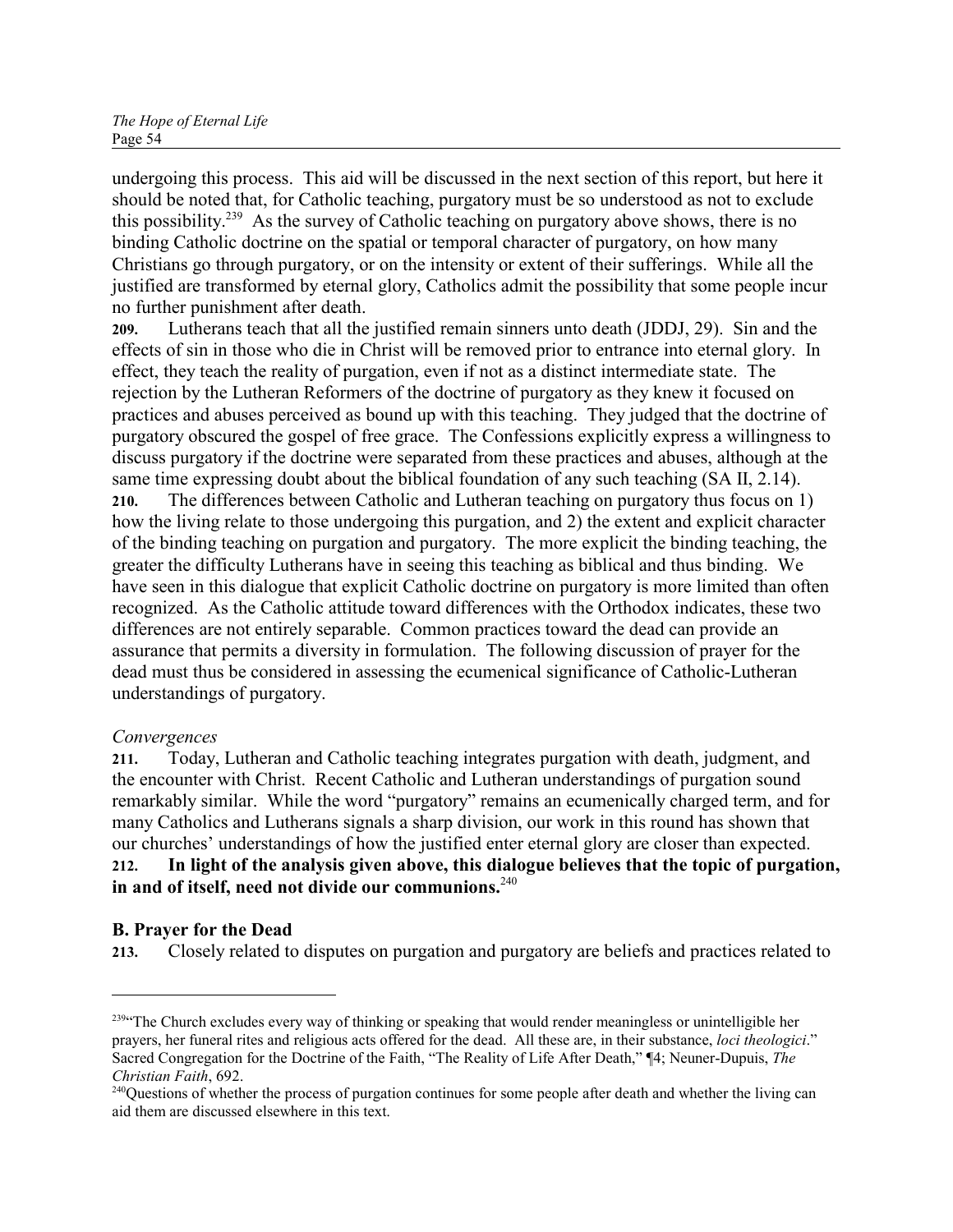undergoing this process. This aid will be discussed in the next section of this report, but here it should be noted that, for Catholic teaching, purgatory must be so understood as not to exclude this possibility.<sup>239</sup> As the survey of Catholic teaching on purgatory above shows, there is no binding Catholic doctrine on the spatial or temporal character of purgatory, on how many Christians go through purgatory, or on the intensity or extent of their sufferings. While all the justified are transformed by eternal glory, Catholics admit the possibility that some people incur no further punishment after death.

209. Lutherans teach that all the justified remain sinners unto death (JDDJ, 29). Sin and the effects of sin in those who die in Christ will be removed prior to entrance into eternal glory. In effect, they teach the reality of purgation, even if not as a distinct intermediate state. The rejection by the Lutheran Reformers of the doctrine of purgatory as they knew it focused on practices and abuses perceived as bound up with this teaching. They judged that the doctrine of purgatory obscured the gospel of free grace. The Confessions explicitly express a willingness to discuss purgatory if the doctrine were separated from these practices and abuses, although at the same time expressing doubt about the biblical foundation of any such teaching (SA II, 2.14). 210. The differences between Catholic and Lutheran teaching on purgatory thus focus on 1) how the living relate to those undergoing this purgation, and 2) the extent and explicit character of the binding teaching on purgation and purgatory. The more explicit the binding teaching, the greater the difficulty Lutherans have in seeing this teaching as biblical and thus binding. We have seen in this dialogue that explicit Catholic doctrine on purgatory is more limited than often recognized. As the Catholic attitude toward differences with the Orthodox indicates, these two differences are not entirely separable. Common practices toward the dead can provide an assurance that permits a diversity in formulation. The following discussion of prayer for the dead must thus be considered in assessing the ecumenical significance of Catholic-Lutheran understandings of purgatory.

# Convergences

211. Today, Lutheran and Catholic teaching integrates purgation with death, judgment, and the encounter with Christ. Recent Catholic and Lutheran understandings of purgation sound remarkably similar. While the word "purgatory" remains an ecumenically charged term, and for many Catholics and Lutherans signals a sharp division, our work in this round has shown that our churches' understandings of how the justified enter eternal glory are closer than expected. 212. In light of the analysis given above, this dialogue believes that the topic of purgation, in and of itself, need not divide our communions. $240$ 

# B. Prayer for the Dead

213. Closely related to disputes on purgation and purgatory are beliefs and practices related to

<sup>&</sup>lt;sup>239</sup>"The Church excludes every way of thinking or speaking that would render meaningless or unintelligible her prayers, her funeral rites and religious acts offered for the dead. All these are, in their substance, loci theologici." Sacred Congregation for the Doctrine of the Faith, "The Reality of Life After Death," ¶4; Neuner-Dupuis, The Christian Faith, 692.

<sup>&</sup>lt;sup>240</sup>Questions of whether the process of purgation continues for some people after death and whether the living can aid them are discussed elsewhere in this text.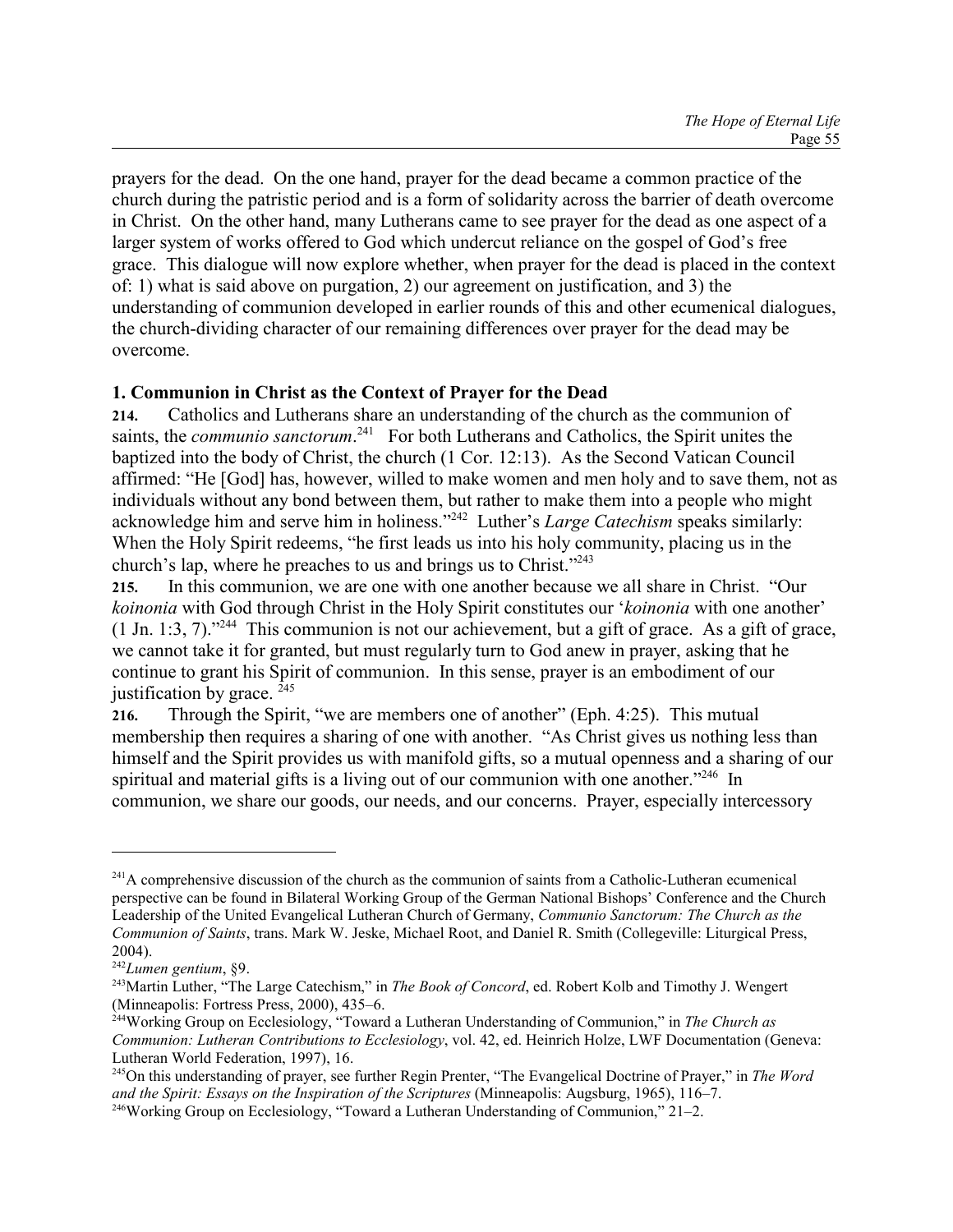prayers for the dead. On the one hand, prayer for the dead became a common practice of the church during the patristic period and is a form of solidarity across the barrier of death overcome in Christ. On the other hand, many Lutherans came to see prayer for the dead as one aspect of a larger system of works offered to God which undercut reliance on the gospel of God's free grace. This dialogue will now explore whether, when prayer for the dead is placed in the context of: 1) what is said above on purgation, 2) our agreement on justification, and 3) the understanding of communion developed in earlier rounds of this and other ecumenical dialogues, the church-dividing character of our remaining differences over prayer for the dead may be overcome.

### 1. Communion in Christ as the Context of Prayer for the Dead

214. Catholics and Lutherans share an understanding of the church as the communion of saints, the *communio sanctorum*.<sup>241</sup> For both Lutherans and Catholics, the Spirit unites the baptized into the body of Christ, the church (1 Cor. 12:13). As the Second Vatican Council affirmed: "He [God] has, however, willed to make women and men holy and to save them, not as individuals without any bond between them, but rather to make them into a people who might acknowledge him and serve him in holiness."<sup>242</sup> Luther's *Large Catechism* speaks similarly: When the Holy Spirit redeems, "he first leads us into his holy community, placing us in the church's lap, where he preaches to us and brings us to Christ."<sup>243</sup>

215. In this communion, we are one with one another because we all share in Christ. "Our koinonia with God through Christ in the Holy Spirit constitutes our 'koinonia with one another'  $(1 \text{ Jn. } 1:3, 7)$ ."<sup>244</sup> This communion is not our achievement, but a gift of grace. As a gift of grace, we cannot take it for granted, but must regularly turn to God anew in prayer, asking that he continue to grant his Spirit of communion. In this sense, prayer is an embodiment of our justification by grace. <sup>245</sup>

216. Through the Spirit, "we are members one of another" (Eph. 4:25). This mutual membership then requires a sharing of one with another. "As Christ gives us nothing less than himself and the Spirit provides us with manifold gifts, so a mutual openness and a sharing of our spiritual and material gifts is a living out of our communion with one another.<sup>"246</sup> In communion, we share our goods, our needs, and our concerns. Prayer, especially intercessory

 $^{241}$ A comprehensive discussion of the church as the communion of saints from a Catholic-Lutheran ecumenical perspective can be found in Bilateral Working Group of the German National Bishops' Conference and the Church Leadership of the United Evangelical Lutheran Church of Germany, Communio Sanctorum: The Church as the Communion of Saints, trans. Mark W. Jeske, Michael Root, and Daniel R. Smith (Collegeville: Liturgical Press, 2004).

 $242$ Lumen gentium, §9.

<sup>&</sup>lt;sup>243</sup>Martin Luther, "The Large Catechism," in *The Book of Concord*, ed. Robert Kolb and Timothy J. Wengert (Minneapolis: Fortress Press, 2000), 435–6.

<sup>&</sup>lt;sup>244</sup>Working Group on Ecclesiology, "Toward a Lutheran Understanding of Communion," in The Church as Communion: Lutheran Contributions to Ecclesiology, vol. 42, ed. Heinrich Holze, LWF Documentation (Geneva: Lutheran World Federation, 1997), 16.

<sup>&</sup>lt;sup>245</sup>On this understanding of prayer, see further Regin Prenter, "The Evangelical Doctrine of Prayer," in The Word and the Spirit: Essays on the Inspiration of the Scriptures (Minneapolis: Augsburg, 1965), 116–7.

<sup>246</sup>Working Group on Ecclesiology, "Toward a Lutheran Understanding of Communion," 21–2.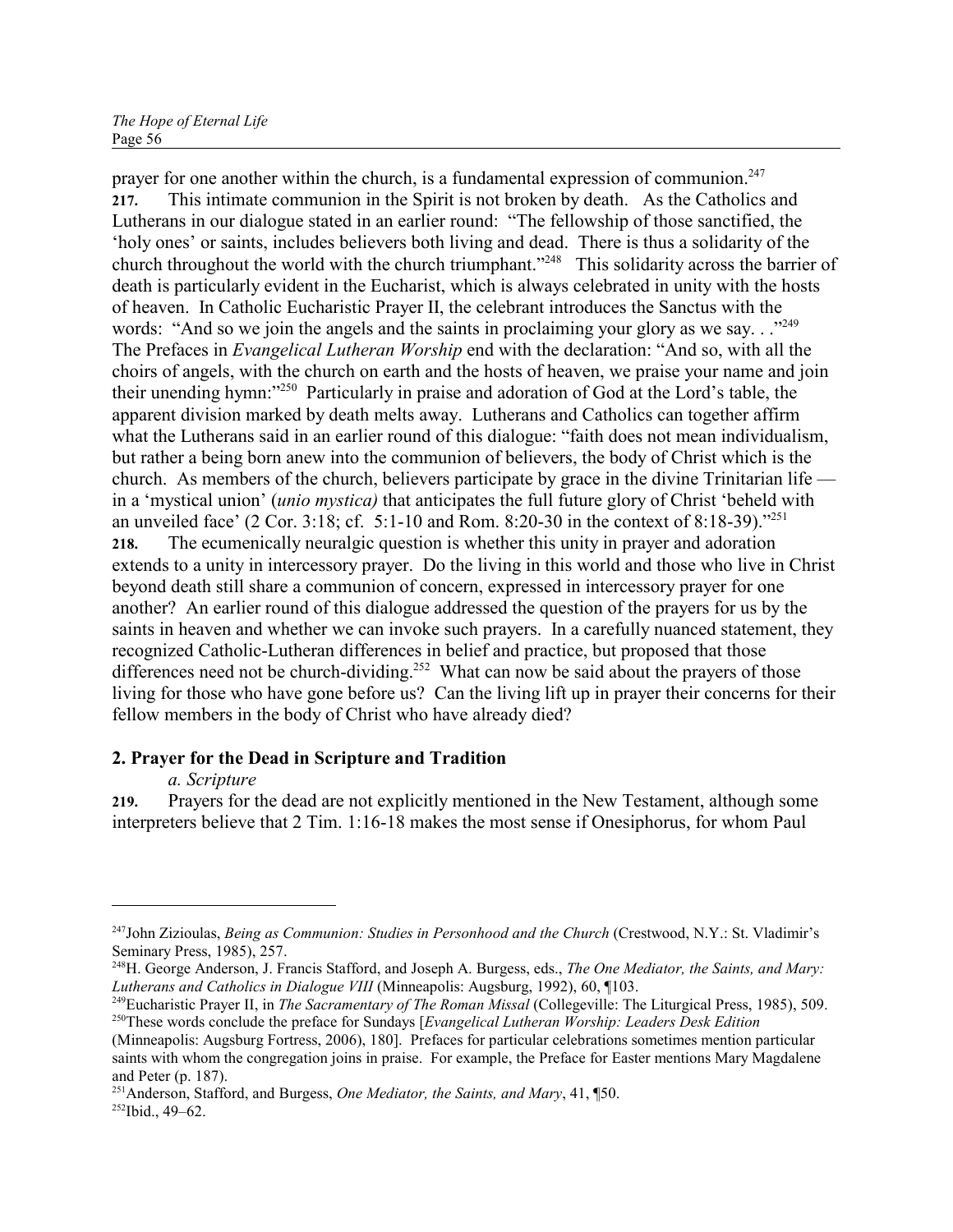prayer for one another within the church, is a fundamental expression of communion.<sup>247</sup> 217. This intimate communion in the Spirit is not broken by death. As the Catholics and Lutherans in our dialogue stated in an earlier round: "The fellowship of those sanctified, the 'holy ones' or saints, includes believers both living and dead. There is thus a solidarity of the church throughout the world with the church triumphant."<sup>248</sup> This solidarity across the barrier of death is particularly evident in the Eucharist, which is always celebrated in unity with the hosts of heaven. In Catholic Eucharistic Prayer II, the celebrant introduces the Sanctus with the words: "And so we join the angels and the saints in proclaiming your glory as we say. . ."<sup>249</sup> The Prefaces in Evangelical Lutheran Worship end with the declaration: "And so, with all the choirs of angels, with the church on earth and the hosts of heaven, we praise your name and join their unending hymn:"<sup>250</sup> Particularly in praise and adoration of God at the Lord's table, the apparent division marked by death melts away. Lutherans and Catholics can together affirm what the Lutherans said in an earlier round of this dialogue: "faith does not mean individualism, but rather a being born anew into the communion of believers, the body of Christ which is the church. As members of the church, believers participate by grace in the divine Trinitarian life in a 'mystical union' (unio mystica) that anticipates the full future glory of Christ 'beheld with an unveiled face' (2 Cor. 3:18; cf. 5:1-10 and Rom. 8:20-30 in the context of 8:18-39)."<sup>251</sup> 218. The ecumenically neuralgic question is whether this unity in prayer and adoration extends to a unity in intercessory prayer. Do the living in this world and those who live in Christ beyond death still share a communion of concern, expressed in intercessory prayer for one another? An earlier round of this dialogue addressed the question of the prayers for us by the saints in heaven and whether we can invoke such prayers. In a carefully nuanced statement, they recognized Catholic-Lutheran differences in belief and practice, but proposed that those differences need not be church-dividing.<sup>252</sup> What can now be said about the prayers of those living for those who have gone before us? Can the living lift up in prayer their concerns for their fellow members in the body of Christ who have already died?

#### 2. Prayer for the Dead in Scripture and Tradition

#### a. Scripture

219. Prayers for the dead are not explicitly mentioned in the New Testament, although some interpreters believe that 2 Tim. 1:16-18 makes the most sense if Onesiphorus, for whom Paul

 $^{247}$ John Zizioulas, Being as Communion: Studies in Personhood and the Church (Crestwood, N.Y.: St. Vladimir's Seminary Press, 1985), 257.

<sup>&</sup>lt;sup>248</sup>H. George Anderson, J. Francis Stafford, and Joseph A. Burgess, eds., *The One Mediator, the Saints, and Mary*: Lutherans and Catholics in Dialogue VIII (Minneapolis: Augsburg, 1992), 60, ¶103.

<sup>&</sup>lt;sup>249</sup>Eucharistic Prayer II, in *The Sacramentary of The Roman Missal* (Collegeville: The Liturgical Press, 1985), 509.  $250$ These words conclude the preface for Sundays [Evangelical Lutheran Worship: Leaders Desk Edition

<sup>(</sup>Minneapolis: Augsburg Fortress, 2006), 180]. Prefaces for particular celebrations sometimes mention particular saints with whom the congregation joins in praise. For example, the Preface for Easter mentions Mary Magdalene and Peter (p. 187).

<sup>&</sup>lt;sup>251</sup> Anderson, Stafford, and Burgess, *One Mediator, the Saints, and Mary*, 41,  $\P$ 50.

<sup>252</sup>Ibid., 49–62.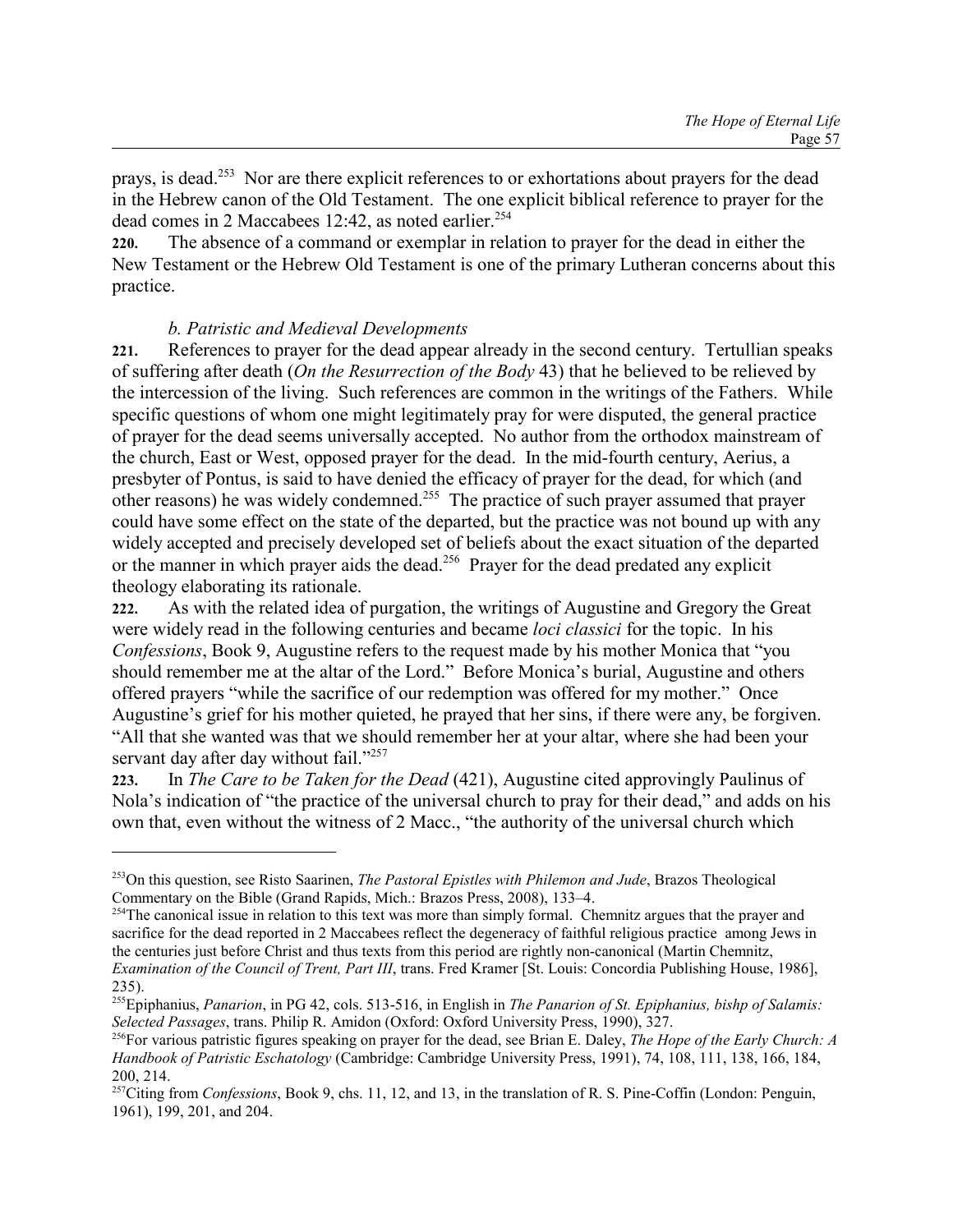prays, is dead.<sup>253</sup> Nor are there explicit references to or exhortations about prayers for the dead in the Hebrew canon of the Old Testament. The one explicit biblical reference to prayer for the dead comes in 2 Maccabees 12:42, as noted earlier.<sup>254</sup>

220. The absence of a command or exemplar in relation to prayer for the dead in either the New Testament or the Hebrew Old Testament is one of the primary Lutheran concerns about this practice.

#### b. Patristic and Medieval Developments

221. References to prayer for the dead appear already in the second century. Tertullian speaks of suffering after death (On the Resurrection of the Body 43) that he believed to be relieved by the intercession of the living. Such references are common in the writings of the Fathers. While specific questions of whom one might legitimately pray for were disputed, the general practice of prayer for the dead seems universally accepted. No author from the orthodox mainstream of the church, East or West, opposed prayer for the dead. In the mid-fourth century, Aerius, a presbyter of Pontus, is said to have denied the efficacy of prayer for the dead, for which (and other reasons) he was widely condemned.<sup>255</sup> The practice of such prayer assumed that prayer could have some effect on the state of the departed, but the practice was not bound up with any widely accepted and precisely developed set of beliefs about the exact situation of the departed or the manner in which prayer aids the dead.<sup>256</sup> Prayer for the dead predated any explicit theology elaborating its rationale.

222. As with the related idea of purgation, the writings of Augustine and Gregory the Great were widely read in the following centuries and became *loci classici* for the topic. In his Confessions, Book 9, Augustine refers to the request made by his mother Monica that "you should remember me at the altar of the Lord." Before Monica's burial, Augustine and others offered prayers "while the sacrifice of our redemption was offered for my mother." Once Augustine's grief for his mother quieted, he prayed that her sins, if there were any, be forgiven. "All that she wanted was that we should remember her at your altar, where she had been your servant day after day without fail."<sup>257</sup>

223. In The Care to be Taken for the Dead (421), Augustine cited approvingly Paulinus of Nola's indication of "the practice of the universal church to pray for their dead," and adds on his own that, even without the witness of 2 Macc., "the authority of the universal church which

<sup>&</sup>lt;sup>253</sup>On this question, see Risto Saarinen, *The Pastoral Epistles with Philemon and Jude*, Brazos Theological Commentary on the Bible (Grand Rapids, Mich.: Brazos Press, 2008), 133–4.

<sup>&</sup>lt;sup>254</sup>The canonical issue in relation to this text was more than simply formal. Chemnitz argues that the prayer and sacrifice for the dead reported in 2 Maccabees reflect the degeneracy of faithful religious practice among Jews in the centuries just before Christ and thus texts from this period are rightly non-canonical (Martin Chemnitz, Examination of the Council of Trent, Part III, trans. Fred Kramer [St. Louis: Concordia Publishing House, 1986], 235).

<sup>&</sup>lt;sup>255</sup>Epiphanius, Panarion, in PG 42, cols. 513-516, in English in *The Panarion of St. Epiphanius, bishp of Salamis:* Selected Passages, trans. Philip R. Amidon (Oxford: Oxford University Press, 1990), 327.

<sup>&</sup>lt;sup>256</sup>For various patristic figures speaking on prayer for the dead, see Brian E. Daley, *The Hope of the Early Church: A* Handbook of Patristic Eschatology (Cambridge: Cambridge University Press, 1991), 74, 108, 111, 138, 166, 184, 200, 214.

<sup>&</sup>lt;sup>257</sup>Citing from Confessions, Book 9, chs. 11, 12, and 13, in the translation of R. S. Pine-Coffin (London: Penguin, 1961), 199, 201, and 204.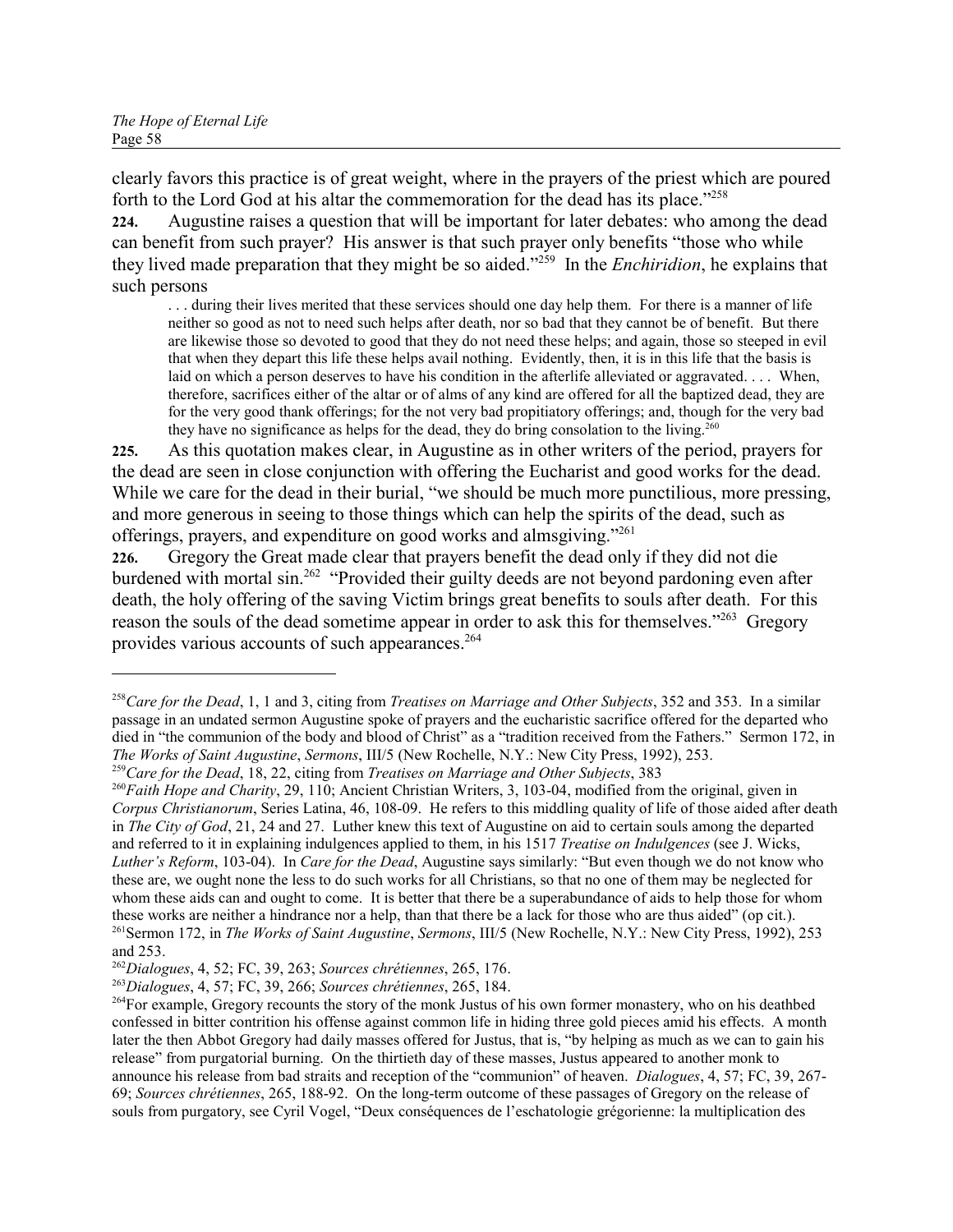clearly favors this practice is of great weight, where in the prayers of the priest which are poured forth to the Lord God at his altar the commemoration for the dead has its place."<sup>258</sup>

224. Augustine raises a question that will be important for later debates: who among the dead can benefit from such prayer? His answer is that such prayer only benefits "those who while they lived made preparation that they might be so aided."<sup>259</sup> In the Enchiridion, he explains that such persons

. . . during their lives merited that these services should one day help them. For there is a manner of life neither so good as not to need such helps after death, nor so bad that they cannot be of benefit. But there are likewise those so devoted to good that they do not need these helps; and again, those so steeped in evil that when they depart this life these helps avail nothing. Evidently, then, it is in this life that the basis is laid on which a person deserves to have his condition in the afterlife alleviated or aggravated. . . . When, therefore, sacrifices either of the altar or of alms of any kind are offered for all the baptized dead, they are for the very good thank offerings; for the not very bad propitiatory offerings; and, though for the very bad they have no significance as helps for the dead, they do bring consolation to the living.<sup>260</sup>

225. As this quotation makes clear, in Augustine as in other writers of the period, prayers for the dead are seen in close conjunction with offering the Eucharist and good works for the dead. While we care for the dead in their burial, "we should be much more punctilious, more pressing, and more generous in seeing to those things which can help the spirits of the dead, such as offerings, prayers, and expenditure on good works and almsgiving."<sup>261</sup>

226. Gregory the Great made clear that prayers benefit the dead only if they did not die burdened with mortal sin.<sup>262</sup> "Provided their guilty deeds are not beyond pardoning even after death, the holy offering of the saving Victim brings great benefits to souls after death. For this reason the souls of the dead sometime appear in order to ask this for themselves."<sup>263</sup> Gregory provides various accounts of such appearances.<sup>264</sup>

 $259$ Care for the Dead, 18, 22, citing from Treatises on Marriage and Other Subjects, 383

 $^{258}$ Care for the Dead, 1, 1 and 3, citing from Treatises on Marriage and Other Subjects, 352 and 353. In a similar passage in an undated sermon Augustine spoke of prayers and the eucharistic sacrifice offered for the departed who died in "the communion of the body and blood of Christ" as a "tradition received from the Fathers." Sermon 172, in The Works of Saint Augustine, Sermons, III/5 (New Rochelle, N.Y.: New City Press, 1992), 253.

<sup>&</sup>lt;sup>260</sup>Faith Hope and Charity, 29, 110; Ancient Christian Writers, 3, 103-04, modified from the original, given in Corpus Christianorum, Series Latina, 46, 108-09. He refers to this middling quality of life of those aided after death in The City of God, 21, 24 and 27. Luther knew this text of Augustine on aid to certain souls among the departed and referred to it in explaining indulgences applied to them, in his 1517 Treatise on Indulgences (see J. Wicks, Luther's Reform, 103-04). In Care for the Dead, Augustine says similarly: "But even though we do not know who these are, we ought none the less to do such works for all Christians, so that no one of them may be neglected for whom these aids can and ought to come. It is better that there be a superabundance of aids to help those for whom these works are neither a hindrance nor a help, than that there be a lack for those who are thus aided" (op cit.). <sup>261</sup>Sermon 172, in *The Works of Saint Augustine, Sermons*, III/5 (New Rochelle, N.Y.: New City Press, 1992), 253 and 253.

 $^{262}$ Dialogues, 4, 52; FC, 39, 263; Sources chrétiennes, 265, 176.

 $^{263}$ Dialogues, 4, 57; FC, 39, 266; Sources chrétiennes, 265, 184.

<sup>&</sup>lt;sup>264</sup>For example, Gregory recounts the story of the monk Justus of his own former monastery, who on his deathbed confessed in bitter contrition his offense against common life in hiding three gold pieces amid his effects. A month later the then Abbot Gregory had daily masses offered for Justus, that is, "by helping as much as we can to gain his release" from purgatorial burning. On the thirtieth day of these masses, Justus appeared to another monk to announce his release from bad straits and reception of the "communion" of heaven. Dialogues, 4, 57; FC, 39, 267- 69; Sources chrétiennes, 265, 188-92. On the long-term outcome of these passages of Gregory on the release of souls from purgatory, see Cyril Vogel, "Deux conséquences de l'eschatologie grégorienne: la multiplication des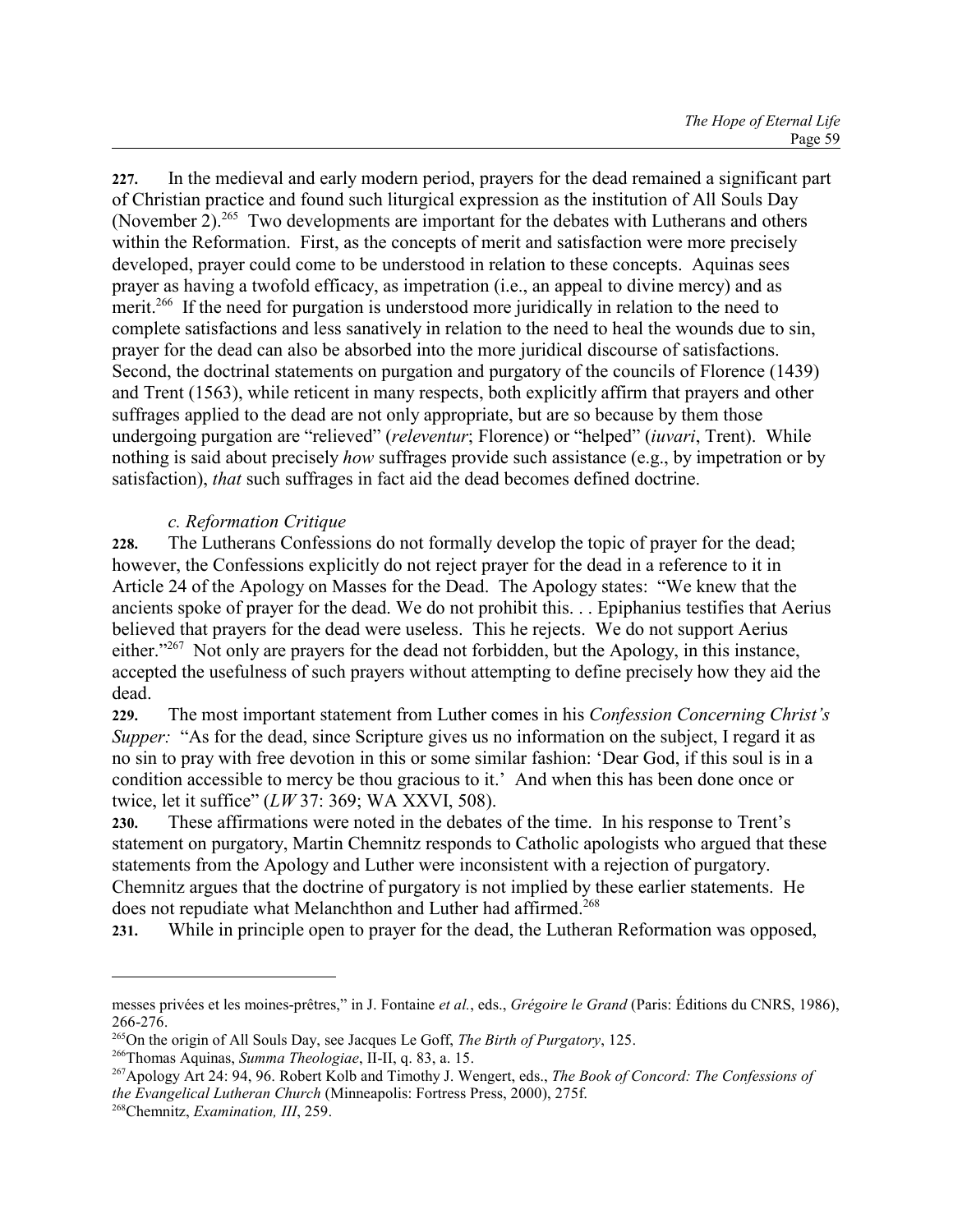227. In the medieval and early modern period, prayers for the dead remained a significant part of Christian practice and found such liturgical expression as the institution of All Souls Day (November 2).<sup>265</sup> Two developments are important for the debates with Lutherans and others within the Reformation. First, as the concepts of merit and satisfaction were more precisely developed, prayer could come to be understood in relation to these concepts. Aquinas sees prayer as having a twofold efficacy, as impetration (i.e., an appeal to divine mercy) and as merit.<sup>266</sup> If the need for purgation is understood more juridically in relation to the need to complete satisfactions and less sanatively in relation to the need to heal the wounds due to sin, prayer for the dead can also be absorbed into the more juridical discourse of satisfactions. Second, the doctrinal statements on purgation and purgatory of the councils of Florence (1439) and Trent (1563), while reticent in many respects, both explicitly affirm that prayers and other suffrages applied to the dead are not only appropriate, but are so because by them those undergoing purgation are "relieved" (releventur; Florence) or "helped" (iuvari, Trent). While nothing is said about precisely how suffrages provide such assistance (e.g., by impetration or by satisfaction), that such suffrages in fact aid the dead becomes defined doctrine.

### c. Reformation Critique

228. The Lutherans Confessions do not formally develop the topic of prayer for the dead; however, the Confessions explicitly do not reject prayer for the dead in a reference to it in Article 24 of the Apology on Masses for the Dead. The Apology states: "We knew that the ancients spoke of prayer for the dead. We do not prohibit this. . . Epiphanius testifies that Aerius believed that prayers for the dead were useless. This he rejects. We do not support Aerius either."<sup>267</sup> Not only are prayers for the dead not forbidden, but the Apology, in this instance, accepted the usefulness of such prayers without attempting to define precisely how they aid the dead.

229. The most important statement from Luther comes in his *Confession Concerning Christ's* Supper: "As for the dead, since Scripture gives us no information on the subject, I regard it as no sin to pray with free devotion in this or some similar fashion: 'Dear God, if this soul is in a condition accessible to mercy be thou gracious to it.' And when this has been done once or twice, let it suffice"  $(LW 37: 369; WA XXVI, 508)$ .

230. These affirmations were noted in the debates of the time. In his response to Trent's statement on purgatory, Martin Chemnitz responds to Catholic apologists who argued that these statements from the Apology and Luther were inconsistent with a rejection of purgatory. Chemnitz argues that the doctrine of purgatory is not implied by these earlier statements. He does not repudiate what Melanchthon and Luther had affirmed.<sup>268</sup>

231. While in principle open to prayer for the dead, the Lutheran Reformation was opposed,

messes privées et les moines-prêtres," in J. Fontaine et al., eds., Grégoire le Grand (Paris: Éditions du CNRS, 1986), 266-276.

<sup>&</sup>lt;sup>265</sup>On the origin of All Souls Day, see Jacques Le Goff, The Birth of Purgatory, 125.

<sup>266</sup>Thomas Aquinas, Summa Theologiae, II-II, q. 83, a. 15.

<sup>&</sup>lt;sup>267</sup>Apology Art 24: 94, 96. Robert Kolb and Timothy J. Wengert, eds., The Book of Concord: The Confessions of the Evangelical Lutheran Church (Minneapolis: Fortress Press, 2000), 275f.

<sup>&</sup>lt;sup>268</sup>Chemnitz, Examination, III, 259.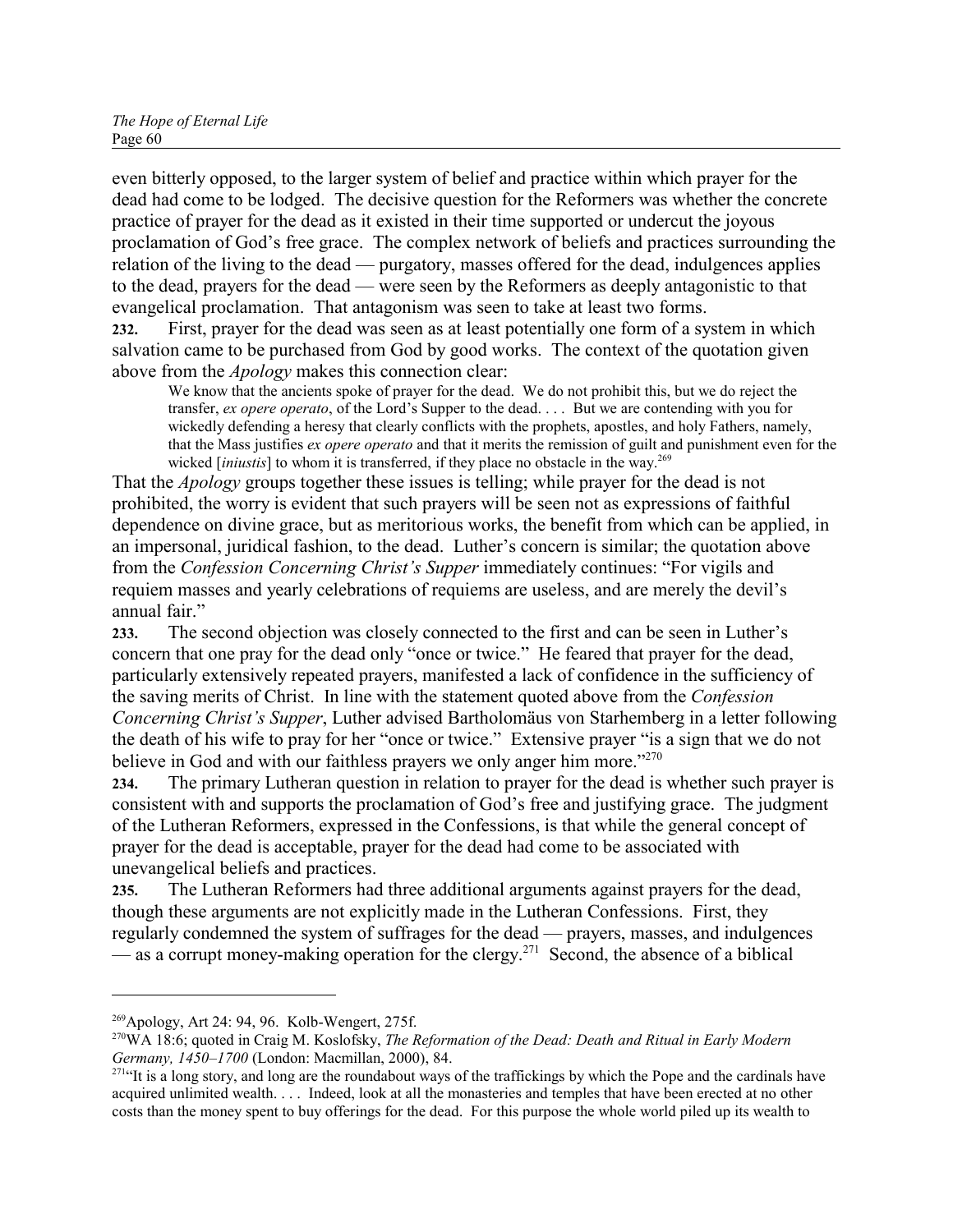even bitterly opposed, to the larger system of belief and practice within which prayer for the dead had come to be lodged. The decisive question for the Reformers was whether the concrete practice of prayer for the dead as it existed in their time supported or undercut the joyous proclamation of God's free grace. The complex network of beliefs and practices surrounding the relation of the living to the dead — purgatory, masses offered for the dead, indulgences applies to the dead, prayers for the dead — were seen by the Reformers as deeply antagonistic to that evangelical proclamation. That antagonism was seen to take at least two forms.

232. First, prayer for the dead was seen as at least potentially one form of a system in which salvation came to be purchased from God by good works. The context of the quotation given above from the Apology makes this connection clear:

We know that the ancients spoke of prayer for the dead. We do not prohibit this, but we do reject the transfer, ex opere operato, of the Lord's Supper to the dead. . . . But we are contending with you for wickedly defending a heresy that clearly conflicts with the prophets, apostles, and holy Fathers, namely, that the Mass justifies ex opere operato and that it merits the remission of guilt and punishment even for the wicked [iniustis] to whom it is transferred, if they place no obstacle in the way.<sup>269</sup>

That the *Apology* groups together these issues is telling; while prayer for the dead is not prohibited, the worry is evident that such prayers will be seen not as expressions of faithful dependence on divine grace, but as meritorious works, the benefit from which can be applied, in an impersonal, juridical fashion, to the dead. Luther's concern is similar; the quotation above from the Confession Concerning Christ's Supper immediately continues: "For vigils and requiem masses and yearly celebrations of requiems are useless, and are merely the devil's annual fair."

233. The second objection was closely connected to the first and can be seen in Luther's concern that one pray for the dead only "once or twice." He feared that prayer for the dead, particularly extensively repeated prayers, manifested a lack of confidence in the sufficiency of the saving merits of Christ. In line with the statement quoted above from the Confession Concerning Christ's Supper, Luther advised Bartholomäus von Starhemberg in a letter following the death of his wife to pray for her "once or twice." Extensive prayer "is a sign that we do not believe in God and with our faithless prayers we only anger him more."<sup>270</sup>

234. The primary Lutheran question in relation to prayer for the dead is whether such prayer is consistent with and supports the proclamation of God's free and justifying grace. The judgment of the Lutheran Reformers, expressed in the Confessions, is that while the general concept of prayer for the dead is acceptable, prayer for the dead had come to be associated with unevangelical beliefs and practices.

235. The Lutheran Reformers had three additional arguments against prayers for the dead, though these arguments are not explicitly made in the Lutheran Confessions. First, they regularly condemned the system of suffrages for the dead — prayers, masses, and indulgences — as a corrupt money-making operation for the clergy.<sup>271</sup> Second, the absence of a biblical

<sup>269</sup>Apology, Art 24: 94, 96. Kolb-Wengert, 275f.

 $^{270}WA$  18:6; quoted in Craig M. Koslofsky, The Reformation of the Dead: Death and Ritual in Early Modern Germany, 1450–1700 (London: Macmillan, 2000), 84.

<sup>&</sup>lt;sup>271"</sup>It is a long story, and long are the roundabout ways of the traffickings by which the Pope and the cardinals have acquired unlimited wealth. . . . Indeed, look at all the monasteries and temples that have been erected at no other costs than the money spent to buy offerings for the dead. For this purpose the whole world piled up its wealth to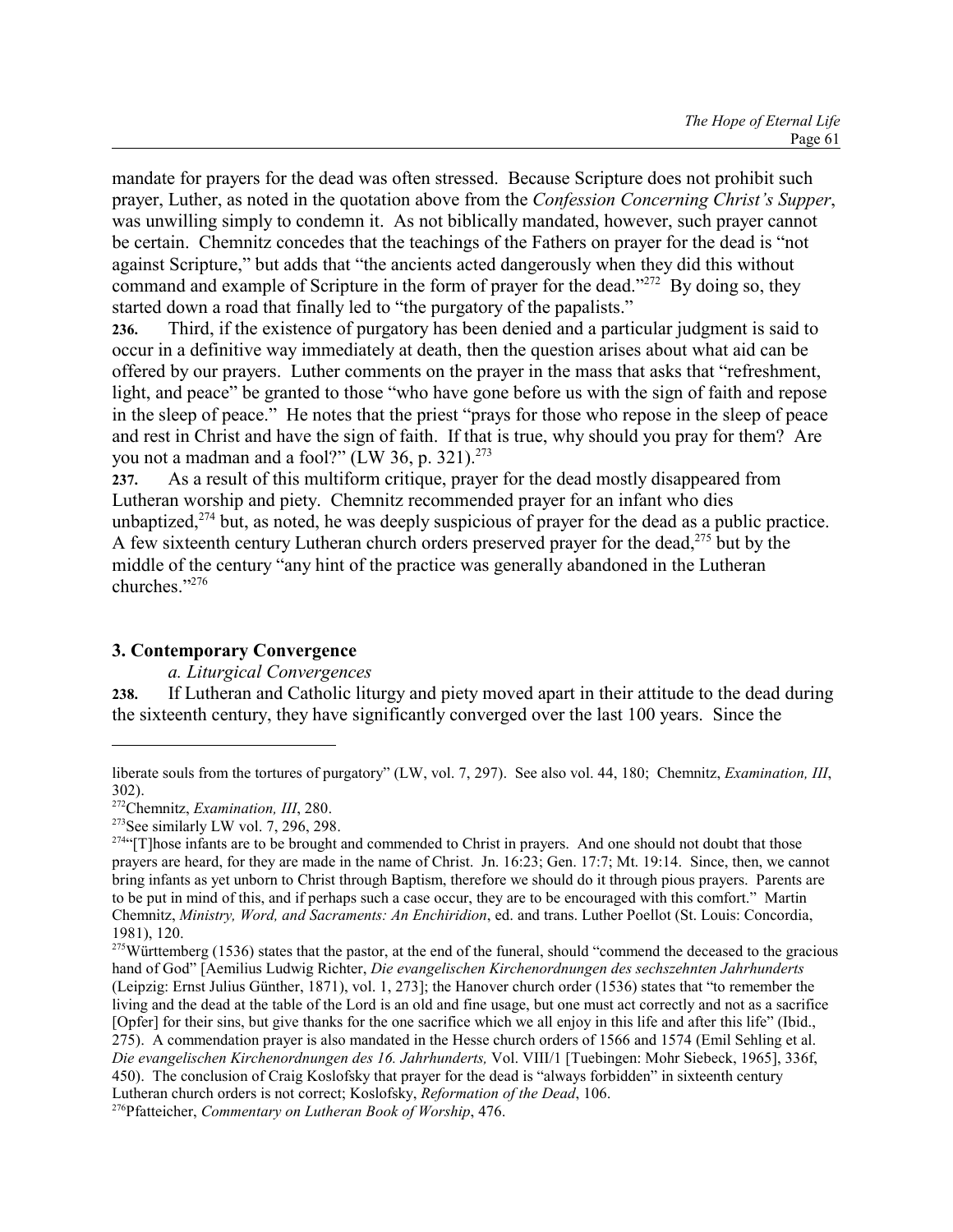mandate for prayers for the dead was often stressed. Because Scripture does not prohibit such prayer, Luther, as noted in the quotation above from the Confession Concerning Christ's Supper, was unwilling simply to condemn it. As not biblically mandated, however, such prayer cannot be certain. Chemnitz concedes that the teachings of the Fathers on prayer for the dead is "not against Scripture," but adds that "the ancients acted dangerously when they did this without command and example of Scripture in the form of prayer for the dead."<sup>272</sup> By doing so, they started down a road that finally led to "the purgatory of the papalists."

236. Third, if the existence of purgatory has been denied and a particular judgment is said to occur in a definitive way immediately at death, then the question arises about what aid can be offered by our prayers. Luther comments on the prayer in the mass that asks that "refreshment, light, and peace" be granted to those "who have gone before us with the sign of faith and repose in the sleep of peace." He notes that the priest "prays for those who repose in the sleep of peace and rest in Christ and have the sign of faith. If that is true, why should you pray for them? Are you not a madman and a fool?" (LW 36, p. 321).<sup>273</sup>

237. As a result of this multiform critique, prayer for the dead mostly disappeared from Lutheran worship and piety. Chemnitz recommended prayer for an infant who dies unbaptized, $274$  but, as noted, he was deeply suspicious of prayer for the dead as a public practice. A few sixteenth century Lutheran church orders preserved prayer for the dead,<sup>275</sup> but by the middle of the century "any hint of the practice was generally abandoned in the Lutheran churches."<sup>276</sup>

#### 3. Contemporary Convergence

a. Liturgical Convergences

238. If Lutheran and Catholic liturgy and piety moved apart in their attitude to the dead during the sixteenth century, they have significantly converged over the last 100 years. Since the

liberate souls from the tortures of purgatory" (LW, vol. 7, 297). See also vol. 44, 180; Chemnitz, *Examination, III*, 302).

<sup>&</sup>lt;sup>272</sup>Chemnitz, *Examination*, *III*, 280.

<sup>&</sup>lt;sup>273</sup>See similarly LW vol. 7, 296, 298.

<sup>&</sup>lt;sup>274"</sup>[T]hose infants are to be brought and commended to Christ in prayers. And one should not doubt that those prayers are heard, for they are made in the name of Christ. Jn. 16:23; Gen. 17:7; Mt. 19:14. Since, then, we cannot bring infants as yet unborn to Christ through Baptism, therefore we should do it through pious prayers. Parents are to be put in mind of this, and if perhaps such a case occur, they are to be encouraged with this comfort." Martin Chemnitz, Ministry, Word, and Sacraments: An Enchiridion, ed. and trans. Luther Poellot (St. Louis: Concordia, 1981), 120.

<sup>&</sup>lt;sup>275</sup>Württemberg (1536) states that the pastor, at the end of the funeral, should "commend the deceased to the gracious hand of God" [Aemilius Ludwig Richter, Die evangelischen Kirchenordnungen des sechszehnten Jahrhunderts (Leipzig: Ernst Julius Günther, 1871), vol. 1, 273]; the Hanover church order (1536) states that "to remember the living and the dead at the table of the Lord is an old and fine usage, but one must act correctly and not as a sacrifice [Opfer] for their sins, but give thanks for the one sacrifice which we all enjoy in this life and after this life" (Ibid., 275). A commendation prayer is also mandated in the Hesse church orders of 1566 and 1574 (Emil Sehling et al. Die evangelischen Kirchenordnungen des 16. Jahrhunderts, Vol. VIII/1 [Tuebingen: Mohr Siebeck, 1965], 336f, 450). The conclusion of Craig Koslofsky that prayer for the dead is "always forbidden" in sixteenth century Lutheran church orders is not correct; Koslofsky, Reformation of the Dead, 106.

<sup>&</sup>lt;sup>276</sup>Pfatteicher, Commentary on Lutheran Book of Worship, 476.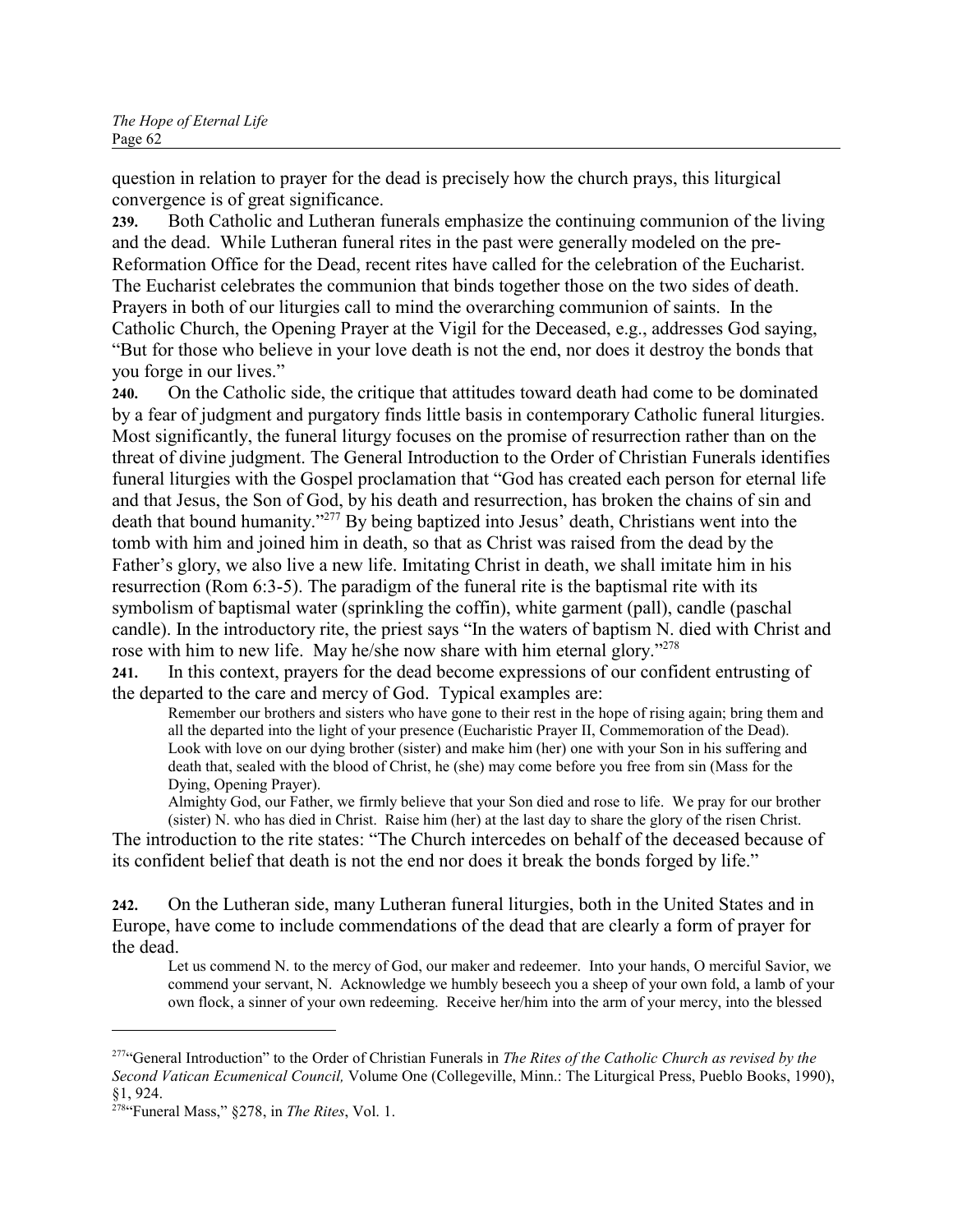question in relation to prayer for the dead is precisely how the church prays, this liturgical convergence is of great significance.

239. Both Catholic and Lutheran funerals emphasize the continuing communion of the living and the dead. While Lutheran funeral rites in the past were generally modeled on the pre-Reformation Office for the Dead, recent rites have called for the celebration of the Eucharist. The Eucharist celebrates the communion that binds together those on the two sides of death. Prayers in both of our liturgies call to mind the overarching communion of saints. In the Catholic Church, the Opening Prayer at the Vigil for the Deceased, e.g., addresses God saying, "But for those who believe in your love death is not the end, nor does it destroy the bonds that you forge in our lives."

240. On the Catholic side, the critique that attitudes toward death had come to be dominated by a fear of judgment and purgatory finds little basis in contemporary Catholic funeral liturgies. Most significantly, the funeral liturgy focuses on the promise of resurrection rather than on the threat of divine judgment. The General Introduction to the Order of Christian Funerals identifies funeral liturgies with the Gospel proclamation that "God has created each person for eternal life and that Jesus, the Son of God, by his death and resurrection, has broken the chains of sin and death that bound humanity."<sup>277</sup> By being baptized into Jesus' death, Christians went into the tomb with him and joined him in death, so that as Christ was raised from the dead by the Father's glory, we also live a new life. Imitating Christ in death, we shall imitate him in his resurrection (Rom 6:3-5). The paradigm of the funeral rite is the baptismal rite with its symbolism of baptismal water (sprinkling the coffin), white garment (pall), candle (paschal candle). In the introductory rite, the priest says "In the waters of baptism N. died with Christ and rose with him to new life. May he/she now share with him eternal glory."<sup>278</sup>

241. In this context, prayers for the dead become expressions of our confident entrusting of the departed to the care and mercy of God. Typical examples are:

Remember our brothers and sisters who have gone to their rest in the hope of rising again; bring them and all the departed into the light of your presence (Eucharistic Prayer II, Commemoration of the Dead). Look with love on our dying brother (sister) and make him (her) one with your Son in his suffering and death that, sealed with the blood of Christ, he (she) may come before you free from sin (Mass for the Dying, Opening Prayer).

Almighty God, our Father, we firmly believe that your Son died and rose to life. We pray for our brother (sister) N. who has died in Christ. Raise him (her) at the last day to share the glory of the risen Christ. The introduction to the rite states: "The Church intercedes on behalf of the deceased because of its confident belief that death is not the end nor does it break the bonds forged by life."

242. On the Lutheran side, many Lutheran funeral liturgies, both in the United States and in Europe, have come to include commendations of the dead that are clearly a form of prayer for the dead.

Let us commend N. to the mercy of God, our maker and redeemer. Into your hands, O merciful Savior, we commend your servant, N. Acknowledge we humbly beseech you a sheep of your own fold, a lamb of your own flock, a sinner of your own redeeming. Receive her/him into the arm of your mercy, into the blessed

<sup>&</sup>lt;sup>277</sup>"General Introduction" to the Order of Christian Funerals in The Rites of the Catholic Church as revised by the Second Vatican Ecumenical Council, Volume One (Collegeville, Minn.: The Liturgical Press, Pueblo Books, 1990), §1, 924.

<sup>&</sup>lt;sup>278</sup>"Funeral Mass,"  $\S 278$ , in *The Rites*, Vol. 1.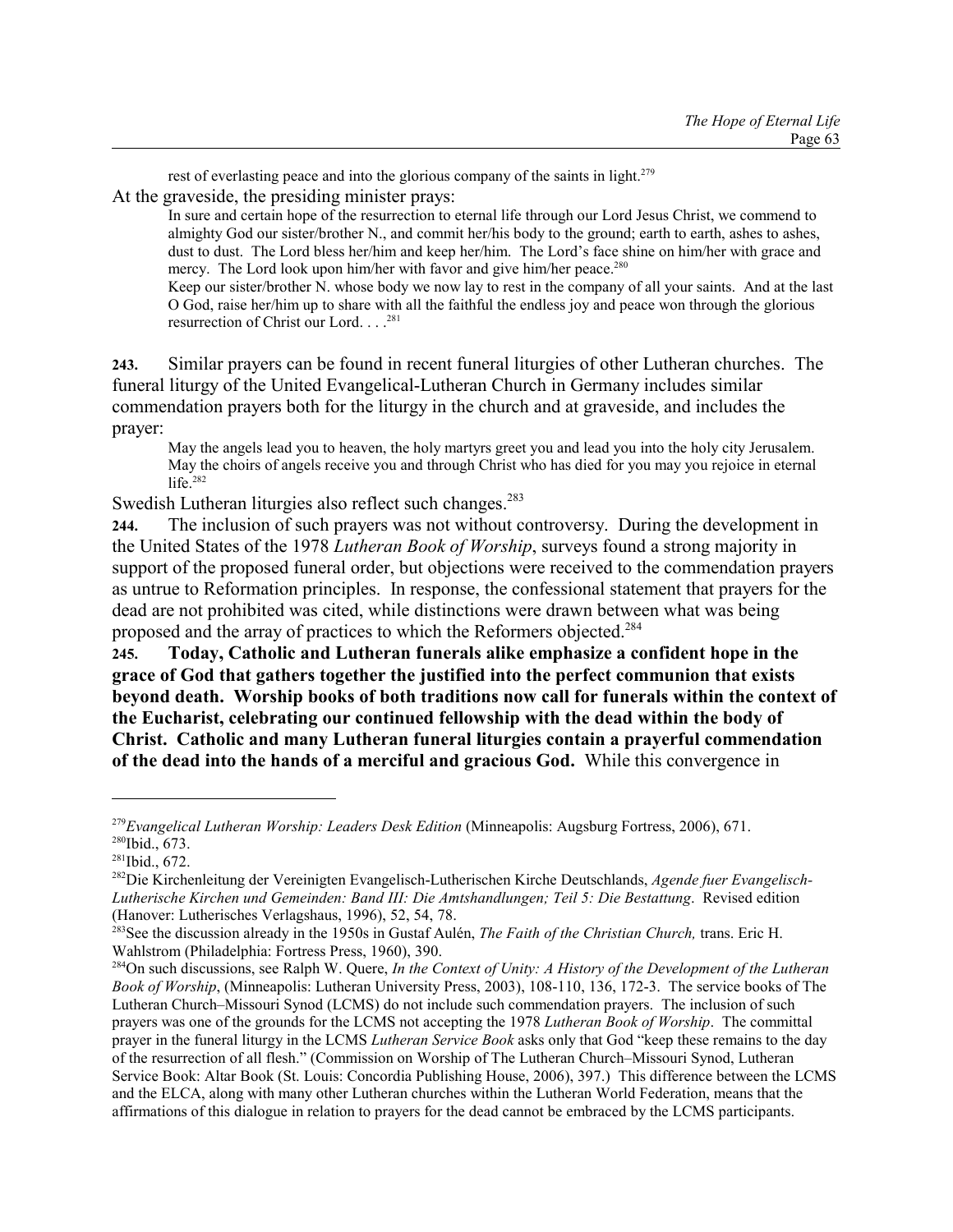rest of everlasting peace and into the glorious company of the saints in light.<sup>279</sup>

At the graveside, the presiding minister prays:

In sure and certain hope of the resurrection to eternal life through our Lord Jesus Christ, we commend to almighty God our sister/brother N., and commit her/his body to the ground; earth to earth, ashes to ashes, dust to dust. The Lord bless her/him and keep her/him. The Lord's face shine on him/her with grace and mercy. The Lord look upon him/her with favor and give him/her peace.<sup>280</sup>

Keep our sister/brother N. whose body we now lay to rest in the company of all your saints. And at the last O God, raise her/him up to share with all the faithful the endless joy and peace won through the glorious resurrection of Christ our Lord. . . .<sup>281</sup>

243. Similar prayers can be found in recent funeral liturgies of other Lutheran churches. The funeral liturgy of the United Evangelical-Lutheran Church in Germany includes similar commendation prayers both for the liturgy in the church and at graveside, and includes the prayer:

May the angels lead you to heaven, the holy martyrs greet you and lead you into the holy city Jerusalem. May the choirs of angels receive you and through Christ who has died for you may you rejoice in eternal  $life.$ <sup>282</sup>

Swedish Lutheran liturgies also reflect such changes.<sup>283</sup>

244. The inclusion of such prayers was not without controversy. During the development in the United States of the 1978 Lutheran Book of Worship, surveys found a strong majority in support of the proposed funeral order, but objections were received to the commendation prayers as untrue to Reformation principles. In response, the confessional statement that prayers for the dead are not prohibited was cited, while distinctions were drawn between what was being proposed and the array of practices to which the Reformers objected.<sup>284</sup>

245. Today, Catholic and Lutheran funerals alike emphasize a confident hope in the grace of God that gathers together the justified into the perfect communion that exists beyond death. Worship books of both traditions now call for funerals within the context of the Eucharist, celebrating our continued fellowship with the dead within the body of Christ. Catholic and many Lutheran funeral liturgies contain a prayerful commendation of the dead into the hands of a merciful and gracious God. While this convergence in

<sup>&</sup>lt;sup>279</sup>Evangelical Lutheran Worship: Leaders Desk Edition (Minneapolis: Augsburg Fortress, 2006), 671. <sup>280</sup>Ibid., 673.

<sup>281</sup>Ibid., 672.

<sup>&</sup>lt;sup>282</sup>Die Kirchenleitung der Vereinigten Evangelisch-Lutherischen Kirche Deutschlands, Agende fuer Evangelisch-Lutherische Kirchen und Gemeinden: Band III: Die Amtshandlungen; Teil 5: Die Bestattung. Revised edition (Hanover: Lutherisches Verlagshaus, 1996), 52, 54, 78.

 $^{283}$ See the discussion already in the 1950s in Gustaf Aulén, *The Faith of the Christian Church*, trans. Eric H. Wahlstrom (Philadelphia: Fortress Press, 1960), 390.

 $284$ On such discussions, see Ralph W. Quere, In the Context of Unity: A History of the Development of the Lutheran Book of Worship, (Minneapolis: Lutheran University Press, 2003), 108-110, 136, 172-3. The service books of The Lutheran Church–Missouri Synod (LCMS) do not include such commendation prayers. The inclusion of such prayers was one of the grounds for the LCMS not accepting the 1978 Lutheran Book of Worship. The committal prayer in the funeral liturgy in the LCMS Lutheran Service Book asks only that God "keep these remains to the day of the resurrection of all flesh." (Commission on Worship of The Lutheran Church–Missouri Synod, Lutheran Service Book: Altar Book (St. Louis: Concordia Publishing House, 2006), 397.) This difference between the LCMS and the ELCA, along with many other Lutheran churches within the Lutheran World Federation, means that the affirmations of this dialogue in relation to prayers for the dead cannot be embraced by the LCMS participants.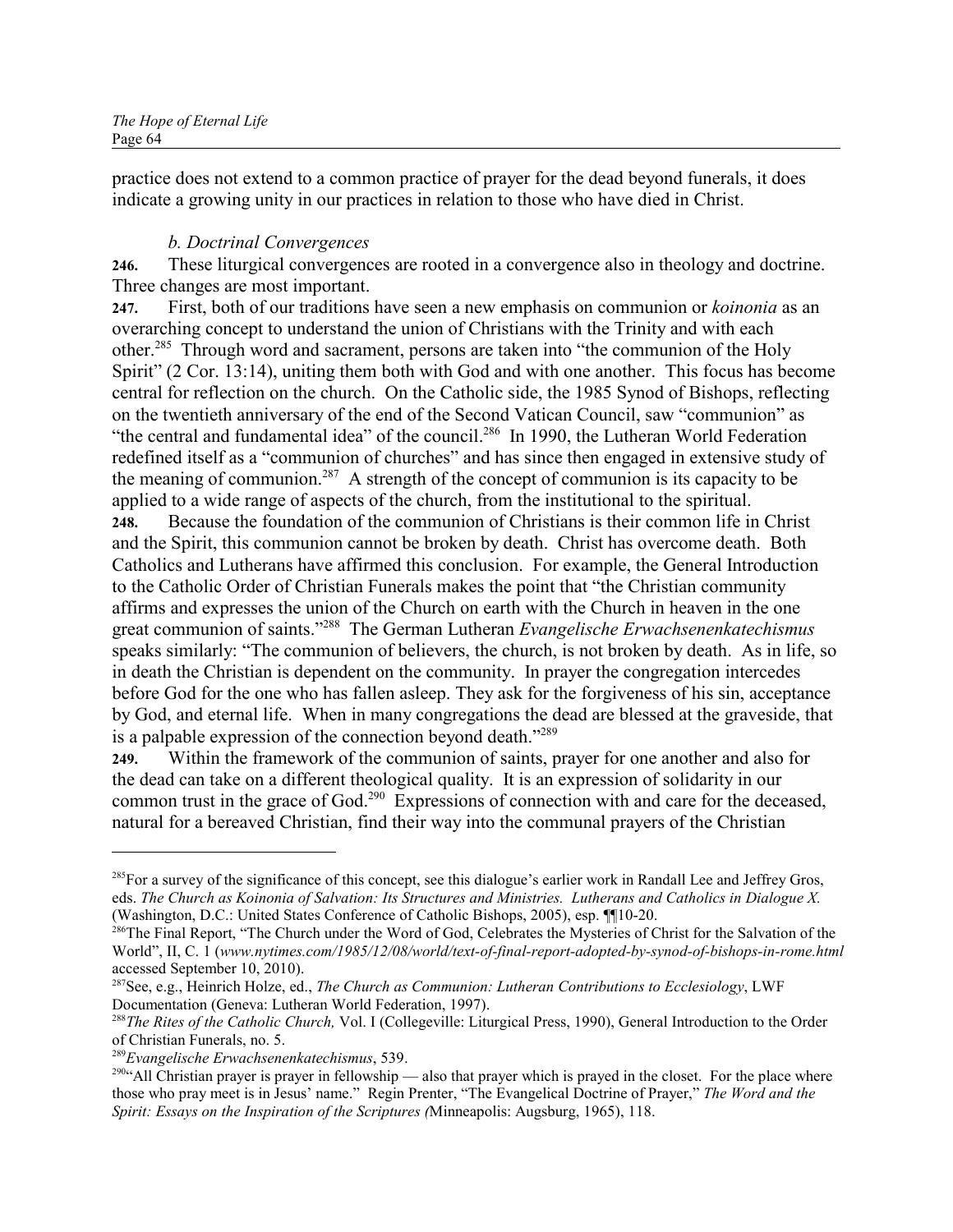practice does not extend to a common practice of prayer for the dead beyond funerals, it does indicate a growing unity in our practices in relation to those who have died in Christ.

### b. Doctrinal Convergences

246. These liturgical convergences are rooted in a convergence also in theology and doctrine. Three changes are most important.

247. First, both of our traditions have seen a new emphasis on communion or *koinonia* as an overarching concept to understand the union of Christians with the Trinity and with each other.<sup>285</sup> Through word and sacrament, persons are taken into "the communion of the Holy Spirit" (2 Cor. 13:14), uniting them both with God and with one another. This focus has become central for reflection on the church. On the Catholic side, the 1985 Synod of Bishops, reflecting on the twentieth anniversary of the end of the Second Vatican Council, saw "communion" as "the central and fundamental idea" of the council.<sup>286</sup> In 1990, the Lutheran World Federation redefined itself as a "communion of churches" and has since then engaged in extensive study of the meaning of communion.<sup>287</sup> A strength of the concept of communion is its capacity to be applied to a wide range of aspects of the church, from the institutional to the spiritual.

248. Because the foundation of the communion of Christians is their common life in Christ and the Spirit, this communion cannot be broken by death. Christ has overcome death. Both Catholics and Lutherans have affirmed this conclusion. For example, the General Introduction to the Catholic Order of Christian Funerals makes the point that "the Christian community affirms and expresses the union of the Church on earth with the Church in heaven in the one great communion of saints."<sup>288</sup> The German Lutheran Evangelische Erwachsenenkatechismus speaks similarly: "The communion of believers, the church, is not broken by death. As in life, so in death the Christian is dependent on the community. In prayer the congregation intercedes before God for the one who has fallen asleep. They ask for the forgiveness of his sin, acceptance by God, and eternal life. When in many congregations the dead are blessed at the graveside, that is a palpable expression of the connection beyond death."<sup>289</sup>

249. Within the framework of the communion of saints, prayer for one another and also for the dead can take on a different theological quality. It is an expression of solidarity in our common trust in the grace of God.<sup>290</sup> Expressions of connection with and care for the deceased, natural for a bereaved Christian, find their way into the communal prayers of the Christian

 $^{285}$ For a survey of the significance of this concept, see this dialogue's earlier work in Randall Lee and Jeffrey Gros, eds. The Church as Koinonia of Salvation: Its Structures and Ministries. Lutherans and Catholics in Dialogue X. (Washington, D.C.: United States Conference of Catholic Bishops, 2005), esp. ¶¶10-20.

<sup>&</sup>lt;sup>286</sup>The Final Report, "The Church under the Word of God, Celebrates the Mysteries of Christ for the Salvation of the World", II, C. 1 (www.nytimes.com/1985/12/08/world/text-of-final-report-adopted-by-synod-of-bishops-in-rome.html accessed September 10, 2010).

<sup>&</sup>lt;sup>287</sup>See, e.g., Heinrich Holze, ed., *The Church as Communion: Lutheran Contributions to Ecclesiology*, LWF Documentation (Geneva: Lutheran World Federation, 1997).

<sup>&</sup>lt;sup>288</sup>The Rites of the Catholic Church, Vol. I (Collegeville: Liturgical Press, 1990), General Introduction to the Order of Christian Funerals, no. 5.

 $289$ Evangelische Erwachsenenkatechismus, 539.

<sup>&</sup>lt;sup>290"</sup>All Christian prayer is prayer in fellowship — also that prayer which is prayed in the closet. For the place where those who pray meet is in Jesus' name." Regin Prenter, "The Evangelical Doctrine of Prayer," The Word and the Spirit: Essays on the Inspiration of the Scriptures (Minneapolis: Augsburg, 1965), 118.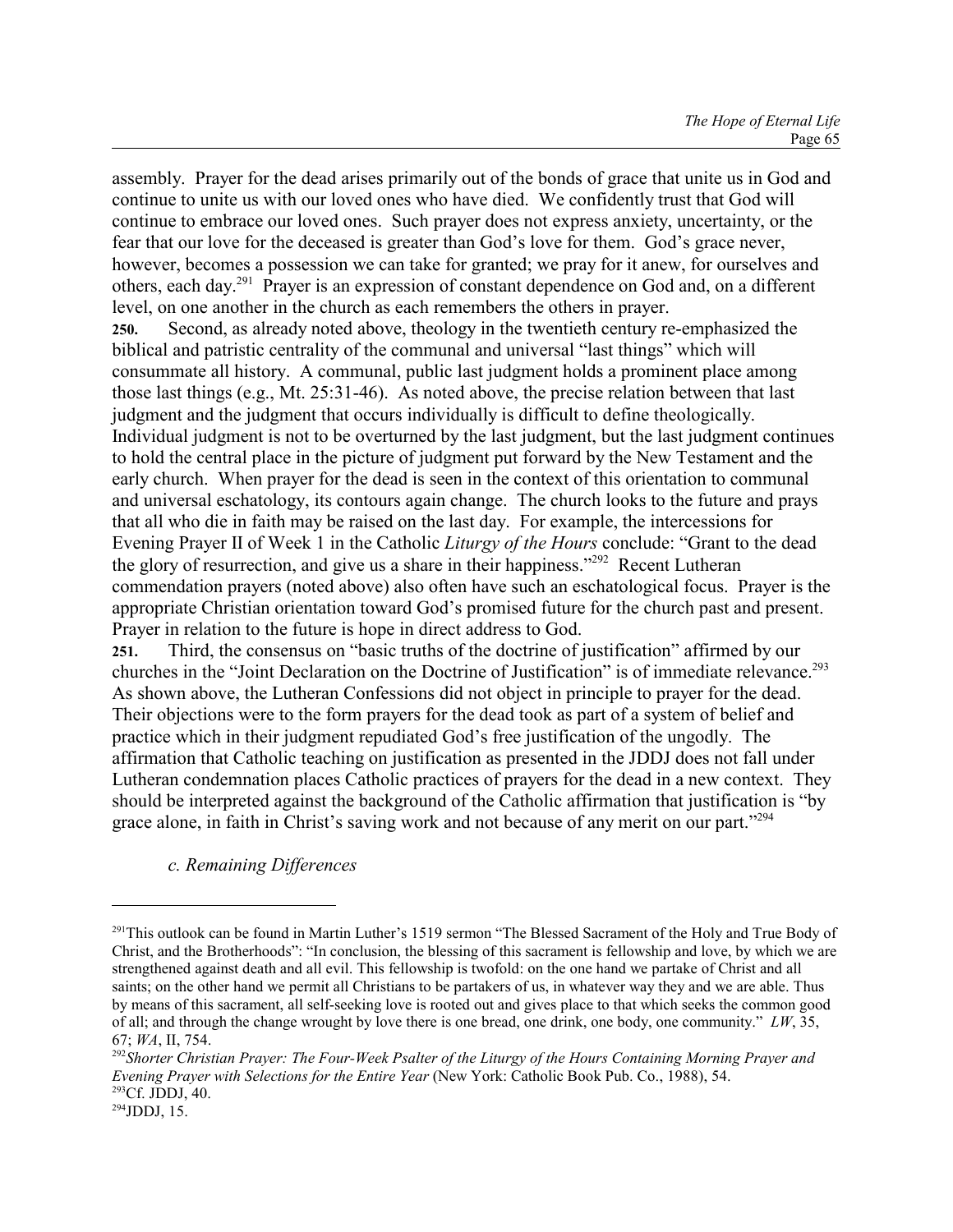assembly. Prayer for the dead arises primarily out of the bonds of grace that unite us in God and continue to unite us with our loved ones who have died. We confidently trust that God will continue to embrace our loved ones. Such prayer does not express anxiety, uncertainty, or the fear that our love for the deceased is greater than God's love for them. God's grace never, however, becomes a possession we can take for granted; we pray for it anew, for ourselves and others, each day.<sup>291</sup> Prayer is an expression of constant dependence on God and, on a different level, on one another in the church as each remembers the others in prayer.

250. Second, as already noted above, theology in the twentieth century re-emphasized the biblical and patristic centrality of the communal and universal "last things" which will consummate all history. A communal, public last judgment holds a prominent place among those last things (e.g., Mt. 25:31-46). As noted above, the precise relation between that last judgment and the judgment that occurs individually is difficult to define theologically. Individual judgment is not to be overturned by the last judgment, but the last judgment continues to hold the central place in the picture of judgment put forward by the New Testament and the early church. When prayer for the dead is seen in the context of this orientation to communal and universal eschatology, its contours again change. The church looks to the future and prays that all who die in faith may be raised on the last day. For example, the intercessions for Evening Prayer II of Week 1 in the Catholic *Liturgy of the Hours* conclude: "Grant to the dead the glory of resurrection, and give us a share in their happiness."<sup>292</sup> Recent Lutheran commendation prayers (noted above) also often have such an eschatological focus. Prayer is the appropriate Christian orientation toward God's promised future for the church past and present. Prayer in relation to the future is hope in direct address to God.

251. Third, the consensus on "basic truths of the doctrine of justification" affirmed by our churches in the "Joint Declaration on the Doctrine of Justification" is of immediate relevance.<sup>293</sup> As shown above, the Lutheran Confessions did not object in principle to prayer for the dead. Their objections were to the form prayers for the dead took as part of a system of belief and practice which in their judgment repudiated God's free justification of the ungodly. The affirmation that Catholic teaching on justification as presented in the JDDJ does not fall under Lutheran condemnation places Catholic practices of prayers for the dead in a new context. They should be interpreted against the background of the Catholic affirmation that justification is "by grace alone, in faith in Christ's saving work and not because of any merit on our part."<sup>294</sup>

# c. Remaining Differences

<sup>&</sup>lt;sup>291</sup>This outlook can be found in Martin Luther's 1519 sermon "The Blessed Sacrament of the Holy and True Body of Christ, and the Brotherhoods": "In conclusion, the blessing of this sacrament is fellowship and love, by which we are strengthened against death and all evil. This fellowship is twofold: on the one hand we partake of Christ and all saints; on the other hand we permit all Christians to be partakers of us, in whatever way they and we are able. Thus by means of this sacrament, all self-seeking love is rooted out and gives place to that which seeks the common good of all; and through the change wrought by love there is one bread, one drink, one body, one community."  $LW$ , 35, 67; WA, II, 754.

<sup>&</sup>lt;sup>292</sup>Shorter Christian Prayer: The Four-Week Psalter of the Liturgy of the Hours Containing Morning Prayer and Evening Prayer with Selections for the Entire Year (New York: Catholic Book Pub. Co., 1988), 54.  $293$ Cf. JDDJ, 40.

 $^{294}$ JDDJ, 15.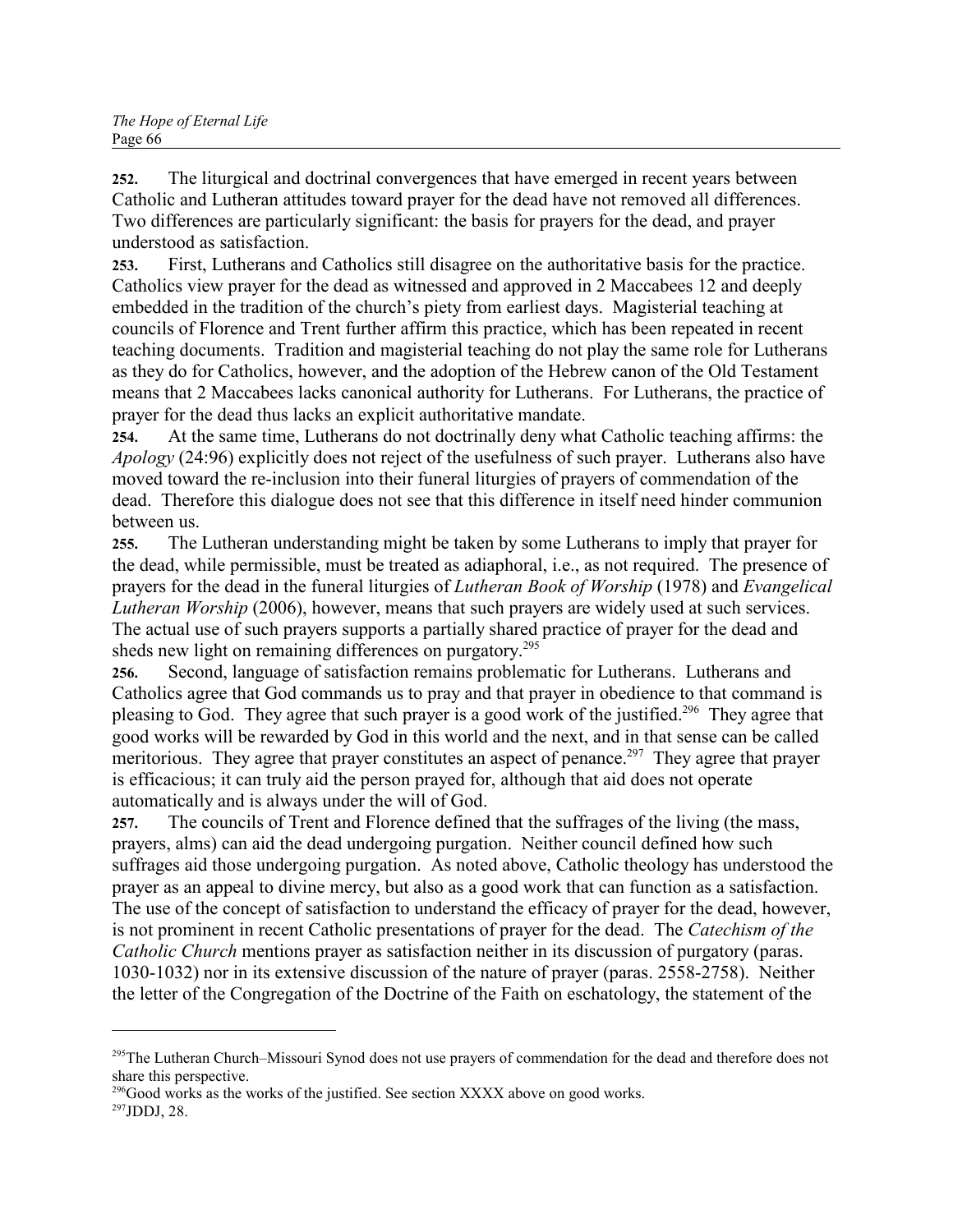252. The liturgical and doctrinal convergences that have emerged in recent years between Catholic and Lutheran attitudes toward prayer for the dead have not removed all differences. Two differences are particularly significant: the basis for prayers for the dead, and prayer understood as satisfaction.

253. First, Lutherans and Catholics still disagree on the authoritative basis for the practice. Catholics view prayer for the dead as witnessed and approved in 2 Maccabees 12 and deeply embedded in the tradition of the church's piety from earliest days. Magisterial teaching at councils of Florence and Trent further affirm this practice, which has been repeated in recent teaching documents. Tradition and magisterial teaching do not play the same role for Lutherans as they do for Catholics, however, and the adoption of the Hebrew canon of the Old Testament means that 2 Maccabees lacks canonical authority for Lutherans. For Lutherans, the practice of prayer for the dead thus lacks an explicit authoritative mandate.

254. At the same time, Lutherans do not doctrinally deny what Catholic teaching affirms: the Apology (24:96) explicitly does not reject of the usefulness of such prayer. Lutherans also have moved toward the re-inclusion into their funeral liturgies of prayers of commendation of the dead. Therefore this dialogue does not see that this difference in itself need hinder communion between us.

255. The Lutheran understanding might be taken by some Lutherans to imply that prayer for the dead, while permissible, must be treated as adiaphoral, i.e., as not required. The presence of prayers for the dead in the funeral liturgies of Lutheran Book of Worship (1978) and Evangelical Lutheran Worship (2006), however, means that such prayers are widely used at such services. The actual use of such prayers supports a partially shared practice of prayer for the dead and sheds new light on remaining differences on purgatory.<sup>295</sup>

256. Second, language of satisfaction remains problematic for Lutherans. Lutherans and Catholics agree that God commands us to pray and that prayer in obedience to that command is pleasing to God. They agree that such prayer is a good work of the justified.<sup>296</sup> They agree that good works will be rewarded by God in this world and the next, and in that sense can be called meritorious. They agree that prayer constitutes an aspect of penance.<sup>297</sup> They agree that prayer is efficacious; it can truly aid the person prayed for, although that aid does not operate automatically and is always under the will of God.

257. The councils of Trent and Florence defined that the suffrages of the living (the mass, prayers, alms) can aid the dead undergoing purgation. Neither council defined how such suffrages aid those undergoing purgation. As noted above, Catholic theology has understood the prayer as an appeal to divine mercy, but also as a good work that can function as a satisfaction. The use of the concept of satisfaction to understand the efficacy of prayer for the dead, however, is not prominent in recent Catholic presentations of prayer for the dead. The Catechism of the Catholic Church mentions prayer as satisfaction neither in its discussion of purgatory (paras. 1030-1032) nor in its extensive discussion of the nature of prayer (paras. 2558-2758). Neither the letter of the Congregation of the Doctrine of the Faith on eschatology, the statement of the

<sup>&</sup>lt;sup>295</sup>The Lutheran Church–Missouri Synod does not use prayers of commendation for the dead and therefore does not share this perspective.

 $296$ Good works as the works of the justified. See section XXXX above on good works.  $297$ JDDJ, 28.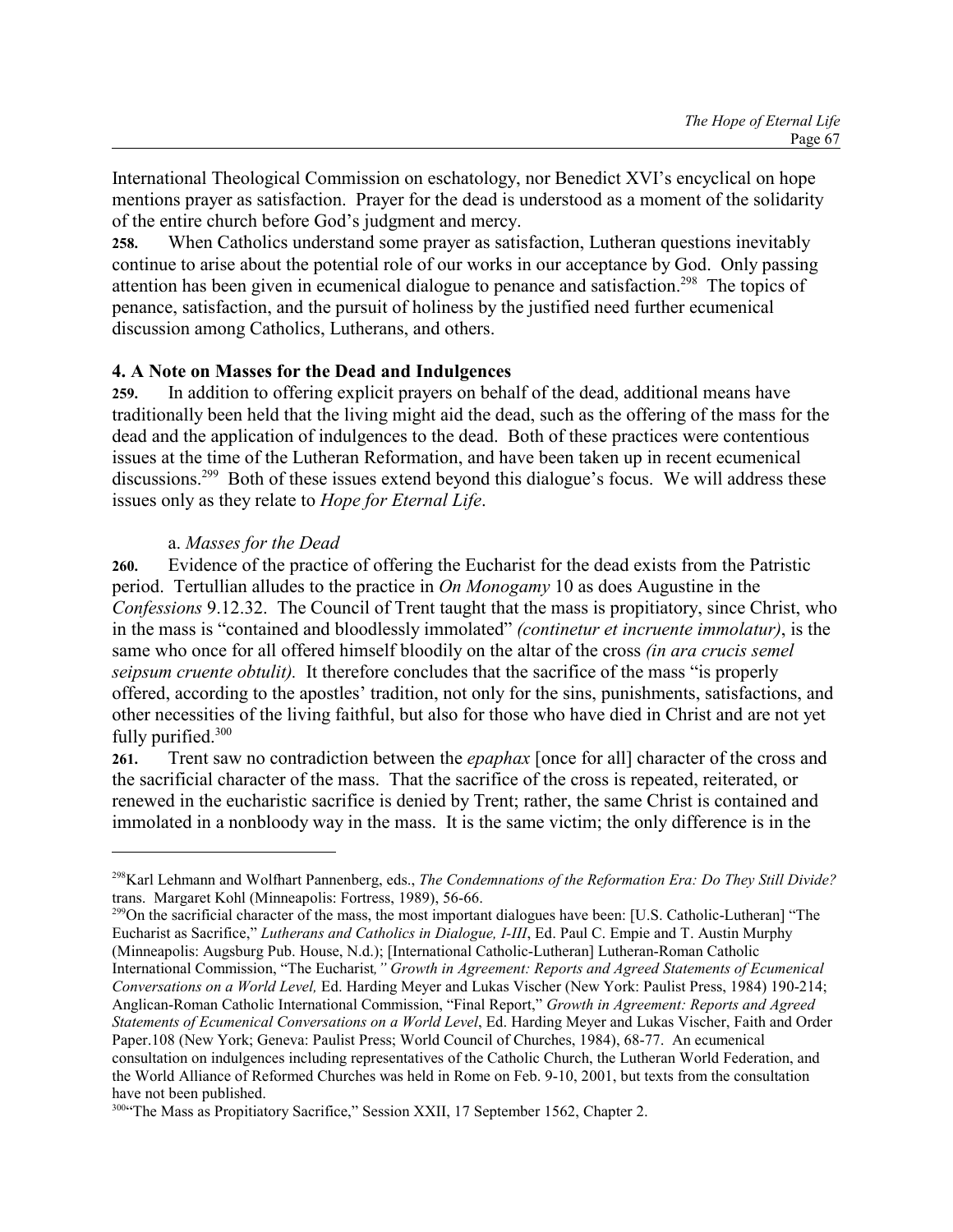International Theological Commission on eschatology, nor Benedict XVI's encyclical on hope mentions prayer as satisfaction. Prayer for the dead is understood as a moment of the solidarity of the entire church before God's judgment and mercy.

258. When Catholics understand some prayer as satisfaction, Lutheran questions inevitably continue to arise about the potential role of our works in our acceptance by God. Only passing attention has been given in ecumenical dialogue to penance and satisfaction.<sup>298</sup> The topics of penance, satisfaction, and the pursuit of holiness by the justified need further ecumenical discussion among Catholics, Lutherans, and others.

### 4. A Note on Masses for the Dead and Indulgences

259. In addition to offering explicit prayers on behalf of the dead, additional means have traditionally been held that the living might aid the dead, such as the offering of the mass for the dead and the application of indulgences to the dead. Both of these practices were contentious issues at the time of the Lutheran Reformation, and have been taken up in recent ecumenical discussions.<sup>299</sup> Both of these issues extend beyond this dialogue's focus. We will address these issues only as they relate to Hope for Eternal Life.

### a. Masses for the Dead

260. Evidence of the practice of offering the Eucharist for the dead exists from the Patristic period. Tertullian alludes to the practice in On Monogamy 10 as does Augustine in the Confessions 9.12.32. The Council of Trent taught that the mass is propitiatory, since Christ, who in the mass is "contained and bloodlessly immolated" (continetur et incruente immolatur), is the same who once for all offered himself bloodily on the altar of the cross *(in ara crucis semel*) seipsum cruente obtulit). It therefore concludes that the sacrifice of the mass "is properly offered, according to the apostles' tradition, not only for the sins, punishments, satisfactions, and other necessities of the living faithful, but also for those who have died in Christ and are not yet fully purified.<sup>300</sup>

261. Trent saw no contradiction between the *epaphax* [once for all] character of the cross and the sacrificial character of the mass. That the sacrifice of the cross is repeated, reiterated, or renewed in the eucharistic sacrifice is denied by Trent; rather, the same Christ is contained and immolated in a nonbloody way in the mass. It is the same victim; the only difference is in the

<sup>&</sup>lt;sup>298</sup>Karl Lehmann and Wolfhart Pannenberg, eds., *The Condemnations of the Reformation Era: Do They Still Divide?* trans. Margaret Kohl (Minneapolis: Fortress, 1989), 56-66.

<sup>&</sup>lt;sup>299</sup>On the sacrificial character of the mass, the most important dialogues have been: [U.S. Catholic-Lutheran] "The Eucharist as Sacrifice," Lutherans and Catholics in Dialogue, I-III, Ed. Paul C. Empie and T. Austin Murphy (Minneapolis: Augsburg Pub. House, N.d.); [International Catholic-Lutheran] Lutheran-Roman Catholic International Commission, "The Eucharist," Growth in Agreement: Reports and Agreed Statements of Ecumenical Conversations on a World Level, Ed. Harding Meyer and Lukas Vischer (New York: Paulist Press, 1984) 190-214; Anglican-Roman Catholic International Commission, "Final Report," Growth in Agreement: Reports and Agreed Statements of Ecumenical Conversations on a World Level, Ed. Harding Meyer and Lukas Vischer, Faith and Order Paper.108 (New York; Geneva: Paulist Press; World Council of Churches, 1984), 68-77. An ecumenical consultation on indulgences including representatives of the Catholic Church, the Lutheran World Federation, and the World Alliance of Reformed Churches was held in Rome on Feb. 9-10, 2001, but texts from the consultation have not been published.

<sup>300</sup>"The Mass as Propitiatory Sacrifice," Session XXII, 17 September 1562, Chapter 2.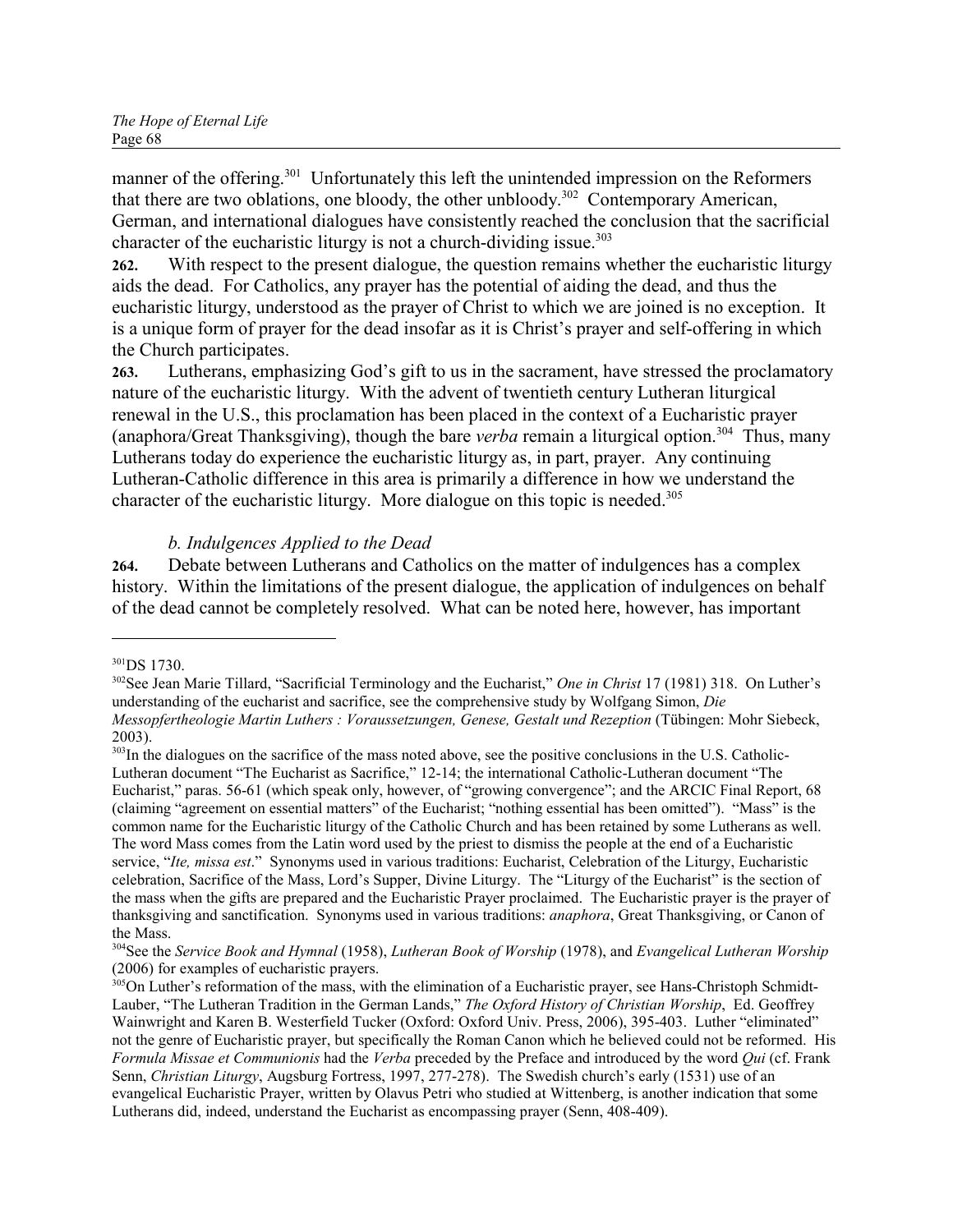manner of the offering.<sup>301</sup> Unfortunately this left the unintended impression on the Reformers that there are two oblations, one bloody, the other unbloody.<sup>302</sup> Contemporary American, German, and international dialogues have consistently reached the conclusion that the sacrificial character of the eucharistic liturgy is not a church-dividing issue.<sup>303</sup>

262. With respect to the present dialogue, the question remains whether the eucharistic liturgy aids the dead. For Catholics, any prayer has the potential of aiding the dead, and thus the eucharistic liturgy, understood as the prayer of Christ to which we are joined is no exception. It is a unique form of prayer for the dead insofar as it is Christ's prayer and self-offering in which the Church participates.

263. Lutherans, emphasizing God's gift to us in the sacrament, have stressed the proclamatory nature of the eucharistic liturgy. With the advent of twentieth century Lutheran liturgical renewal in the U.S., this proclamation has been placed in the context of a Eucharistic prayer (anaphora/Great Thanksgiving), though the bare verba remain a liturgical option.<sup>304</sup> Thus, many Lutherans today do experience the eucharistic liturgy as, in part, prayer. Any continuing Lutheran-Catholic difference in this area is primarily a difference in how we understand the character of the eucharistic liturgy. More dialogue on this topic is needed.<sup>305</sup>

# b. Indulgences Applied to the Dead

264. Debate between Lutherans and Catholics on the matter of indulgences has a complex history. Within the limitations of the present dialogue, the application of indulgences on behalf of the dead cannot be completely resolved. What can be noted here, however, has important

<sup>&</sup>lt;sup>301</sup>DS 1730.

 $302$ See Jean Marie Tillard, "Sacrificial Terminology and the Eucharist," One in Christ 17 (1981) 318. On Luther's understanding of the eucharist and sacrifice, see the comprehensive study by Wolfgang Simon, Die Messopfertheologie Martin Luthers : Voraussetzungen, Genese, Gestalt und Rezeption (Tübingen: Mohr Siebeck, 2003).

<sup>&</sup>lt;sup>303</sup>In the dialogues on the sacrifice of the mass noted above, see the positive conclusions in the U.S. Catholic-Lutheran document "The Eucharist as Sacrifice," 12-14; the international Catholic-Lutheran document "The Eucharist," paras. 56-61 (which speak only, however, of "growing convergence"; and the ARCIC Final Report, 68 (claiming "agreement on essential matters" of the Eucharist; "nothing essential has been omitted"). "Mass" is the common name for the Eucharistic liturgy of the Catholic Church and has been retained by some Lutherans as well. The word Mass comes from the Latin word used by the priest to dismiss the people at the end of a Eucharistic service, "Ite, missa est." Synonyms used in various traditions: Eucharist, Celebration of the Liturgy, Eucharistic celebration, Sacrifice of the Mass, Lord's Supper, Divine Liturgy. The "Liturgy of the Eucharist" is the section of the mass when the gifts are prepared and the Eucharistic Prayer proclaimed. The Eucharistic prayer is the prayer of thanksgiving and sanctification. Synonyms used in various traditions: anaphora, Great Thanksgiving, or Canon of the Mass.

<sup>&</sup>lt;sup>304</sup>See the Service Book and Hymnal (1958), Lutheran Book of Worship (1978), and Evangelical Lutheran Worship (2006) for examples of eucharistic prayers.

<sup>&</sup>lt;sup>305</sup>On Luther's reformation of the mass, with the elimination of a Eucharistic prayer, see Hans-Christoph Schmidt-Lauber, "The Lutheran Tradition in the German Lands," The Oxford History of Christian Worship, Ed. Geoffrey Wainwright and Karen B. Westerfield Tucker (Oxford: Oxford Univ. Press, 2006), 395-403. Luther "eliminated" not the genre of Eucharistic prayer, but specifically the Roman Canon which he believed could not be reformed. His Formula Missae et Communionis had the Verba preceded by the Preface and introduced by the word Qui (cf. Frank Senn, Christian Liturgy, Augsburg Fortress, 1997, 277-278). The Swedish church's early (1531) use of an evangelical Eucharistic Prayer, written by Olavus Petri who studied at Wittenberg, is another indication that some Lutherans did, indeed, understand the Eucharist as encompassing prayer (Senn, 408-409).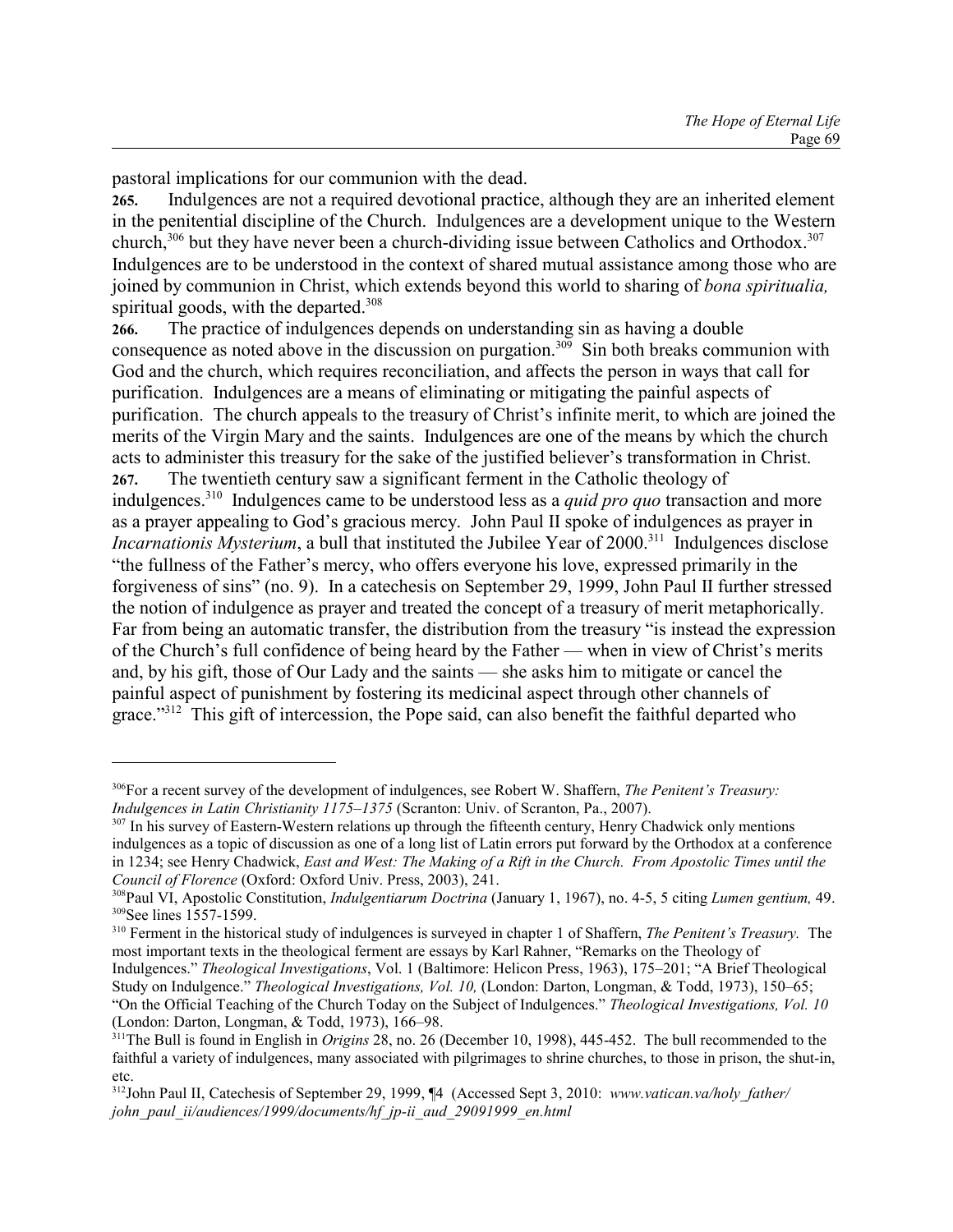pastoral implications for our communion with the dead.

265. Indulgences are not a required devotional practice, although they are an inherited element in the penitential discipline of the Church. Indulgences are a development unique to the Western church,  $306$  but they have never been a church-dividing issue between Catholics and Orthodox.  $307$ Indulgences are to be understood in the context of shared mutual assistance among those who are joined by communion in Christ, which extends beyond this world to sharing of bona spiritualia, spiritual goods, with the departed. $308$ 

266. The practice of indulgences depends on understanding sin as having a double consequence as noted above in the discussion on purgation.<sup>309</sup> Sin both breaks communion with God and the church, which requires reconciliation, and affects the person in ways that call for purification. Indulgences are a means of eliminating or mitigating the painful aspects of purification. The church appeals to the treasury of Christ's infinite merit, to which are joined the merits of the Virgin Mary and the saints. Indulgences are one of the means by which the church acts to administer this treasury for the sake of the justified believer's transformation in Christ. 267. The twentieth century saw a significant ferment in the Catholic theology of indulgences.<sup>310</sup> Indulgences came to be understood less as a *quid pro quo* transaction and more as a prayer appealing to God's gracious mercy. John Paul II spoke of indulgences as prayer in Incarnationis Mysterium, a bull that instituted the Jubilee Year of 2000.<sup>311</sup> Indulgences disclose "the fullness of the Father's mercy, who offers everyone his love, expressed primarily in the forgiveness of sins" (no. 9). In a catechesis on September 29, 1999, John Paul II further stressed the notion of indulgence as prayer and treated the concept of a treasury of merit metaphorically. Far from being an automatic transfer, the distribution from the treasury "is instead the expression of the Church's full confidence of being heard by the Father — when in view of Christ's merits and, by his gift, those of Our Lady and the saints — she asks him to mitigate or cancel the painful aspect of punishment by fostering its medicinal aspect through other channels of grace."<sup>312</sup> This gift of intercession, the Pope said, can also benefit the faithful departed who

 $306$  For a recent survey of the development of indulgences, see Robert W. Shaffern, The Penitent's Treasury: Indulgences in Latin Christianity 1175–1375 (Scranton: Univ. of Scranton, Pa., 2007).

<sup>&</sup>lt;sup>307</sup> In his survey of Eastern-Western relations up through the fifteenth century, Henry Chadwick only mentions indulgences as a topic of discussion as one of a long list of Latin errors put forward by the Orthodox at a conference in 1234; see Henry Chadwick, East and West: The Making of a Rift in the Church. From Apostolic Times until the Council of Florence (Oxford: Oxford Univ. Press, 2003), 241.

<sup>&</sup>lt;sup>308</sup>Paul VI, Apostolic Constitution, *Indulgentiarum Doctrina* (January 1, 1967), no. 4-5, 5 citing Lumen gentium, 49. <sup>309</sup>See lines 1557-1599.

 $310$  Ferment in the historical study of indulgences is surveyed in chapter 1 of Shaffern, The Penitent's Treasury. The most important texts in the theological ferment are essays by Karl Rahner, "Remarks on the Theology of Indulgences." Theological Investigations, Vol. 1 (Baltimore: Helicon Press, 1963), 175–201; "A Brief Theological Study on Indulgence." Theological Investigations, Vol. 10, (London: Darton, Longman, & Todd, 1973), 150–65; "On the Official Teaching of the Church Today on the Subject of Indulgences." Theological Investigations, Vol. 10 (London: Darton, Longman, & Todd, 1973), 166–98.

 $311$ The Bull is found in English in *Origins* 28, no. 26 (December 10, 1998), 445-452. The bull recommended to the faithful a variety of indulgences, many associated with pilgrimages to shrine churches, to those in prison, the shut-in, etc.

<sup>&</sup>lt;sup>312</sup>John Paul II, Catechesis of September 29, 1999,  $\P$ 4 (Accessed Sept 3, 2010: www.vatican.va/holy\_father/ john\_paul\_ii/audiences/1999/documents/hf\_jp-ii\_aud\_29091999\_en.html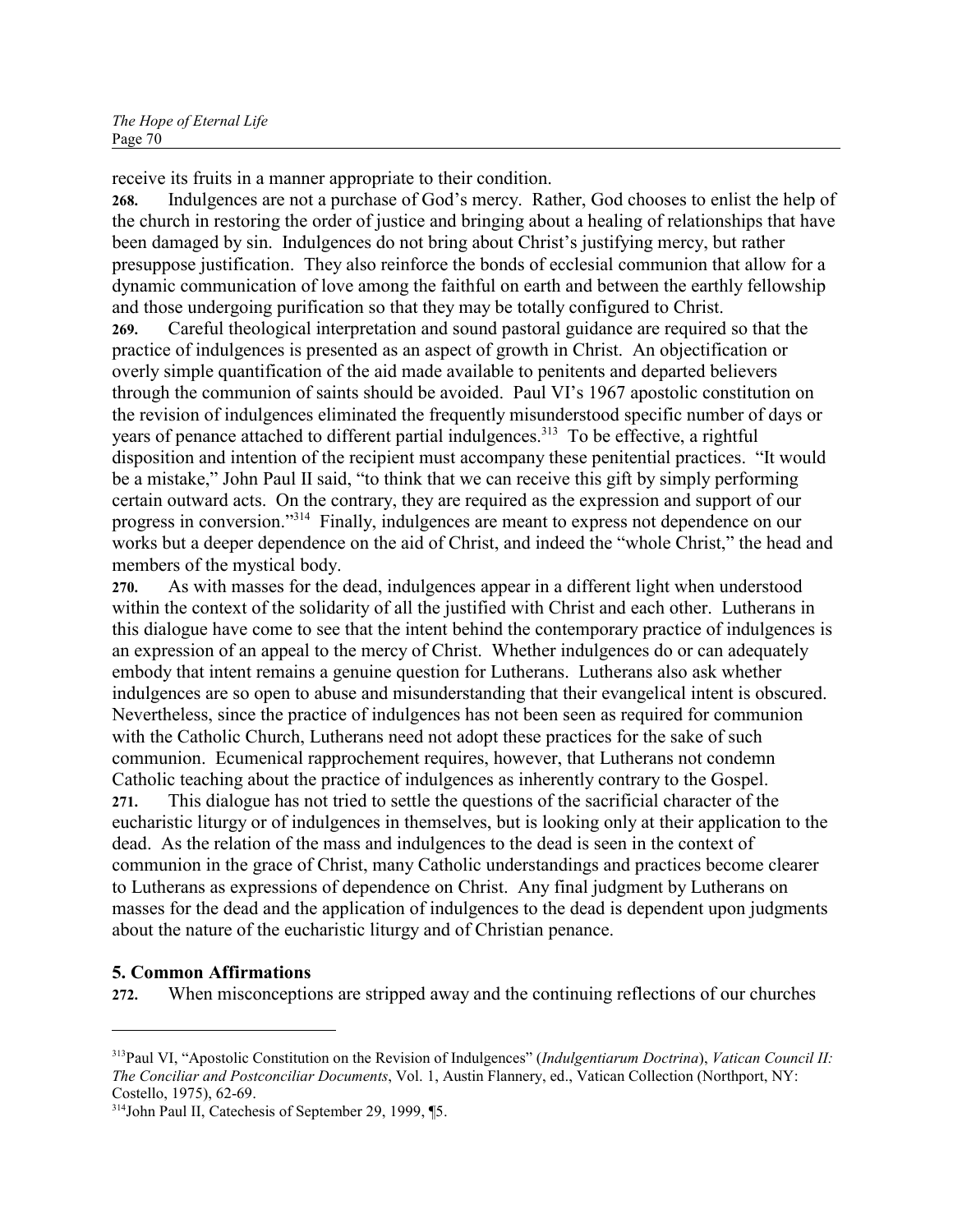receive its fruits in a manner appropriate to their condition.

268. Indulgences are not a purchase of God's mercy. Rather, God chooses to enlist the help of the church in restoring the order of justice and bringing about a healing of relationships that have been damaged by sin. Indulgences do not bring about Christ's justifying mercy, but rather presuppose justification. They also reinforce the bonds of ecclesial communion that allow for a dynamic communication of love among the faithful on earth and between the earthly fellowship and those undergoing purification so that they may be totally configured to Christ.

269. Careful theological interpretation and sound pastoral guidance are required so that the practice of indulgences is presented as an aspect of growth in Christ. An objectification or overly simple quantification of the aid made available to penitents and departed believers through the communion of saints should be avoided. Paul VI's 1967 apostolic constitution on the revision of indulgences eliminated the frequently misunderstood specific number of days or years of penance attached to different partial indulgences.<sup>313</sup> To be effective, a rightful disposition and intention of the recipient must accompany these penitential practices. "It would be a mistake," John Paul II said, "to think that we can receive this gift by simply performing certain outward acts. On the contrary, they are required as the expression and support of our progress in conversion."<sup>314</sup> Finally, indulgences are meant to express not dependence on our works but a deeper dependence on the aid of Christ, and indeed the "whole Christ," the head and members of the mystical body.

270. As with masses for the dead, indulgences appear in a different light when understood within the context of the solidarity of all the justified with Christ and each other. Lutherans in this dialogue have come to see that the intent behind the contemporary practice of indulgences is an expression of an appeal to the mercy of Christ. Whether indulgences do or can adequately embody that intent remains a genuine question for Lutherans. Lutherans also ask whether indulgences are so open to abuse and misunderstanding that their evangelical intent is obscured. Nevertheless, since the practice of indulgences has not been seen as required for communion with the Catholic Church, Lutherans need not adopt these practices for the sake of such communion. Ecumenical rapprochement requires, however, that Lutherans not condemn Catholic teaching about the practice of indulgences as inherently contrary to the Gospel. 271. This dialogue has not tried to settle the questions of the sacrificial character of the

eucharistic liturgy or of indulgences in themselves, but is looking only at their application to the dead. As the relation of the mass and indulgences to the dead is seen in the context of communion in the grace of Christ, many Catholic understandings and practices become clearer to Lutherans as expressions of dependence on Christ. Any final judgment by Lutherans on masses for the dead and the application of indulgences to the dead is dependent upon judgments about the nature of the eucharistic liturgy and of Christian penance.

# 5. Common Affirmations

272. When misconceptions are stripped away and the continuing reflections of our churches

<sup>&</sup>lt;sup>313</sup>Paul VI, "Apostolic Constitution on the Revision of Indulgences" (*Indulgentiarum Doctrina*), Vatican Council II: The Conciliar and Postconciliar Documents, Vol. 1, Austin Flannery, ed., Vatican Collection (Northport, NY: Costello, 1975), 62-69.

<sup>314</sup>John Paul II, Catechesis of September 29, 1999, ¶5.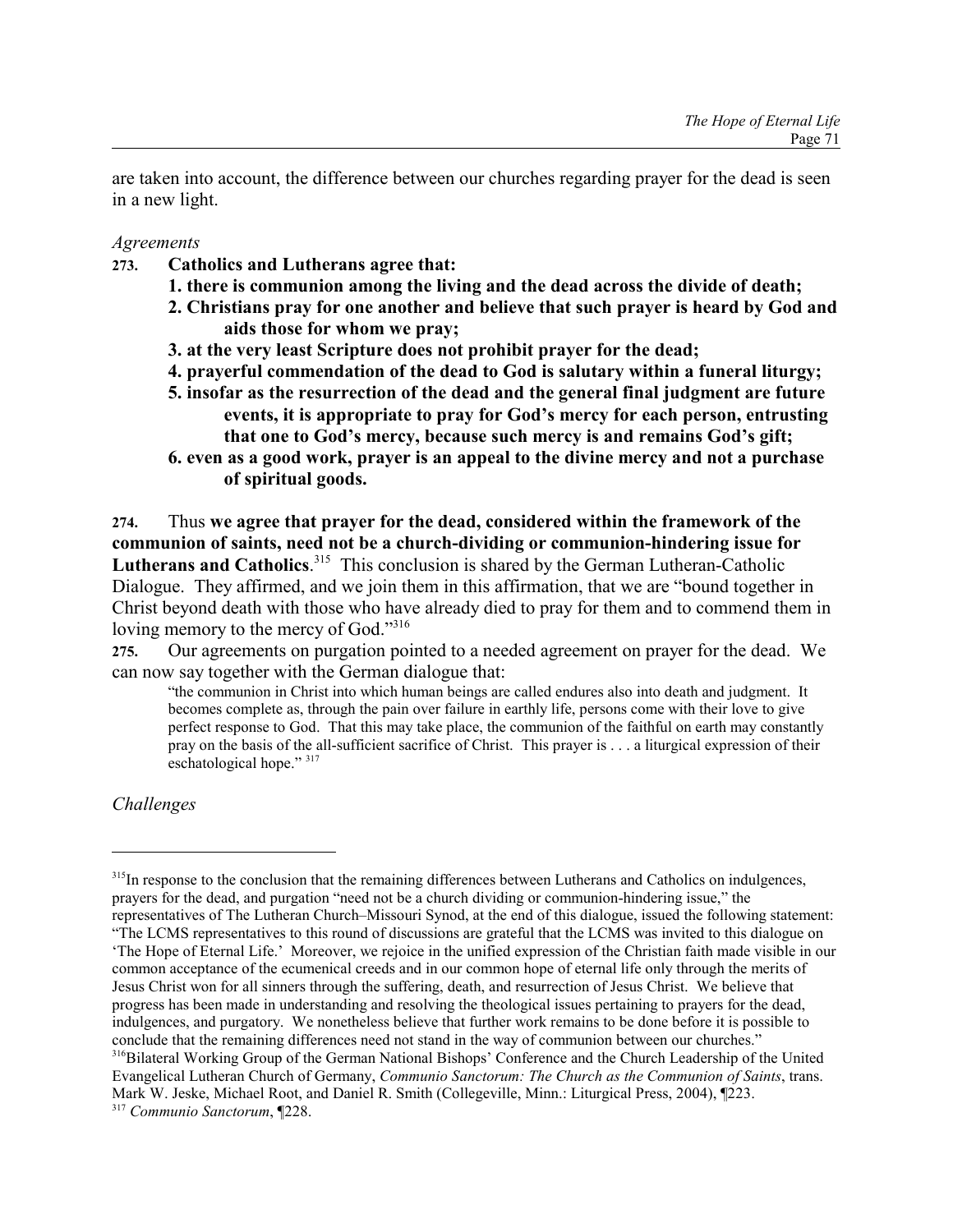are taken into account, the difference between our churches regarding prayer for the dead is seen in a new light.

## Agreements

- 273. Catholics and Lutherans agree that:
	- 1. there is communion among the living and the dead across the divide of death;
	- 2. Christians pray for one another and believe that such prayer is heard by God and aids those for whom we pray;
	- 3. at the very least Scripture does not prohibit prayer for the dead;
	- 4. prayerful commendation of the dead to God is salutary within a funeral liturgy;
	- 5. insofar as the resurrection of the dead and the general final judgment are future events, it is appropriate to pray for God's mercy for each person, entrusting that one to God's mercy, because such mercy is and remains God's gift;
	- 6. even as a good work, prayer is an appeal to the divine mercy and not a purchase of spiritual goods.

274. Thus we agree that prayer for the dead, considered within the framework of the communion of saints, need not be a church-dividing or communion-hindering issue for Lutherans and Catholics.<sup>315</sup> This conclusion is shared by the German Lutheran-Catholic Dialogue. They affirmed, and we join them in this affirmation, that we are "bound together in Christ beyond death with those who have already died to pray for them and to commend them in loving memory to the mercy of God."316

275. Our agreements on purgation pointed to a needed agreement on prayer for the dead. We can now say together with the German dialogue that:

"the communion in Christ into which human beings are called endures also into death and judgment. It becomes complete as, through the pain over failure in earthly life, persons come with their love to give perfect response to God. That this may take place, the communion of the faithful on earth may constantly pray on the basis of the all-sufficient sacrifice of Christ. This prayer is . . . a liturgical expression of their eschatological hope." 317

Challenges

<sup>&</sup>lt;sup>315</sup>In response to the conclusion that the remaining differences between Lutherans and Catholics on indulgences, prayers for the dead, and purgation "need not be a church dividing or communion-hindering issue," the representatives of The Lutheran Church–Missouri Synod, at the end of this dialogue, issued the following statement:

<sup>&</sup>quot;The LCMS representatives to this round of discussions are grateful that the LCMS was invited to this dialogue on 'The Hope of Eternal Life.' Moreover, we rejoice in the unified expression of the Christian faith made visible in our common acceptance of the ecumenical creeds and in our common hope of eternal life only through the merits of Jesus Christ won for all sinners through the suffering, death, and resurrection of Jesus Christ. We believe that progress has been made in understanding and resolving the theological issues pertaining to prayers for the dead, indulgences, and purgatory. We nonetheless believe that further work remains to be done before it is possible to conclude that the remaining differences need not stand in the way of communion between our churches." <sup>316</sup>Bilateral Working Group of the German National Bishops' Conference and the Church Leadership of the United Evangelical Lutheran Church of Germany, Communio Sanctorum: The Church as the Communion of Saints, trans. Mark W. Jeske, Michael Root, and Daniel R. Smith (Collegeville, Minn.: Liturgical Press, 2004), ¶223. <sup>317</sup> Communio Sanctorum, ¶228.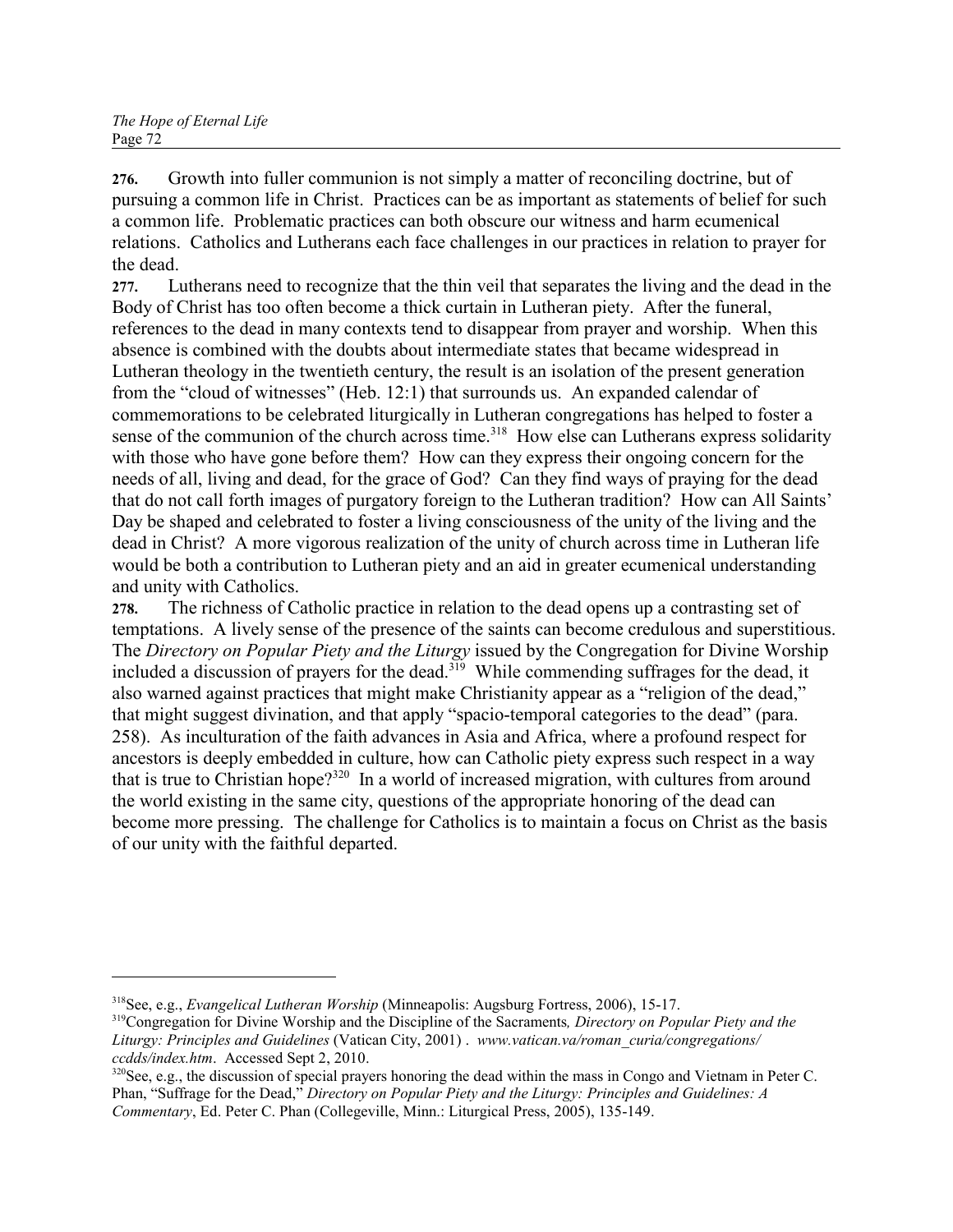276. Growth into fuller communion is not simply a matter of reconciling doctrine, but of pursuing a common life in Christ. Practices can be as important as statements of belief for such a common life. Problematic practices can both obscure our witness and harm ecumenical relations. Catholics and Lutherans each face challenges in our practices in relation to prayer for the dead.

277. Lutherans need to recognize that the thin veil that separates the living and the dead in the Body of Christ has too often become a thick curtain in Lutheran piety. After the funeral, references to the dead in many contexts tend to disappear from prayer and worship. When this absence is combined with the doubts about intermediate states that became widespread in Lutheran theology in the twentieth century, the result is an isolation of the present generation from the "cloud of witnesses" (Heb. 12:1) that surrounds us. An expanded calendar of commemorations to be celebrated liturgically in Lutheran congregations has helped to foster a sense of the communion of the church across time.<sup>318</sup> How else can Lutherans express solidarity with those who have gone before them? How can they express their ongoing concern for the needs of all, living and dead, for the grace of God? Can they find ways of praying for the dead that do not call forth images of purgatory foreign to the Lutheran tradition? How can All Saints' Day be shaped and celebrated to foster a living consciousness of the unity of the living and the dead in Christ? A more vigorous realization of the unity of church across time in Lutheran life would be both a contribution to Lutheran piety and an aid in greater ecumenical understanding and unity with Catholics.

278. The richness of Catholic practice in relation to the dead opens up a contrasting set of temptations. A lively sense of the presence of the saints can become credulous and superstitious. The Directory on Popular Piety and the Liturgy issued by the Congregation for Divine Worship included a discussion of prayers for the dead.<sup>319</sup> While commending suffrages for the dead, it also warned against practices that might make Christianity appear as a "religion of the dead," that might suggest divination, and that apply "spacio-temporal categories to the dead" (para. 258). As inculturation of the faith advances in Asia and Africa, where a profound respect for ancestors is deeply embedded in culture, how can Catholic piety express such respect in a way that is true to Christian hope?<sup>320</sup> In a world of increased migration, with cultures from around the world existing in the same city, questions of the appropriate honoring of the dead can become more pressing. The challenge for Catholics is to maintain a focus on Christ as the basis of our unity with the faithful departed.

<sup>&</sup>lt;sup>318</sup>See, e.g., *Evangelical Lutheran Worship* (Minneapolis: Augsburg Fortress, 2006), 15-17.

<sup>&</sup>lt;sup>319</sup>Congregation for Divine Worship and the Discipline of the Sacraments, Directory on Popular Piety and the Liturgy: Principles and Guidelines (Vatican City, 2001). www.vatican.va/roman\_curia/congregations/ ccdds/index.htm. Accessed Sept 2, 2010.

<sup>320</sup>See, e.g., the discussion of special prayers honoring the dead within the mass in Congo and Vietnam in Peter C. Phan, "Suffrage for the Dead," Directory on Popular Piety and the Liturgy: Principles and Guidelines: A Commentary, Ed. Peter C. Phan (Collegeville, Minn.: Liturgical Press, 2005), 135-149.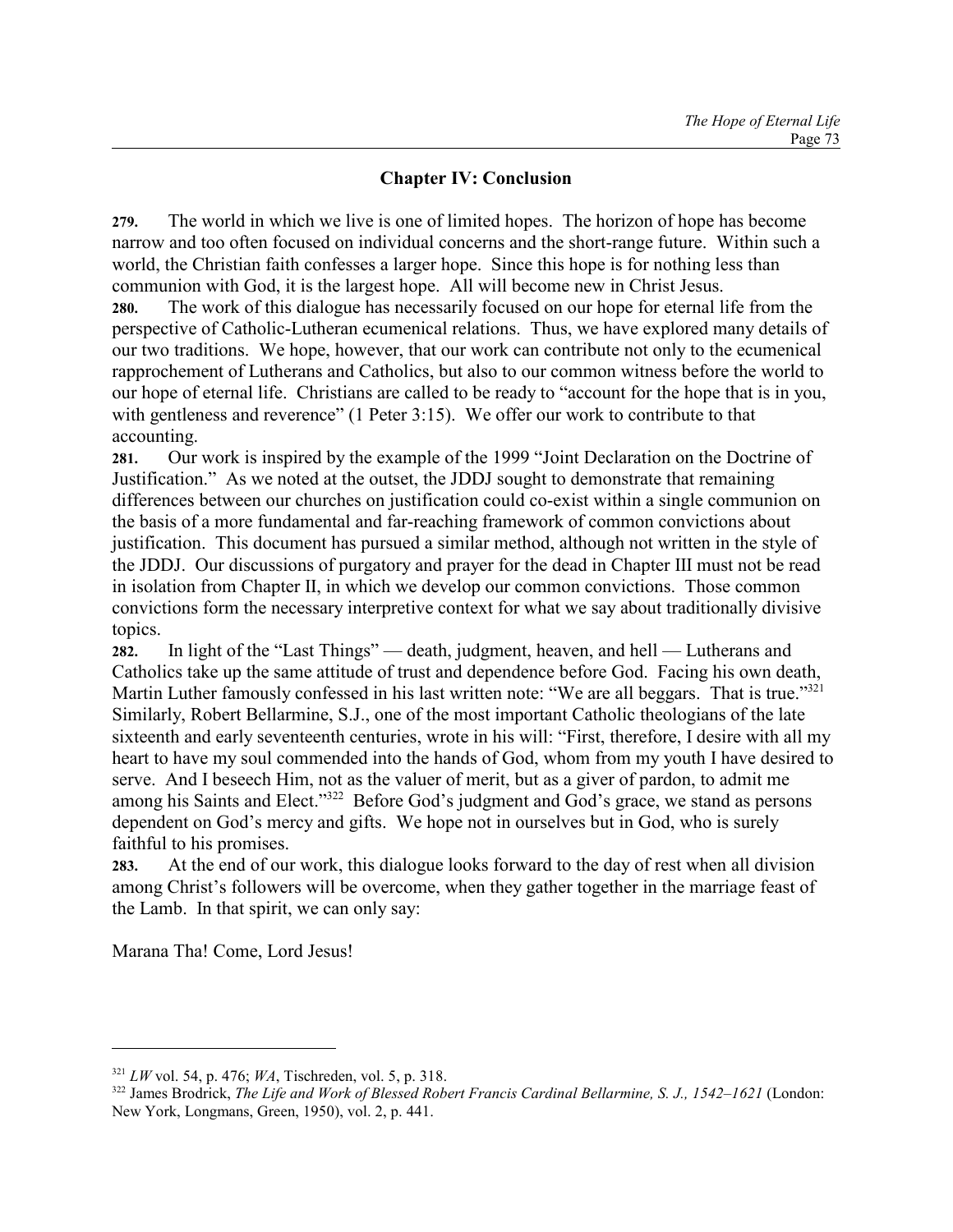# Chapter IV: Conclusion

279. The world in which we live is one of limited hopes. The horizon of hope has become narrow and too often focused on individual concerns and the short-range future. Within such a world, the Christian faith confesses a larger hope. Since this hope is for nothing less than communion with God, it is the largest hope. All will become new in Christ Jesus.

280. The work of this dialogue has necessarily focused on our hope for eternal life from the perspective of Catholic-Lutheran ecumenical relations. Thus, we have explored many details of our two traditions. We hope, however, that our work can contribute not only to the ecumenical rapprochement of Lutherans and Catholics, but also to our common witness before the world to our hope of eternal life. Christians are called to be ready to "account for the hope that is in you, with gentleness and reverence" (1 Peter 3:15). We offer our work to contribute to that accounting.

281. Our work is inspired by the example of the 1999 "Joint Declaration on the Doctrine of Justification." As we noted at the outset, the JDDJ sought to demonstrate that remaining differences between our churches on justification could co-exist within a single communion on the basis of a more fundamental and far-reaching framework of common convictions about justification. This document has pursued a similar method, although not written in the style of the JDDJ. Our discussions of purgatory and prayer for the dead in Chapter III must not be read in isolation from Chapter II, in which we develop our common convictions. Those common convictions form the necessary interpretive context for what we say about traditionally divisive topics.

282. In light of the "Last Things" — death, judgment, heaven, and hell — Lutherans and Catholics take up the same attitude of trust and dependence before God. Facing his own death, Martin Luther famously confessed in his last written note: "We are all beggars. That is true."<sup>321</sup> Similarly, Robert Bellarmine, S.J., one of the most important Catholic theologians of the late sixteenth and early seventeenth centuries, wrote in his will: "First, therefore, I desire with all my heart to have my soul commended into the hands of God, whom from my youth I have desired to serve. And I beseech Him, not as the valuer of merit, but as a giver of pardon, to admit me among his Saints and Elect."<sup>322</sup> Before God's judgment and God's grace, we stand as persons dependent on God's mercy and gifts. We hope not in ourselves but in God, who is surely faithful to his promises.

283. At the end of our work, this dialogue looks forward to the day of rest when all division among Christ's followers will be overcome, when they gather together in the marriage feast of the Lamb. In that spirit, we can only say:

Marana Tha! Come, Lord Jesus!

 $321$  *LW* vol. 54, p. 476; *WA*, Tischreden, vol. 5, p. 318.

<sup>&</sup>lt;sup>322</sup> James Brodrick, The Life and Work of Blessed Robert Francis Cardinal Bellarmine, S. J., 1542–1621 (London: New York, Longmans, Green, 1950), vol. 2, p. 441.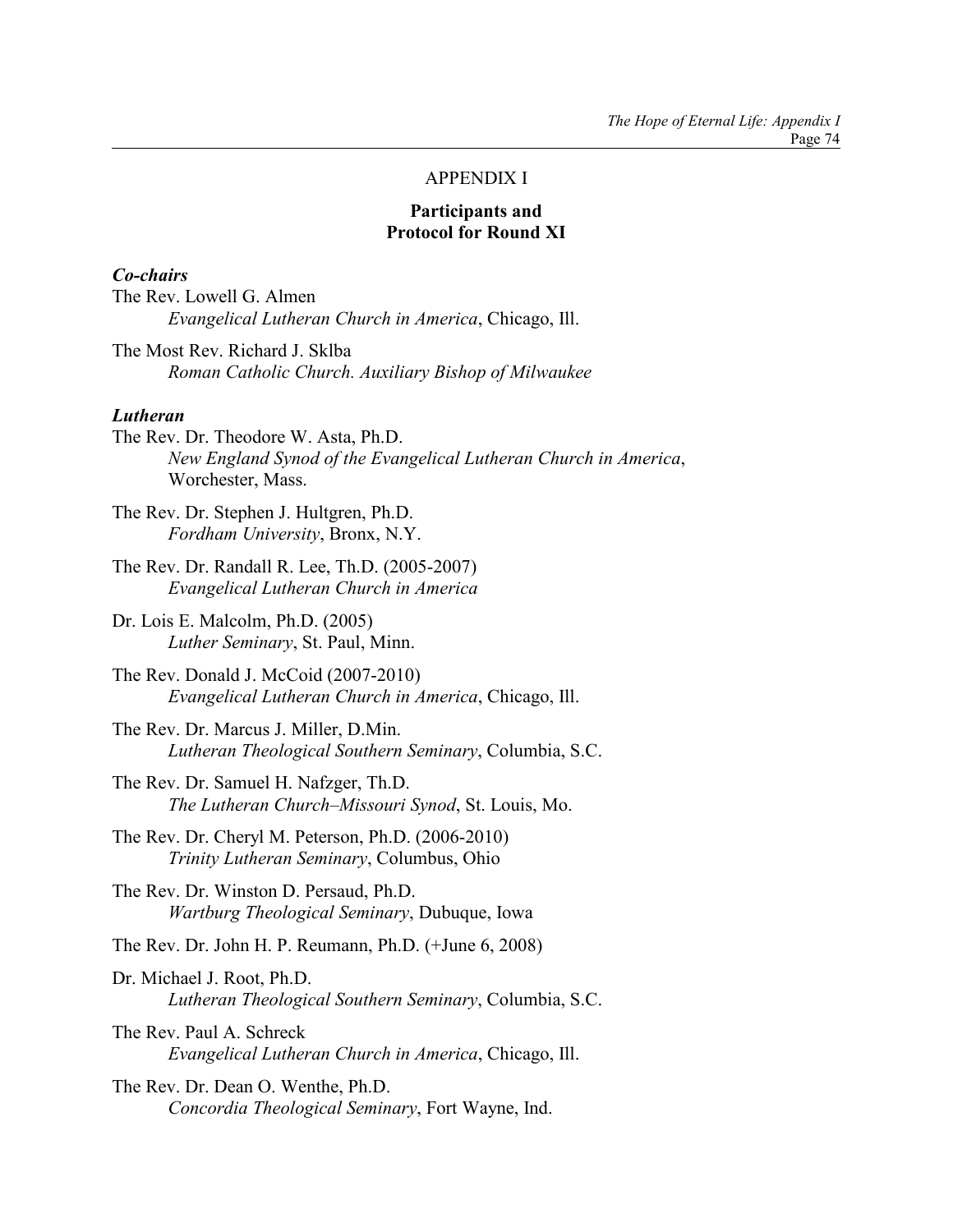#### APPENDIX I

#### Participants and Protocol for Round XI

#### Co-chairs

The Rev. Lowell G. Almen Evangelical Lutheran Church in America, Chicago, Ill.

The Most Rev. Richard J. Sklba Roman Catholic Church. Auxiliary Bishop of Milwaukee

#### Lutheran

- The Rev. Dr. Theodore W. Asta, Ph.D. New England Synod of the Evangelical Lutheran Church in America, Worchester, Mass.
- The Rev. Dr. Stephen J. Hultgren, Ph.D. Fordham University, Bronx, N.Y.
- The Rev. Dr. Randall R. Lee, Th.D. (2005-2007) Evangelical Lutheran Church in America
- Dr. Lois E. Malcolm, Ph.D. (2005) Luther Seminary, St. Paul, Minn.
- The Rev. Donald J. McCoid (2007-2010) Evangelical Lutheran Church in America, Chicago, Ill.
- The Rev. Dr. Marcus J. Miller, D.Min. Lutheran Theological Southern Seminary, Columbia, S.C.
- The Rev. Dr. Samuel H. Nafzger, Th.D. The Lutheran Church–Missouri Synod, St. Louis, Mo.
- The Rev. Dr. Cheryl M. Peterson, Ph.D. (2006-2010) Trinity Lutheran Seminary, Columbus, Ohio
- The Rev. Dr. Winston D. Persaud, Ph.D. Wartburg Theological Seminary, Dubuque, Iowa

The Rev. Dr. John H. P. Reumann, Ph.D. (+June 6, 2008)

- Dr. Michael J. Root, Ph.D. Lutheran Theological Southern Seminary, Columbia, S.C.
- The Rev. Paul A. Schreck Evangelical Lutheran Church in America, Chicago, Ill.
- The Rev. Dr. Dean O. Wenthe, Ph.D. Concordia Theological Seminary, Fort Wayne, Ind.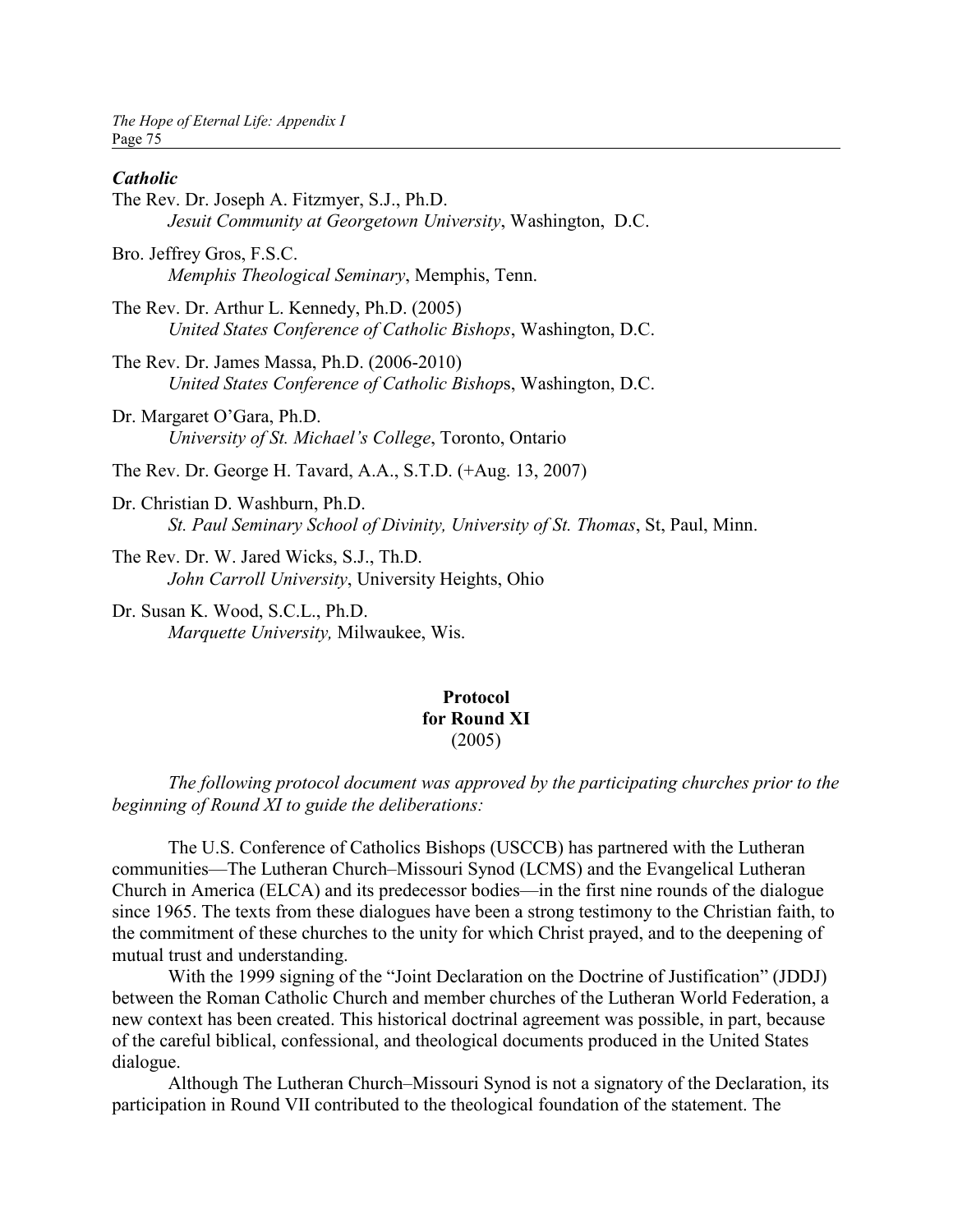The Hope of Eternal Life: Appendix I Page 75

#### **Catholic**

The Rev. Dr. Joseph A. Fitzmyer, S.J., Ph.D. Jesuit Community at Georgetown University, Washington, D.C. Bro. Jeffrey Gros, F.S.C.

Memphis Theological Seminary, Memphis, Tenn.

The Rev. Dr. Arthur L. Kennedy, Ph.D. (2005) United States Conference of Catholic Bishops, Washington, D.C.

The Rev. Dr. James Massa, Ph.D. (2006-2010) United States Conference of Catholic Bishops, Washington, D.C.

Dr. Margaret O'Gara, Ph.D. University of St. Michael's College, Toronto, Ontario

The Rev. Dr. George H. Tavard, A.A., S.T.D. (+Aug. 13, 2007)

Dr. Christian D. Washburn, Ph.D. St. Paul Seminary School of Divinity, University of St. Thomas, St, Paul, Minn.

The Rev. Dr. W. Jared Wicks, S.J., Th.D. John Carroll University, University Heights, Ohio

Dr. Susan K. Wood, S.C.L., Ph.D. Marquette University, Milwaukee, Wis.

#### Protocol for Round XI (2005)

The following protocol document was approved by the participating churches prior to the beginning of Round XI to guide the deliberations:

The U.S. Conference of Catholics Bishops (USCCB) has partnered with the Lutheran communities—The Lutheran Church–Missouri Synod (LCMS) and the Evangelical Lutheran Church in America (ELCA) and its predecessor bodies—in the first nine rounds of the dialogue since 1965. The texts from these dialogues have been a strong testimony to the Christian faith, to the commitment of these churches to the unity for which Christ prayed, and to the deepening of mutual trust and understanding.

With the 1999 signing of the "Joint Declaration on the Doctrine of Justification" (JDDJ) between the Roman Catholic Church and member churches of the Lutheran World Federation, a new context has been created. This historical doctrinal agreement was possible, in part, because of the careful biblical, confessional, and theological documents produced in the United States dialogue.

Although The Lutheran Church–Missouri Synod is not a signatory of the Declaration, its participation in Round VII contributed to the theological foundation of the statement. The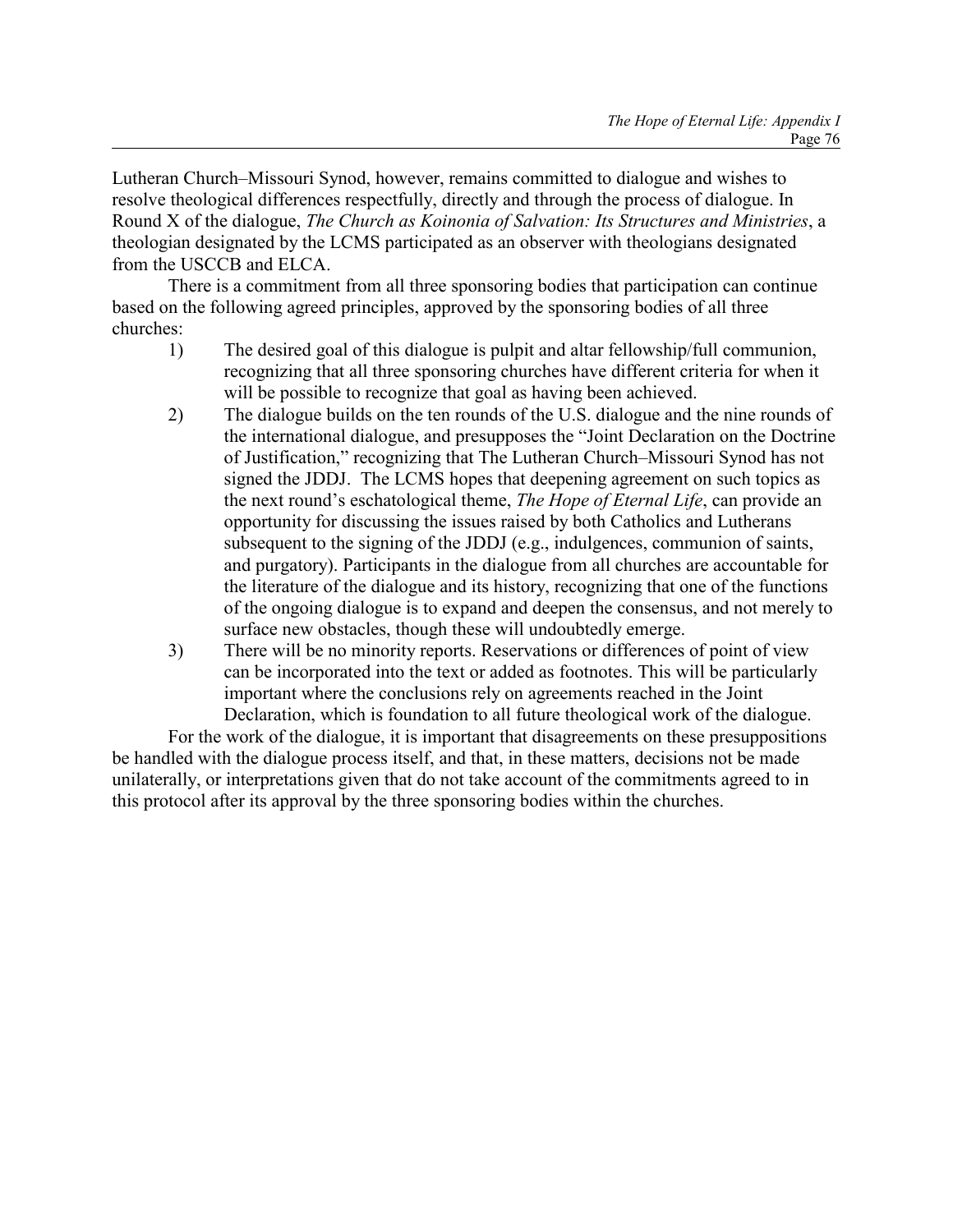Lutheran Church–Missouri Synod, however, remains committed to dialogue and wishes to resolve theological differences respectfully, directly and through the process of dialogue. In Round X of the dialogue, The Church as Koinonia of Salvation: Its Structures and Ministries, a theologian designated by the LCMS participated as an observer with theologians designated from the USCCB and ELCA.

There is a commitment from all three sponsoring bodies that participation can continue based on the following agreed principles, approved by the sponsoring bodies of all three churches:

- 1) The desired goal of this dialogue is pulpit and altar fellowship/full communion, recognizing that all three sponsoring churches have different criteria for when it will be possible to recognize that goal as having been achieved.
- 2) The dialogue builds on the ten rounds of the U.S. dialogue and the nine rounds of the international dialogue, and presupposes the "Joint Declaration on the Doctrine of Justification," recognizing that The Lutheran Church–Missouri Synod has not signed the JDDJ. The LCMS hopes that deepening agreement on such topics as the next round's eschatological theme, *The Hope of Eternal Life*, can provide an opportunity for discussing the issues raised by both Catholics and Lutherans subsequent to the signing of the JDDJ (e.g., indulgences, communion of saints, and purgatory). Participants in the dialogue from all churches are accountable for the literature of the dialogue and its history, recognizing that one of the functions of the ongoing dialogue is to expand and deepen the consensus, and not merely to surface new obstacles, though these will undoubtedly emerge.
- 3) There will be no minority reports. Reservations or differences of point of view can be incorporated into the text or added as footnotes. This will be particularly important where the conclusions rely on agreements reached in the Joint Declaration, which is foundation to all future theological work of the dialogue.

For the work of the dialogue, it is important that disagreements on these presuppositions be handled with the dialogue process itself, and that, in these matters, decisions not be made unilaterally, or interpretations given that do not take account of the commitments agreed to in this protocol after its approval by the three sponsoring bodies within the churches.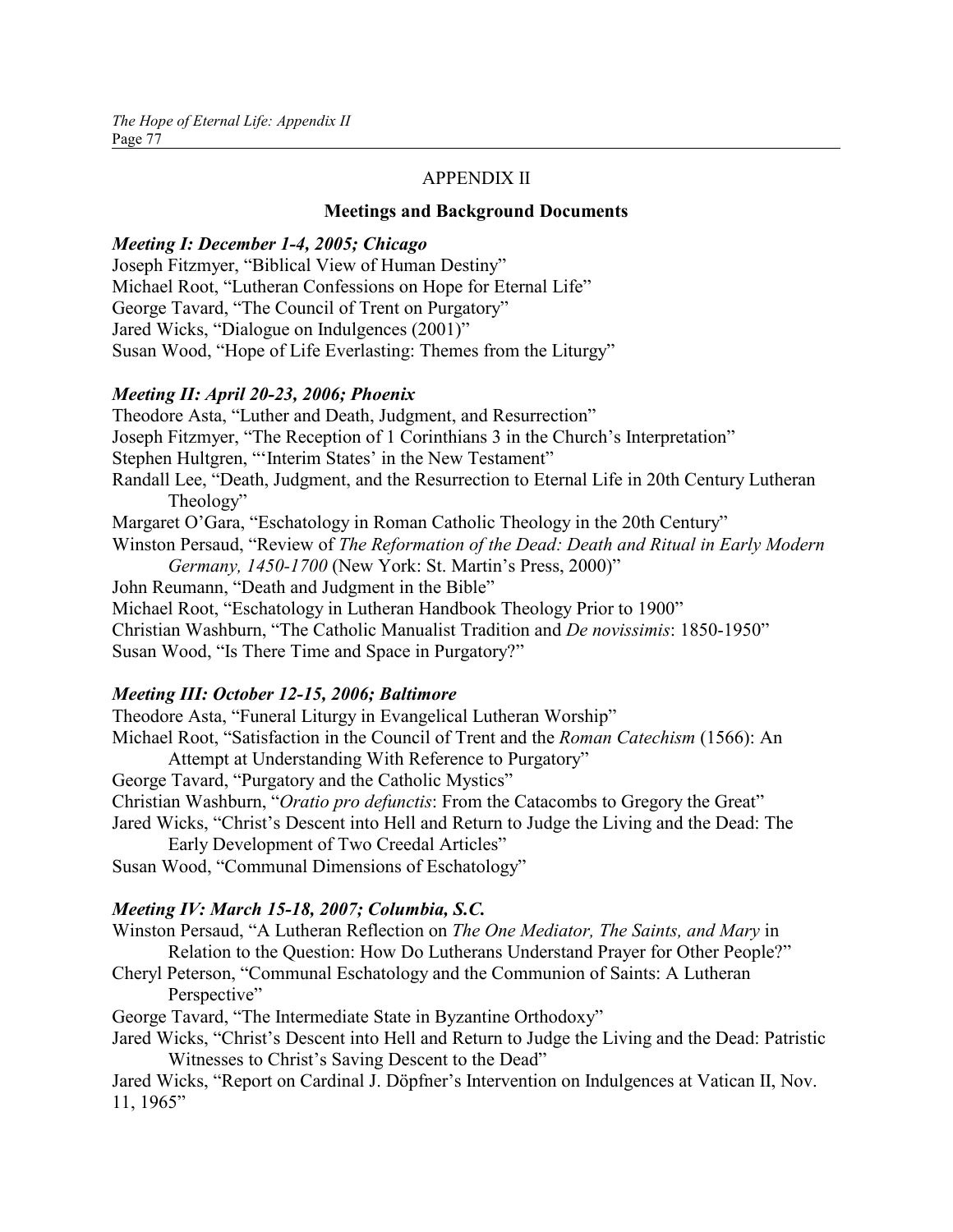# APPENDIX II

# Meetings and Background Documents

## Meeting I: December 1-4, 2005; Chicago

Joseph Fitzmyer, "Biblical View of Human Destiny" Michael Root, "Lutheran Confessions on Hope for Eternal Life" George Tavard, "The Council of Trent on Purgatory" Jared Wicks, "Dialogue on Indulgences (2001)" Susan Wood, "Hope of Life Everlasting: Themes from the Liturgy"

## Meeting II: April 20-23, 2006; Phoenix

Theodore Asta, "Luther and Death, Judgment, and Resurrection" Joseph Fitzmyer, "The Reception of 1 Corinthians 3 in the Church's Interpretation" Stephen Hultgren, "'Interim States' in the New Testament" Randall Lee, "Death, Judgment, and the Resurrection to Eternal Life in 20th Century Lutheran Theology" Margaret O'Gara, "Eschatology in Roman Catholic Theology in the 20th Century" Winston Persaud, "Review of The Reformation of the Dead: Death and Ritual in Early Modern Germany, 1450-1700 (New York: St. Martin's Press, 2000)" John Reumann, "Death and Judgment in the Bible" Michael Root, "Eschatology in Lutheran Handbook Theology Prior to 1900" Christian Washburn, "The Catholic Manualist Tradition and De novissimis: 1850-1950" Susan Wood, "Is There Time and Space in Purgatory?"

# Meeting III: October 12-15, 2006; Baltimore

Theodore Asta, "Funeral Liturgy in Evangelical Lutheran Worship" Michael Root, "Satisfaction in the Council of Trent and the Roman Catechism (1566): An Attempt at Understanding With Reference to Purgatory" George Tavard, "Purgatory and the Catholic Mystics" Christian Washburn, "Oratio pro defunctis: From the Catacombs to Gregory the Great"

Jared Wicks, "Christ's Descent into Hell and Return to Judge the Living and the Dead: The

Early Development of Two Creedal Articles"

Susan Wood, "Communal Dimensions of Eschatology"

# Meeting IV: March 15-18, 2007; Columbia, S.C.

Winston Persaud, "A Lutheran Reflection on The One Mediator, The Saints, and Mary in Relation to the Question: How Do Lutherans Understand Prayer for Other People?"

Cheryl Peterson, "Communal Eschatology and the Communion of Saints: A Lutheran Perspective"

George Tavard, "The Intermediate State in Byzantine Orthodoxy"

Jared Wicks, "Christ's Descent into Hell and Return to Judge the Living and the Dead: Patristic Witnesses to Christ's Saving Descent to the Dead"

Jared Wicks, "Report on Cardinal J. Döpfner's Intervention on Indulgences at Vatican II, Nov. 11, 1965"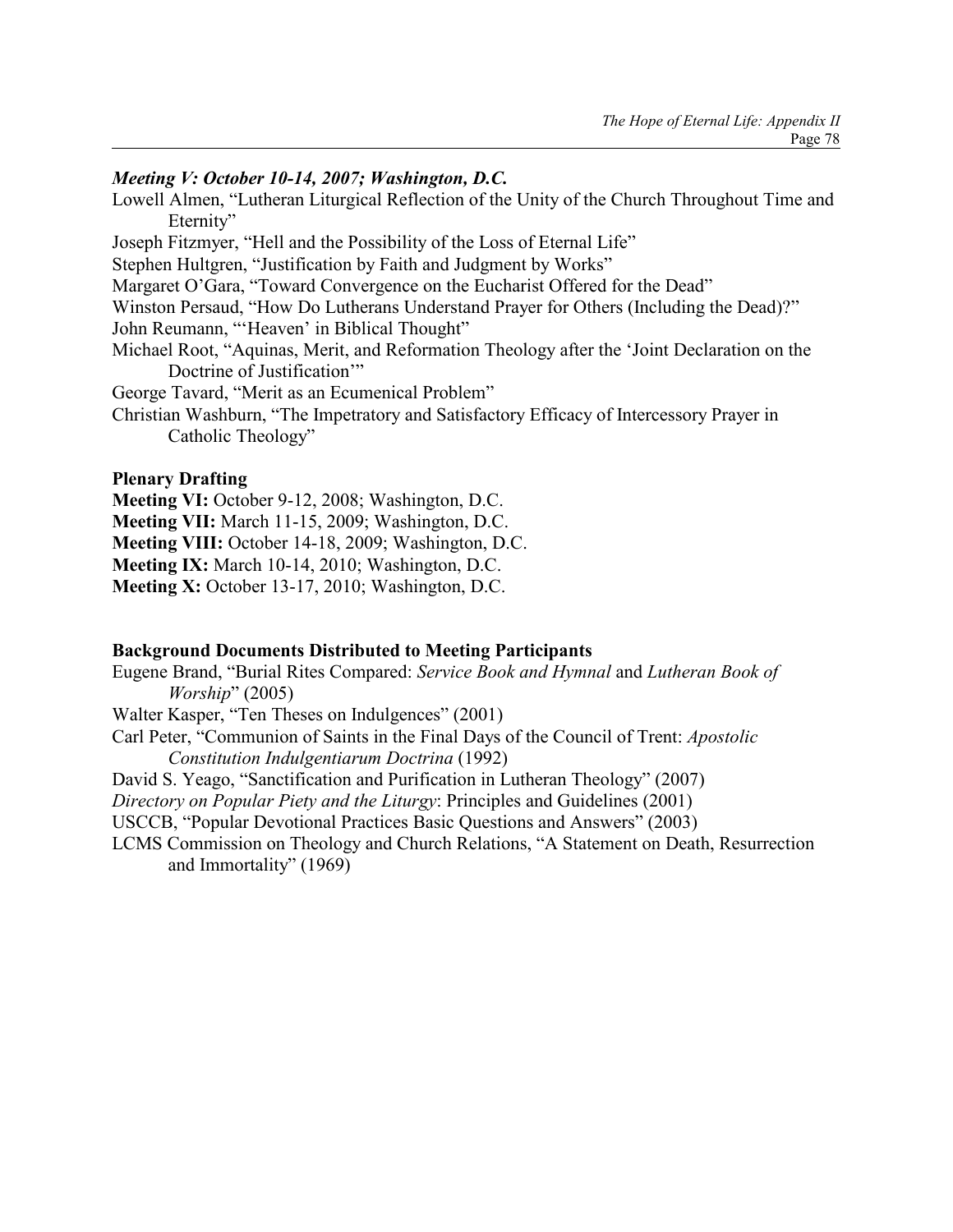### Meeting V: October 10-14, 2007; Washington, D.C.

- Lowell Almen, "Lutheran Liturgical Reflection of the Unity of the Church Throughout Time and Eternity"
- Joseph Fitzmyer, "Hell and the Possibility of the Loss of Eternal Life"

Stephen Hultgren, "Justification by Faith and Judgment by Works"

Margaret O'Gara, "Toward Convergence on the Eucharist Offered for the Dead"

- Winston Persaud, "How Do Lutherans Understand Prayer for Others (Including the Dead)?"
- John Reumann, "'Heaven' in Biblical Thought"
- Michael Root, "Aquinas, Merit, and Reformation Theology after the 'Joint Declaration on the Doctrine of Justification"
- George Tavard, "Merit as an Ecumenical Problem"
- Christian Washburn, "The Impetratory and Satisfactory Efficacy of Intercessory Prayer in Catholic Theology"

## Plenary Drafting

Meeting VI: October 9-12, 2008; Washington, D.C.

Meeting VII: March 11-15, 2009; Washington, D.C.

Meeting VIII: October 14-18, 2009; Washington, D.C.

Meeting IX: March 10-14, 2010; Washington, D.C.

Meeting X: October 13-17, 2010; Washington, D.C.

### Background Documents Distributed to Meeting Participants

Eugene Brand, "Burial Rites Compared: Service Book and Hymnal and Lutheran Book of Worship" (2005)

Walter Kasper, "Ten Theses on Indulgences" (2001)

Carl Peter, "Communion of Saints in the Final Days of the Council of Trent: Apostolic Constitution Indulgentiarum Doctrina (1992)

David S. Yeago, "Sanctification and Purification in Lutheran Theology" (2007)

Directory on Popular Piety and the Liturgy: Principles and Guidelines (2001)

USCCB, "Popular Devotional Practices Basic Questions and Answers" (2003)

LCMS Commission on Theology and Church Relations, "A Statement on Death, Resurrection and Immortality" (1969)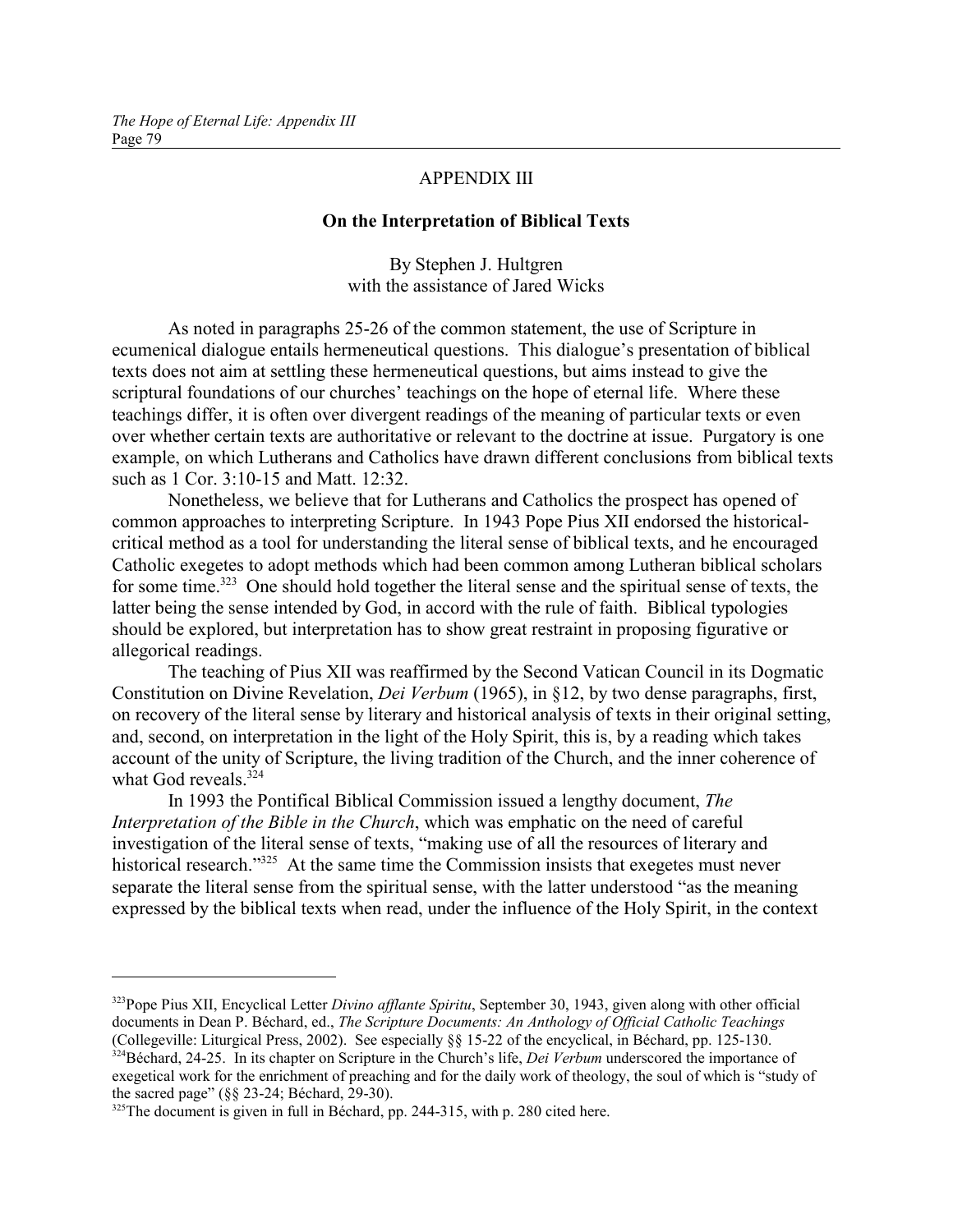#### APPENDIX III

#### On the Interpretation of Biblical Texts

By Stephen J. Hultgren with the assistance of Jared Wicks

As noted in paragraphs 25-26 of the common statement, the use of Scripture in ecumenical dialogue entails hermeneutical questions. This dialogue's presentation of biblical texts does not aim at settling these hermeneutical questions, but aims instead to give the scriptural foundations of our churches' teachings on the hope of eternal life. Where these teachings differ, it is often over divergent readings of the meaning of particular texts or even over whether certain texts are authoritative or relevant to the doctrine at issue. Purgatory is one example, on which Lutherans and Catholics have drawn different conclusions from biblical texts such as 1 Cor. 3:10-15 and Matt. 12:32.

Nonetheless, we believe that for Lutherans and Catholics the prospect has opened of common approaches to interpreting Scripture. In 1943 Pope Pius XII endorsed the historicalcritical method as a tool for understanding the literal sense of biblical texts, and he encouraged Catholic exegetes to adopt methods which had been common among Lutheran biblical scholars for some time.<sup>323</sup> One should hold together the literal sense and the spiritual sense of texts, the latter being the sense intended by God, in accord with the rule of faith. Biblical typologies should be explored, but interpretation has to show great restraint in proposing figurative or allegorical readings.

The teaching of Pius XII was reaffirmed by the Second Vatican Council in its Dogmatic Constitution on Divine Revelation, Dei Verbum (1965), in §12, by two dense paragraphs, first, on recovery of the literal sense by literary and historical analysis of texts in their original setting, and, second, on interpretation in the light of the Holy Spirit, this is, by a reading which takes account of the unity of Scripture, the living tradition of the Church, and the inner coherence of what God reveals.<sup>324</sup>

In 1993 the Pontifical Biblical Commission issued a lengthy document, The Interpretation of the Bible in the Church, which was emphatic on the need of careful investigation of the literal sense of texts, "making use of all the resources of literary and historical research."<sup>325</sup> At the same time the Commission insists that exegetes must never separate the literal sense from the spiritual sense, with the latter understood "as the meaning expressed by the biblical texts when read, under the influence of the Holy Spirit, in the context

 $323$ Pope Pius XII, Encyclical Letter Divino afflante Spiritu, September 30, 1943, given along with other official documents in Dean P. Béchard, ed., The Scripture Documents: An Anthology of Official Catholic Teachings (Collegeville: Liturgical Press, 2002). See especially §§ 15-22 of the encyclical, in Béchard, pp. 125-130.

<sup>&</sup>lt;sup>324</sup>Béchard, 24-25. In its chapter on Scripture in the Church's life, *Dei Verbum* underscored the importance of exegetical work for the enrichment of preaching and for the daily work of theology, the soul of which is "study of the sacred page" (§§ 23-24; Béchard, 29-30).

<sup>&</sup>lt;sup>325</sup>The document is given in full in Béchard, pp. 244-315, with p. 280 cited here.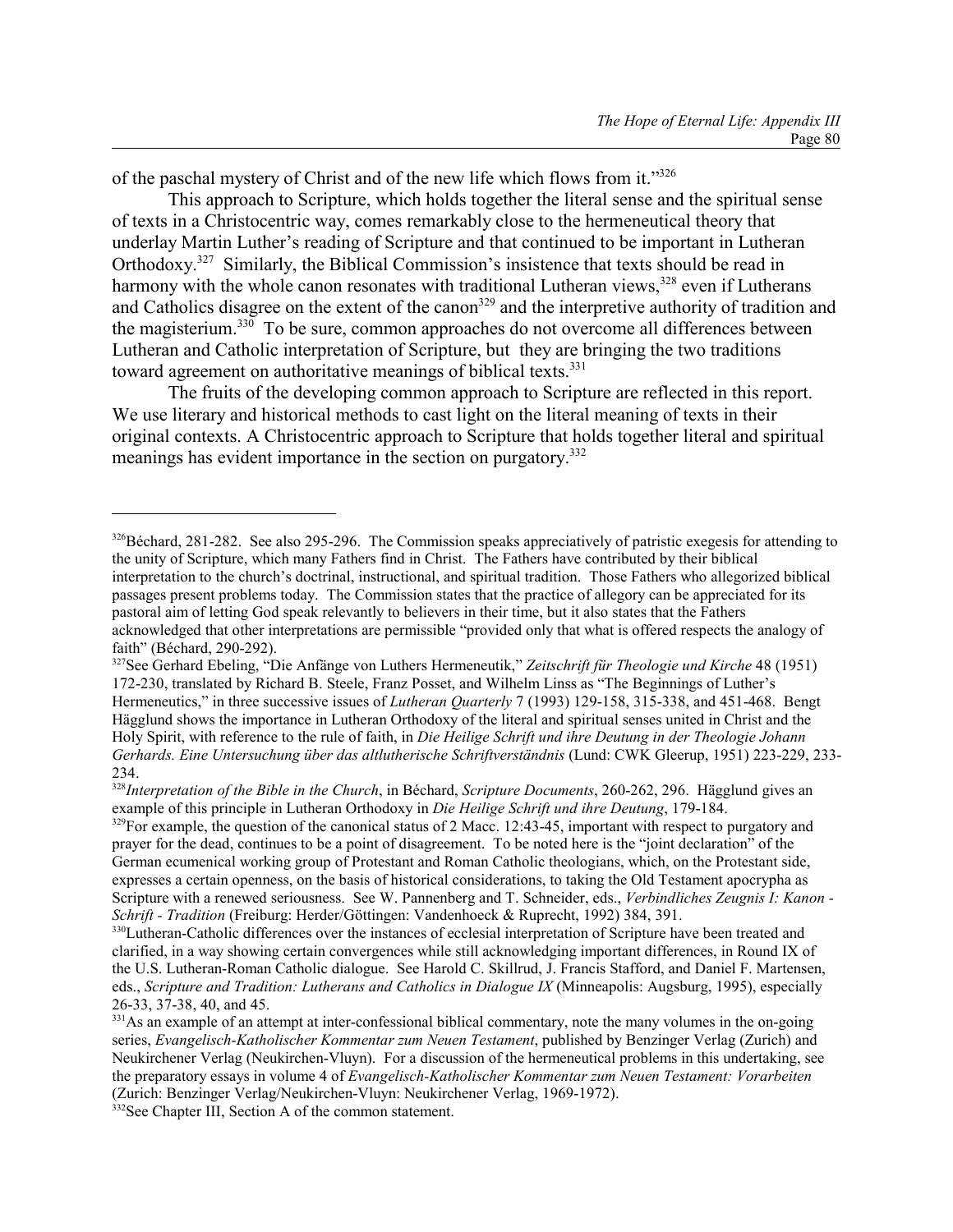of the paschal mystery of Christ and of the new life which flows from it."<sup>326</sup>

This approach to Scripture, which holds together the literal sense and the spiritual sense of texts in a Christocentric way, comes remarkably close to the hermeneutical theory that underlay Martin Luther's reading of Scripture and that continued to be important in Lutheran Orthodoxy.<sup>327</sup> Similarly, the Biblical Commission's insistence that texts should be read in harmony with the whole canon resonates with traditional Lutheran views,<sup>328</sup> even if Lutherans and Catholics disagree on the extent of the canon<sup>329</sup> and the interpretive authority of tradition and the magisterium.<sup>330</sup> To be sure, common approaches do not overcome all differences between Lutheran and Catholic interpretation of Scripture, but they are bringing the two traditions toward agreement on authoritative meanings of biblical texts.<sup>331</sup>

The fruits of the developing common approach to Scripture are reflected in this report. We use literary and historical methods to cast light on the literal meaning of texts in their original contexts. A Christocentric approach to Scripture that holds together literal and spiritual meanings has evident importance in the section on purgatory.<sup>332</sup>

<sup>326</sup>Béchard, 281-282. See also 295-296. The Commission speaks appreciatively of patristic exegesis for attending to the unity of Scripture, which many Fathers find in Christ. The Fathers have contributed by their biblical interpretation to the church's doctrinal, instructional, and spiritual tradition. Those Fathers who allegorized biblical passages present problems today. The Commission states that the practice of allegory can be appreciated for its pastoral aim of letting God speak relevantly to believers in their time, but it also states that the Fathers acknowledged that other interpretations are permissible "provided only that what is offered respects the analogy of faith" (Béchard, 290-292).

<sup>&</sup>lt;sup>327</sup>See Gerhard Ebeling, "Die Anfänge von Luthers Hermeneutik," Zeitschrift für Theologie und Kirche 48 (1951) 172-230, translated by Richard B. Steele, Franz Posset, and Wilhelm Linss as "The Beginnings of Luther's Hermeneutics," in three successive issues of *Lutheran Quarterly* 7 (1993) 129-158, 315-338, and 451-468. Bengt Hägglund shows the importance in Lutheran Orthodoxy of the literal and spiritual senses united in Christ and the Holy Spirit, with reference to the rule of faith, in Die Heilige Schrift und ihre Deutung in der Theologie Johann Gerhards. Eine Untersuchung über das altlutherische Schriftverständnis (Lund: CWK Gleerup, 1951) 223-229, 233- 234.

 $328$ Interpretation of the Bible in the Church, in Béchard, Scripture Documents, 260-262, 296. Hägglund gives an example of this principle in Lutheran Orthodoxy in Die Heilige Schrift und ihre Deutung, 179-184.

<sup>&</sup>lt;sup>329</sup>For example, the question of the canonical status of 2 Macc. 12:43-45, important with respect to purgatory and prayer for the dead, continues to be a point of disagreement. To be noted here is the "joint declaration" of the German ecumenical working group of Protestant and Roman Catholic theologians, which, on the Protestant side, expresses a certain openness, on the basis of historical considerations, to taking the Old Testament apocrypha as Scripture with a renewed seriousness. See W. Pannenberg and T. Schneider, eds., Verbindliches Zeugnis I: Kanon - Schrift - Tradition (Freiburg: Herder/Göttingen: Vandenhoeck & Ruprecht, 1992) 384, 391.

<sup>&</sup>lt;sup>330</sup>Lutheran-Catholic differences over the instances of ecclesial interpretation of Scripture have been treated and clarified, in a way showing certain convergences while still acknowledging important differences, in Round IX of the U.S. Lutheran-Roman Catholic dialogue. See Harold C. Skillrud, J. Francis Stafford, and Daniel F. Martensen, eds., Scripture and Tradition: Lutherans and Catholics in Dialogue IX (Minneapolis: Augsburg, 1995), especially 26-33, 37-38, 40, and 45.

<sup>&</sup>lt;sup>331</sup>As an example of an attempt at inter-confessional biblical commentary, note the many volumes in the on-going series, Evangelisch-Katholischer Kommentar zum Neuen Testament, published by Benzinger Verlag (Zurich) and Neukirchener Verlag (Neukirchen-Vluyn). For a discussion of the hermeneutical problems in this undertaking, see the preparatory essays in volume 4 of Evangelisch-Katholischer Kommentar zum Neuen Testament: Vorarbeiten (Zurich: Benzinger Verlag/Neukirchen-Vluyn: Neukirchener Verlag, 1969-1972).

<sup>332</sup>See Chapter III, Section A of the common statement.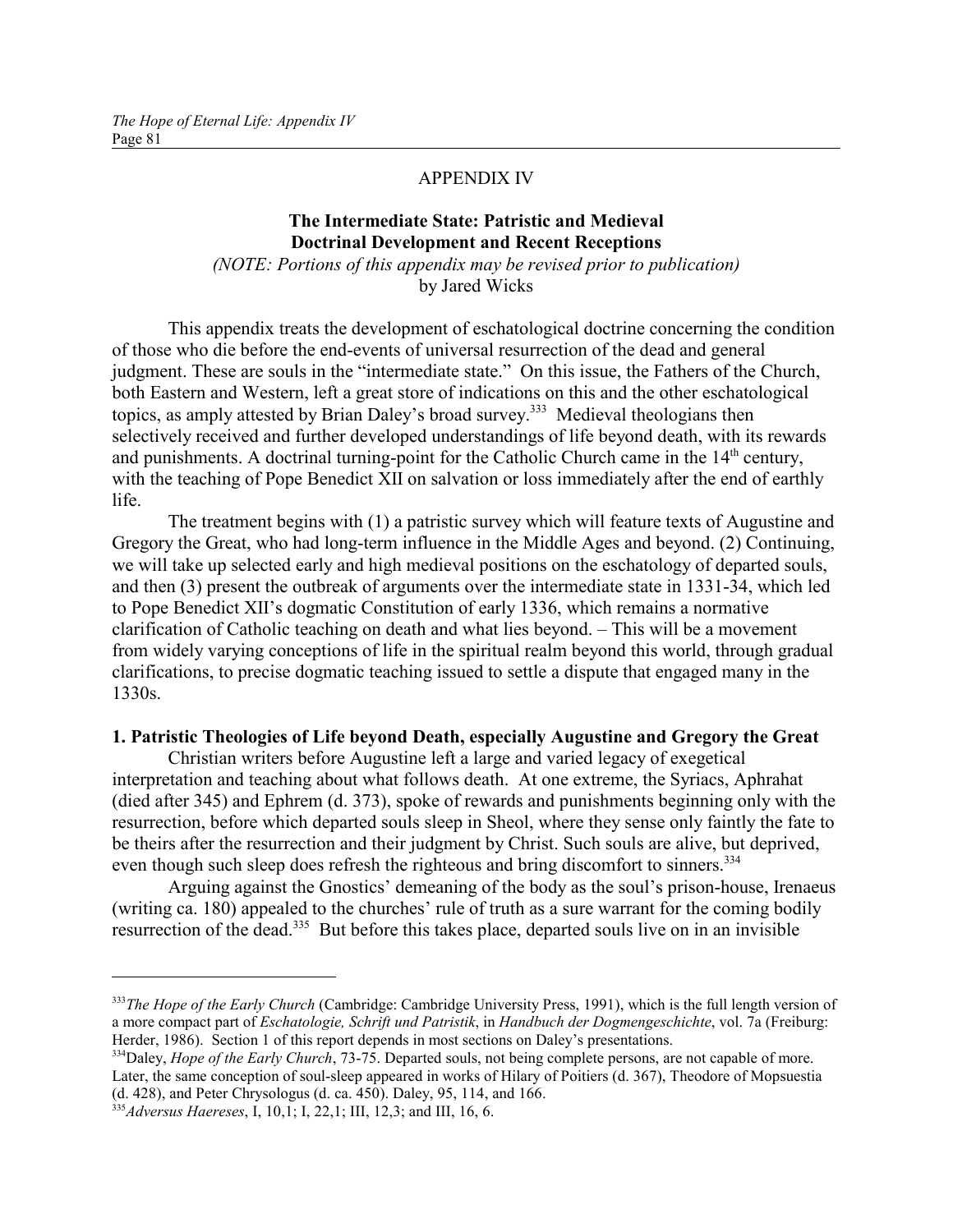## APPENDIX IV

#### The Intermediate State: Patristic and Medieval Doctrinal Development and Recent Receptions

(NOTE: Portions of this appendix may be revised prior to publication) by Jared Wicks

This appendix treats the development of eschatological doctrine concerning the condition of those who die before the end-events of universal resurrection of the dead and general judgment. These are souls in the "intermediate state." On this issue, the Fathers of the Church, both Eastern and Western, left a great store of indications on this and the other eschatological topics, as amply attested by Brian Daley's broad survey.<sup>333</sup> Medieval theologians then selectively received and further developed understandings of life beyond death, with its rewards and punishments. A doctrinal turning-point for the Catholic Church came in the  $14<sup>th</sup>$  century, with the teaching of Pope Benedict XII on salvation or loss immediately after the end of earthly life.

The treatment begins with (1) a patristic survey which will feature texts of Augustine and Gregory the Great, who had long-term influence in the Middle Ages and beyond. (2) Continuing, we will take up selected early and high medieval positions on the eschatology of departed souls, and then (3) present the outbreak of arguments over the intermediate state in 1331-34, which led to Pope Benedict XII's dogmatic Constitution of early 1336, which remains a normative clarification of Catholic teaching on death and what lies beyond. – This will be a movement from widely varying conceptions of life in the spiritual realm beyond this world, through gradual clarifications, to precise dogmatic teaching issued to settle a dispute that engaged many in the 1330s.

### 1. Patristic Theologies of Life beyond Death, especially Augustine and Gregory the Great

Christian writers before Augustine left a large and varied legacy of exegetical interpretation and teaching about what follows death. At one extreme, the Syriacs, Aphrahat (died after 345) and Ephrem (d. 373), spoke of rewards and punishments beginning only with the resurrection, before which departed souls sleep in Sheol, where they sense only faintly the fate to be theirs after the resurrection and their judgment by Christ. Such souls are alive, but deprived, even though such sleep does refresh the righteous and bring discomfort to sinners.<sup>334</sup>

Arguing against the Gnostics' demeaning of the body as the soul's prison-house, Irenaeus (writing ca. 180) appealed to the churches' rule of truth as a sure warrant for the coming bodily resurrection of the dead.<sup>335</sup> But before this takes place, departed souls live on in an invisible

 $333$ The Hope of the Early Church (Cambridge: Cambridge University Press, 1991), which is the full length version of a more compact part of Eschatologie, Schrift und Patristik, in Handbuch der Dogmengeschichte, vol. 7a (Freiburg: Herder, 1986). Section 1 of this report depends in most sections on Daley's presentations.

<sup>&</sup>lt;sup>334</sup>Daley, *Hope of the Early Church*, 73-75. Departed souls, not being complete persons, are not capable of more. Later, the same conception of soul-sleep appeared in works of Hilary of Poitiers (d. 367), Theodore of Mopsuestia (d. 428), and Peter Chrysologus (d. ca. 450). Daley, 95, 114, and 166.

<sup>335</sup> Adversus Haereses, I, 10, 1; I, 22, 1; III, 12, 3; and III, 16, 6.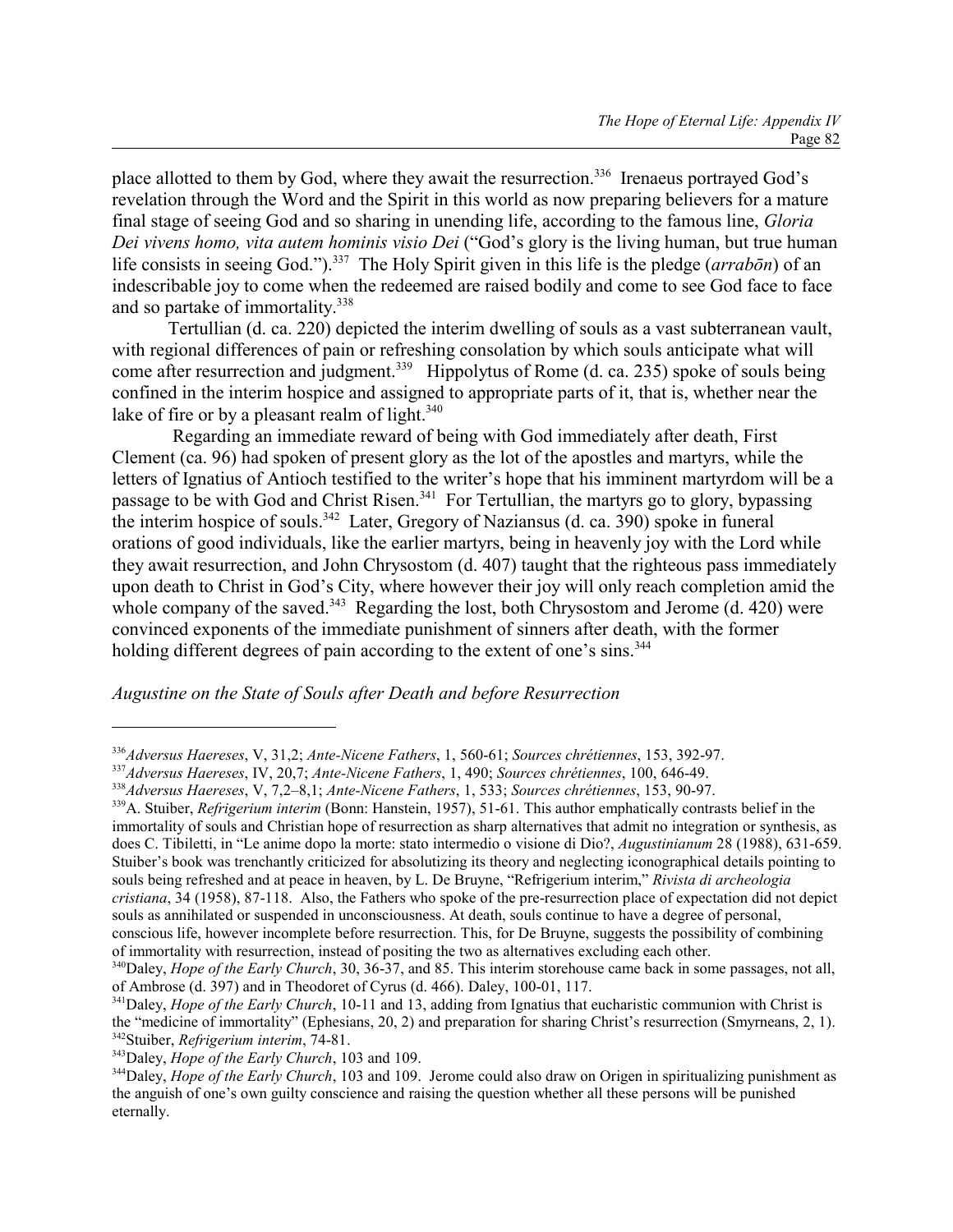place allotted to them by God, where they await the resurrection.<sup>336</sup> Irenaeus portrayed God's revelation through the Word and the Spirit in this world as now preparing believers for a mature final stage of seeing God and so sharing in unending life, according to the famous line, Gloria Dei vivens homo, vita autem hominis visio Dei ("God's glory is the living human, but true human life consists in seeing God.").<sup>337</sup> The Holy Spirit given in this life is the pledge (*arrabon*) of an indescribable joy to come when the redeemed are raised bodily and come to see God face to face and so partake of immortality.<sup>338</sup>

Tertullian (d. ca. 220) depicted the interim dwelling of souls as a vast subterranean vault, with regional differences of pain or refreshing consolation by which souls anticipate what will come after resurrection and judgment.<sup>339</sup> Hippolytus of Rome (d. ca. 235) spoke of souls being confined in the interim hospice and assigned to appropriate parts of it, that is, whether near the lake of fire or by a pleasant realm of light. $340$ 

 Regarding an immediate reward of being with God immediately after death, First Clement (ca. 96) had spoken of present glory as the lot of the apostles and martyrs, while the letters of Ignatius of Antioch testified to the writer's hope that his imminent martyrdom will be a passage to be with God and Christ Risen.<sup>341</sup> For Tertullian, the martyrs go to glory, bypassing the interim hospice of souls.<sup>342</sup> Later, Gregory of Naziansus (d. ca. 390) spoke in funeral orations of good individuals, like the earlier martyrs, being in heavenly joy with the Lord while they await resurrection, and John Chrysostom (d. 407) taught that the righteous pass immediately upon death to Christ in God's City, where however their joy will only reach completion amid the whole company of the saved.<sup>343</sup> Regarding the lost, both Chrysostom and Jerome (d. 420) were convinced exponents of the immediate punishment of sinners after death, with the former holding different degrees of pain according to the extent of one's sins.<sup>344</sup>

### Augustine on the State of Souls after Death and before Resurrection

<sup>336</sup> Adversus Haereses, V, 31,2; Ante-Nicene Fathers, 1, 560-61; Sources chrétiennes, 153, 392-97.

<sup>337</sup> Adversus Haereses, IV, 20,7; Ante-Nicene Fathers, 1, 490; Sources chrétiennes, 100, 646-49.

<sup>338</sup>Adversus Haereses, V, 7,2–8,1; Ante-Nicene Fathers, 1, 533; Sources chrétiennes, 153, 90-97.

<sup>&</sup>lt;sup>339</sup>A. Stuiber, *Refrigerium interim* (Bonn: Hanstein, 1957), 51-61. This author emphatically contrasts belief in the immortality of souls and Christian hope of resurrection as sharp alternatives that admit no integration or synthesis, as does C. Tibiletti, in "Le anime dopo la morte: stato intermedio o visione di Dio?, Augustinianum 28 (1988), 631-659. Stuiber's book was trenchantly criticized for absolutizing its theory and neglecting iconographical details pointing to souls being refreshed and at peace in heaven, by L. De Bruyne, "Refrigerium interim," Rivista di archeologia cristiana, 34 (1958), 87-118. Also, the Fathers who spoke of the pre-resurrection place of expectation did not depict souls as annihilated or suspended in unconsciousness. At death, souls continue to have a degree of personal, conscious life, however incomplete before resurrection. This, for De Bruyne, suggests the possibility of combining of immortality with resurrection, instead of positing the two as alternatives excluding each other.

 $340$ Daley, *Hope of the Early Church*, 30, 36-37, and 85. This interim storehouse came back in some passages, not all, of Ambrose (d. 397) and in Theodoret of Cyrus (d. 466). Daley, 100-01, 117.

 $341$ Daley, *Hope of the Early Church*, 10-11 and 13, adding from Ignatius that eucharistic communion with Christ is the "medicine of immortality" (Ephesians, 20, 2) and preparation for sharing Christ's resurrection (Smyrneans, 2, 1). <sup>342</sup>Stuiber, *Refrigerium interim*, 74-81.

<sup>&</sup>lt;sup>343</sup>Daley, *Hope of the Early Church*, 103 and 109.

<sup>&</sup>lt;sup>344</sup>Daley, Hope of the Early Church, 103 and 109. Jerome could also draw on Origen in spiritualizing punishment as the anguish of one's own guilty conscience and raising the question whether all these persons will be punished eternally.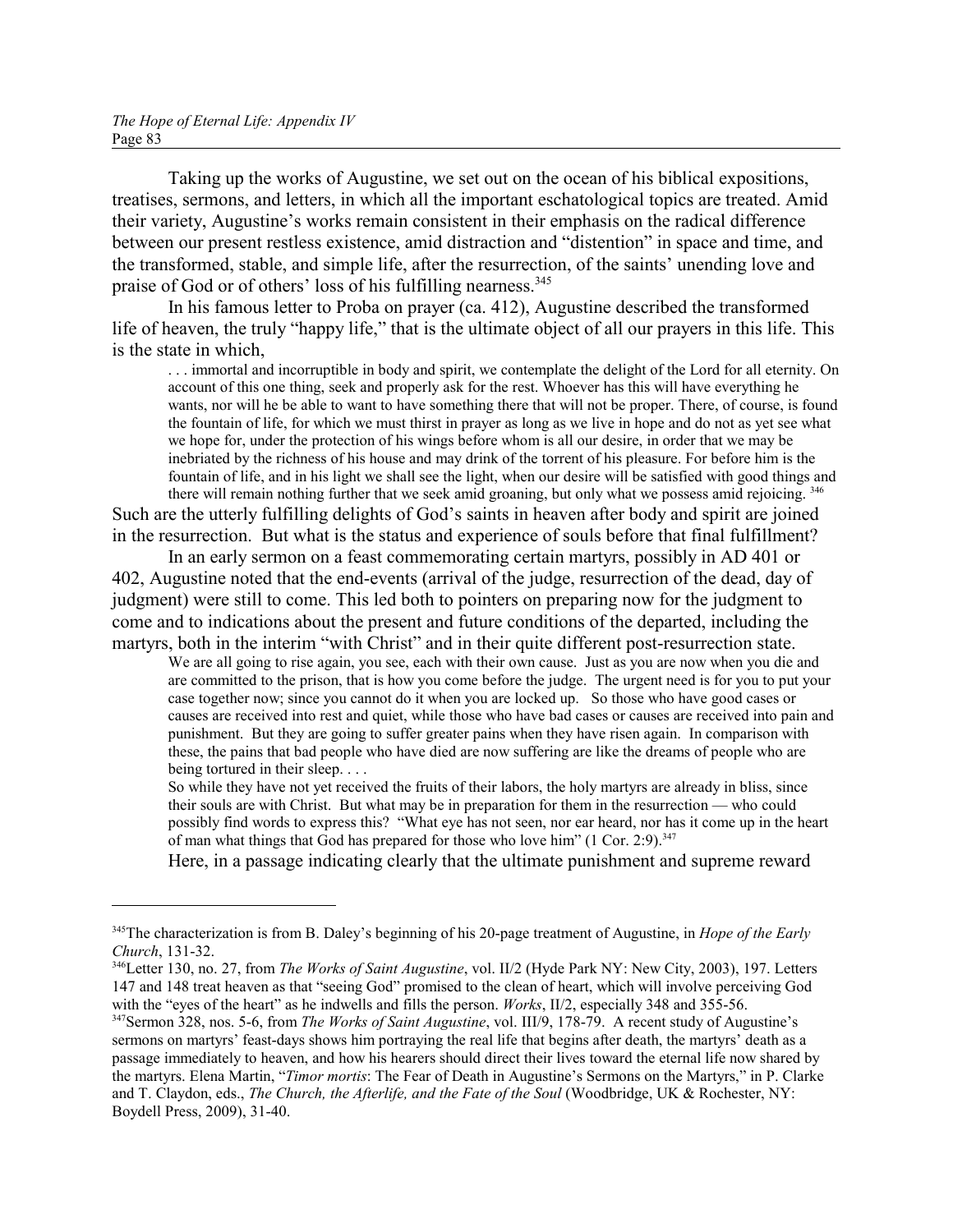Taking up the works of Augustine, we set out on the ocean of his biblical expositions, treatises, sermons, and letters, in which all the important eschatological topics are treated. Amid their variety, Augustine's works remain consistent in their emphasis on the radical difference between our present restless existence, amid distraction and "distention" in space and time, and the transformed, stable, and simple life, after the resurrection, of the saints' unending love and praise of God or of others' loss of his fulfilling nearness.<sup>345</sup>

In his famous letter to Proba on prayer (ca. 412), Augustine described the transformed life of heaven, the truly "happy life," that is the ultimate object of all our prayers in this life. This is the state in which,

. . . immortal and incorruptible in body and spirit, we contemplate the delight of the Lord for all eternity. On account of this one thing, seek and properly ask for the rest. Whoever has this will have everything he wants, nor will he be able to want to have something there that will not be proper. There, of course, is found the fountain of life, for which we must thirst in prayer as long as we live in hope and do not as yet see what we hope for, under the protection of his wings before whom is all our desire, in order that we may be inebriated by the richness of his house and may drink of the torrent of his pleasure. For before him is the fountain of life, and in his light we shall see the light, when our desire will be satisfied with good things and there will remain nothing further that we seek amid groaning, but only what we possess amid rejoicing. 346

Such are the utterly fulfilling delights of God's saints in heaven after body and spirit are joined in the resurrection. But what is the status and experience of souls before that final fulfillment?

In an early sermon on a feast commemorating certain martyrs, possibly in AD 401 or 402, Augustine noted that the end-events (arrival of the judge, resurrection of the dead, day of judgment) were still to come. This led both to pointers on preparing now for the judgment to come and to indications about the present and future conditions of the departed, including the martyrs, both in the interim "with Christ" and in their quite different post-resurrection state.

We are all going to rise again, you see, each with their own cause. Just as you are now when you die and are committed to the prison, that is how you come before the judge. The urgent need is for you to put your case together now; since you cannot do it when you are locked up. So those who have good cases or causes are received into rest and quiet, while those who have bad cases or causes are received into pain and punishment. But they are going to suffer greater pains when they have risen again. In comparison with these, the pains that bad people who have died are now suffering are like the dreams of people who are being tortured in their sleep....

So while they have not yet received the fruits of their labors, the holy martyrs are already in bliss, since their souls are with Christ. But what may be in preparation for them in the resurrection — who could possibly find words to express this? "What eye has not seen, nor ear heard, nor has it come up in the heart of man what things that God has prepared for those who love him"  $(1 \text{ Cor. } 2.9)$ .<sup>347</sup>

Here, in a passage indicating clearly that the ultimate punishment and supreme reward

 $345$ The characterization is from B. Daley's beginning of his 20-page treatment of Augustine, in *Hope of the Early* Church, 131-32.

 $346$ Letter 130, no. 27, from *The Works of Saint Augustine*, vol. II/2 (Hyde Park NY: New City, 2003), 197. Letters 147 and 148 treat heaven as that "seeing God" promised to the clean of heart, which will involve perceiving God with the "eyes of the heart" as he indwells and fills the person. Works, II/2, especially 348 and 355-56.

<sup>&</sup>lt;sup>347</sup>Sermon 328, nos. 5-6, from *The Works of Saint Augustine*, vol. III/9, 178-79. A recent study of Augustine's sermons on martyrs' feast-days shows him portraying the real life that begins after death, the martyrs' death as a passage immediately to heaven, and how his hearers should direct their lives toward the eternal life now shared by the martyrs. Elena Martin, "Timor mortis: The Fear of Death in Augustine's Sermons on the Martyrs," in P. Clarke and T. Claydon, eds., The Church, the Afterlife, and the Fate of the Soul (Woodbridge, UK & Rochester, NY: Boydell Press, 2009), 31-40.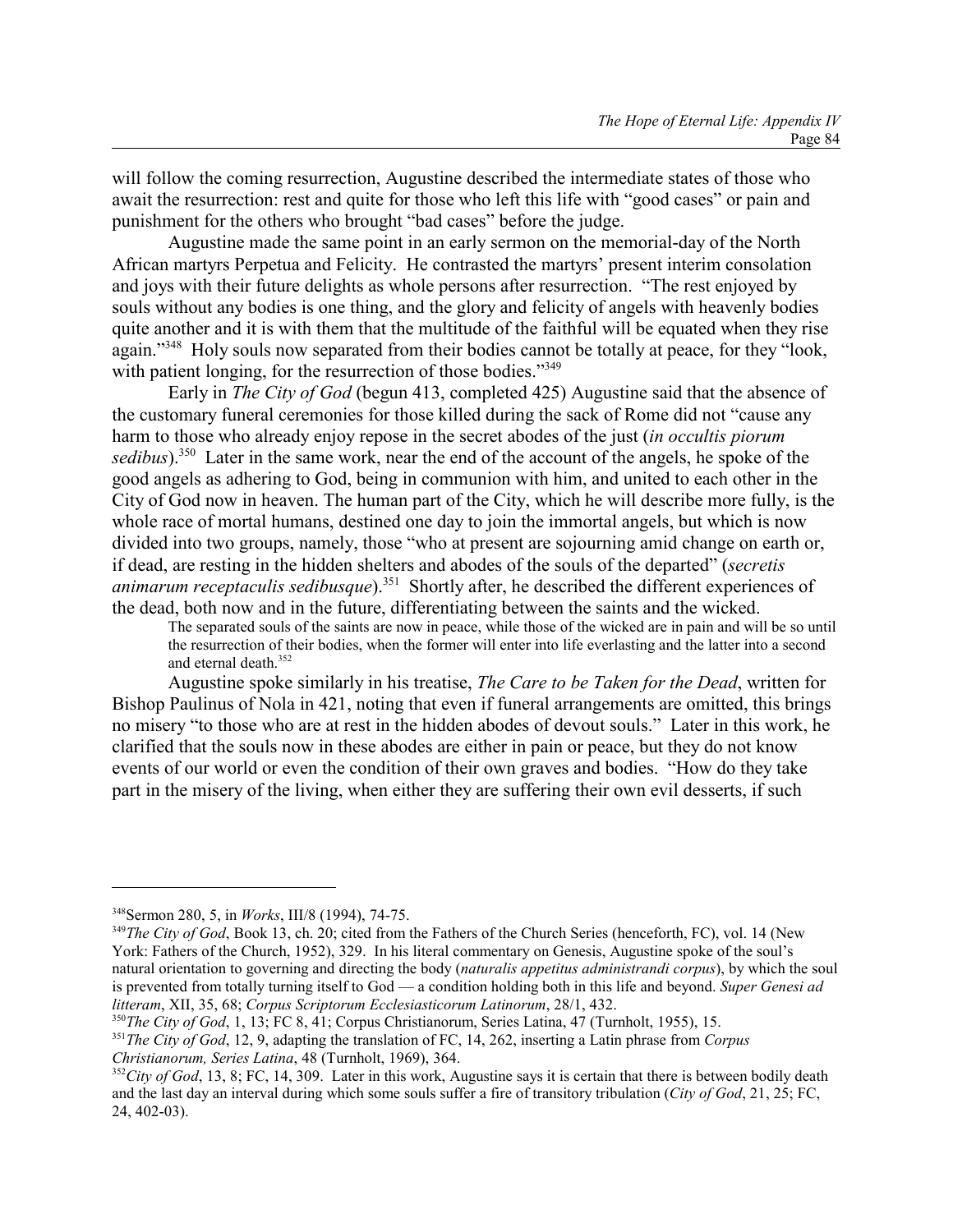will follow the coming resurrection, Augustine described the intermediate states of those who await the resurrection: rest and quite for those who left this life with "good cases" or pain and punishment for the others who brought "bad cases" before the judge.

Augustine made the same point in an early sermon on the memorial-day of the North African martyrs Perpetua and Felicity. He contrasted the martyrs' present interim consolation and joys with their future delights as whole persons after resurrection. "The rest enjoyed by souls without any bodies is one thing, and the glory and felicity of angels with heavenly bodies quite another and it is with them that the multitude of the faithful will be equated when they rise again."<sup>348</sup> Holy souls now separated from their bodies cannot be totally at peace, for they "look, with patient longing, for the resurrection of those bodies."<sup>349</sup>

Early in The City of God (begun 413, completed 425) Augustine said that the absence of the customary funeral ceremonies for those killed during the sack of Rome did not "cause any harm to those who already enjoy repose in the secret abodes of the just *(in occultis piorum* sedibus).<sup>350</sup> Later in the same work, near the end of the account of the angels, he spoke of the good angels as adhering to God, being in communion with him, and united to each other in the City of God now in heaven. The human part of the City, which he will describe more fully, is the whole race of mortal humans, destined one day to join the immortal angels, but which is now divided into two groups, namely, those "who at present are sojourning amid change on earth or, if dead, are resting in the hidden shelters and abodes of the souls of the departed" (secretis animarum receptaculis sedibusque).<sup>351</sup> Shortly after, he described the different experiences of the dead, both now and in the future, differentiating between the saints and the wicked.

The separated souls of the saints are now in peace, while those of the wicked are in pain and will be so until the resurrection of their bodies, when the former will enter into life everlasting and the latter into a second and eternal death.<sup>352</sup>

Augustine spoke similarly in his treatise, *The Care to be Taken for the Dead*, written for Bishop Paulinus of Nola in 421, noting that even if funeral arrangements are omitted, this brings no misery "to those who are at rest in the hidden abodes of devout souls." Later in this work, he clarified that the souls now in these abodes are either in pain or peace, but they do not know events of our world or even the condition of their own graves and bodies. "How do they take part in the misery of the living, when either they are suffering their own evil desserts, if such

<sup>348</sup>Sermon 280, 5, in Works, III/8 (1994), 74-75.

<sup>&</sup>lt;sup>349</sup>The City of God, Book 13, ch. 20; cited from the Fathers of the Church Series (henceforth, FC), vol. 14 (New York: Fathers of the Church, 1952), 329. In his literal commentary on Genesis, Augustine spoke of the soul's natural orientation to governing and directing the body (*naturalis appetitus administrandi corpus*), by which the soul is prevented from totally turning itself to God — a condition holding both in this life and beyond. Super Genesi ad litteram, XII, 35, 68; Corpus Scriptorum Ecclesiasticorum Latinorum, 28/1, 432.

<sup>&</sup>lt;sup>350</sup>The City of God, 1, 13; FC 8, 41; Corpus Christianorum, Series Latina, 47 (Turnholt, 1955), 15.

 $351$ The City of God, 12, 9, adapting the translation of FC, 14, 262, inserting a Latin phrase from Corpus Christianorum, Series Latina, 48 (Turnholt, 1969), 364.

 $352C$ ity of God, 13, 8; FC, 14, 309. Later in this work, Augustine says it is certain that there is between bodily death and the last day an interval during which some souls suffer a fire of transitory tribulation (City of God, 21, 25; FC, 24, 402-03).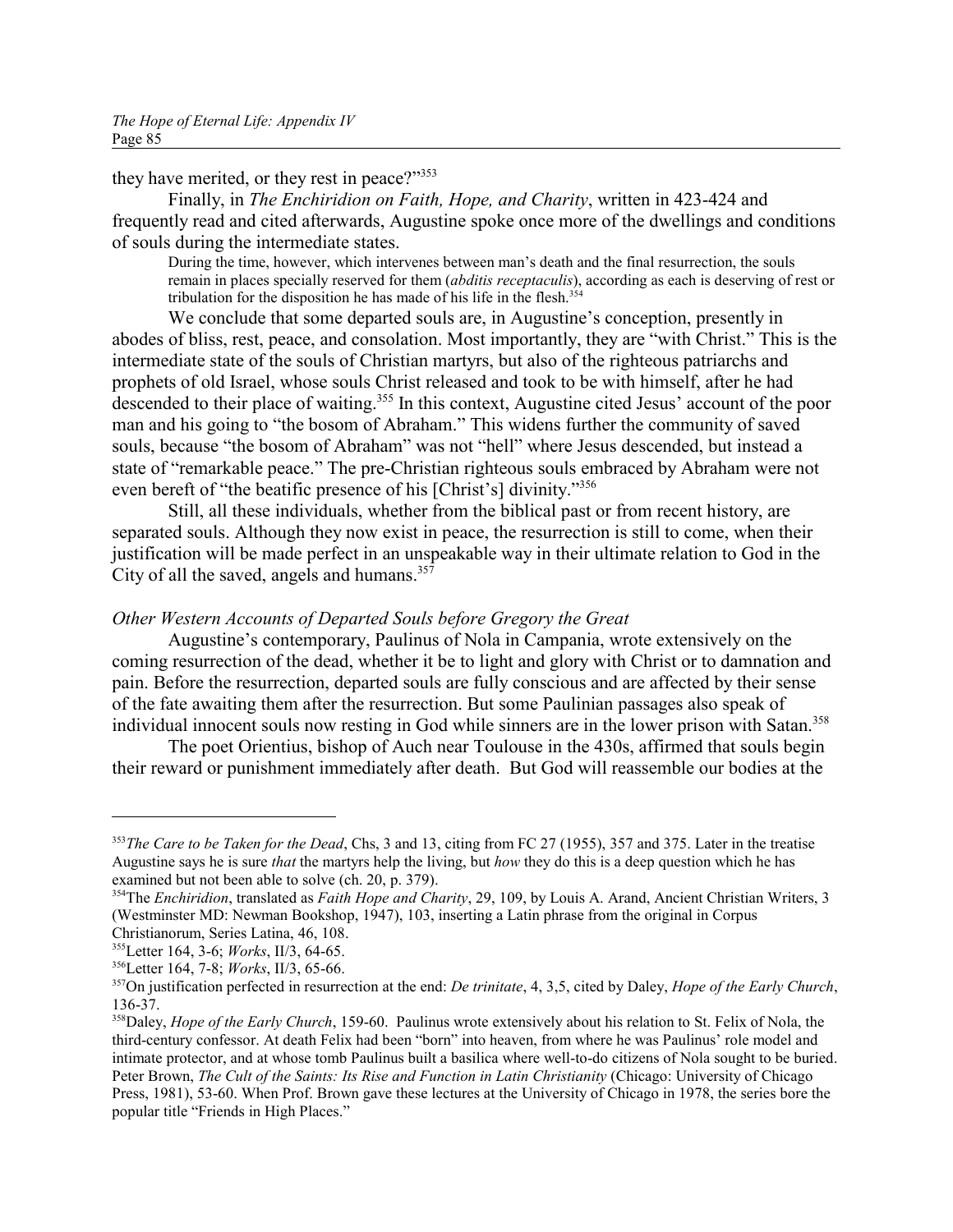they have merited, or they rest in peace?"<sup>353</sup>

Finally, in The Enchiridion on Faith, Hope, and Charity, written in 423-424 and frequently read and cited afterwards, Augustine spoke once more of the dwellings and conditions of souls during the intermediate states.

During the time, however, which intervenes between man's death and the final resurrection, the souls remain in places specially reserved for them *(abditis receptaculis)*, according as each is deserving of rest or tribulation for the disposition he has made of his life in the flesh.<sup>354</sup>

We conclude that some departed souls are, in Augustine's conception, presently in abodes of bliss, rest, peace, and consolation. Most importantly, they are "with Christ." This is the intermediate state of the souls of Christian martyrs, but also of the righteous patriarchs and prophets of old Israel, whose souls Christ released and took to be with himself, after he had descended to their place of waiting.<sup>355</sup> In this context, Augustine cited Jesus' account of the poor man and his going to "the bosom of Abraham." This widens further the community of saved souls, because "the bosom of Abraham" was not "hell" where Jesus descended, but instead a state of "remarkable peace." The pre-Christian righteous souls embraced by Abraham were not even bereft of "the beatific presence of his [Christ's] divinity."<sup>356</sup>

Still, all these individuals, whether from the biblical past or from recent history, are separated souls. Although they now exist in peace, the resurrection is still to come, when their justification will be made perfect in an unspeakable way in their ultimate relation to God in the City of all the saved, angels and humans.<sup>357</sup>

#### Other Western Accounts of Departed Souls before Gregory the Great

Augustine's contemporary, Paulinus of Nola in Campania, wrote extensively on the coming resurrection of the dead, whether it be to light and glory with Christ or to damnation and pain. Before the resurrection, departed souls are fully conscious and are affected by their sense of the fate awaiting them after the resurrection. But some Paulinian passages also speak of individual innocent souls now resting in God while sinners are in the lower prison with Satan.<sup>358</sup>

The poet Orientius, bishop of Auch near Toulouse in the 430s, affirmed that souls begin their reward or punishment immediately after death. But God will reassemble our bodies at the

<sup>&</sup>lt;sup>353</sup>The Care to be Taken for the Dead, Chs, 3 and 13, citing from FC 27 (1955), 357 and 375. Later in the treatise Augustine says he is sure *that* the martyrs help the living, but *how* they do this is a deep question which he has examined but not been able to solve (ch. 20, p. 379).

 $354$ The Enchiridion, translated as Faith Hope and Charity, 29, 109, by Louis A. Arand, Ancient Christian Writers, 3 (Westminster MD: Newman Bookshop, 1947), 103, inserting a Latin phrase from the original in Corpus Christianorum, Series Latina, 46, 108.

<sup>355</sup>Letter 164, 3-6; Works, II/3, 64-65.

<sup>356</sup>Letter 164, 7-8; Works, II/3, 65-66.

<sup>&</sup>lt;sup>357</sup>On justification perfected in resurrection at the end: *De trinitate*, 4, 3,5, cited by Daley, *Hope of the Early Church*, 136-37.

<sup>&</sup>lt;sup>358</sup>Daley, *Hope of the Early Church*, 159-60. Paulinus wrote extensively about his relation to St. Felix of Nola, the third-century confessor. At death Felix had been "born" into heaven, from where he was Paulinus' role model and intimate protector, and at whose tomb Paulinus built a basilica where well-to-do citizens of Nola sought to be buried. Peter Brown, The Cult of the Saints: Its Rise and Function in Latin Christianity (Chicago: University of Chicago Press, 1981), 53-60. When Prof. Brown gave these lectures at the University of Chicago in 1978, the series bore the popular title "Friends in High Places."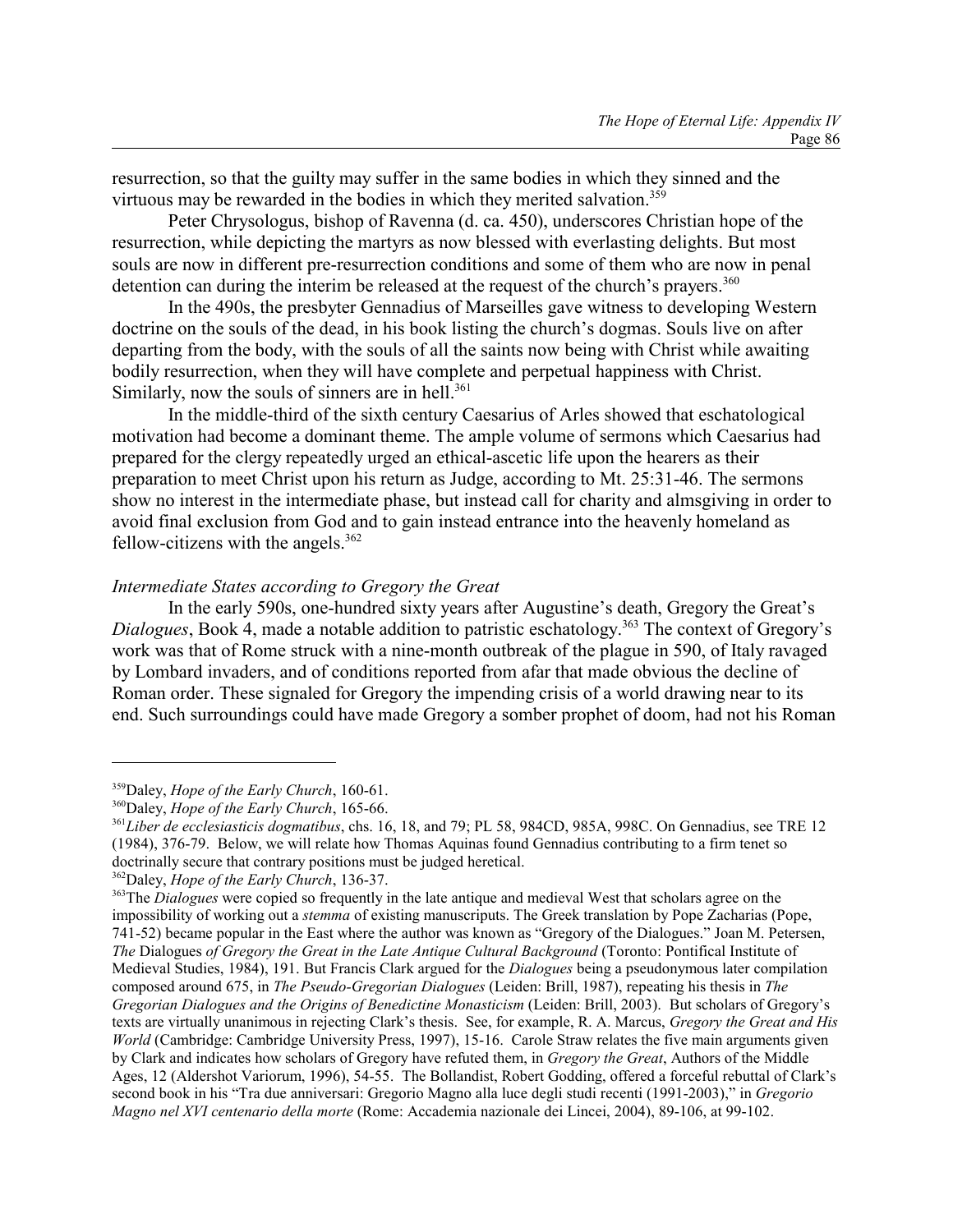resurrection, so that the guilty may suffer in the same bodies in which they sinned and the virtuous may be rewarded in the bodies in which they merited salvation.<sup>359</sup>

Peter Chrysologus, bishop of Ravenna (d. ca. 450), underscores Christian hope of the resurrection, while depicting the martyrs as now blessed with everlasting delights. But most souls are now in different pre-resurrection conditions and some of them who are now in penal detention can during the interim be released at the request of the church's prayers.<sup>360</sup>

In the 490s, the presbyter Gennadius of Marseilles gave witness to developing Western doctrine on the souls of the dead, in his book listing the church's dogmas. Souls live on after departing from the body, with the souls of all the saints now being with Christ while awaiting bodily resurrection, when they will have complete and perpetual happiness with Christ. Similarly, now the souls of sinners are in hell. $361$ 

In the middle-third of the sixth century Caesarius of Arles showed that eschatological motivation had become a dominant theme. The ample volume of sermons which Caesarius had prepared for the clergy repeatedly urged an ethical-ascetic life upon the hearers as their preparation to meet Christ upon his return as Judge, according to Mt. 25:31-46. The sermons show no interest in the intermediate phase, but instead call for charity and almsgiving in order to avoid final exclusion from God and to gain instead entrance into the heavenly homeland as fellow-citizens with the angels. $362$ 

#### Intermediate States according to Gregory the Great

In the early 590s, one-hundred sixty years after Augustine's death, Gregory the Great's Dialogues, Book 4, made a notable addition to patristic eschatology.<sup>363</sup> The context of Gregory's work was that of Rome struck with a nine-month outbreak of the plague in 590, of Italy ravaged by Lombard invaders, and of conditions reported from afar that made obvious the decline of Roman order. These signaled for Gregory the impending crisis of a world drawing near to its end. Such surroundings could have made Gregory a somber prophet of doom, had not his Roman

<sup>&</sup>lt;sup>359</sup>Daley, *Hope of the Early Church*, 160-61.

<sup>&</sup>lt;sup>360</sup>Daley, *Hope of the Early Church*, 165-66.

<sup>&</sup>lt;sup>361</sup>Liber de ecclesiasticis dogmatibus, chs. 16, 18, and 79; PL 58, 984CD, 985A, 998C. On Gennadius, see TRE 12 (1984), 376-79. Below, we will relate how Thomas Aquinas found Gennadius contributing to a firm tenet so doctrinally secure that contrary positions must be judged heretical.

 $362$ Daley, Hope of the Early Church, 136-37.

<sup>&</sup>lt;sup>363</sup>The *Dialogues* were copied so frequently in the late antique and medieval West that scholars agree on the impossibility of working out a stemma of existing manuscriputs. The Greek translation by Pope Zacharias (Pope, 741-52) became popular in the East where the author was known as "Gregory of the Dialogues." Joan M. Petersen, The Dialogues of Gregory the Great in the Late Antique Cultural Background (Toronto: Pontifical Institute of Medieval Studies, 1984), 191. But Francis Clark argued for the Dialogues being a pseudonymous later compilation composed around 675, in The Pseudo-Gregorian Dialogues (Leiden: Brill, 1987), repeating his thesis in The Gregorian Dialogues and the Origins of Benedictine Monasticism (Leiden: Brill, 2003). But scholars of Gregory's texts are virtually unanimous in rejecting Clark's thesis. See, for example, R. A. Marcus, Gregory the Great and His World (Cambridge: Cambridge University Press, 1997), 15-16. Carole Straw relates the five main arguments given by Clark and indicates how scholars of Gregory have refuted them, in Gregory the Great, Authors of the Middle Ages, 12 (Aldershot Variorum, 1996), 54-55. The Bollandist, Robert Godding, offered a forceful rebuttal of Clark's second book in his "Tra due anniversari: Gregorio Magno alla luce degli studi recenti (1991-2003)," in Gregorio Magno nel XVI centenario della morte (Rome: Accademia nazionale dei Lincei, 2004), 89-106, at 99-102.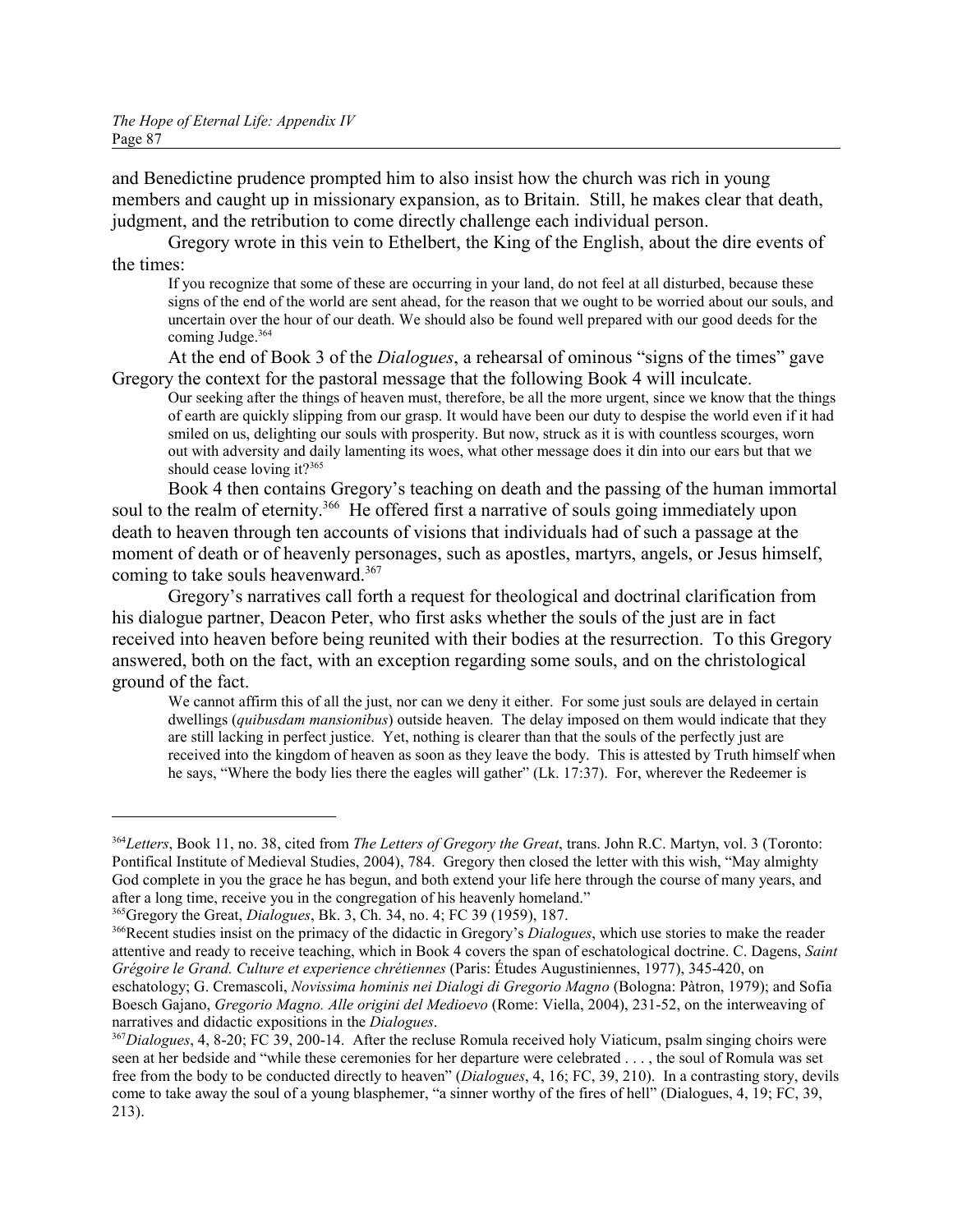and Benedictine prudence prompted him to also insist how the church was rich in young members and caught up in missionary expansion, as to Britain. Still, he makes clear that death, judgment, and the retribution to come directly challenge each individual person.

Gregory wrote in this vein to Ethelbert, the King of the English, about the dire events of the times:

If you recognize that some of these are occurring in your land, do not feel at all disturbed, because these signs of the end of the world are sent ahead, for the reason that we ought to be worried about our souls, and uncertain over the hour of our death. We should also be found well prepared with our good deeds for the coming Judge.<sup>364</sup>

At the end of Book 3 of the *Dialogues*, a rehearsal of ominous "signs of the times" gave Gregory the context for the pastoral message that the following Book 4 will inculcate.

Our seeking after the things of heaven must, therefore, be all the more urgent, since we know that the things of earth are quickly slipping from our grasp. It would have been our duty to despise the world even if it had smiled on us, delighting our souls with prosperity. But now, struck as it is with countless scourges, worn out with adversity and daily lamenting its woes, what other message does it din into our ears but that we should cease loving it? $365$ 

Book 4 then contains Gregory's teaching on death and the passing of the human immortal soul to the realm of eternity.<sup>366</sup> He offered first a narrative of souls going immediately upon death to heaven through ten accounts of visions that individuals had of such a passage at the moment of death or of heavenly personages, such as apostles, martyrs, angels, or Jesus himself, coming to take souls heavenward.<sup>367</sup>

Gregory's narratives call forth a request for theological and doctrinal clarification from his dialogue partner, Deacon Peter, who first asks whether the souls of the just are in fact received into heaven before being reunited with their bodies at the resurrection. To this Gregory answered, both on the fact, with an exception regarding some souls, and on the christological ground of the fact.

We cannot affirm this of all the just, nor can we deny it either. For some just souls are delayed in certain dwellings (quibusdam mansionibus) outside heaven. The delay imposed on them would indicate that they are still lacking in perfect justice. Yet, nothing is clearer than that the souls of the perfectly just are received into the kingdom of heaven as soon as they leave the body. This is attested by Truth himself when he says, "Where the body lies there the eagles will gather" (Lk. 17:37). For, wherever the Redeemer is

<sup>364</sup>Letters, Book 11, no. 38, cited from The Letters of Gregory the Great, trans. John R.C. Martyn, vol. 3 (Toronto: Pontifical Institute of Medieval Studies, 2004), 784. Gregory then closed the letter with this wish, "May almighty God complete in you the grace he has begun, and both extend your life here through the course of many years, and after a long time, receive you in the congregation of his heavenly homeland."

<sup>365</sup>Gregory the Great, Dialogues, Bk. 3, Ch. 34, no. 4; FC 39 (1959), 187.

<sup>&</sup>lt;sup>366</sup>Recent studies insist on the primacy of the didactic in Gregory's *Dialogues*, which use stories to make the reader attentive and ready to receive teaching, which in Book 4 covers the span of eschatological doctrine. C. Dagens, Saint Grégoire le Grand. Culture et experience chrétiennes (Paris: Études Augustiniennes, 1977), 345-420, on eschatology; G. Cremascoli, Novissima hominis nei Dialogi di Gregorio Magno (Bologna: Pàtron, 1979); and Sofia Boesch Gajano, Gregorio Magno. Alle origini del Medioevo (Rome: Viella, 2004), 231-52, on the interweaving of narratives and didactic expositions in the Dialogues.

 $367$ Dialogues, 4, 8-20; FC 39, 200-14. After the recluse Romula received holy Viaticum, psalm singing choirs were seen at her bedside and "while these ceremonies for her departure were celebrated . . . , the soul of Romula was set free from the body to be conducted directly to heaven" (Dialogues, 4, 16; FC, 39, 210). In a contrasting story, devils come to take away the soul of a young blasphemer, "a sinner worthy of the fires of hell" (Dialogues, 4, 19; FC, 39, 213).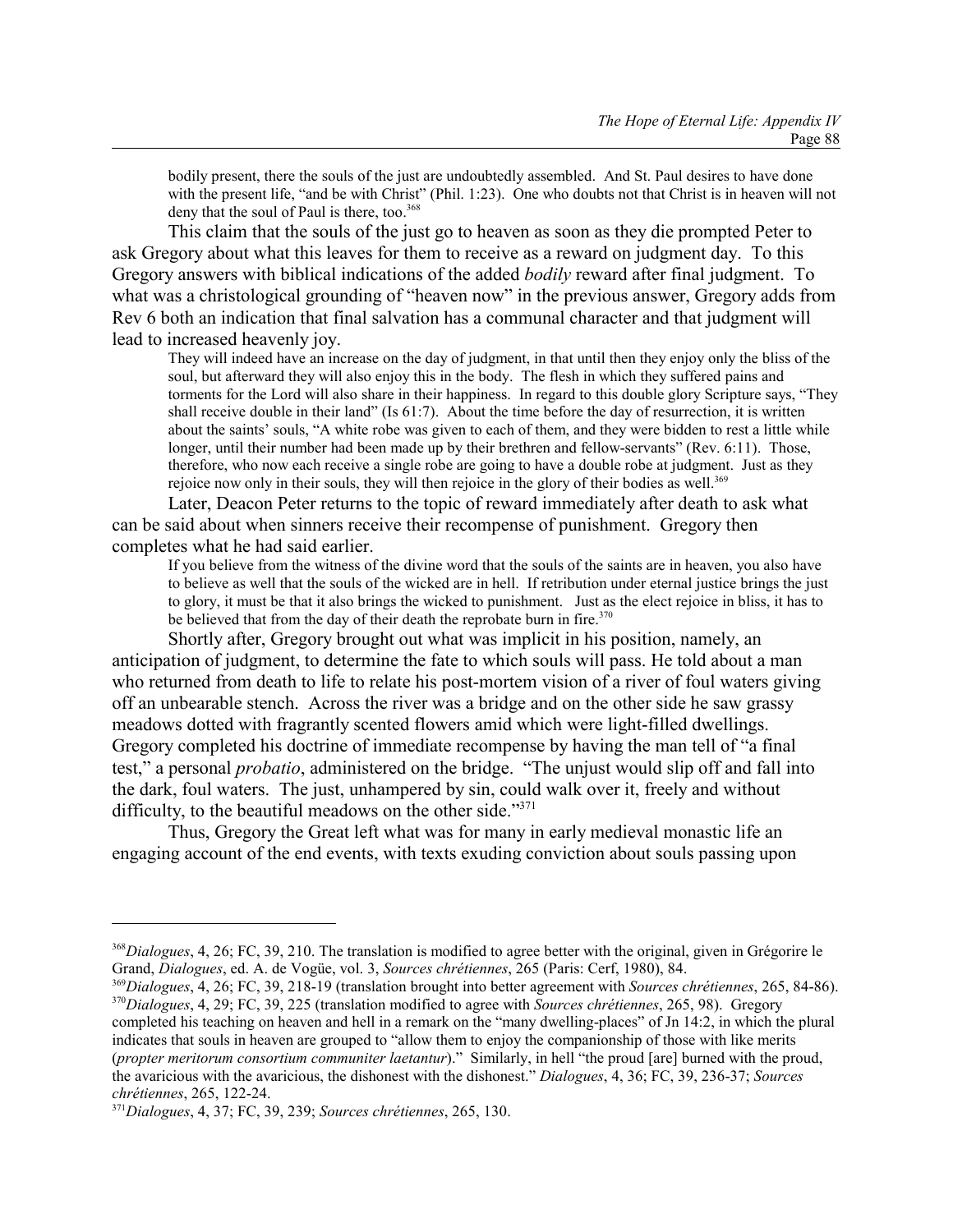bodily present, there the souls of the just are undoubtedly assembled. And St. Paul desires to have done with the present life, "and be with Christ" (Phil. 1:23). One who doubts not that Christ is in heaven will not deny that the soul of Paul is there, too.<sup>368</sup>

This claim that the souls of the just go to heaven as soon as they die prompted Peter to ask Gregory about what this leaves for them to receive as a reward on judgment day. To this Gregory answers with biblical indications of the added *bodily* reward after final judgment. To what was a christological grounding of "heaven now" in the previous answer, Gregory adds from Rev 6 both an indication that final salvation has a communal character and that judgment will lead to increased heavenly joy.

They will indeed have an increase on the day of judgment, in that until then they enjoy only the bliss of the soul, but afterward they will also enjoy this in the body. The flesh in which they suffered pains and torments for the Lord will also share in their happiness. In regard to this double glory Scripture says, "They shall receive double in their land" (Is  $61:7$ ). About the time before the day of resurrection, it is written about the saints' souls, "A white robe was given to each of them, and they were bidden to rest a little while longer, until their number had been made up by their brethren and fellow-servants" (Rev. 6:11). Those, therefore, who now each receive a single robe are going to have a double robe at judgment. Just as they rejoice now only in their souls, they will then rejoice in the glory of their bodies as well.<sup>369</sup>

Later, Deacon Peter returns to the topic of reward immediately after death to ask what can be said about when sinners receive their recompense of punishment. Gregory then completes what he had said earlier.

If you believe from the witness of the divine word that the souls of the saints are in heaven, you also have to believe as well that the souls of the wicked are in hell. If retribution under eternal justice brings the just to glory, it must be that it also brings the wicked to punishment. Just as the elect rejoice in bliss, it has to be believed that from the day of their death the reprobate burn in fire.<sup>370</sup>

Shortly after, Gregory brought out what was implicit in his position, namely, an anticipation of judgment, to determine the fate to which souls will pass. He told about a man who returned from death to life to relate his post-mortem vision of a river of foul waters giving off an unbearable stench. Across the river was a bridge and on the other side he saw grassy meadows dotted with fragrantly scented flowers amid which were light-filled dwellings. Gregory completed his doctrine of immediate recompense by having the man tell of "a final test," a personal probatio, administered on the bridge. "The unjust would slip off and fall into the dark, foul waters. The just, unhampered by sin, could walk over it, freely and without difficulty, to the beautiful meadows on the other side."<sup>371</sup>

Thus, Gregory the Great left what was for many in early medieval monastic life an engaging account of the end events, with texts exuding conviction about souls passing upon

 $368$ Dialogues, 4, 26; FC, 39, 210. The translation is modified to agree better with the original, given in Grégorire le Grand, Dialogues, ed. A. de Vogüe, vol. 3, Sources chrétiennes, 265 (Paris: Cerf, 1980), 84.

<sup>369</sup> Dialogues, 4, 26; FC, 39, 218-19 (translation brought into better agreement with Sources chrétiennes, 265, 84-86).  $370$ Dialogues, 4, 29; FC, 39, 225 (translation modified to agree with Sources chrétiennes, 265, 98). Gregory completed his teaching on heaven and hell in a remark on the "many dwelling-places" of Jn 14:2, in which the plural indicates that souls in heaven are grouped to "allow them to enjoy the companionship of those with like merits (propter meritorum consortium communiter laetantur)." Similarly, in hell "the proud [are] burned with the proud, the avaricious with the avaricious, the dishonest with the dishonest." Dialogues, 4, 36; FC, 39, 236-37; Sources chrétiennes, 265, 122-24.

<sup>371</sup>Dialogues, 4, 37; FC, 39, 239; Sources chrétiennes, 265, 130.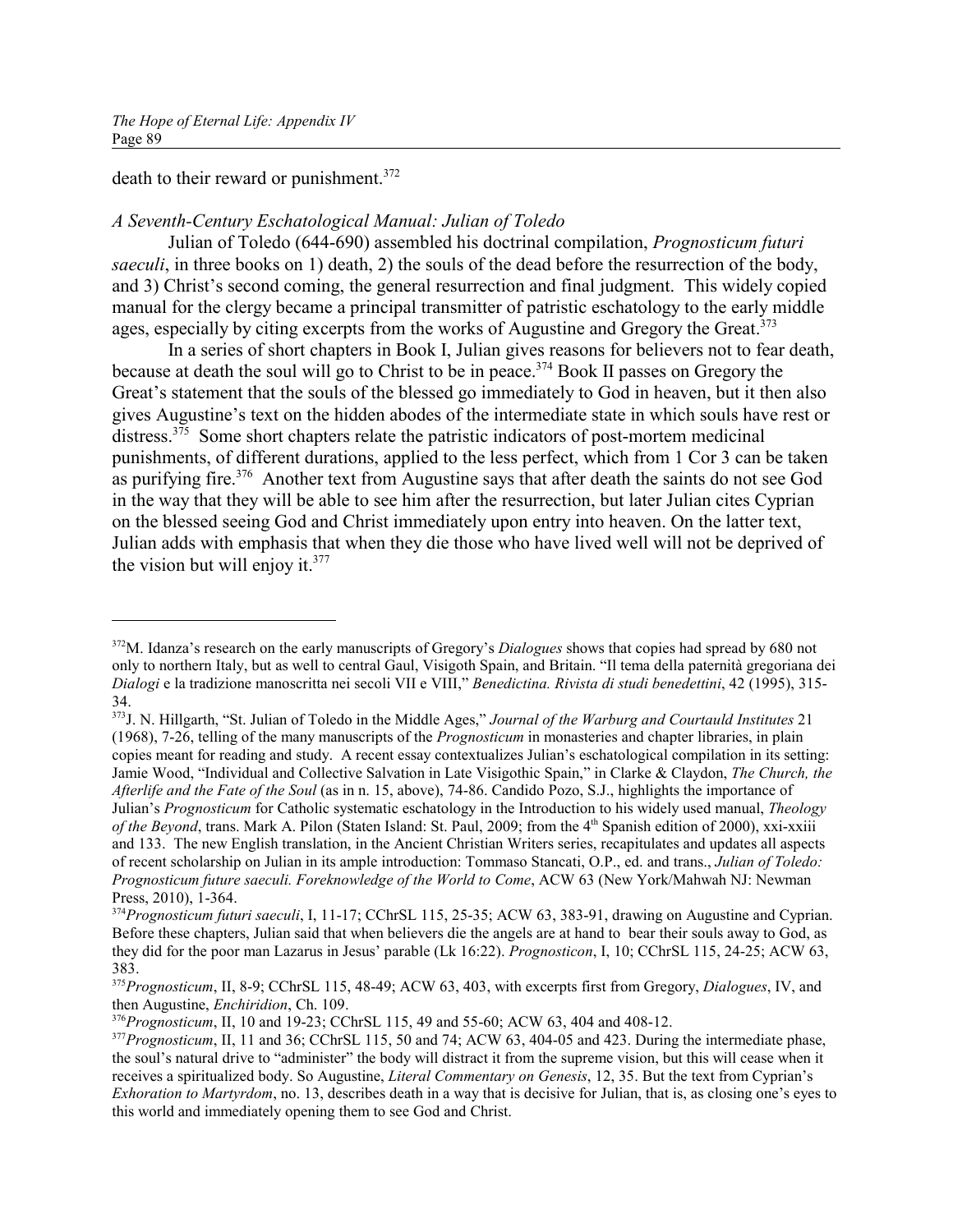death to their reward or punishment.<sup>372</sup>

## A Seventh-Century Eschatological Manual: Julian of Toledo

Julian of Toledo (644-690) assembled his doctrinal compilation, Prognosticum futuri saeculi, in three books on 1) death, 2) the souls of the dead before the resurrection of the body, and 3) Christ's second coming, the general resurrection and final judgment. This widely copied manual for the clergy became a principal transmitter of patristic eschatology to the early middle ages, especially by citing excerpts from the works of Augustine and Gregory the Great.<sup>373</sup>

In a series of short chapters in Book I, Julian gives reasons for believers not to fear death, because at death the soul will go to Christ to be in peace.<sup>374</sup> Book II passes on Gregory the Great's statement that the souls of the blessed go immediately to God in heaven, but it then also gives Augustine's text on the hidden abodes of the intermediate state in which souls have rest or distress. $375$  Some short chapters relate the patristic indicators of post-mortem medicinal punishments, of different durations, applied to the less perfect, which from 1 Cor 3 can be taken as purifying fire.<sup>376</sup> Another text from Augustine says that after death the saints do not see God in the way that they will be able to see him after the resurrection, but later Julian cites Cyprian on the blessed seeing God and Christ immediately upon entry into heaven. On the latter text, Julian adds with emphasis that when they die those who have lived well will not be deprived of the vision but will enjoy it. $377$ 

<sup>&</sup>lt;sup>372</sup>M. Idanza's research on the early manuscripts of Gregory's *Dialogues* shows that copies had spread by 680 not only to northern Italy, but as well to central Gaul, Visigoth Spain, and Britain. "Il tema della paternità gregoriana dei Dialogi e la tradizione manoscritta nei secoli VII e VIII," Benedictina. Rivista di studi benedettini, 42 (1995), 315-34.

<sup>&</sup>lt;sup>373</sup>J. N. Hillgarth, "St. Julian of Toledo in the Middle Ages," Journal of the Warburg and Courtauld Institutes 21 (1968), 7-26, telling of the many manuscripts of the Prognosticum in monasteries and chapter libraries, in plain copies meant for reading and study. A recent essay contextualizes Julian's eschatological compilation in its setting: Jamie Wood, "Individual and Collective Salvation in Late Visigothic Spain," in Clarke & Claydon, The Church, the Afterlife and the Fate of the Soul (as in n. 15, above), 74-86. Candido Pozo, S.J., highlights the importance of Julian's Prognosticum for Catholic systematic eschatology in the Introduction to his widely used manual, Theology of the Beyond, trans. Mark A. Pilon (Staten Island: St. Paul, 2009; from the 4<sup>th</sup> Spanish edition of 2000), xxi-xxiii and 133. The new English translation, in the Ancient Christian Writers series, recapitulates and updates all aspects of recent scholarship on Julian in its ample introduction: Tommaso Stancati, O.P., ed. and trans., Julian of Toledo: Prognosticum future saeculi. Foreknowledge of the World to Come, ACW 63 (New York/Mahwah NJ: Newman Press, 2010), 1-364.

 $374$ Prognosticum futuri saeculi, I, 11-17; CChrSL 115, 25-35; ACW 63, 383-91, drawing on Augustine and Cyprian. Before these chapters, Julian said that when believers die the angels are at hand to bear their souls away to God, as they did for the poor man Lazarus in Jesus' parable (Lk 16:22). Prognosticon, I, 10; CChrSL 115, 24-25; ACW 63, 383.

<sup>&</sup>lt;sup>375</sup>Prognosticum, II, 8-9; CChrSL 115, 48-49; ACW 63, 403, with excerpts first from Gregory, Dialogues, IV, and then Augustine, Enchiridion, Ch. 109.

<sup>376</sup> Prognosticum, II, 10 and 19-23; CChrSL 115, 49 and 55-60; ACW 63, 404 and 408-12.

<sup>&</sup>lt;sup>377</sup>Prognosticum, II, 11 and 36; CChrSL 115, 50 and 74; ACW 63, 404-05 and 423. During the intermediate phase, the soul's natural drive to "administer" the body will distract it from the supreme vision, but this will cease when it receives a spiritualized body. So Augustine, *Literal Commentary on Genesis*, 12, 35. But the text from Cyprian's Exhoration to Martyrdom, no. 13, describes death in a way that is decisive for Julian, that is, as closing one's eyes to this world and immediately opening them to see God and Christ.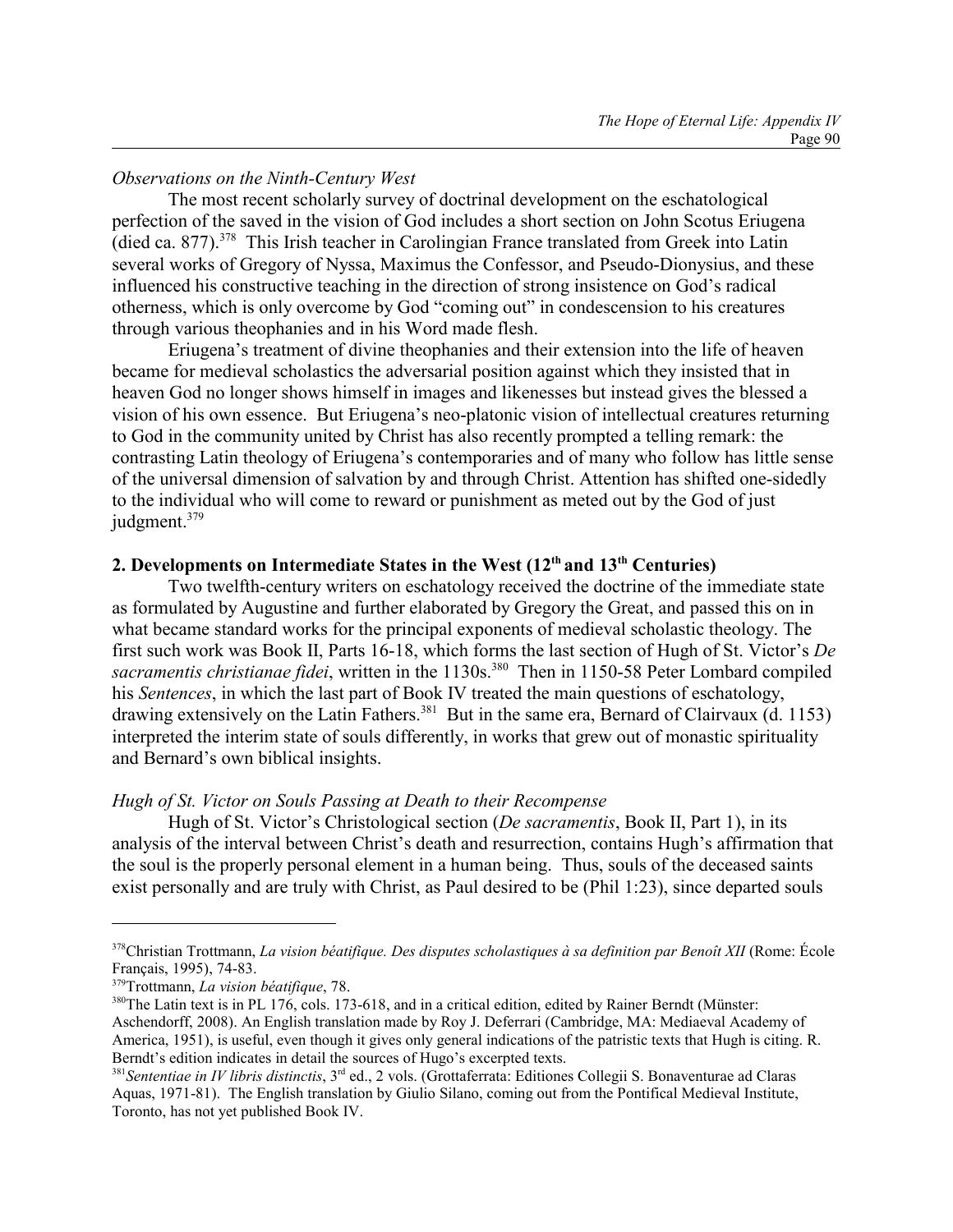## Observations on the Ninth-Century West

The most recent scholarly survey of doctrinal development on the eschatological perfection of the saved in the vision of God includes a short section on John Scotus Eriugena (died ca. 877).<sup>378</sup> This Irish teacher in Carolingian France translated from Greek into Latin several works of Gregory of Nyssa, Maximus the Confessor, and Pseudo-Dionysius, and these influenced his constructive teaching in the direction of strong insistence on God's radical otherness, which is only overcome by God "coming out" in condescension to his creatures through various theophanies and in his Word made flesh.

Eriugena's treatment of divine theophanies and their extension into the life of heaven became for medieval scholastics the adversarial position against which they insisted that in heaven God no longer shows himself in images and likenesses but instead gives the blessed a vision of his own essence. But Eriugena's neo-platonic vision of intellectual creatures returning to God in the community united by Christ has also recently prompted a telling remark: the contrasting Latin theology of Eriugena's contemporaries and of many who follow has little sense of the universal dimension of salvation by and through Christ. Attention has shifted one-sidedly to the individual who will come to reward or punishment as meted out by the God of just judgment.<sup>379</sup>

## 2. Developments on Intermediate States in the West  $(12<sup>th</sup>$  and  $13<sup>th</sup>$  Centuries)

Two twelfth-century writers on eschatology received the doctrine of the immediate state as formulated by Augustine and further elaborated by Gregory the Great, and passed this on in what became standard works for the principal exponents of medieval scholastic theology. The first such work was Book II, Parts 16-18, which forms the last section of Hugh of St. Victor's De sacramentis christianae fidei, written in the 1130s.<sup>380</sup> Then in 1150-58 Peter Lombard compiled his Sentences, in which the last part of Book IV treated the main questions of eschatology, drawing extensively on the Latin Fathers.<sup>381</sup> But in the same era, Bernard of Clairvaux (d. 1153) interpreted the interim state of souls differently, in works that grew out of monastic spirituality and Bernard's own biblical insights.

# Hugh of St. Victor on Souls Passing at Death to their Recompense

Hugh of St. Victor's Christological section (*De sacramentis*, Book II, Part 1), in its analysis of the interval between Christ's death and resurrection, contains Hugh's affirmation that the soul is the properly personal element in a human being. Thus, souls of the deceased saints exist personally and are truly with Christ, as Paul desired to be (Phil 1:23), since departed souls

<sup>&</sup>lt;sup>378</sup>Christian Trottmann, *La vision béatifique. Des disputes scholastiques à sa definition par Benoît XII* (Rome: École Français, 1995), 74-83.

 $379$ Trottmann, La vision béatifique, 78.

<sup>&</sup>lt;sup>380</sup>The Latin text is in PL 176, cols. 173-618, and in a critical edition, edited by Rainer Berndt (Münster: Aschendorff, 2008). An English translation made by Roy J. Deferrari (Cambridge, MA: Mediaeval Academy of America, 1951), is useful, even though it gives only general indications of the patristic texts that Hugh is citing. R. Berndt's edition indicates in detail the sources of Hugo's excerpted texts.

<sup>381</sup> Sententiae in IV libris distinctis, 3<sup>rd</sup> ed., 2 vols. (Grottaferrata: Editiones Collegii S. Bonaventurae ad Claras Aquas, 1971-81). The English translation by Giulio Silano, coming out from the Pontifical Medieval Institute, Toronto, has not yet published Book IV.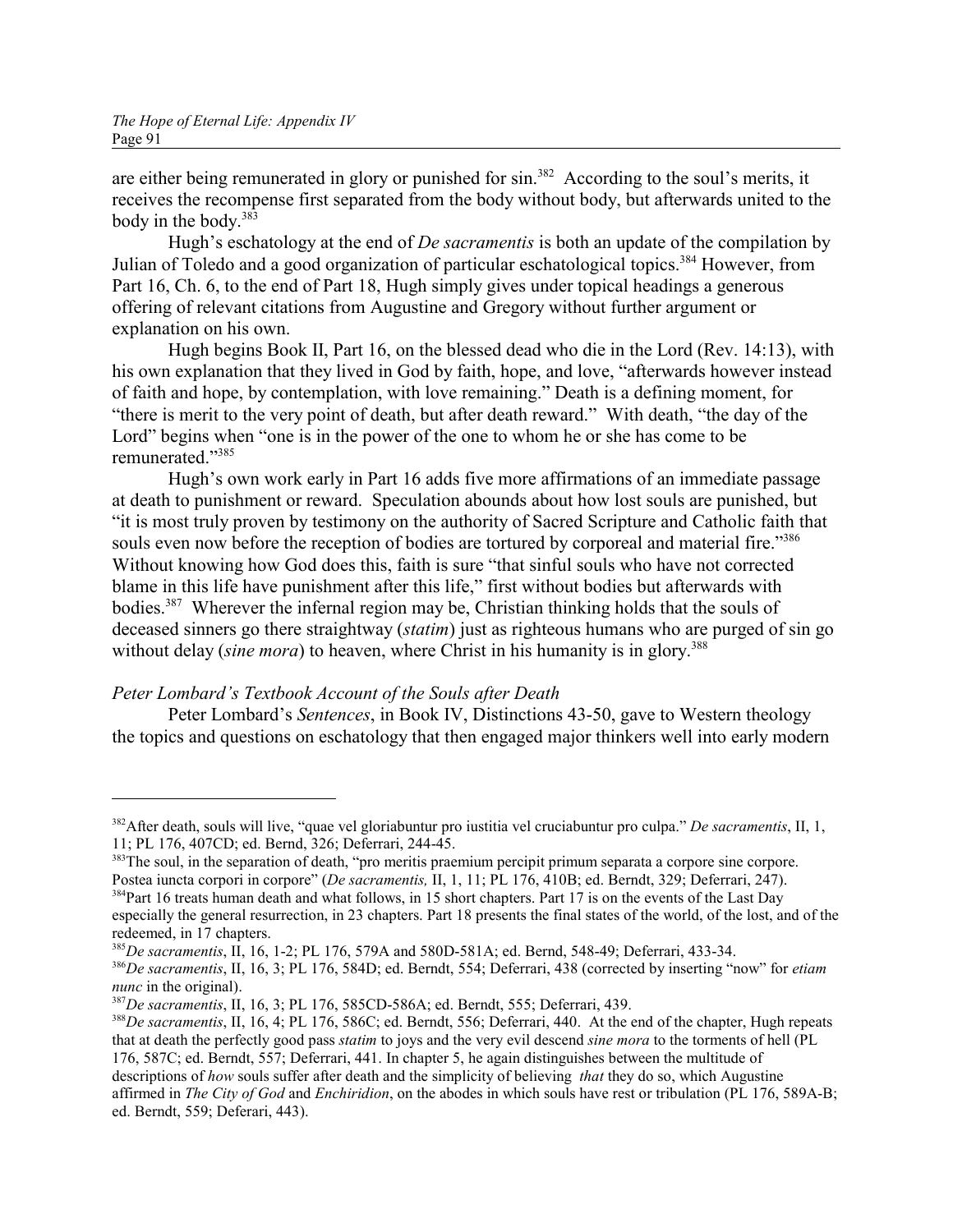are either being remunerated in glory or punished for sin.<sup>382</sup> According to the soul's merits, it receives the recompense first separated from the body without body, but afterwards united to the body in the body.<sup>383</sup>

Hugh's eschatology at the end of *De sacramentis* is both an update of the compilation by Julian of Toledo and a good organization of particular eschatological topics.<sup>384</sup> However, from Part 16, Ch. 6, to the end of Part 18, Hugh simply gives under topical headings a generous offering of relevant citations from Augustine and Gregory without further argument or explanation on his own.

Hugh begins Book II, Part 16, on the blessed dead who die in the Lord (Rev. 14:13), with his own explanation that they lived in God by faith, hope, and love, "afterwards however instead of faith and hope, by contemplation, with love remaining." Death is a defining moment, for "there is merit to the very point of death, but after death reward." With death, "the day of the Lord" begins when "one is in the power of the one to whom he or she has come to be remunerated."<sup>385</sup>

Hugh's own work early in Part 16 adds five more affirmations of an immediate passage at death to punishment or reward. Speculation abounds about how lost souls are punished, but "it is most truly proven by testimony on the authority of Sacred Scripture and Catholic faith that souls even now before the reception of bodies are tortured by corporeal and material fire."386 Without knowing how God does this, faith is sure "that sinful souls who have not corrected blame in this life have punishment after this life," first without bodies but afterwards with bodies.<sup>387</sup> Wherever the infernal region may be, Christian thinking holds that the souls of deceased sinners go there straightway *(statim)* just as righteous humans who are purged of sin go without delay *(sine mora)* to heaven, where Christ in his humanity is in glory.<sup>388</sup>

### Peter Lombard's Textbook Account of the Souls after Death

Peter Lombard's Sentences, in Book IV, Distinctions 43-50, gave to Western theology the topics and questions on eschatology that then engaged major thinkers well into early modern

 $382$ After death, souls will live, "quae vel gloriabuntur pro iustitia vel cruciabuntur pro culpa." De sacramentis, II, 1, 11; PL 176, 407CD; ed. Bernd, 326; Deferrari, 244-45.

<sup>&</sup>lt;sup>383</sup>The soul, in the separation of death, "pro meritis praemium percipit primum separata a corpore sine corpore. Postea iuncta corpori in corpore" (De sacramentis, II, 1, 11; PL 176, 410B; ed. Berndt, 329; Deferrari, 247).

<sup>&</sup>lt;sup>384</sup>Part 16 treats human death and what follows, in 15 short chapters. Part 17 is on the events of the Last Day especially the general resurrection, in 23 chapters. Part 18 presents the final states of the world, of the lost, and of the redeemed, in 17 chapters.

 $385$ De sacramentis, II, 16, 1-2; PL 176, 579A and 580D-581A; ed. Bernd, 548-49; Deferrari, 433-34.

 $386$ De sacramentis, II, 16, 3; PL 176, 584D; ed. Berndt, 554; Deferrari, 438 (corrected by inserting "now" for *etiam* nunc in the original).

<sup>387</sup>De sacramentis, II, 16, 3; PL 176, 585CD-586A; ed. Berndt, 555; Deferrari, 439.

 $388De$  sacramentis, II, 16, 4; PL 176, 586C; ed. Berndt, 556; Deferrari, 440. At the end of the chapter, Hugh repeats that at death the perfectly good pass statim to joys and the very evil descend sine mora to the torments of hell (PL 176, 587C; ed. Berndt, 557; Deferrari, 441. In chapter 5, he again distinguishes between the multitude of descriptions of how souls suffer after death and the simplicity of believing that they do so, which Augustine affirmed in The City of God and Enchiridion, on the abodes in which souls have rest or tribulation (PL 176, 589A-B; ed. Berndt, 559; Deferari, 443).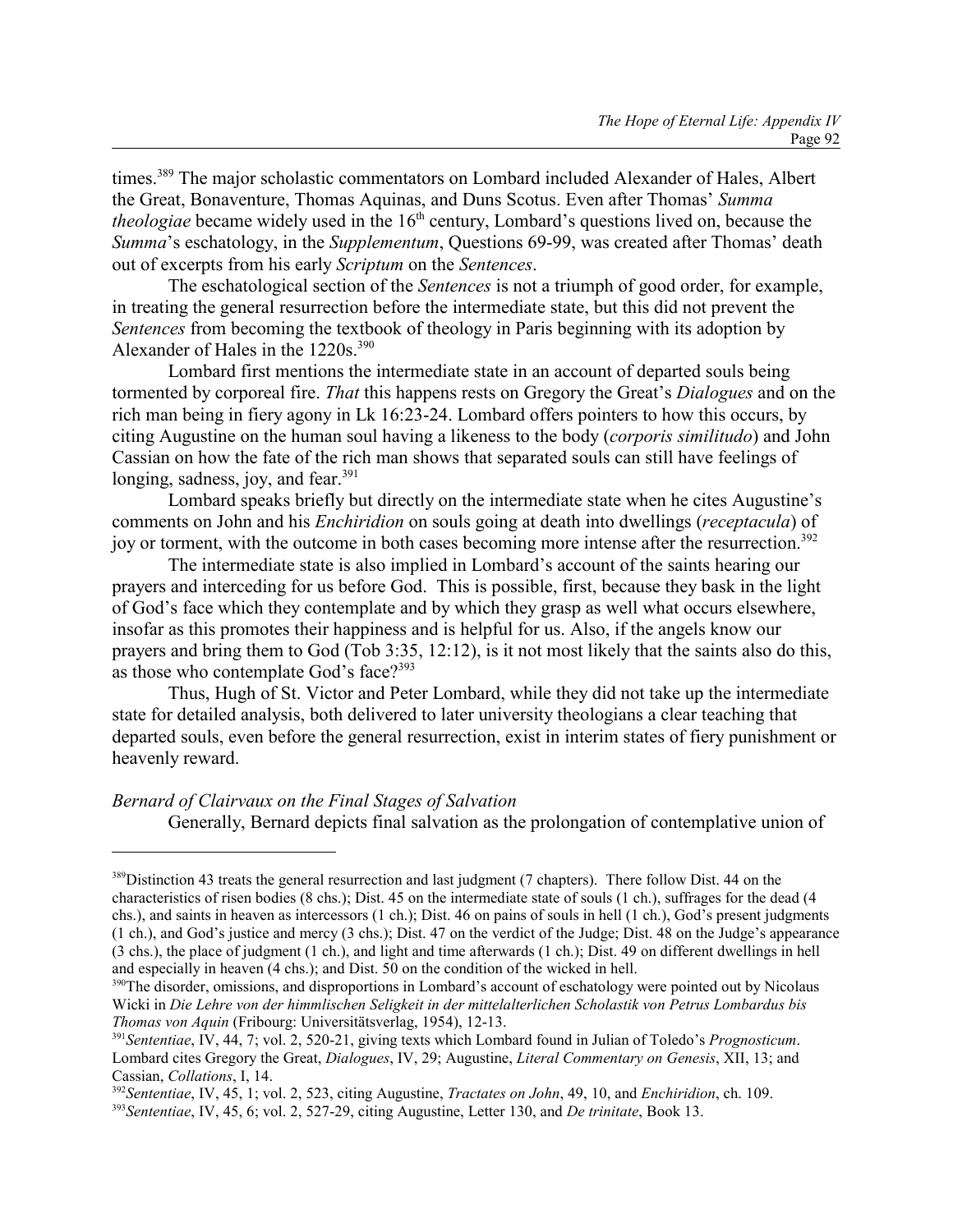times.<sup>389</sup> The major scholastic commentators on Lombard included Alexander of Hales, Albert the Great, Bonaventure, Thomas Aquinas, and Duns Scotus. Even after Thomas' Summa theologiae became widely used in the  $16<sup>th</sup>$  century, Lombard's questions lived on, because the Summa's eschatology, in the Supplementum, Ouestions 69-99, was created after Thomas' death out of excerpts from his early Scriptum on the Sentences.

The eschatological section of the Sentences is not a triumph of good order, for example, in treating the general resurrection before the intermediate state, but this did not prevent the Sentences from becoming the textbook of theology in Paris beginning with its adoption by Alexander of Hales in the 1220s.<sup>390</sup>

Lombard first mentions the intermediate state in an account of departed souls being tormented by corporeal fire. That this happens rests on Gregory the Great's Dialogues and on the rich man being in fiery agony in Lk 16:23-24. Lombard offers pointers to how this occurs, by citing Augustine on the human soul having a likeness to the body (corporis similitudo) and John Cassian on how the fate of the rich man shows that separated souls can still have feelings of longing, sadness, joy, and fear.<sup>391</sup>

Lombard speaks briefly but directly on the intermediate state when he cites Augustine's comments on John and his Enchiridion on souls going at death into dwellings (receptacula) of joy or torment, with the outcome in both cases becoming more intense after the resurrection.<sup>392</sup>

The intermediate state is also implied in Lombard's account of the saints hearing our prayers and interceding for us before God. This is possible, first, because they bask in the light of God's face which they contemplate and by which they grasp as well what occurs elsewhere, insofar as this promotes their happiness and is helpful for us. Also, if the angels know our prayers and bring them to God (Tob 3:35, 12:12), is it not most likely that the saints also do this, as those who contemplate God's face? $393$ 

Thus, Hugh of St. Victor and Peter Lombard, while they did not take up the intermediate state for detailed analysis, both delivered to later university theologians a clear teaching that departed souls, even before the general resurrection, exist in interim states of fiery punishment or heavenly reward.

#### Bernard of Clairvaux on the Final Stages of Salvation

Generally, Bernard depicts final salvation as the prolongation of contemplative union of

<sup>&</sup>lt;sup>389</sup>Distinction 43 treats the general resurrection and last judgment (7 chapters). There follow Dist. 44 on the characteristics of risen bodies (8 chs.); Dist. 45 on the intermediate state of souls (1 ch.), suffrages for the dead (4 chs.), and saints in heaven as intercessors (1 ch.); Dist. 46 on pains of souls in hell (1 ch.), God's present judgments (1 ch.), and God's justice and mercy (3 chs.); Dist. 47 on the verdict of the Judge; Dist. 48 on the Judge's appearance (3 chs.), the place of judgment (1 ch.), and light and time afterwards (1 ch.); Dist. 49 on different dwellings in hell and especially in heaven (4 chs.); and Dist. 50 on the condition of the wicked in hell.

<sup>&</sup>lt;sup>390</sup>The disorder, omissions, and disproportions in Lombard's account of eschatology were pointed out by Nicolaus Wicki in Die Lehre von der himmlischen Seligkeit in der mittelalterlichen Scholastik von Petrus Lombardus bis Thomas von Aquin (Fribourg: Universitätsverlag, 1954), 12-13.

 $391$ Sententiae, IV, 44, 7; vol. 2, 520-21, giving texts which Lombard found in Julian of Toledo's *Prognosticum*. Lombard cites Gregory the Great, Dialogues, IV, 29; Augustine, Literal Commentary on Genesis, XII, 13; and Cassian, Collations, I, 14.

<sup>&</sup>lt;sup>392</sup>Sententiae, IV, 45, 1; vol. 2, 523, citing Augustine, *Tractates on John*, 49, 10, and *Enchiridion*, ch. 109.

<sup>&</sup>lt;sup>393</sup>Sententiae, IV, 45, 6; vol. 2, 527-29, citing Augustine, Letter 130, and *De trinitate*, Book 13.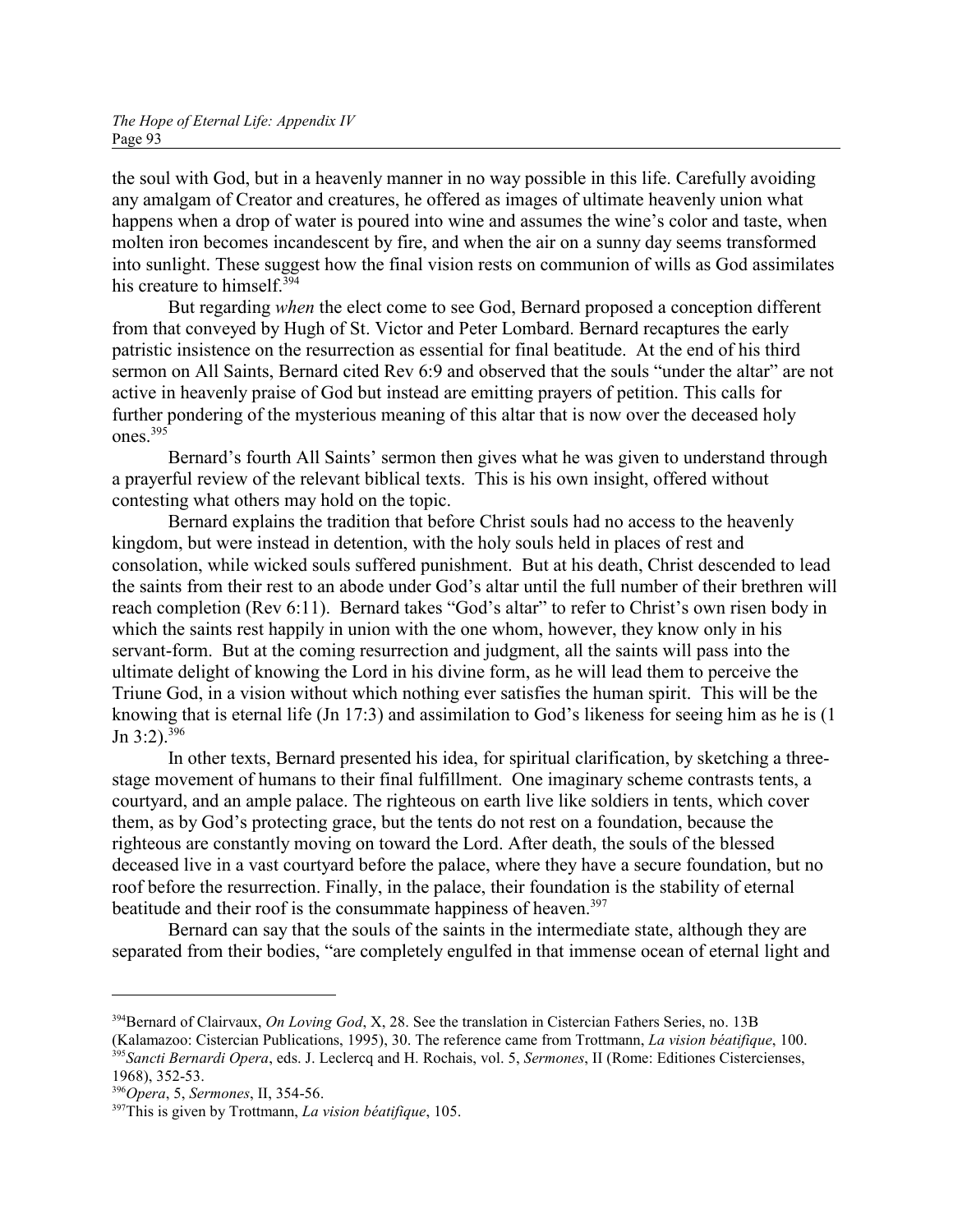the soul with God, but in a heavenly manner in no way possible in this life. Carefully avoiding any amalgam of Creator and creatures, he offered as images of ultimate heavenly union what happens when a drop of water is poured into wine and assumes the wine's color and taste, when molten iron becomes incandescent by fire, and when the air on a sunny day seems transformed into sunlight. These suggest how the final vision rests on communion of wills as God assimilates his creature to himself.<sup>394</sup>

But regarding when the elect come to see God, Bernard proposed a conception different from that conveyed by Hugh of St. Victor and Peter Lombard. Bernard recaptures the early patristic insistence on the resurrection as essential for final beatitude. At the end of his third sermon on All Saints, Bernard cited Rev 6:9 and observed that the souls "under the altar" are not active in heavenly praise of God but instead are emitting prayers of petition. This calls for further pondering of the mysterious meaning of this altar that is now over the deceased holy ones. $395$ 

Bernard's fourth All Saints' sermon then gives what he was given to understand through a prayerful review of the relevant biblical texts. This is his own insight, offered without contesting what others may hold on the topic.

Bernard explains the tradition that before Christ souls had no access to the heavenly kingdom, but were instead in detention, with the holy souls held in places of rest and consolation, while wicked souls suffered punishment. But at his death, Christ descended to lead the saints from their rest to an abode under God's altar until the full number of their brethren will reach completion (Rev 6:11). Bernard takes "God's altar" to refer to Christ's own risen body in which the saints rest happily in union with the one whom, however, they know only in his servant-form. But at the coming resurrection and judgment, all the saints will pass into the ultimate delight of knowing the Lord in his divine form, as he will lead them to perceive the Triune God, in a vision without which nothing ever satisfies the human spirit. This will be the knowing that is eternal life (Jn 17:3) and assimilation to God's likeness for seeing him as he is (1 Jn  $3:2$ ).<sup>396</sup>

In other texts, Bernard presented his idea, for spiritual clarification, by sketching a threestage movement of humans to their final fulfillment. One imaginary scheme contrasts tents, a courtyard, and an ample palace. The righteous on earth live like soldiers in tents, which cover them, as by God's protecting grace, but the tents do not rest on a foundation, because the righteous are constantly moving on toward the Lord. After death, the souls of the blessed deceased live in a vast courtyard before the palace, where they have a secure foundation, but no roof before the resurrection. Finally, in the palace, their foundation is the stability of eternal beatitude and their roof is the consummate happiness of heaven.<sup>397</sup>

Bernard can say that the souls of the saints in the intermediate state, although they are separated from their bodies, "are completely engulfed in that immense ocean of eternal light and

 $394$ Bernard of Clairvaux, On Loving God, X, 28. See the translation in Cistercian Fathers Series, no. 13B (Kalamazoo: Cistercian Publications, 1995), 30. The reference came from Trottmann, La vision béatifique, 100. <sup>395</sup>Sancti Bernardi Opera, eds. J. Leclercq and H. Rochais, vol. 5, Sermones, II (Rome: Editiones Cistercienses, 1968), 352-53.

<sup>396</sup>Opera, 5, Sermones, II, 354-56.

 $397$ This is given by Trottmann, La vision béatifique, 105.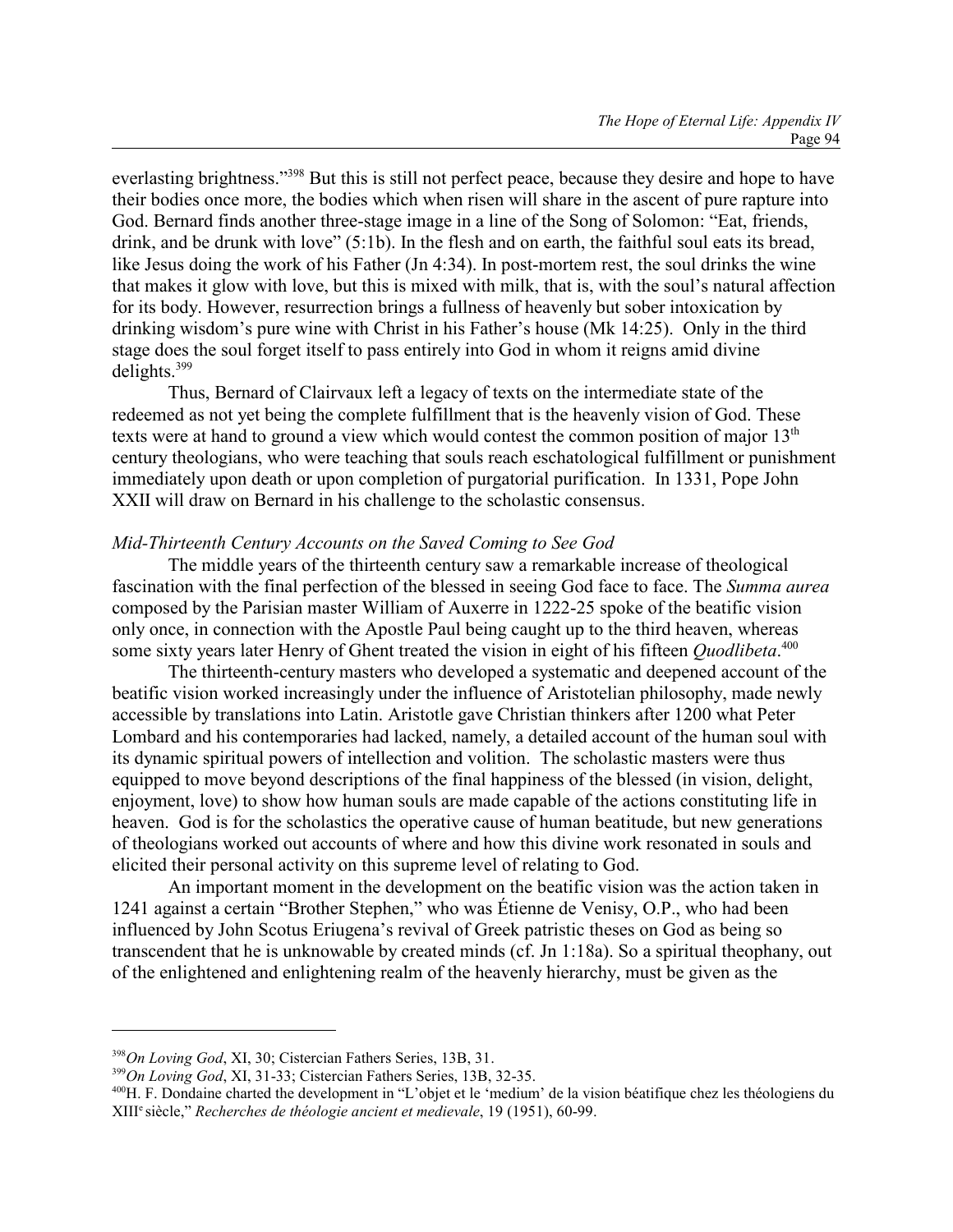everlasting brightness."<sup>398</sup> But this is still not perfect peace, because they desire and hope to have their bodies once more, the bodies which when risen will share in the ascent of pure rapture into God. Bernard finds another three-stage image in a line of the Song of Solomon: "Eat, friends, drink, and be drunk with love" (5:1b). In the flesh and on earth, the faithful soul eats its bread, like Jesus doing the work of his Father (Jn 4:34). In post-mortem rest, the soul drinks the wine that makes it glow with love, but this is mixed with milk, that is, with the soul's natural affection for its body. However, resurrection brings a fullness of heavenly but sober intoxication by drinking wisdom's pure wine with Christ in his Father's house (Mk 14:25). Only in the third stage does the soul forget itself to pass entirely into God in whom it reigns amid divine delights.<sup>399</sup>

Thus, Bernard of Clairvaux left a legacy of texts on the intermediate state of the redeemed as not yet being the complete fulfillment that is the heavenly vision of God. These texts were at hand to ground a view which would contest the common position of major  $13<sup>th</sup>$ century theologians, who were teaching that souls reach eschatological fulfillment or punishment immediately upon death or upon completion of purgatorial purification. In 1331, Pope John XXII will draw on Bernard in his challenge to the scholastic consensus.

#### Mid-Thirteenth Century Accounts on the Saved Coming to See God

The middle years of the thirteenth century saw a remarkable increase of theological fascination with the final perfection of the blessed in seeing God face to face. The Summa aurea composed by the Parisian master William of Auxerre in 1222-25 spoke of the beatific vision only once, in connection with the Apostle Paul being caught up to the third heaven, whereas some sixty years later Henry of Ghent treated the vision in eight of his fifteen *Quodlibeta*.<sup>400</sup>

The thirteenth-century masters who developed a systematic and deepened account of the beatific vision worked increasingly under the influence of Aristotelian philosophy, made newly accessible by translations into Latin. Aristotle gave Christian thinkers after 1200 what Peter Lombard and his contemporaries had lacked, namely, a detailed account of the human soul with its dynamic spiritual powers of intellection and volition. The scholastic masters were thus equipped to move beyond descriptions of the final happiness of the blessed (in vision, delight, enjoyment, love) to show how human souls are made capable of the actions constituting life in heaven. God is for the scholastics the operative cause of human beatitude, but new generations of theologians worked out accounts of where and how this divine work resonated in souls and elicited their personal activity on this supreme level of relating to God.

An important moment in the development on the beatific vision was the action taken in 1241 against a certain "Brother Stephen," who was Étienne de Venisy, O.P., who had been influenced by John Scotus Eriugena's revival of Greek patristic theses on God as being so transcendent that he is unknowable by created minds (cf. Jn 1:18a). So a spiritual theophany, out of the enlightened and enlightening realm of the heavenly hierarchy, must be given as the

<sup>398</sup>On Loving God, XI, 30; Cistercian Fathers Series, 13B, 31.

<sup>399</sup>On Loving God, XI, 31-33; Cistercian Fathers Series, 13B, 32-35.

<sup>400</sup>H. F. Dondaine charted the development in "L'objet et le 'medium' de la vision béatifique chez les théologiens du XIII<sup>e</sup> siècle," Recherches de théologie ancient et medievale, 19 (1951), 60-99.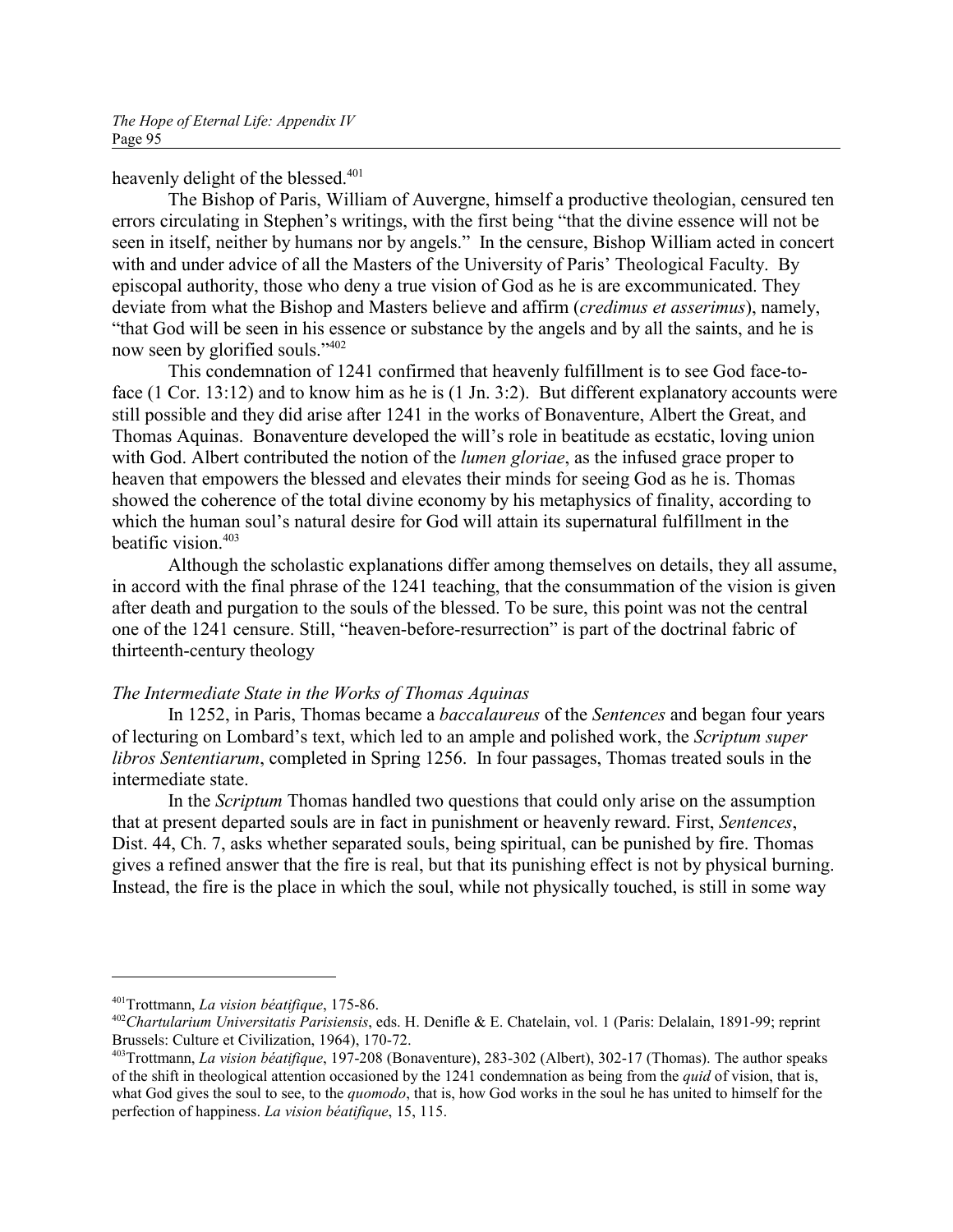# heavenly delight of the blessed.<sup>401</sup>

The Bishop of Paris, William of Auvergne, himself a productive theologian, censured ten errors circulating in Stephen's writings, with the first being "that the divine essence will not be seen in itself, neither by humans nor by angels." In the censure, Bishop William acted in concert with and under advice of all the Masters of the University of Paris' Theological Faculty. By episcopal authority, those who deny a true vision of God as he is are excommunicated. They deviate from what the Bishop and Masters believe and affirm (*credimus et asserimus*), namely, "that God will be seen in his essence or substance by the angels and by all the saints, and he is now seen by glorified souls."<sup>402</sup>

This condemnation of 1241 confirmed that heavenly fulfillment is to see God face-toface (1 Cor. 13:12) and to know him as he is (1 Jn. 3:2). But different explanatory accounts were still possible and they did arise after 1241 in the works of Bonaventure, Albert the Great, and Thomas Aquinas. Bonaventure developed the will's role in beatitude as ecstatic, loving union with God. Albert contributed the notion of the *lumen gloriae*, as the infused grace proper to heaven that empowers the blessed and elevates their minds for seeing God as he is. Thomas showed the coherence of the total divine economy by his metaphysics of finality, according to which the human soul's natural desire for God will attain its supernatural fulfillment in the beatific vision.<sup>403</sup>

Although the scholastic explanations differ among themselves on details, they all assume, in accord with the final phrase of the 1241 teaching, that the consummation of the vision is given after death and purgation to the souls of the blessed. To be sure, this point was not the central one of the 1241 censure. Still, "heaven-before-resurrection" is part of the doctrinal fabric of thirteenth-century theology

### The Intermediate State in the Works of Thomas Aquinas

In 1252, in Paris, Thomas became a *baccalaureus* of the *Sentences* and began four years of lecturing on Lombard's text, which led to an ample and polished work, the Scriptum super libros Sententiarum, completed in Spring 1256. In four passages, Thomas treated souls in the intermediate state.

In the Scriptum Thomas handled two questions that could only arise on the assumption that at present departed souls are in fact in punishment or heavenly reward. First, Sentences, Dist. 44, Ch. 7, asks whether separated souls, being spiritual, can be punished by fire. Thomas gives a refined answer that the fire is real, but that its punishing effect is not by physical burning. Instead, the fire is the place in which the soul, while not physically touched, is still in some way

<sup>&</sup>lt;sup>401</sup>Trottmann, *La vision béatifique*, 175-86.

<sup>&</sup>lt;sup>402</sup>Chartularium Universitatis Parisiensis, eds. H. Denifle & E. Chatelain, vol. 1 (Paris: Delalain, 1891-99; reprint Brussels: Culture et Civilization, 1964), 170-72.

 $403$ Trottmann, La vision béatifique, 197-208 (Bonaventure), 283-302 (Albert), 302-17 (Thomas). The author speaks of the shift in theological attention occasioned by the  $1241$  condemnation as being from the *quid* of vision, that is, what God gives the soul to see, to the *quomodo*, that is, how God works in the soul he has united to himself for the perfection of happiness. La vision béatifique, 15, 115.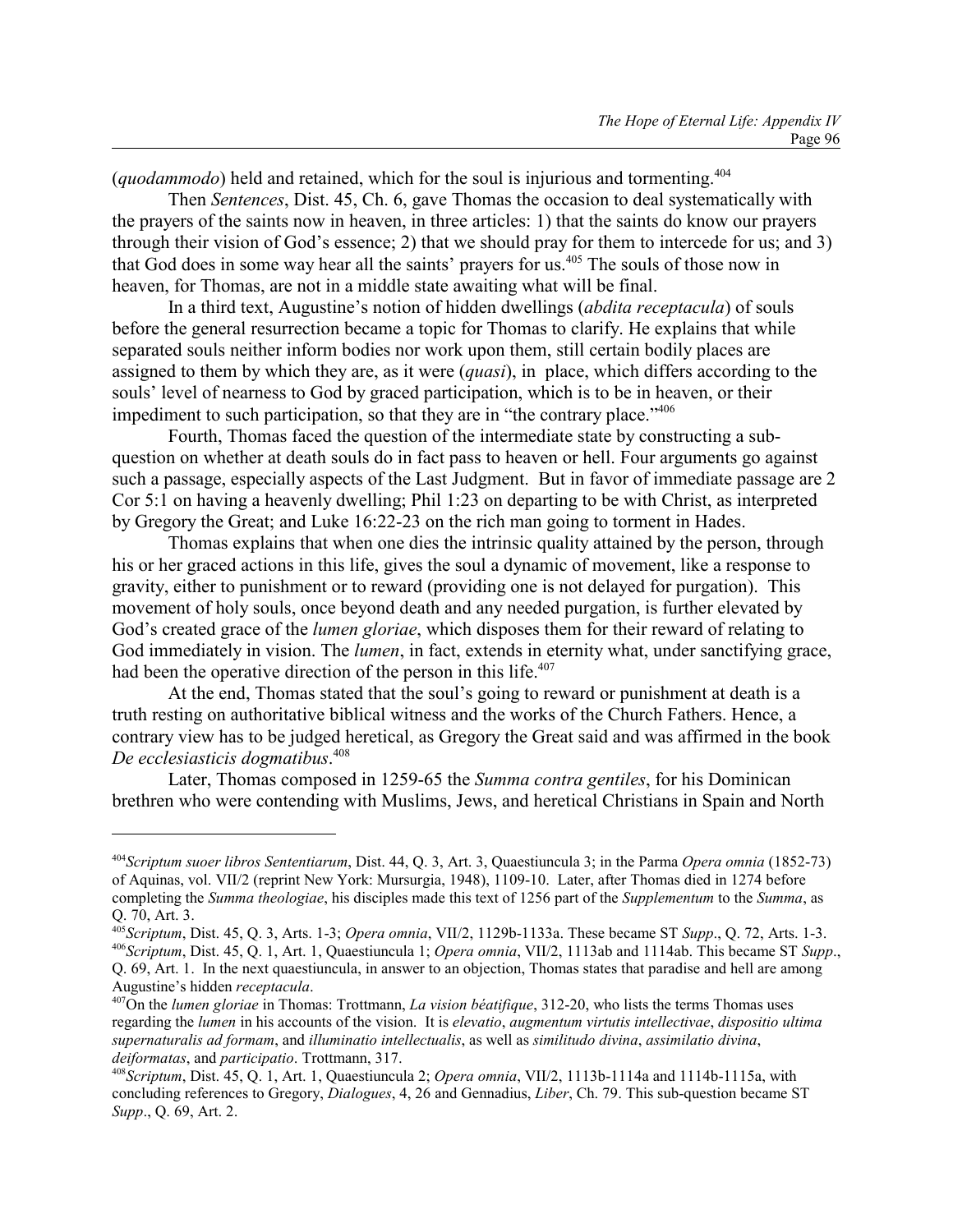(quodammodo) held and retained, which for the soul is injurious and tormenting.<sup>404</sup>

Then Sentences, Dist. 45, Ch. 6, gave Thomas the occasion to deal systematically with the prayers of the saints now in heaven, in three articles: 1) that the saints do know our prayers through their vision of God's essence; 2) that we should pray for them to intercede for us; and 3) that God does in some way hear all the saints' prayers for us.<sup>405</sup> The souls of those now in heaven, for Thomas, are not in a middle state awaiting what will be final.

In a third text, Augustine's notion of hidden dwellings (abdita receptacula) of souls before the general resurrection became a topic for Thomas to clarify. He explains that while separated souls neither inform bodies nor work upon them, still certain bodily places are assigned to them by which they are, as it were *(quasi)*, in place, which differs according to the souls' level of nearness to God by graced participation, which is to be in heaven, or their impediment to such participation, so that they are in "the contrary place."<sup>406</sup>

Fourth, Thomas faced the question of the intermediate state by constructing a subquestion on whether at death souls do in fact pass to heaven or hell. Four arguments go against such a passage, especially aspects of the Last Judgment. But in favor of immediate passage are 2 Cor 5:1 on having a heavenly dwelling; Phil 1:23 on departing to be with Christ, as interpreted by Gregory the Great; and Luke 16:22-23 on the rich man going to torment in Hades.

Thomas explains that when one dies the intrinsic quality attained by the person, through his or her graced actions in this life, gives the soul a dynamic of movement, like a response to gravity, either to punishment or to reward (providing one is not delayed for purgation). This movement of holy souls, once beyond death and any needed purgation, is further elevated by God's created grace of the *lumen gloriae*, which disposes them for their reward of relating to God immediately in vision. The *lumen*, in fact, extends in eternity what, under sanctifying grace, had been the operative direction of the person in this life.<sup>407</sup>

At the end, Thomas stated that the soul's going to reward or punishment at death is a truth resting on authoritative biblical witness and the works of the Church Fathers. Hence, a contrary view has to be judged heretical, as Gregory the Great said and was affirmed in the book De ecclesiasticis dogmatibus.<sup>408</sup>

Later, Thomas composed in 1259-65 the Summa contra gentiles, for his Dominican brethren who were contending with Muslims, Jews, and heretical Christians in Spain and North

 $^{404}$ Scriptum suoer libros Sententiarum, Dist. 44, Q. 3, Art. 3, Quaestiuncula 3; in the Parma Opera omnia (1852-73) of Aquinas, vol. VII/2 (reprint New York: Mursurgia, 1948), 1109-10. Later, after Thomas died in 1274 before completing the Summa theologiae, his disciples made this text of 1256 part of the Supplementum to the Summa, as Q. 70, Art. 3.

 $405$ Scriptum, Dist. 45, Q. 3, Arts. 1-3; Opera omnia, VII/2, 1129b-1133a. These became ST Supp., Q. 72, Arts. 1-3. <sup>406</sup>Scriptum, Dist. 45, Q. 1, Art. 1, Quaestiuncula 1; Opera omnia, VII/2, 1113ab and 1114ab. This became ST Supp., Q. 69, Art. 1. In the next quaestiuncula, in answer to an objection, Thomas states that paradise and hell are among Augustine's hidden receptacula.

<sup>&</sup>lt;sup>407</sup>On the *lumen gloriae* in Thomas: Trottmann, *La vision béatifique*, 312-20, who lists the terms Thomas uses regarding the lumen in his accounts of the vision. It is elevatio, augmentum virtutis intellectivae, dispositio ultima supernaturalis ad formam, and illuminatio intellectualis, as well as similitudo divina, assimilatio divina, deiformatas, and participatio. Trottmann, 317.

<sup>408</sup>Scriptum, Dist. 45, Q. 1, Art. 1, Quaestiuncula 2; Opera omnia, VII/2, 1113b-1114a and 1114b-1115a, with concluding references to Gregory, Dialogues, 4, 26 and Gennadius, Liber, Ch. 79. This sub-question became ST Supp., Q. 69, Art. 2.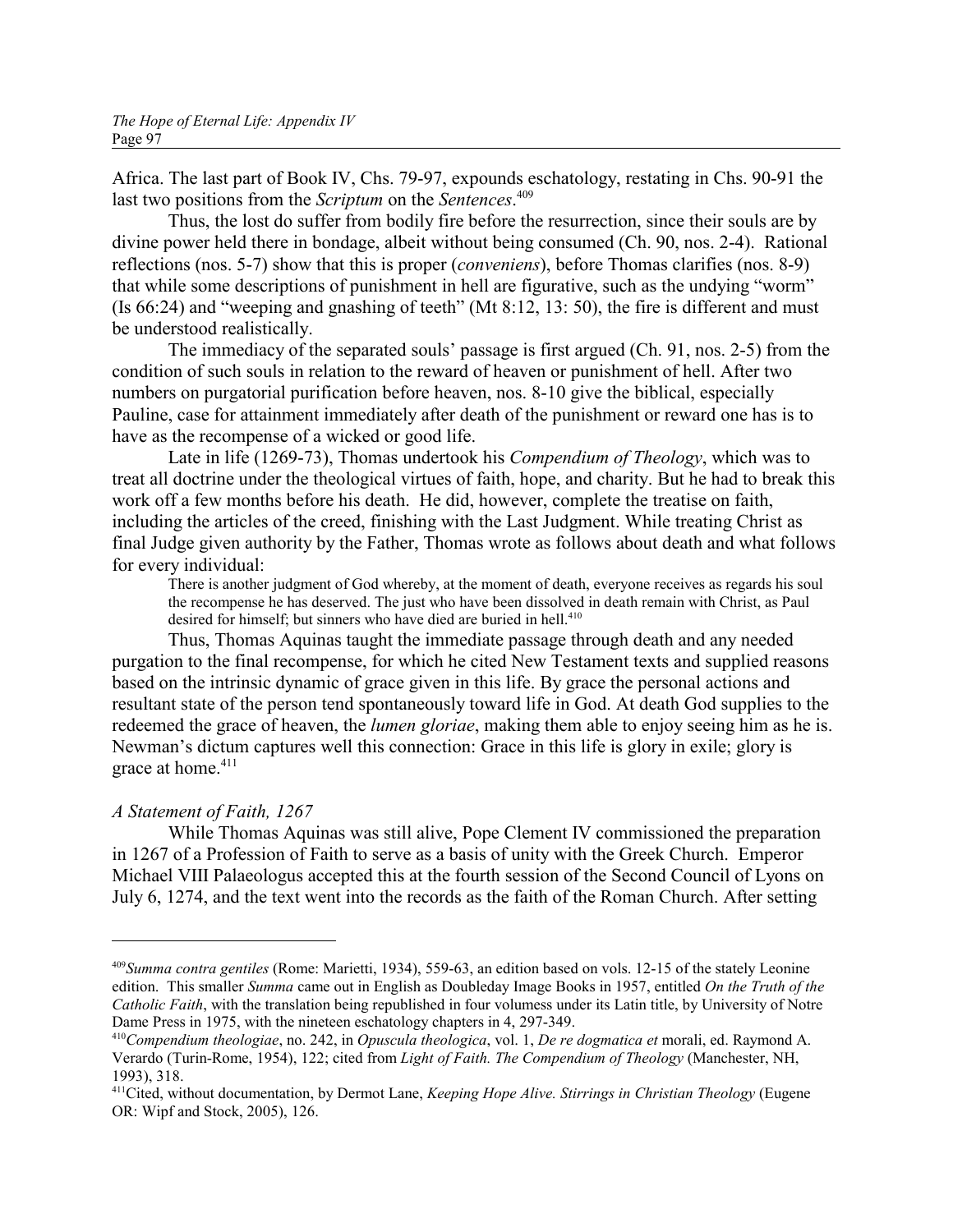Africa. The last part of Book IV, Chs. 79-97, expounds eschatology, restating in Chs. 90-91 the last two positions from the Scriptum on the Sentences.<sup>409</sup>

Thus, the lost do suffer from bodily fire before the resurrection, since their souls are by divine power held there in bondage, albeit without being consumed (Ch. 90, nos. 2-4). Rational reflections (nos. 5-7) show that this is proper (conveniens), before Thomas clarifies (nos. 8-9) that while some descriptions of punishment in hell are figurative, such as the undying "worm" (Is 66:24) and "weeping and gnashing of teeth" (Mt 8:12, 13: 50), the fire is different and must be understood realistically.

The immediacy of the separated souls' passage is first argued (Ch. 91, nos. 2-5) from the condition of such souls in relation to the reward of heaven or punishment of hell. After two numbers on purgatorial purification before heaven, nos. 8-10 give the biblical, especially Pauline, case for attainment immediately after death of the punishment or reward one has is to have as the recompense of a wicked or good life.

Late in life (1269-73), Thomas undertook his Compendium of Theology, which was to treat all doctrine under the theological virtues of faith, hope, and charity. But he had to break this work off a few months before his death. He did, however, complete the treatise on faith, including the articles of the creed, finishing with the Last Judgment. While treating Christ as final Judge given authority by the Father, Thomas wrote as follows about death and what follows for every individual:

There is another judgment of God whereby, at the moment of death, everyone receives as regards his soul the recompense he has deserved. The just who have been dissolved in death remain with Christ, as Paul desired for himself; but sinners who have died are buried in hell.<sup>410</sup>

Thus, Thomas Aquinas taught the immediate passage through death and any needed purgation to the final recompense, for which he cited New Testament texts and supplied reasons based on the intrinsic dynamic of grace given in this life. By grace the personal actions and resultant state of the person tend spontaneously toward life in God. At death God supplies to the redeemed the grace of heaven, the *lumen gloriae*, making them able to enjoy seeing him as he is. Newman's dictum captures well this connection: Grace in this life is glory in exile; glory is grace at home.<sup>411</sup>

# A Statement of Faith, 1267

While Thomas Aquinas was still alive, Pope Clement IV commissioned the preparation in 1267 of a Profession of Faith to serve as a basis of unity with the Greek Church. Emperor Michael VIII Palaeologus accepted this at the fourth session of the Second Council of Lyons on July 6, 1274, and the text went into the records as the faith of the Roman Church. After setting

 $^{409}Summa$  contra gentiles (Rome: Marietti, 1934), 559-63, an edition based on vols. 12-15 of the stately Leonine edition. This smaller Summa came out in English as Doubleday Image Books in 1957, entitled On the Truth of the Catholic Faith, with the translation being republished in four volumess under its Latin title, by University of Notre Dame Press in 1975, with the nineteen eschatology chapters in 4, 297-349.

 $^{410}$ Compendium theologiae, no. 242, in Opuscula theologica, vol. 1, De re dogmatica et morali, ed. Raymond A. Verardo (Turin-Rome, 1954), 122; cited from Light of Faith. The Compendium of Theology (Manchester, NH, 1993), 318.

<sup>&</sup>lt;sup>411</sup>Cited, without documentation, by Dermot Lane, Keeping Hope Alive. Stirrings in Christian Theology (Eugene OR: Wipf and Stock, 2005), 126.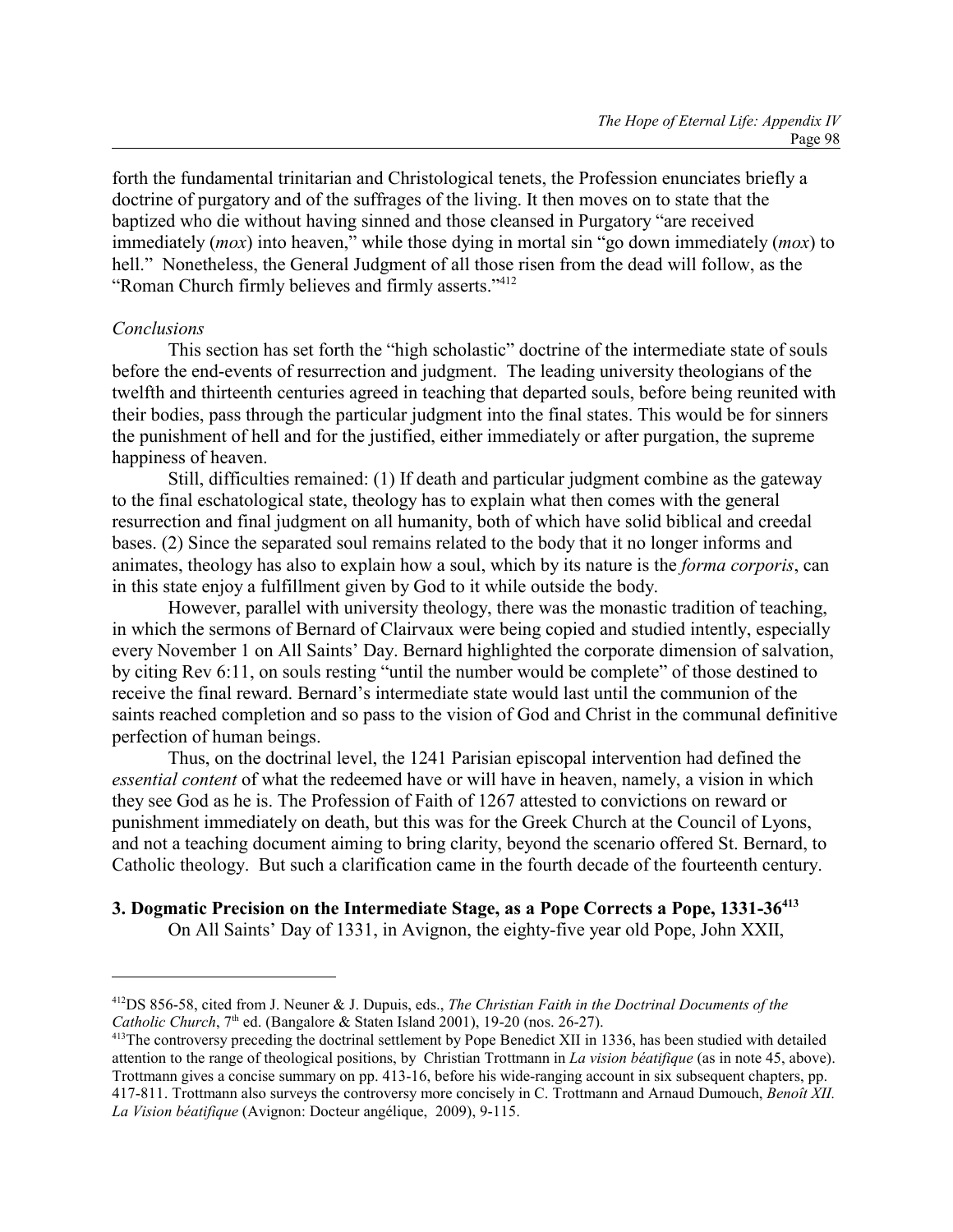forth the fundamental trinitarian and Christological tenets, the Profession enunciates briefly a doctrine of purgatory and of the suffrages of the living. It then moves on to state that the baptized who die without having sinned and those cleansed in Purgatory "are received immediately  $(mox)$  into heaven," while those dying in mortal sin "go down immediately  $(mox)$  to hell." Nonetheless, the General Judgment of all those risen from the dead will follow, as the "Roman Church firmly believes and firmly asserts."<sup>412</sup>

### Conclusions

This section has set forth the "high scholastic" doctrine of the intermediate state of souls before the end-events of resurrection and judgment. The leading university theologians of the twelfth and thirteenth centuries agreed in teaching that departed souls, before being reunited with their bodies, pass through the particular judgment into the final states. This would be for sinners the punishment of hell and for the justified, either immediately or after purgation, the supreme happiness of heaven.

Still, difficulties remained: (1) If death and particular judgment combine as the gateway to the final eschatological state, theology has to explain what then comes with the general resurrection and final judgment on all humanity, both of which have solid biblical and creedal bases. (2) Since the separated soul remains related to the body that it no longer informs and animates, theology has also to explain how a soul, which by its nature is the forma corporis, can in this state enjoy a fulfillment given by God to it while outside the body.

However, parallel with university theology, there was the monastic tradition of teaching, in which the sermons of Bernard of Clairvaux were being copied and studied intently, especially every November 1 on All Saints' Day. Bernard highlighted the corporate dimension of salvation, by citing Rev 6:11, on souls resting "until the number would be complete" of those destined to receive the final reward. Bernard's intermediate state would last until the communion of the saints reached completion and so pass to the vision of God and Christ in the communal definitive perfection of human beings.

Thus, on the doctrinal level, the 1241 Parisian episcopal intervention had defined the essential content of what the redeemed have or will have in heaven, namely, a vision in which they see God as he is. The Profession of Faith of 1267 attested to convictions on reward or punishment immediately on death, but this was for the Greek Church at the Council of Lyons, and not a teaching document aiming to bring clarity, beyond the scenario offered St. Bernard, to Catholic theology. But such a clarification came in the fourth decade of the fourteenth century.

# 3. Dogmatic Precision on the Intermediate Stage, as a Pope Corrects a Pope, 1331-36<sup>413</sup>

On All Saints' Day of 1331, in Avignon, the eighty-five year old Pope, John XXII,

<sup>&</sup>lt;sup>412</sup>DS 856-58, cited from J. Neuner & J. Dupuis, eds., *The Christian Faith in the Doctrinal Documents of the* Catholic Church,  $7<sup>th</sup>$  ed. (Bangalore & Staten Island 2001), 19-20 (nos. 26-27).

<sup>&</sup>lt;sup>413</sup>The controversy preceding the doctrinal settlement by Pope Benedict XII in 1336, has been studied with detailed attention to the range of theological positions, by Christian Trottmann in La vision béatifique (as in note 45, above). Trottmann gives a concise summary on pp. 413-16, before his wide-ranging account in six subsequent chapters, pp. 417-811. Trottmann also surveys the controversy more concisely in C. Trottmann and Arnaud Dumouch, Benoît XII. La Vision béatifique (Avignon: Docteur angélique, 2009), 9-115.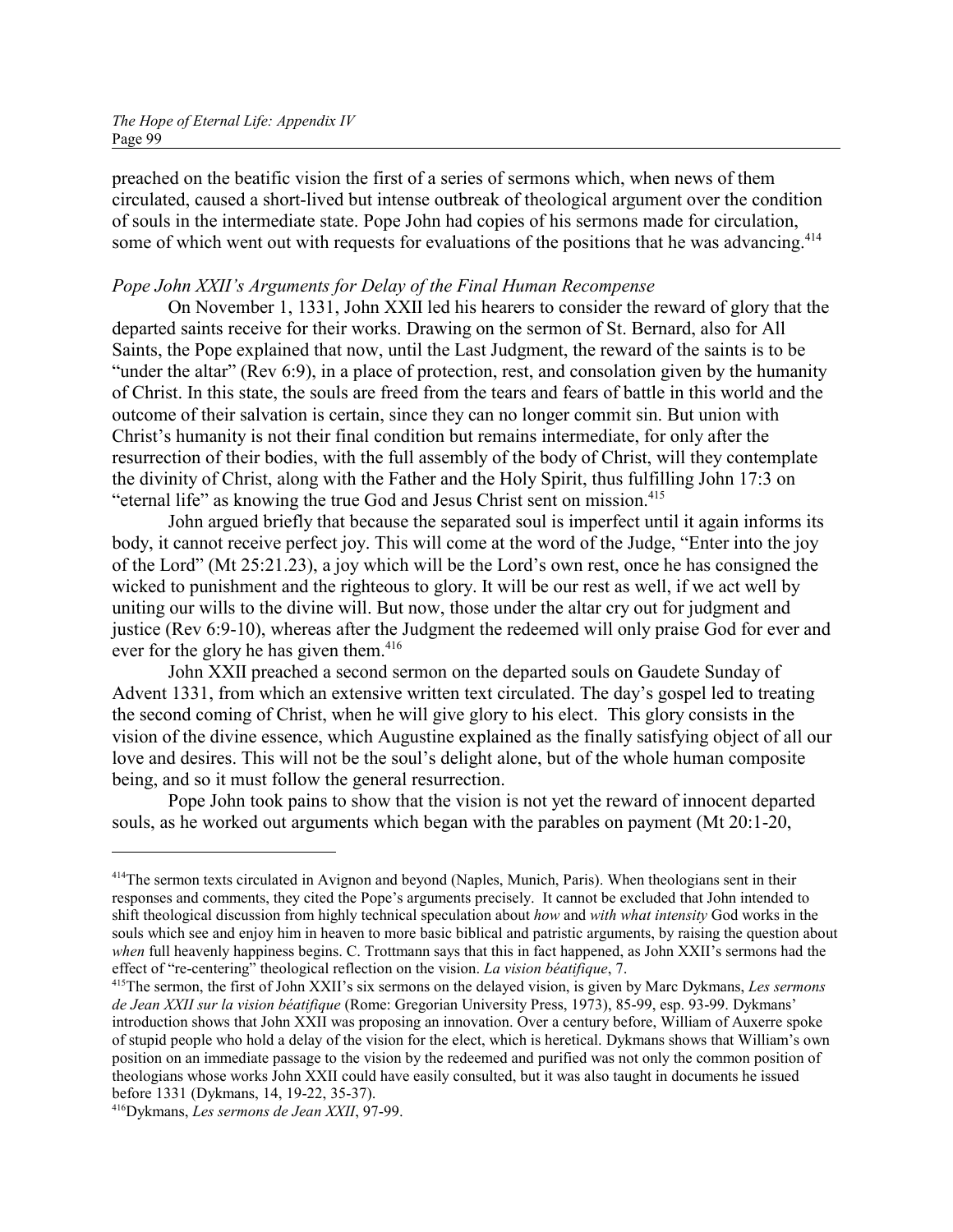preached on the beatific vision the first of a series of sermons which, when news of them circulated, caused a short-lived but intense outbreak of theological argument over the condition of souls in the intermediate state. Pope John had copies of his sermons made for circulation, some of which went out with requests for evaluations of the positions that he was advancing.<sup>414</sup>

#### Pope John XXII's Arguments for Delay of the Final Human Recompense

On November 1, 1331, John XXII led his hearers to consider the reward of glory that the departed saints receive for their works. Drawing on the sermon of St. Bernard, also for All Saints, the Pope explained that now, until the Last Judgment, the reward of the saints is to be "under the altar" (Rev 6:9), in a place of protection, rest, and consolation given by the humanity of Christ. In this state, the souls are freed from the tears and fears of battle in this world and the outcome of their salvation is certain, since they can no longer commit sin. But union with Christ's humanity is not their final condition but remains intermediate, for only after the resurrection of their bodies, with the full assembly of the body of Christ, will they contemplate the divinity of Christ, along with the Father and the Holy Spirit, thus fulfilling John 17:3 on "eternal life" as knowing the true God and Jesus Christ sent on mission.<sup>415</sup>

John argued briefly that because the separated soul is imperfect until it again informs its body, it cannot receive perfect joy. This will come at the word of the Judge, "Enter into the joy of the Lord" (Mt 25:21.23), a joy which will be the Lord's own rest, once he has consigned the wicked to punishment and the righteous to glory. It will be our rest as well, if we act well by uniting our wills to the divine will. But now, those under the altar cry out for judgment and justice (Rev 6:9-10), whereas after the Judgment the redeemed will only praise God for ever and ever for the glory he has given them.<sup>416</sup>

John XXII preached a second sermon on the departed souls on Gaudete Sunday of Advent 1331, from which an extensive written text circulated. The day's gospel led to treating the second coming of Christ, when he will give glory to his elect. This glory consists in the vision of the divine essence, which Augustine explained as the finally satisfying object of all our love and desires. This will not be the soul's delight alone, but of the whole human composite being, and so it must follow the general resurrection.

Pope John took pains to show that the vision is not yet the reward of innocent departed souls, as he worked out arguments which began with the parables on payment (Mt 20:1-20,

<sup>&</sup>lt;sup>414</sup>The sermon texts circulated in Avignon and beyond (Naples, Munich, Paris). When theologians sent in their responses and comments, they cited the Pope's arguments precisely. It cannot be excluded that John intended to shift theological discussion from highly technical speculation about how and with what intensity God works in the souls which see and enjoy him in heaven to more basic biblical and patristic arguments, by raising the question about when full heavenly happiness begins. C. Trottmann says that this in fact happened, as John XXII's sermons had the effect of "re-centering" theological reflection on the vision. La vision béatifique, 7.

<sup>&</sup>lt;sup>415</sup>The sermon, the first of John XXII's six sermons on the delayed vision, is given by Marc Dykmans, Les sermons de Jean XXII sur la vision béatifique (Rome: Gregorian University Press, 1973), 85-99, esp. 93-99. Dykmans' introduction shows that John XXII was proposing an innovation. Over a century before, William of Auxerre spoke of stupid people who hold a delay of the vision for the elect, which is heretical. Dykmans shows that William's own position on an immediate passage to the vision by the redeemed and purified was not only the common position of theologians whose works John XXII could have easily consulted, but it was also taught in documents he issued before 1331 (Dykmans, 14, 19-22, 35-37).

<sup>416</sup>Dykmans, Les sermons de Jean XXII, 97-99.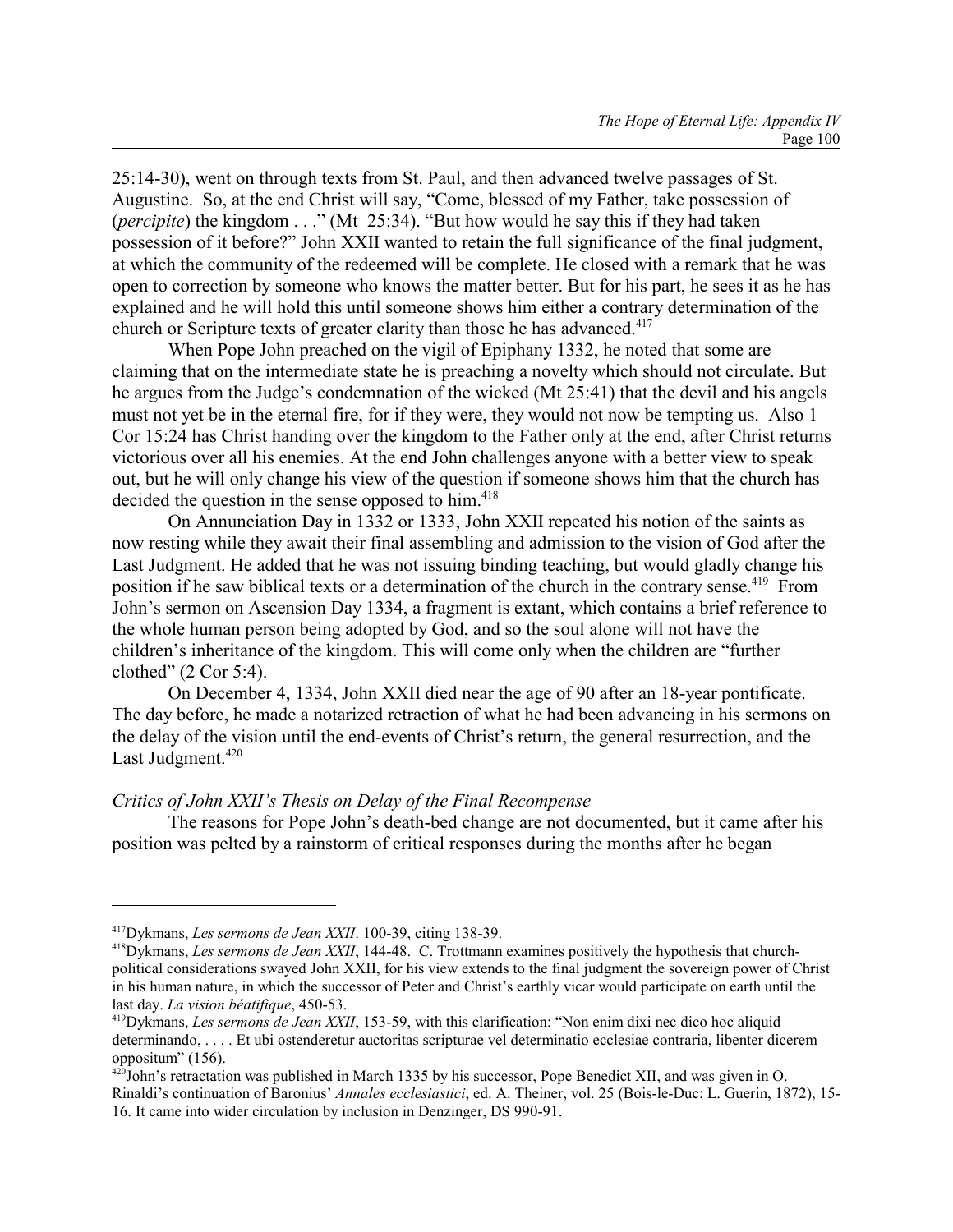25:14-30), went on through texts from St. Paul, and then advanced twelve passages of St. Augustine. So, at the end Christ will say, "Come, blessed of my Father, take possession of (*percipite*) the kingdom  $\ldots$  " (Mt 25:34). "But how would he say this if they had taken possession of it before?" John XXII wanted to retain the full significance of the final judgment, at which the community of the redeemed will be complete. He closed with a remark that he was open to correction by someone who knows the matter better. But for his part, he sees it as he has explained and he will hold this until someone shows him either a contrary determination of the church or Scripture texts of greater clarity than those he has advanced.<sup>417</sup>

When Pope John preached on the vigil of Epiphany 1332, he noted that some are claiming that on the intermediate state he is preaching a novelty which should not circulate. But he argues from the Judge's condemnation of the wicked (Mt 25:41) that the devil and his angels must not yet be in the eternal fire, for if they were, they would not now be tempting us. Also 1 Cor 15:24 has Christ handing over the kingdom to the Father only at the end, after Christ returns victorious over all his enemies. At the end John challenges anyone with a better view to speak out, but he will only change his view of the question if someone shows him that the church has decided the question in the sense opposed to him.<sup>418</sup>

On Annunciation Day in 1332 or 1333, John XXII repeated his notion of the saints as now resting while they await their final assembling and admission to the vision of God after the Last Judgment. He added that he was not issuing binding teaching, but would gladly change his position if he saw biblical texts or a determination of the church in the contrary sense.<sup>419</sup> From John's sermon on Ascension Day 1334, a fragment is extant, which contains a brief reference to the whole human person being adopted by God, and so the soul alone will not have the children's inheritance of the kingdom. This will come only when the children are "further clothed" (2 Cor 5:4).

On December 4, 1334, John XXII died near the age of 90 after an 18-year pontificate. The day before, he made a notarized retraction of what he had been advancing in his sermons on the delay of the vision until the end-events of Christ's return, the general resurrection, and the Last Judgment. $420$ 

### Critics of John XXII's Thesis on Delay of the Final Recompense

The reasons for Pope John's death-bed change are not documented, but it came after his position was pelted by a rainstorm of critical responses during the months after he began

<sup>417</sup>Dykmans, Les sermons de Jean XXII. 100-39, citing 138-39.

<sup>&</sup>lt;sup>418</sup>Dykmans, Les sermons de Jean XXII, 144-48. C. Trottmann examines positively the hypothesis that churchpolitical considerations swayed John XXII, for his view extends to the final judgment the sovereign power of Christ in his human nature, in which the successor of Peter and Christ's earthly vicar would participate on earth until the last day. La vision béatifique, 450-53.

 $^{419}$ Dykmans, Les sermons de Jean XXII, 153-59, with this clarification: "Non enim dixi nec dico hoc aliquid determinando, . . . . Et ubi ostenderetur auctoritas scripturae vel determinatio ecclesiae contraria, libenter dicerem oppositum" (156).

 $420$ John's retractation was published in March 1335 by his successor, Pope Benedict XII, and was given in O. Rinaldi's continuation of Baronius' Annales ecclesiastici, ed. A. Theiner, vol. 25 (Bois-le-Duc: L. Guerin, 1872), 15- 16. It came into wider circulation by inclusion in Denzinger, DS 990-91.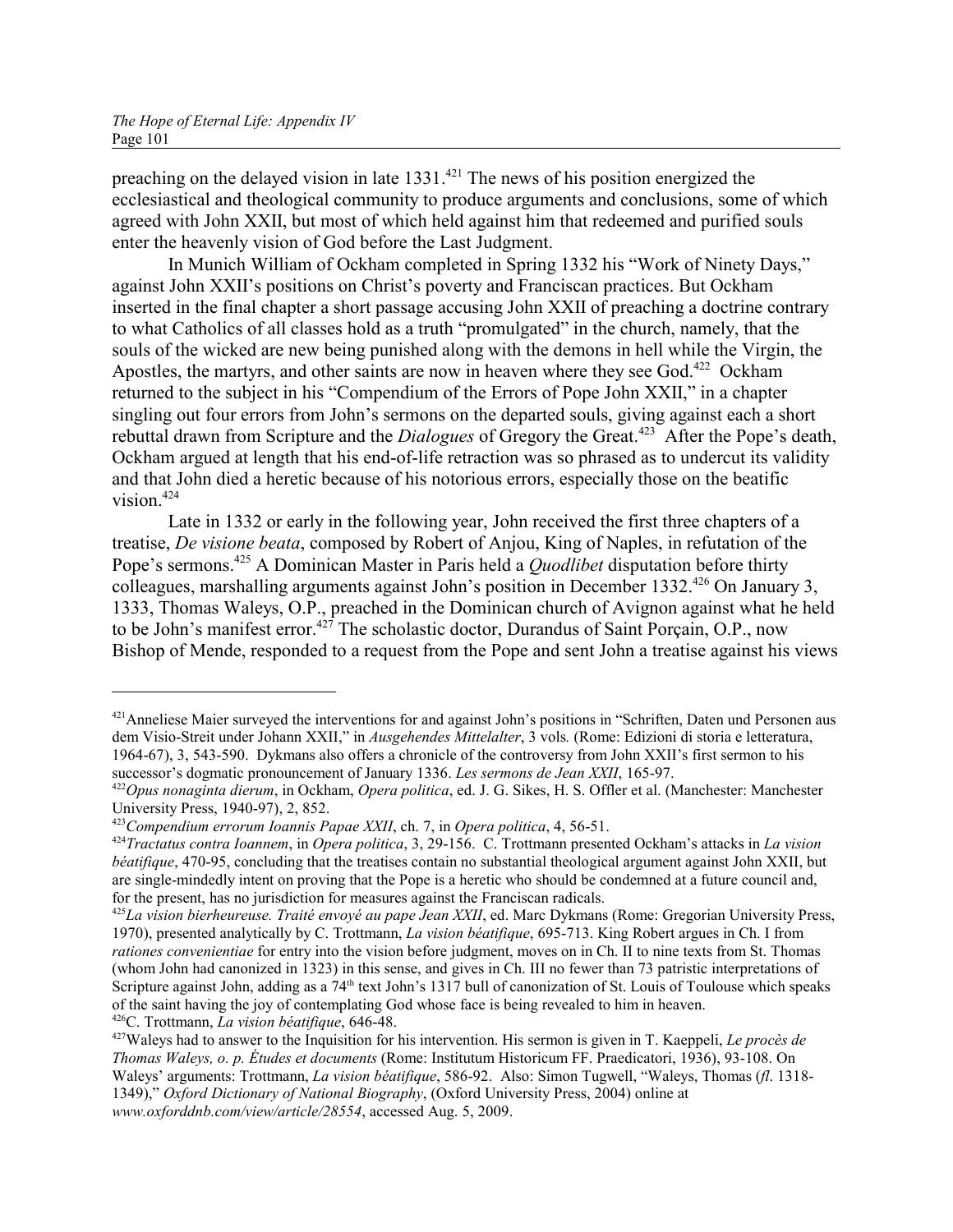preaching on the delayed vision in late  $1331^{421}$  The news of his position energized the ecclesiastical and theological community to produce arguments and conclusions, some of which agreed with John XXII, but most of which held against him that redeemed and purified souls enter the heavenly vision of God before the Last Judgment.

In Munich William of Ockham completed in Spring 1332 his "Work of Ninety Days," against John XXII's positions on Christ's poverty and Franciscan practices. But Ockham inserted in the final chapter a short passage accusing John XXII of preaching a doctrine contrary to what Catholics of all classes hold as a truth "promulgated" in the church, namely, that the souls of the wicked are new being punished along with the demons in hell while the Virgin, the Apostles, the martyrs, and other saints are now in heaven where they see God.<sup>422</sup> Ockham returned to the subject in his "Compendium of the Errors of Pope John XXII," in a chapter singling out four errors from John's sermons on the departed souls, giving against each a short rebuttal drawn from Scripture and the *Dialogues* of Gregory the Great.<sup>423</sup> After the Pope's death, Ockham argued at length that his end-of-life retraction was so phrased as to undercut its validity and that John died a heretic because of his notorious errors, especially those on the beatific vision.<sup>424</sup>

Late in 1332 or early in the following year, John received the first three chapters of a treatise, De visione beata, composed by Robert of Anjou, King of Naples, in refutation of the Pope's sermons.<sup>425</sup> A Dominican Master in Paris held a *Quodlibet* disputation before thirty colleagues, marshalling arguments against John's position in December 1332.<sup>426</sup> On January 3, 1333, Thomas Waleys, O.P., preached in the Dominican church of Avignon against what he held to be John's manifest error. $427$  The scholastic doctor, Durandus of Saint Porçain, O.P., now Bishop of Mende, responded to a request from the Pope and sent John a treatise against his views

<sup>&</sup>lt;sup>421</sup> Anneliese Maier surveyed the interventions for and against John's positions in "Schriften, Daten und Personen aus dem Visio-Streit under Johann XXII," in Ausgehendes Mittelalter, 3 vols. (Rome: Edizioni di storia e letteratura, 1964-67), 3, 543-590. Dykmans also offers a chronicle of the controversy from John XXII's first sermon to his successor's dogmatic pronouncement of January 1336. Les sermons de Jean XXII, 165-97.

<sup>422</sup> Opus nonaginta dierum, in Ockham, Opera politica, ed. J. G. Sikes, H. S. Offler et al. (Manchester: Manchester University Press, 1940-97), 2, 852.

<sup>423</sup> Compendium errorum Ioannis Papae XXII, ch. 7, in Opera politica, 4, 56-51.

<sup>424</sup> Tractatus contra Ioannem, in Opera politica, 3, 29-156. C. Trottmann presented Ockham's attacks in La vision béatifique, 470-95, concluding that the treatises contain no substantial theological argument against John XXII, but are single-mindedly intent on proving that the Pope is a heretic who should be condemned at a future council and, for the present, has no jurisdiction for measures against the Franciscan radicals.

 $425$ La vision bierheureuse. Traité envoyé au pape Jean XXII, ed. Marc Dykmans (Rome: Gregorian University Press, 1970), presented analytically by C. Trottmann, La vision béatifique, 695-713. King Robert argues in Ch. I from rationes convenientiae for entry into the vision before judgment, moves on in Ch. II to nine texts from St. Thomas (whom John had canonized in 1323) in this sense, and gives in Ch. III no fewer than 73 patristic interpretations of Scripture against John, adding as a 74<sup>th</sup> text John's 1317 bull of canonization of St. Louis of Toulouse which speaks of the saint having the joy of contemplating God whose face is being revealed to him in heaven. <sup>426</sup>C. Trottmann, La vision béatifique, 646-48.

 $427$ Waleys had to answer to the Inquisition for his intervention. His sermon is given in T. Kaeppeli, Le procès de Thomas Waleys, o. p. Études et documents (Rome: Institutum Historicum FF. Praedicatori, 1936), 93-108. On Waleys' arguments: Trottmann, La vision béatifique, 586-92. Also: Simon Tugwell, "Waleys, Thomas (fl. 1318-1349)," Oxford Dictionary of National Biography, (Oxford University Press, 2004) online at www.oxforddnb.com/view/article/28554, accessed Aug. 5, 2009.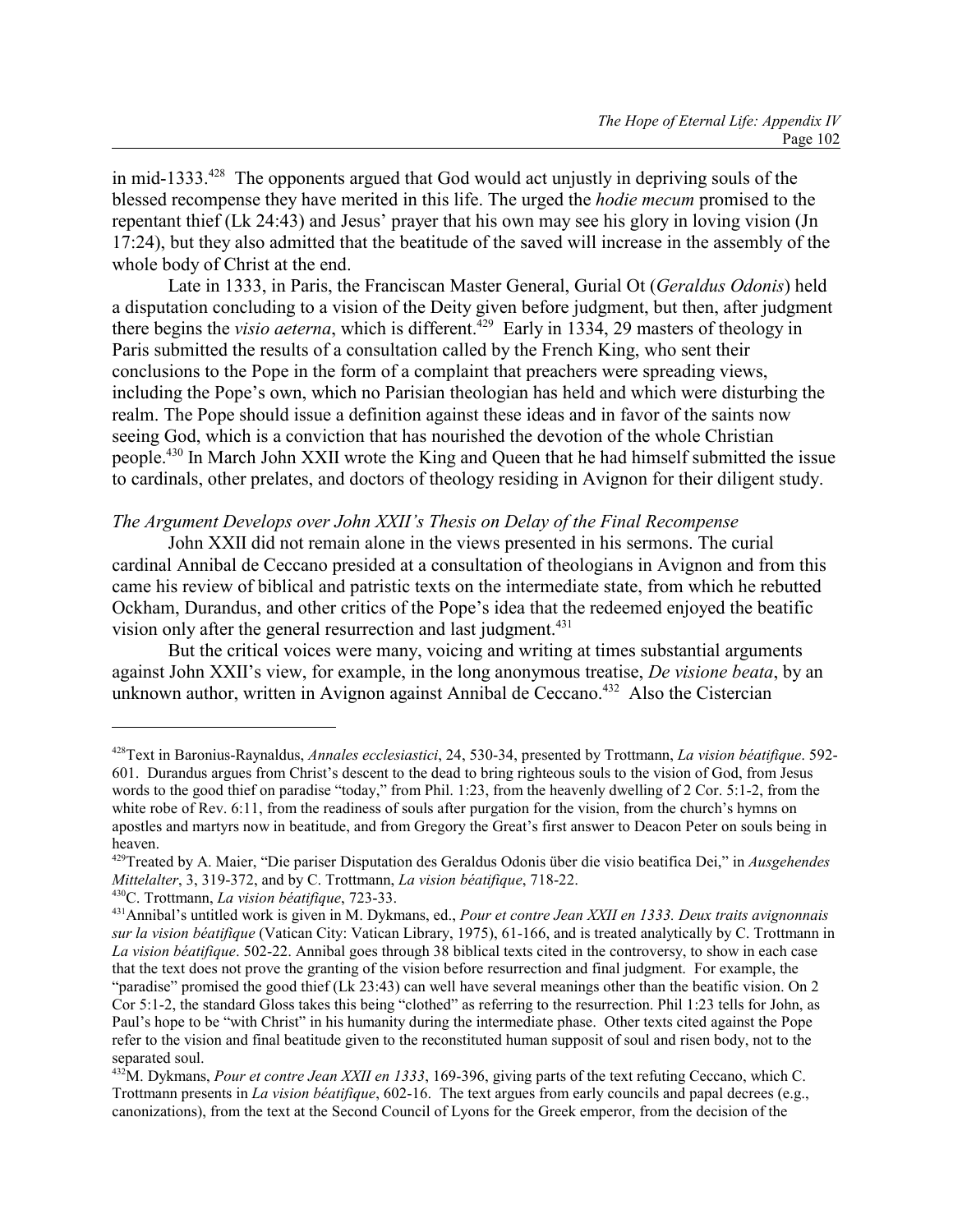in mid-1333.<sup>428</sup> The opponents argued that God would act unjustly in depriving souls of the blessed recompense they have merited in this life. The urged the hodie mecum promised to the repentant thief (Lk 24:43) and Jesus' prayer that his own may see his glory in loving vision (Jn 17:24), but they also admitted that the beatitude of the saved will increase in the assembly of the whole body of Christ at the end.

Late in 1333, in Paris, the Franciscan Master General, Gurial Ot (Geraldus Odonis) held a disputation concluding to a vision of the Deity given before judgment, but then, after judgment there begins the visio aeterna, which is different.<sup>429</sup> Early in 1334, 29 masters of theology in Paris submitted the results of a consultation called by the French King, who sent their conclusions to the Pope in the form of a complaint that preachers were spreading views, including the Pope's own, which no Parisian theologian has held and which were disturbing the realm. The Pope should issue a definition against these ideas and in favor of the saints now seeing God, which is a conviction that has nourished the devotion of the whole Christian people.<sup>430</sup> In March John XXII wrote the King and Queen that he had himself submitted the issue to cardinals, other prelates, and doctors of theology residing in Avignon for their diligent study.

#### The Argument Develops over John XXII's Thesis on Delay of the Final Recompense

John XXII did not remain alone in the views presented in his sermons. The curial cardinal Annibal de Ceccano presided at a consultation of theologians in Avignon and from this came his review of biblical and patristic texts on the intermediate state, from which he rebutted Ockham, Durandus, and other critics of the Pope's idea that the redeemed enjoyed the beatific vision only after the general resurrection and last judgment.<sup>431</sup>

But the critical voices were many, voicing and writing at times substantial arguments against John XXII's view, for example, in the long anonymous treatise, De visione beata, by an unknown author, written in Avignon against Annibal de Ceccano.<sup>432</sup> Also the Cistercian

 $428$ Text in Baronius-Raynaldus, Annales ecclesiastici, 24, 530-34, presented by Trottmann, La vision béatifique. 592-601. Durandus argues from Christ's descent to the dead to bring righteous souls to the vision of God, from Jesus words to the good thief on paradise "today," from Phil. 1:23, from the heavenly dwelling of 2 Cor. 5:1-2, from the white robe of Rev. 6:11, from the readiness of souls after purgation for the vision, from the church's hymns on apostles and martyrs now in beatitude, and from Gregory the Great's first answer to Deacon Peter on souls being in heaven.

 $429$ Treated by A. Maier, "Die pariser Disputation des Geraldus Odonis über die visio beatifica Dei," in Ausgehendes Mittelalter, 3, 319-372, and by C. Trottmann, La vision béatifique, 718-22.

<sup>430</sup>C. Trottmann, La vision béatifique, 723-33.

 $431$ Annibal's untitled work is given in M. Dykmans, ed., *Pour et contre Jean XXII en 1333. Deux traits avignonnais* sur la vision béatifique (Vatican City: Vatican Library, 1975), 61-166, and is treated analytically by C. Trottmann in La vision béatifique. 502-22. Annibal goes through 38 biblical texts cited in the controversy, to show in each case that the text does not prove the granting of the vision before resurrection and final judgment. For example, the "paradise" promised the good thief (Lk 23:43) can well have several meanings other than the beatific vision. On 2 Cor 5:1-2, the standard Gloss takes this being "clothed" as referring to the resurrection. Phil 1:23 tells for John, as Paul's hope to be "with Christ" in his humanity during the intermediate phase. Other texts cited against the Pope refer to the vision and final beatitude given to the reconstituted human supposit of soul and risen body, not to the separated soul.

<sup>&</sup>lt;sup>432</sup>M. Dykmans, Pour et contre Jean XXII en 1333, 169-396, giving parts of the text refuting Ceccano, which C. Trottmann presents in *La vision béatifique*, 602-16. The text argues from early councils and papal decrees (e.g., canonizations), from the text at the Second Council of Lyons for the Greek emperor, from the decision of the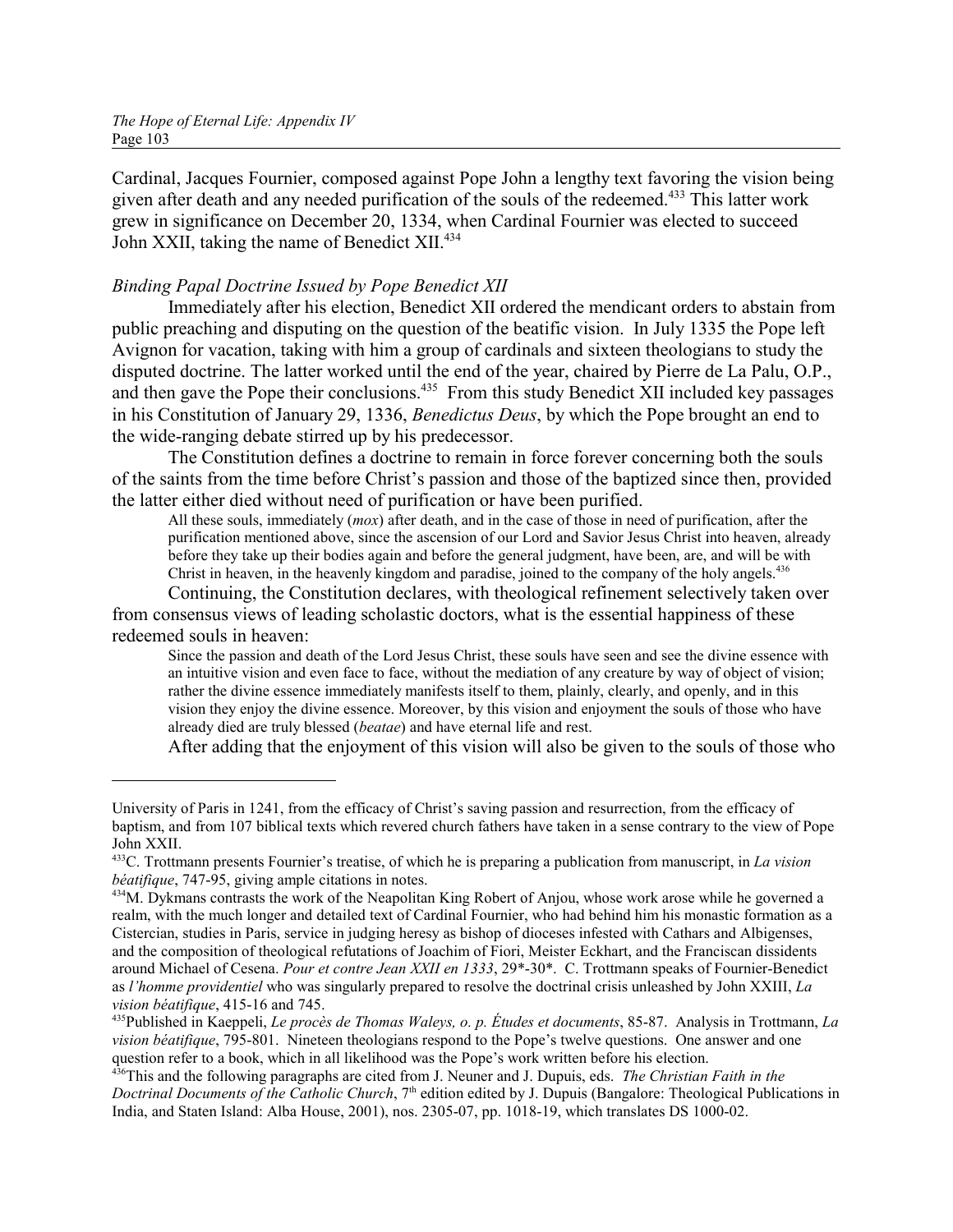Cardinal, Jacques Fournier, composed against Pope John a lengthy text favoring the vision being given after death and any needed purification of the souls of the redeemed.<sup>433</sup> This latter work grew in significance on December 20, 1334, when Cardinal Fournier was elected to succeed John XXII, taking the name of Benedict XII.<sup>434</sup>

#### Binding Papal Doctrine Issued by Pope Benedict XII

Immediately after his election, Benedict XII ordered the mendicant orders to abstain from public preaching and disputing on the question of the beatific vision. In July 1335 the Pope left Avignon for vacation, taking with him a group of cardinals and sixteen theologians to study the disputed doctrine. The latter worked until the end of the year, chaired by Pierre de La Palu, O.P., and then gave the Pope their conclusions.<sup>435</sup> From this study Benedict XII included key passages in his Constitution of January 29, 1336, Benedictus Deus, by which the Pope brought an end to the wide-ranging debate stirred up by his predecessor.

The Constitution defines a doctrine to remain in force forever concerning both the souls of the saints from the time before Christ's passion and those of the baptized since then, provided the latter either died without need of purification or have been purified.

All these souls, immediately  $(mox)$  after death, and in the case of those in need of purification, after the purification mentioned above, since the ascension of our Lord and Savior Jesus Christ into heaven, already before they take up their bodies again and before the general judgment, have been, are, and will be with Christ in heaven, in the heavenly kingdom and paradise, joined to the company of the holy angels.<sup>436</sup>

Continuing, the Constitution declares, with theological refinement selectively taken over from consensus views of leading scholastic doctors, what is the essential happiness of these redeemed souls in heaven:

Since the passion and death of the Lord Jesus Christ, these souls have seen and see the divine essence with an intuitive vision and even face to face, without the mediation of any creature by way of object of vision; rather the divine essence immediately manifests itself to them, plainly, clearly, and openly, and in this vision they enjoy the divine essence. Moreover, by this vision and enjoyment the souls of those who have already died are truly blessed (beatae) and have eternal life and rest.

After adding that the enjoyment of this vision will also be given to the souls of those who

University of Paris in 1241, from the efficacy of Christ's saving passion and resurrection, from the efficacy of baptism, and from 107 biblical texts which revered church fathers have taken in a sense contrary to the view of Pope John XXII.

 $433$ C. Trottmann presents Fournier's treatise, of which he is preparing a publication from manuscript, in La vision béatifique, 747-95, giving ample citations in notes.

<sup>&</sup>lt;sup>434</sup>M. Dykmans contrasts the work of the Neapolitan King Robert of Anjou, whose work arose while he governed a realm, with the much longer and detailed text of Cardinal Fournier, who had behind him his monastic formation as a Cistercian, studies in Paris, service in judging heresy as bishop of dioceses infested with Cathars and Albigenses, and the composition of theological refutations of Joachim of Fiori, Meister Eckhart, and the Franciscan dissidents around Michael of Cesena. Pour et contre Jean XXII en 1333, 29\*-30\*. C. Trottmann speaks of Fournier-Benedict as *l'homme providentiel* who was singularly prepared to resolve the doctrinal crisis unleashed by John XXIII, La vision béatifique, 415-16 and 745.

 $^{435}$ Published in Kaeppeli, Le procès de Thomas Waleys, o. p. Études et documents, 85-87. Analysis in Trottmann, La vision béatifique, 795-801. Nineteen theologians respond to the Pope's twelve questions. One answer and one question refer to a book, which in all likelihood was the Pope's work written before his election.

 $436$ This and the following paragraphs are cited from J. Neuner and J. Dupuis, eds. The Christian Faith in the Doctrinal Documents of the Catholic Church,  $7<sup>th</sup>$  edition edited by J. Dupuis (Bangalore: Theological Publications in India, and Staten Island: Alba House, 2001), nos. 2305-07, pp. 1018-19, which translates DS 1000-02.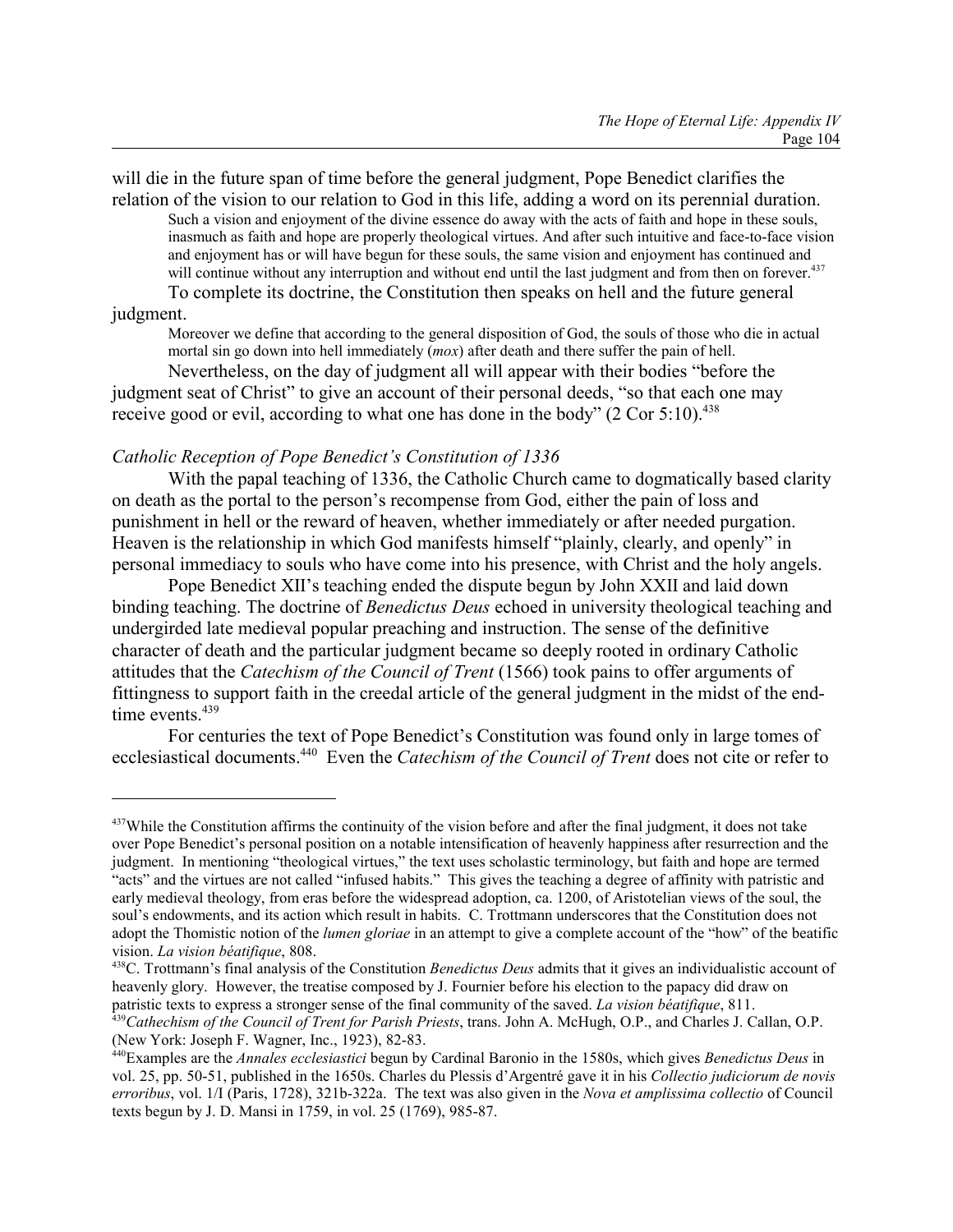will die in the future span of time before the general judgment, Pope Benedict clarifies the relation of the vision to our relation to God in this life, adding a word on its perennial duration.

Such a vision and enjoyment of the divine essence do away with the acts of faith and hope in these souls, inasmuch as faith and hope are properly theological virtues. And after such intuitive and face-to-face vision and enjoyment has or will have begun for these souls, the same vision and enjoyment has continued and will continue without any interruption and without end until the last judgment and from then on forever.<sup>437</sup> To complete its doctrine, the Constitution then speaks on hell and the future general

## judgment.

Moreover we define that according to the general disposition of God, the souls of those who die in actual mortal sin go down into hell immediately (*mox*) after death and there suffer the pain of hell.

Nevertheless, on the day of judgment all will appear with their bodies "before the judgment seat of Christ" to give an account of their personal deeds, "so that each one may receive good or evil, according to what one has done in the body"  $(2 \text{ Cor } 5:10)^{438}$ 

## Catholic Reception of Pope Benedict's Constitution of 1336

With the papal teaching of 1336, the Catholic Church came to dogmatically based clarity on death as the portal to the person's recompense from God, either the pain of loss and punishment in hell or the reward of heaven, whether immediately or after needed purgation. Heaven is the relationship in which God manifests himself "plainly, clearly, and openly" in personal immediacy to souls who have come into his presence, with Christ and the holy angels.

Pope Benedict XII's teaching ended the dispute begun by John XXII and laid down binding teaching. The doctrine of *Benedictus Deus* echoed in university theological teaching and undergirded late medieval popular preaching and instruction. The sense of the definitive character of death and the particular judgment became so deeply rooted in ordinary Catholic attitudes that the Catechism of the Council of Trent (1566) took pains to offer arguments of fittingness to support faith in the creedal article of the general judgment in the midst of the endtime events  $439$ 

For centuries the text of Pope Benedict's Constitution was found only in large tomes of ecclesiastical documents.<sup>440</sup> Even the Catechism of the Council of Trent does not cite or refer to

<sup>&</sup>lt;sup>437</sup>While the Constitution affirms the continuity of the vision before and after the final judgment, it does not take over Pope Benedict's personal position on a notable intensification of heavenly happiness after resurrection and the judgment. In mentioning "theological virtues," the text uses scholastic terminology, but faith and hope are termed "acts" and the virtues are not called "infused habits." This gives the teaching a degree of affinity with patristic and early medieval theology, from eras before the widespread adoption, ca. 1200, of Aristotelian views of the soul, the soul's endowments, and its action which result in habits. C. Trottmann underscores that the Constitution does not adopt the Thomistic notion of the *lumen gloriae* in an attempt to give a complete account of the "how" of the beatific vision. La vision béatifique, 808.

 $438$ C. Trottmann's final analysis of the Constitution *Benedictus Deus* admits that it gives an individualistic account of heavenly glory. However, the treatise composed by J. Fournier before his election to the papacy did draw on patristic texts to express a stronger sense of the final community of the saved. La vision béatifique, 811.

<sup>439</sup> Cathechism of the Council of Trent for Parish Priests, trans. John A. McHugh, O.P., and Charles J. Callan, O.P. (New York: Joseph F. Wagner, Inc., 1923), 82-83.

<sup>&</sup>lt;sup>440</sup>Examples are the Annales ecclesiastici begun by Cardinal Baronio in the 1580s, which gives Benedictus Deus in vol. 25, pp. 50-51, published in the 1650s. Charles du Plessis d'Argentré gave it in his Collectio judiciorum de novis erroribus, vol. 1/I (Paris, 1728), 321b-322a. The text was also given in the Nova et amplissima collectio of Council texts begun by J. D. Mansi in 1759, in vol. 25 (1769), 985-87.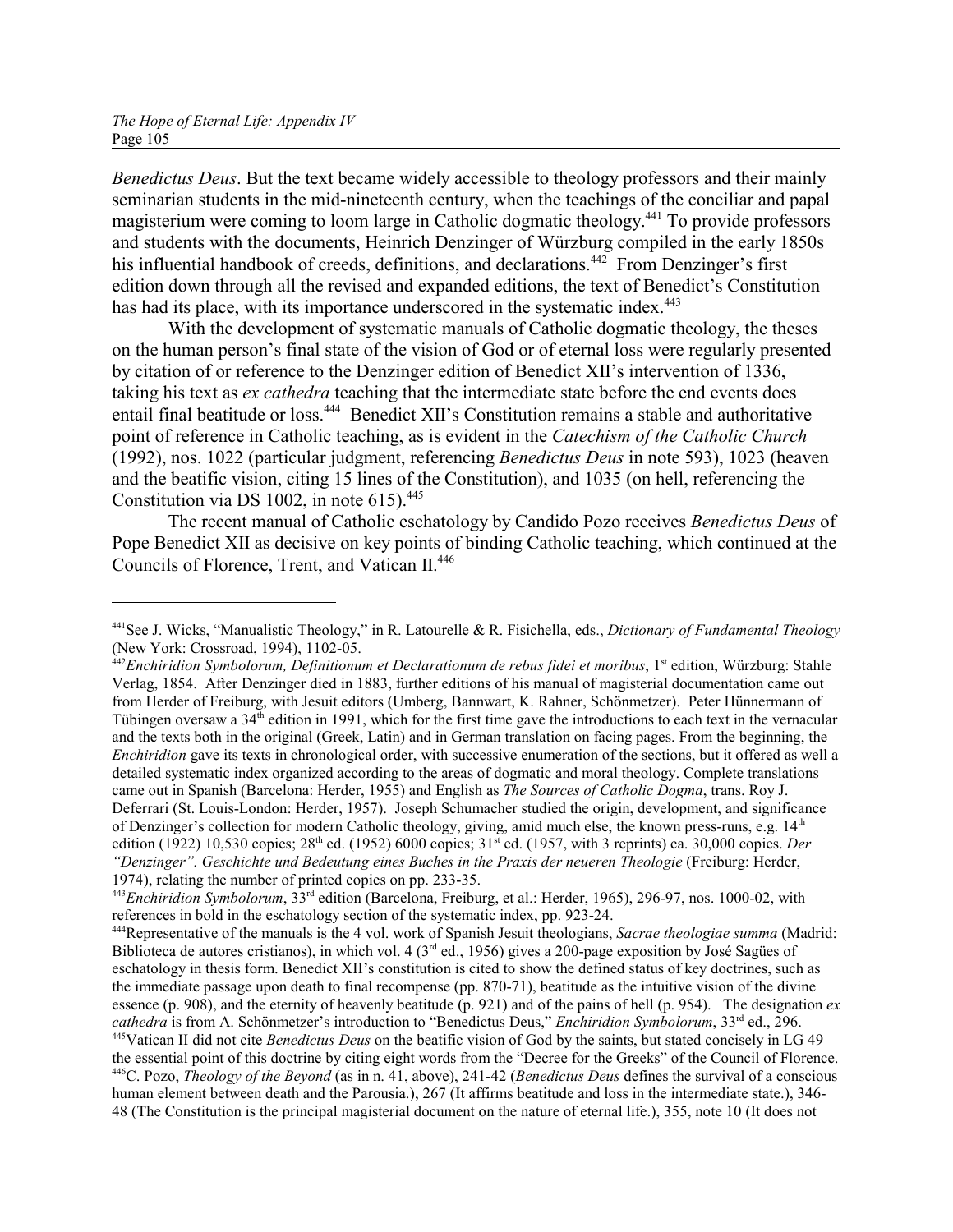Benedictus Deus. But the text became widely accessible to theology professors and their mainly seminarian students in the mid-nineteenth century, when the teachings of the conciliar and papal magisterium were coming to loom large in Catholic dogmatic theology.<sup>441</sup> To provide professors and students with the documents, Heinrich Denzinger of Würzburg compiled in the early 1850s his influential handbook of creeds, definitions, and declarations.<sup>442</sup> From Denzinger's first edition down through all the revised and expanded editions, the text of Benedict's Constitution has had its place, with its importance underscored in the systematic index.<sup>443</sup>

With the development of systematic manuals of Catholic dogmatic theology, the theses on the human person's final state of the vision of God or of eternal loss were regularly presented by citation of or reference to the Denzinger edition of Benedict XII's intervention of 1336, taking his text as *ex cathedra* teaching that the intermediate state before the end events does entail final beatitude or loss.<sup>444</sup> Benedict XII's Constitution remains a stable and authoritative point of reference in Catholic teaching, as is evident in the Catechism of the Catholic Church (1992), nos. 1022 (particular judgment, referencing Benedictus Deus in note 593), 1023 (heaven and the beatific vision, citing 15 lines of the Constitution), and 1035 (on hell, referencing the Constitution via DS 1002, in note  $615$ ).<sup>445</sup>

The recent manual of Catholic eschatology by Candido Pozo receives Benedictus Deus of Pope Benedict XII as decisive on key points of binding Catholic teaching, which continued at the Councils of Florence, Trent, and Vatican II.446

<sup>&</sup>lt;sup>441</sup>See J. Wicks, "Manualistic Theology," in R. Latourelle & R. Fisichella, eds., *Dictionary of Fundamental Theology* (New York: Crossroad, 1994), 1102-05.

<sup>&</sup>lt;sup>442</sup>Enchiridion Symbolorum, Definitionum et Declarationum de rebus fidei et moribus, 1<sup>st</sup> edition, Würzburg: Stahle Verlag, 1854. After Denzinger died in 1883, further editions of his manual of magisterial documentation came out from Herder of Freiburg, with Jesuit editors (Umberg, Bannwart, K. Rahner, Schönmetzer). Peter Hünnermann of Tübingen oversaw a  $34<sup>th</sup>$  edition in 1991, which for the first time gave the introductions to each text in the vernacular and the texts both in the original (Greek, Latin) and in German translation on facing pages. From the beginning, the Enchiridion gave its texts in chronological order, with successive enumeration of the sections, but it offered as well a detailed systematic index organized according to the areas of dogmatic and moral theology. Complete translations came out in Spanish (Barcelona: Herder, 1955) and English as The Sources of Catholic Dogma, trans. Roy J. Deferrari (St. Louis-London: Herder, 1957). Joseph Schumacher studied the origin, development, and significance of Denzinger's collection for modern Catholic theology, giving, amid much else, the known press-runs, e.g. 14<sup>th</sup> edition (1922) 10,530 copies;  $28<sup>th</sup>$  ed. (1952) 6000 copies;  $31<sup>st</sup>$  ed. (1957, with 3 reprints) ca. 30,000 copies. Der "Denzinger". Geschichte und Bedeutung eines Buches in the Praxis der neueren Theologie (Freiburg: Herder, 1974), relating the number of printed copies on pp. 233-35.

<sup>443</sup>Enchiridion Symbolorum, 33<sup>rd</sup> edition (Barcelona, Freiburg, et al.: Herder, 1965), 296-97, nos. 1000-02, with references in bold in the eschatology section of the systematic index, pp. 923-24.

<sup>444</sup>Representative of the manuals is the 4 vol. work of Spanish Jesuit theologians, Sacrae theologiae summa (Madrid: Biblioteca de autores cristianos), in which vol. 4 (3<sup>rd</sup> ed., 1956) gives a 200-page exposition by José Sagües of eschatology in thesis form. Benedict XII's constitution is cited to show the defined status of key doctrines, such as the immediate passage upon death to final recompense (pp. 870-71), beatitude as the intuitive vision of the divine essence (p. 908), and the eternity of heavenly beatitude (p. 921) and of the pains of hell (p. 954). The designation  $ex$ cathedra is from A. Schönmetzer's introduction to "Benedictus Deus," Enchiridion Symbolorum, 33<sup>rd</sup> ed., 296.  $445$ Vatican II did not cite *Benedictus Deus* on the beatific vision of God by the saints, but stated concisely in LG 49 the essential point of this doctrine by citing eight words from the "Decree for the Greeks" of the Council of Florence. <sup>446</sup>C. Pozo, *Theology of the Beyond* (as in n. 41, above), 241-42 (*Benedictus Deus* defines the survival of a conscious human element between death and the Parousia.), 267 (It affirms beatitude and loss in the intermediate state.), 346- 48 (The Constitution is the principal magisterial document on the nature of eternal life.), 355, note 10 (It does not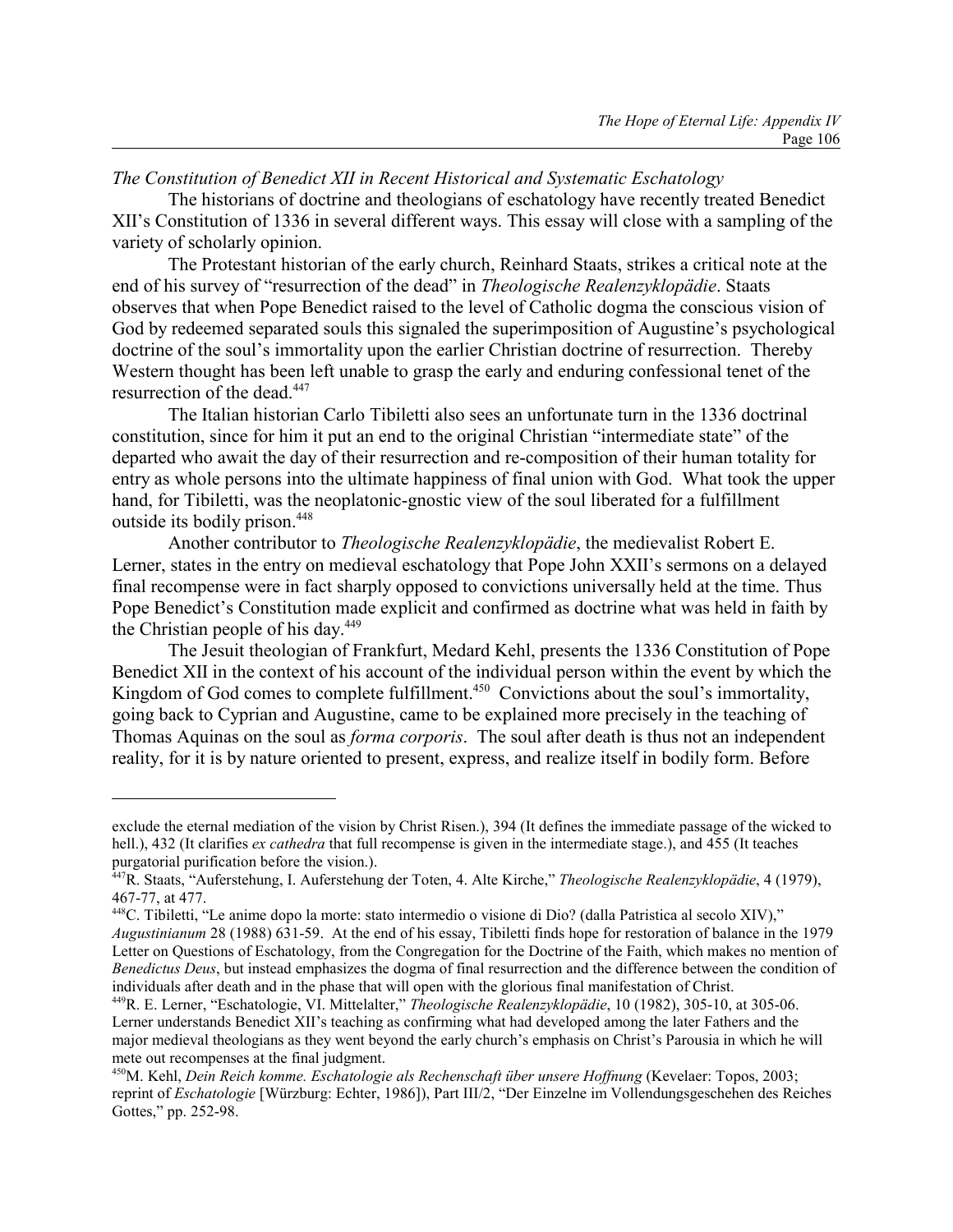The Constitution of Benedict XII in Recent Historical and Systematic Eschatology

The historians of doctrine and theologians of eschatology have recently treated Benedict XII's Constitution of 1336 in several different ways. This essay will close with a sampling of the variety of scholarly opinion.

The Protestant historian of the early church, Reinhard Staats, strikes a critical note at the end of his survey of "resurrection of the dead" in Theologische Realenzyklopädie. Staats observes that when Pope Benedict raised to the level of Catholic dogma the conscious vision of God by redeemed separated souls this signaled the superimposition of Augustine's psychological doctrine of the soul's immortality upon the earlier Christian doctrine of resurrection. Thereby Western thought has been left unable to grasp the early and enduring confessional tenet of the resurrection of the dead.<sup>447</sup>

The Italian historian Carlo Tibiletti also sees an unfortunate turn in the 1336 doctrinal constitution, since for him it put an end to the original Christian "intermediate state" of the departed who await the day of their resurrection and re-composition of their human totality for entry as whole persons into the ultimate happiness of final union with God. What took the upper hand, for Tibiletti, was the neoplatonic-gnostic view of the soul liberated for a fulfillment outside its bodily prison.<sup>448</sup>

Another contributor to Theologische Realenzyklopädie, the medievalist Robert E. Lerner, states in the entry on medieval eschatology that Pope John XXII's sermons on a delayed final recompense were in fact sharply opposed to convictions universally held at the time. Thus Pope Benedict's Constitution made explicit and confirmed as doctrine what was held in faith by the Christian people of his day.<sup>449</sup>

The Jesuit theologian of Frankfurt, Medard Kehl, presents the 1336 Constitution of Pope Benedict XII in the context of his account of the individual person within the event by which the Kingdom of God comes to complete fulfillment.<sup>450</sup> Convictions about the soul's immortality, going back to Cyprian and Augustine, came to be explained more precisely in the teaching of Thomas Aquinas on the soul as *forma corporis*. The soul after death is thus not an independent reality, for it is by nature oriented to present, express, and realize itself in bodily form. Before

exclude the eternal mediation of the vision by Christ Risen.), 394 (It defines the immediate passage of the wicked to hell.), 432 (It clarifies ex cathedra that full recompense is given in the intermediate stage.), and 455 (It teaches purgatorial purification before the vision.).

<sup>&</sup>lt;sup>447</sup>R. Staats, "Auferstehung, I. Auferstehung der Toten, 4. Alte Kirche," Theologische Realenzyklopädie, 4 (1979), 467-77, at 477.

<sup>448</sup>C. Tibiletti, "Le anime dopo la morte: stato intermedio o visione di Dio? (dalla Patristica al secolo XIV)," Augustinianum 28 (1988) 631-59. At the end of his essay, Tibiletti finds hope for restoration of balance in the 1979 Letter on Questions of Eschatology, from the Congregation for the Doctrine of the Faith, which makes no mention of

Benedictus Deus, but instead emphasizes the dogma of final resurrection and the difference between the condition of individuals after death and in the phase that will open with the glorious final manifestation of Christ.

<sup>&</sup>lt;sup>449</sup>R. E. Lerner, "Eschatologie, VI. Mittelalter," Theologische Realenzyklopädie, 10 (1982), 305-10, at 305-06. Lerner understands Benedict XII's teaching as confirming what had developed among the later Fathers and the major medieval theologians as they went beyond the early church's emphasis on Christ's Parousia in which he will mete out recompenses at the final judgment.

<sup>450</sup>M. Kehl, Dein Reich komme. Eschatologie als Rechenschaft über unsere Hoffnung (Kevelaer: Topos, 2003; reprint of Eschatologie [Würzburg: Echter, 1986]), Part III/2, "Der Einzelne im Vollendungsgeschehen des Reiches Gottes," pp. 252-98.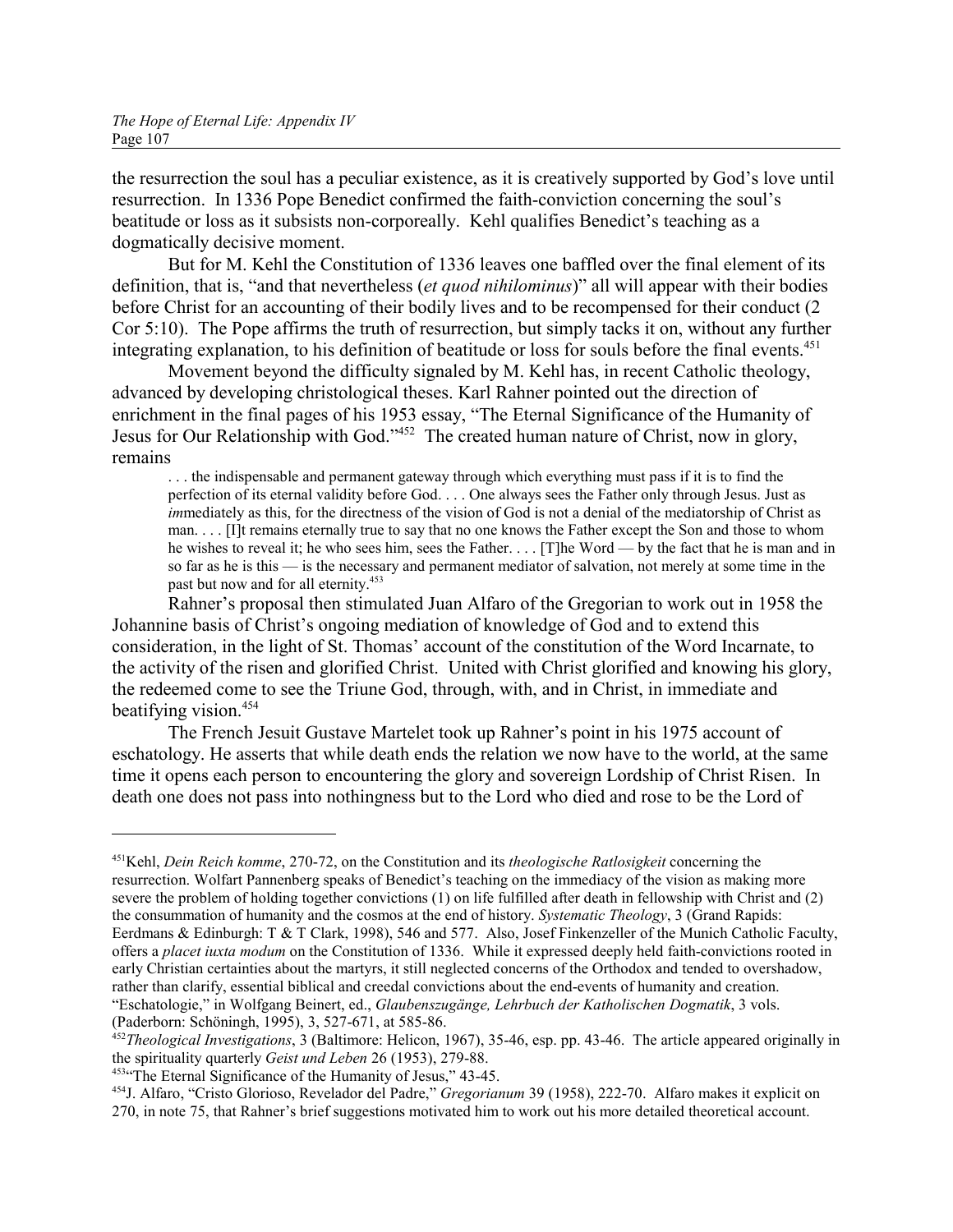the resurrection the soul has a peculiar existence, as it is creatively supported by God's love until resurrection. In 1336 Pope Benedict confirmed the faith-conviction concerning the soul's beatitude or loss as it subsists non-corporeally. Kehl qualifies Benedict's teaching as a dogmatically decisive moment.

But for M. Kehl the Constitution of 1336 leaves one baffled over the final element of its definition, that is, "and that nevertheless (*et quod nihilominus*)" all will appear with their bodies before Christ for an accounting of their bodily lives and to be recompensed for their conduct (2 Cor 5:10). The Pope affirms the truth of resurrection, but simply tacks it on, without any further integrating explanation, to his definition of beatitude or loss for souls before the final events.<sup>451</sup>

Movement beyond the difficulty signaled by M. Kehl has, in recent Catholic theology, advanced by developing christological theses. Karl Rahner pointed out the direction of enrichment in the final pages of his 1953 essay, "The Eternal Significance of the Humanity of Jesus for Our Relationship with God."<sup>452</sup> The created human nature of Christ, now in glory, remains

. . . the indispensable and permanent gateway through which everything must pass if it is to find the perfection of its eternal validity before God. . . . One always sees the Father only through Jesus. Just as immediately as this, for the directness of the vision of God is not a denial of the mediatorship of Christ as man. . . . [I]t remains eternally true to say that no one knows the Father except the Son and those to whom he wishes to reveal it; he who sees him, sees the Father. . . . [T]he Word — by the fact that he is man and in so far as he is this — is the necessary and permanent mediator of salvation, not merely at some time in the past but now and for all eternity.<sup>453</sup>

Rahner's proposal then stimulated Juan Alfaro of the Gregorian to work out in 1958 the Johannine basis of Christ's ongoing mediation of knowledge of God and to extend this consideration, in the light of St. Thomas' account of the constitution of the Word Incarnate, to the activity of the risen and glorified Christ. United with Christ glorified and knowing his glory, the redeemed come to see the Triune God, through, with, and in Christ, in immediate and beatifying vision.<sup>454</sup>

The French Jesuit Gustave Martelet took up Rahner's point in his 1975 account of eschatology. He asserts that while death ends the relation we now have to the world, at the same time it opens each person to encountering the glory and sovereign Lordship of Christ Risen. In death one does not pass into nothingness but to the Lord who died and rose to be the Lord of

(Paderborn: Schöningh, 1995), 3, 527-671, at 585-86.

 $^{451}$ Kehl, *Dein Reich komme*, 270-72, on the Constitution and its *theologische Ratlosigkeit* concerning the resurrection. Wolfart Pannenberg speaks of Benedict's teaching on the immediacy of the vision as making more severe the problem of holding together convictions (1) on life fulfilled after death in fellowship with Christ and (2) the consummation of humanity and the cosmos at the end of history. Systematic Theology, 3 (Grand Rapids: Eerdmans & Edinburgh: T & T Clark, 1998), 546 and 577. Also, Josef Finkenzeller of the Munich Catholic Faculty, offers a placet iuxta modum on the Constitution of 1336. While it expressed deeply held faith-convictions rooted in early Christian certainties about the martyrs, it still neglected concerns of the Orthodox and tended to overshadow, rather than clarify, essential biblical and creedal convictions about the end-events of humanity and creation. "Eschatologie," in Wolfgang Beinert, ed., Glaubenszugänge, Lehrbuch der Katholischen Dogmatik, 3 vols.

 $452$ Theological Investigations, 3 (Baltimore: Helicon, 1967), 35-46, esp. pp. 43-46. The article appeared originally in the spirituality quarterly Geist und Leben 26 (1953), 279-88.

<sup>453&</sup>quot;The Eternal Significance of the Humanity of Jesus," 43-45.

<sup>454</sup>J. Alfaro, "Cristo Glorioso, Revelador del Padre," Gregorianum 39 (1958), 222-70. Alfaro makes it explicit on 270, in note 75, that Rahner's brief suggestions motivated him to work out his more detailed theoretical account.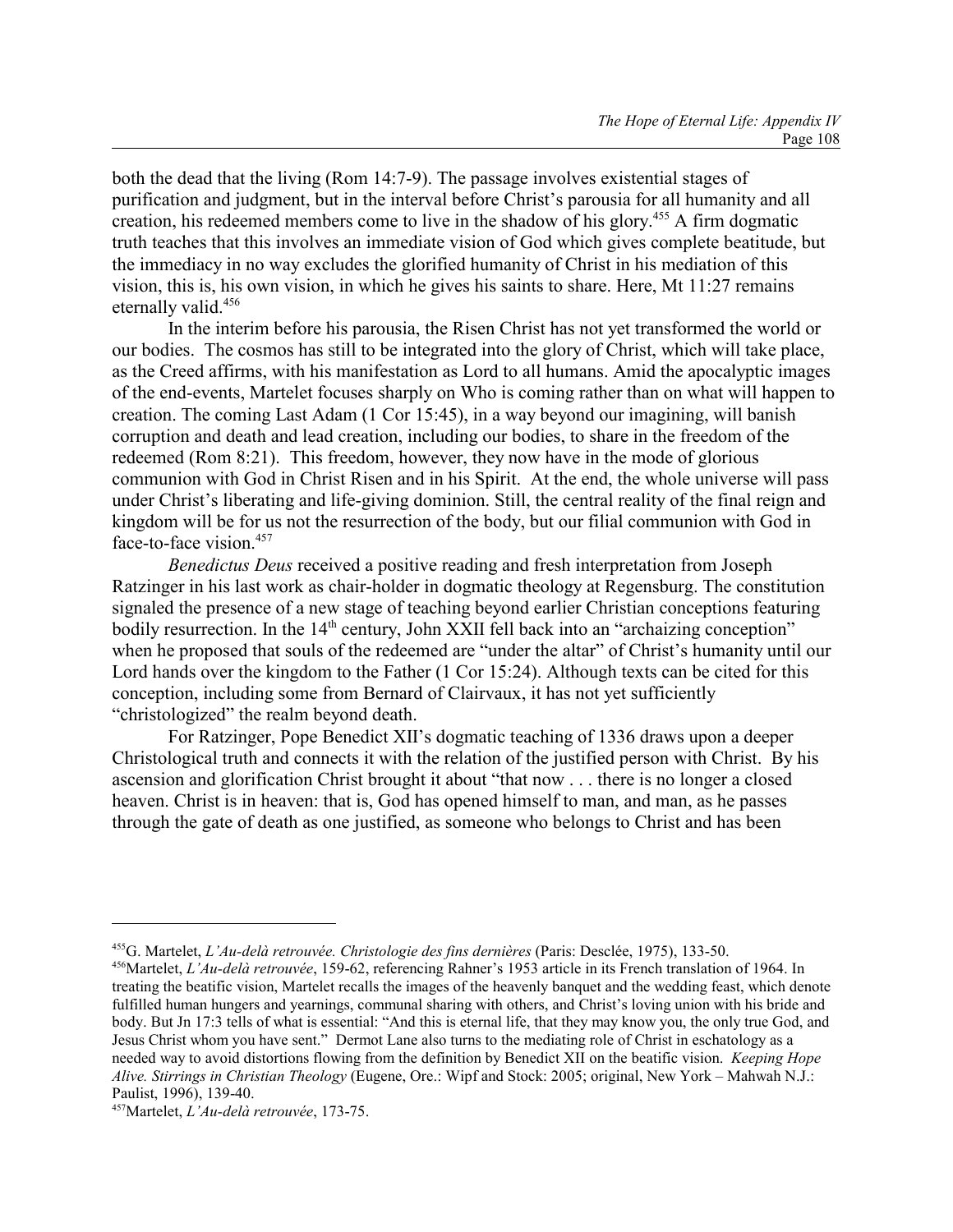both the dead that the living (Rom 14:7-9). The passage involves existential stages of purification and judgment, but in the interval before Christ's parousia for all humanity and all creation, his redeemed members come to live in the shadow of his glory.<sup>455</sup> A firm dogmatic truth teaches that this involves an immediate vision of God which gives complete beatitude, but the immediacy in no way excludes the glorified humanity of Christ in his mediation of this vision, this is, his own vision, in which he gives his saints to share. Here, Mt 11:27 remains eternally valid.<sup>456</sup>

In the interim before his parousia, the Risen Christ has not yet transformed the world or our bodies. The cosmos has still to be integrated into the glory of Christ, which will take place, as the Creed affirms, with his manifestation as Lord to all humans. Amid the apocalyptic images of the end-events, Martelet focuses sharply on Who is coming rather than on what will happen to creation. The coming Last Adam (1 Cor 15:45), in a way beyond our imagining, will banish corruption and death and lead creation, including our bodies, to share in the freedom of the redeemed (Rom 8:21). This freedom, however, they now have in the mode of glorious communion with God in Christ Risen and in his Spirit. At the end, the whole universe will pass under Christ's liberating and life-giving dominion. Still, the central reality of the final reign and kingdom will be for us not the resurrection of the body, but our filial communion with God in face-to-face vision.<sup>457</sup>

Benedictus Deus received a positive reading and fresh interpretation from Joseph Ratzinger in his last work as chair-holder in dogmatic theology at Regensburg. The constitution signaled the presence of a new stage of teaching beyond earlier Christian conceptions featuring bodily resurrection. In the 14<sup>th</sup> century, John XXII fell back into an "archaizing conception" when he proposed that souls of the redeemed are "under the altar" of Christ's humanity until our Lord hands over the kingdom to the Father (1 Cor 15:24). Although texts can be cited for this conception, including some from Bernard of Clairvaux, it has not yet sufficiently "christologized" the realm beyond death.

For Ratzinger, Pope Benedict XII's dogmatic teaching of 1336 draws upon a deeper Christological truth and connects it with the relation of the justified person with Christ. By his ascension and glorification Christ brought it about "that now . . . there is no longer a closed heaven. Christ is in heaven: that is, God has opened himself to man, and man, as he passes through the gate of death as one justified, as someone who belongs to Christ and has been

<sup>455</sup>G. Martelet, L'Au-delà retrouvée. Christologie des fins dernières (Paris: Desclée, 1975), 133-50.

<sup>456</sup>Martelet, L'Au-delà retrouvée, 159-62, referencing Rahner's 1953 article in its French translation of 1964. In treating the beatific vision, Martelet recalls the images of the heavenly banquet and the wedding feast, which denote fulfilled human hungers and yearnings, communal sharing with others, and Christ's loving union with his bride and body. But Jn 17:3 tells of what is essential: "And this is eternal life, that they may know you, the only true God, and Jesus Christ whom you have sent." Dermot Lane also turns to the mediating role of Christ in eschatology as a needed way to avoid distortions flowing from the definition by Benedict XII on the beatific vision. Keeping Hope Alive. Stirrings in Christian Theology (Eugene, Ore.: Wipf and Stock: 2005; original, New York – Mahwah N.J.: Paulist, 1996), 139-40.

 $457$ Martelet, L'Au-delà retrouvée, 173-75.